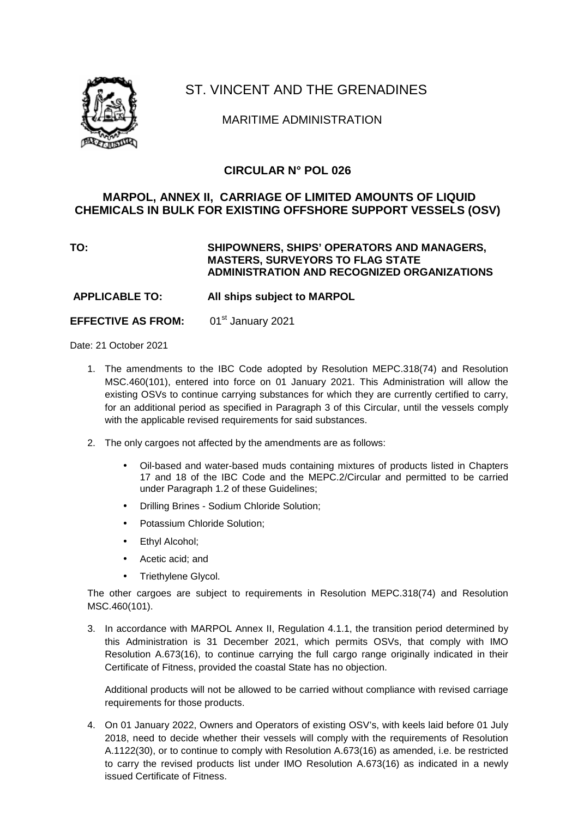

# ST. VINCENT AND THE GRENADINES

MARITIME ADMINISTRATION

### **CIRCULAR N° POL 026**

### **MARPOL, ANNEX II, CARRIAGE OF LIMITED AMOUNTS OF LIQUID CHEMICALS IN BULK FOR EXISTING OFFSHORE SUPPORT VESSELS (OSV)**

### **TO: SHIPOWNERS, SHIPS' OPERATORS AND MANAGERS, MASTERS, SURVEYORS TO FLAG STATE ADMINISTRATION AND RECOGNIZED ORGANIZATIONS**

 **APPLICABLE TO: All ships subject to MARPOL**

**EFFECTIVE AS FROM:** 01<sup>st</sup> January 2021

Date: 21 October 2021

- 1. The amendments to the IBC Code adopted by Resolution MEPC.318(74) and Resolution MSC.460(101), entered into force on 01 January 2021. This Administration will allow the existing OSVs to continue carrying substances for which they are currently certified to carry, for an additional period as specified in Paragraph 3 of this Circular, until the vessels comply with the applicable revised requirements for said substances.
- 2. The only cargoes not affected by the amendments are as follows:
	- Oil-based and water-based muds containing mixtures of products listed in Chapters 17 and 18 of the IBC Code and the MEPC.2/Circular and permitted to be carried under Paragraph 1.2 of these Guidelines;
	- Drilling Brines Sodium Chloride Solution;
	- Potassium Chloride Solution;
	- Ethyl Alcohol;
	- Acetic acid; and
	- Triethylene Glycol.

The other cargoes are subject to requirements in Resolution MEPC.318(74) and Resolution MSC.460(101).

3. In accordance with MARPOL Annex II, Regulation 4.1.1, the transition period determined by this Administration is 31 December 2021, which permits OSVs, that comply with IMO Resolution A.673(16), to continue carrying the full cargo range originally indicated in their Certificate of Fitness, provided the coastal State has no objection.

Additional products will not be allowed to be carried without compliance with revised carriage requirements for those products.

4. On 01 January 2022, Owners and Operators of existing OSV's, with keels laid before 01 July 2018, need to decide whether their vessels will comply with the requirements of Resolution A.1122(30), or to continue to comply with Resolution A.673(16) as amended, i.e. be restricted to carry the revised products list under IMO Resolution A.673(16) as indicated in a newly issued Certificate of Fitness.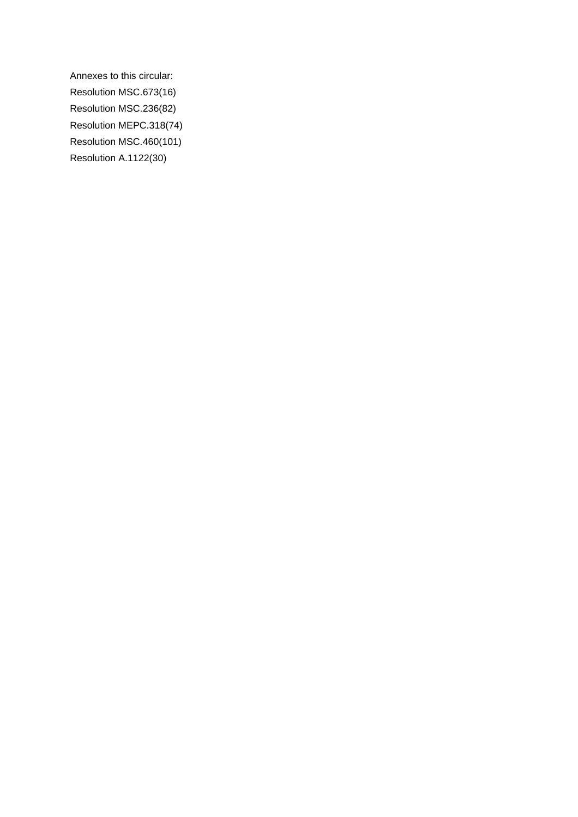Annexes to this circular: Resolution MSC.673(16) Resolution MSC.236(82) Resolution MEPC.318(74) Resolution MSC.460(101) Resolution A.1122(30)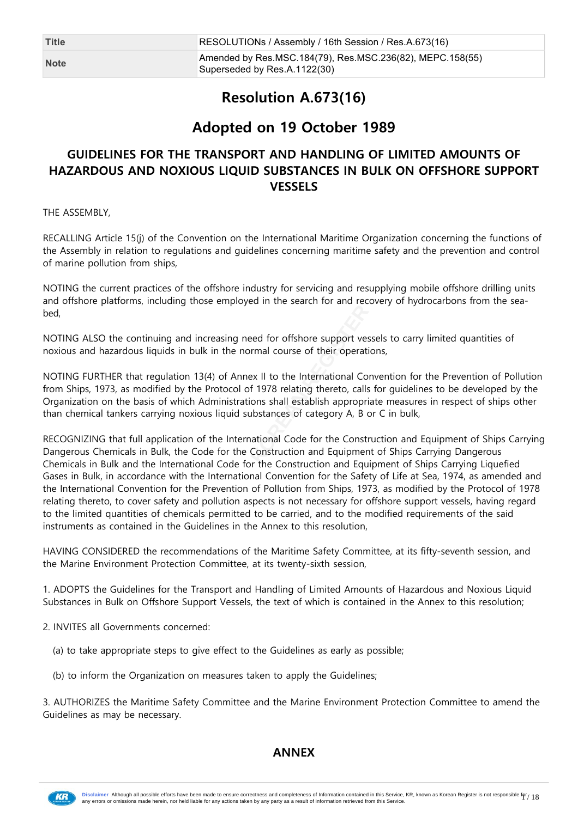Title RESOLUTIONs / Assembly / 16th Session / Res.A.673(16) **Note** Amended by Res.MSC.184(79), Res.MSC.236(82), MEPC.158(55) Superseded by Res.A.1122(30)

# **Resolution A.673(16)**

# **Adopted on 19 October 1989**

## **GUIDELINES FOR THE TRANSPORT AND HANDLING OF LIMITED AMOUNTS OF HAZARDOUS AND NOXIOUS LIQUID SUBSTANCES IN BULK ON OFFSHORE SUPPORT VESSELS**

THE ASSEMBLY,

RECALLING Article 15(j) of the Convention on the International Maritime Organization concerning the functions of the Assembly in relation to regulations and guidelines concerning maritime safety and the prevention and control of marine pollution from ships,

NOTING the current practices of the offshore industry for servicing and resupplying mobile offshore drilling units and offshore platforms, including those employed in the search for and recovery of hydrocarbons from the seabed,

NOTING ALSO the continuing and increasing need for offshore support vessels to carry limited quantities of noxious and hazardous liquids in bulk in the normal course of their operations,

NOTING FURTHER that regulation 13(4) of Annex II to the International Convention for the Prevention of Pollution from Ships, 1973, as modified by the Protocol of 1978 relating thereto, calls for guidelines to be developed by the Organization on the basis of which Administrations shall establish appropriate measures in respect of ships other than chemical tankers carrying noxious liquid substances of category A, B or C in bulk, **Example 18 and 18 and 18 and 18 and 18 and 18 and 18 and 18 and 18 and 19 and 1978 relating thereto, calls 1<br>
In the International Convertisers of category A, B or<br>
<b>KOREAN REGISTER**<br> **KOREAN REGISTERRY AS DEMANDED AND EQ** 

RECOGNIZING that full application of the International Code for the Construction and Equipment of Ships Carrying Dangerous Chemicals in Bulk, the Code for the Construction and Equipment of Ships Carrying Dangerous Chemicals in Bulk and the International Code for the Construction and Equipment of Ships Carrying Liquefied Gases in Bulk, in accordance with the International Convention for the Safety of Life at Sea, 1974, as amended and the International Convention for the Prevention of Pollution from Ships, 1973, as modified by the Protocol of 1978 relating thereto, to cover safety and pollution aspects is not necessary for offshore support vessels, having regard to the limited quantities of chemicals permitted to be carried, and to the modified requirements of the said instruments as contained in the Guidelines in the Annex to this resolution,

HAVING CONSIDERED the recommendations of the Maritime Safety Committee, at its fifty-seventh session, and the Marine Environment Protection Committee, at its twenty-sixth session,

1. ADOPTS the Guidelines for the Transport and Handling of Limited Amounts of Hazardous and Noxious Liquid Substances in Bulk on Offshore Support Vessels, the text of which is contained in the Annex to this resolution;

2. INVITES all Governments concerned:

- (a) to take appropriate steps to give effect to the Guidelines as early as possible;
- (b) to inform the Organization on measures taken to apply the Guidelines;

3. AUTHORIZES the Maritime Safety Committee and the Marine Environment Protection Committee to amend the Guidelines as may be necessary.

### **ANNEX**

**GUIDELINES FOR THE TRANSPORT AND HANDLING OF LIMITED AMOUNTS OF**

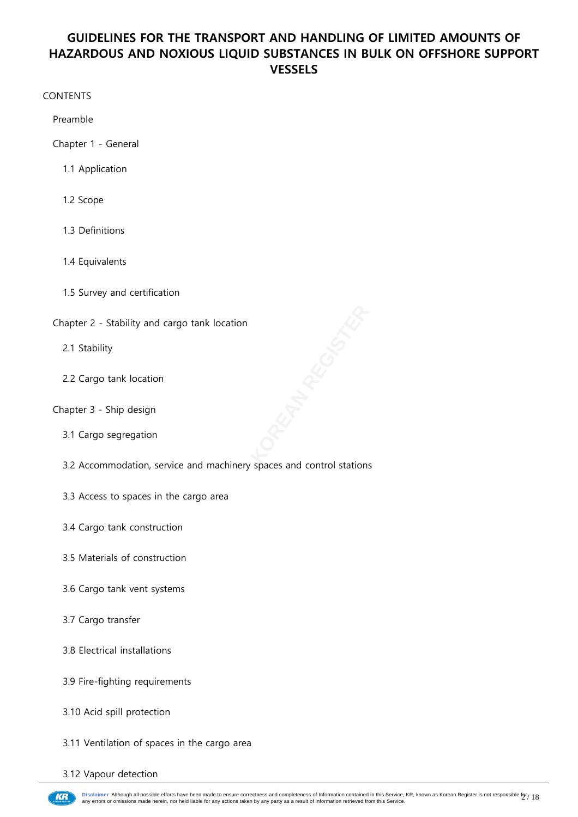## **GUIDELINES FOR THE TRANSPORT AND HANDLING OF LIMITED AMOUNTS OF HAZARDOUS AND NOXIOUS LIQUID SUBSTANCES IN BULK ON OFFSHORE SUPPORT VESSELS**

### CONTENTS

Preamble

- Chapter 1 General
	- 1.1 Application
	- 1.2 Scope
	- 1.3 Definitions
	- 1.4 Equivalents
	- 1.5 Survey and certification
- Chapter 2 Stability and cargo tank location
	- 2.1 Stability
	- 2.2 Cargo tank location

### Chapter 3 - Ship design

- 3.1 Cargo segregation
- 3.2 Accommodation, service and machinery spaces and control stations **KOREAN REGISTER**
- 3.3 Access to spaces in the cargo area
- 3.4 Cargo tank construction
- 3.5 Materials of construction
- 3.6 Cargo tank vent systems
- 3.7 Cargo transfer
- 3.8 Electrical installations
- 3.9 Fire-fighting requirements
- 3.10 Acid spill protection
- 3.11 Ventilation of spaces in the cargo area
- 3.12 Vapour detection

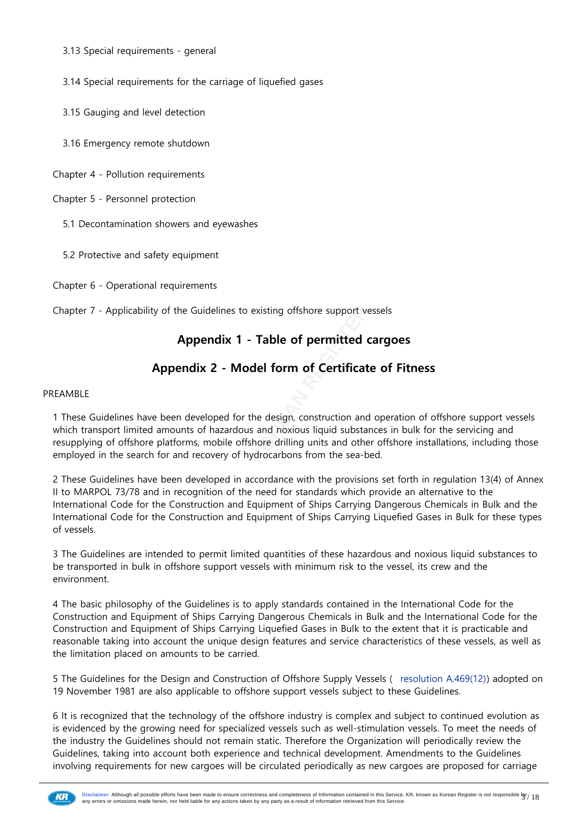- 3.13 Special requirements general
- 3.14 Special requirements for the carriage of liquefied gases
- 3.15 Gauging and level detection
- 3.16 Emergency remote shutdown
- Chapter 4 Pollution requirements
- Chapter 5 Personnel protection
	- 5.1 Decontamination showers and eyewashes
	- 5.2 Protective and safety equipment
- Chapter 6 Operational requirements
- Chapter 7 Applicability of the Guidelines to existing offshore support vessels

### **Appendix 1 - Table of permitted cargoes**

### **Appendix 2 - Model form of Certificate of Fitness**

#### PREAMBLE

1 These Guidelines have been developed for the design, construction and operation of offshore support vessels which transport limited amounts of hazardous and noxious liquid substances in bulk for the servicing and resupplying of offshore platforms, mobile offshore drilling units and other offshore installations, including those employed in the search for and recovery of hydrocarbons from the sea-bed. existing offshore support ves<br> **Table of permitted cannumity**<br> **Cornel State State State State State State State State State State State State State State State State State State State State State State State State State S** 

2 These Guidelines have been developed in accordance with the provisions set forth in regulation 13(4) of Annex II to MARPOL 73/78 and in recognition of the need for standards which provide an alternative to the International Code for the Construction and Equipment of Ships Carrying Dangerous Chemicals in Bulk and the International Code for the Construction and Equipment of Ships Carrying Liquefied Gases in Bulk for these types of vessels.

3 The Guidelines are intended to permit limited quantities of these hazardous and noxious liquid substances to be transported in bulk in offshore support vessels with minimum risk to the vessel, its crew and the environment.

4 The basic philosophy of the Guidelines is to apply standards contained in the International Code for the Construction and Equipment of Ships Carrying Dangerous Chemicals in Bulk and the International Code for the Construction and Equipment of Ships Carrying Liquefied Gases in Bulk to the extent that it is practicable and reasonable taking into account the unique design features and service characteristics of these vessels, as well as the limitation placed on amounts to be carried.

5 The Guidelines for the Design and Construction of Offshore Supply Vessels ( [resolution A.469\(12\)\)](http://103.12.248.9usercommontreeredirect.aspx?category_id=7065&node_type=normal&is_leaf=true&is_viewchild=true) adopted on 19 November 1981 are also applicable to offshore support vessels subject to these Guidelines.

6 It is recognized that the technology of the offshore industry is complex and subject to continued evolution as is evidenced by the growing need for specialized vessels such as well-stimulation vessels. To meet the needs of the industry the Guidelines should not remain static. Therefore the Organization will periodically review the Guidelines, taking into account both experience and technical development. Amendments to the Guidelines involving requirements for new cargoes will be circulated periodically as new cargoes are proposed for carriage



and the requirements are developed.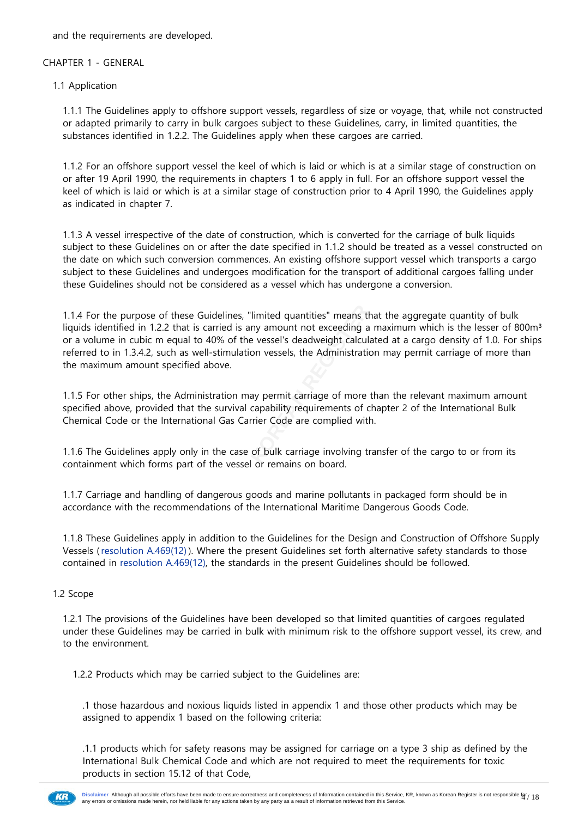and the requirements are developed.

#### CHAPTER 1 - GENERAL

#### 1.1 Application

1.1.1 The Guidelines apply to offshore support vessels, regardless of size or voyage, that, while not constructed or adapted primarily to carry in bulk cargoes subject to these Guidelines, carry, in limited quantities, the substances identified in 1.2.2. The Guidelines apply when these cargoes are carried.

1.1.2 For an offshore support vessel the keel of which is laid or which is at a similar stage of construction on or after 19 April 1990, the requirements in chapters 1 to 6 apply in full. For an offshore support vessel the keel of which is laid or which is at a similar stage of construction prior to 4 April 1990, the Guidelines apply as indicated in chapter 7.

1.1.3 A vessel irrespective of the date of construction, which is converted for the carriage of bulk liquids subject to these Guidelines on or after the date specified in 1.1.2 should be treated as a vessel constructed on the date on which such conversion commences. An existing offshore support vessel which transports a cargo subject to these Guidelines and undergoes modification for the transport of additional cargoes falling under these Guidelines should not be considered as a vessel which has undergone a conversion.

1.1.4 For the purpose of these Guidelines, "limited quantities" means that the aggregate quantity of bulk liquids identified in 1.2.2 that is carried is any amount not exceeding a maximum which is the lesser of 800m<sup>3</sup> or a volume in cubic m equal to 40% of the vessel's deadweight calculated at a cargo density of 1.0. For ships referred to in 1.3.4.2, such as well-stimulation vessels, the Administration may permit carriage of more than the maximum amount specified above. limited quantities" means that<br>the my amount not exceeding a revessel's deadweight calculation<br>vessels, the Administration<br>ay permit carriage of more the<br>capability requirements of ch<br>rrier Code are complied with.<br>of bulk

1.1.5 For other ships, the Administration may permit carriage of more than the relevant maximum amount specified above, provided that the survival capability requirements of chapter 2 of the International Bulk Chemical Code or the International Gas Carrier Code are complied with.

1.1.6 The Guidelines apply only in the case of bulk carriage involving transfer of the cargo to or from its containment which forms part of the vessel or remains on board.

1.1.7 Carriage and handling of dangerous goods and marine pollutants in packaged form should be in accordance with the recommendations of the International Maritime Dangerous Goods Code.

1.1.8 These Guidelines apply in addition to the Guidelines for the Design and Construction of Offshore Supply Vessels ([resolution A.469\(12\)](http://103.12.248.9usercommontreeredirect.aspx?category_id=7065&node_type=normal&is_leaf=true&is_viewchild=true) ). Where the present Guidelines set forth alternative safety standards to those contained in [resolution A.469\(12\),](http://103.12.248.9usercommontreeredirect.aspx?category_id=7065&node_type=normal&is_leaf=true&is_viewchild=true) the standards in the present Guidelines should be followed.

#### 1.2 Scope

1.2.1 The provisions of the Guidelines have been developed so that limited quantities of cargoes regulated under these Guidelines may be carried in bulk with minimum risk to the offshore support vessel, its crew, and to the environment.

1.2.2 Products which may be carried subject to the Guidelines are:

.1 those hazardous and noxious liquids listed in appendix 1 and those other products which may be assigned to appendix 1 based on the following criteria:

.1.1 products which for safety reasons may be assigned for carriage on a type 3 ship as defined by the International Bulk Chemical Code and which are not required to meet the requirements for toxic products in section 15.12 of that Code,

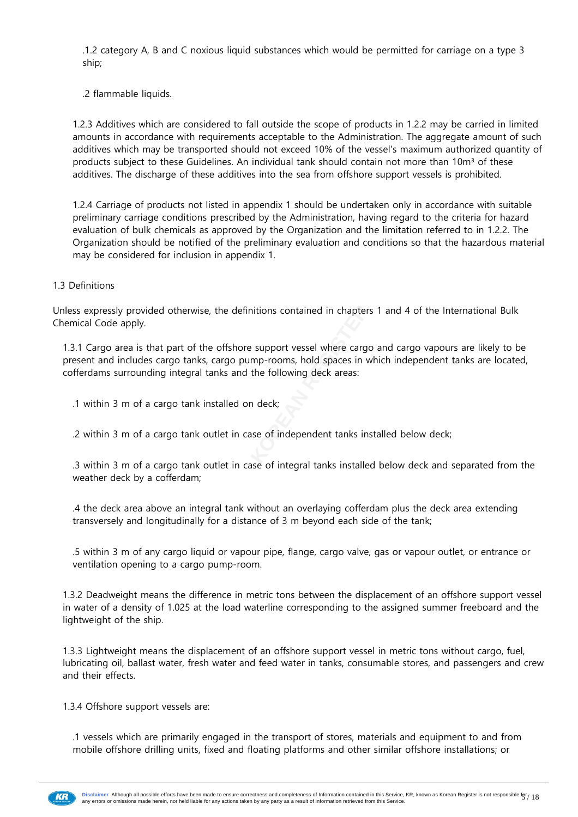.1.2 category A, B and C noxious liquid substances which would be permitted for carriage on a type 3 ship;

.2 flammable liquids.

1.2.3 Additives which are considered to fall outside the scope of products in 1.2.2 may be carried in limited amounts in accordance with requirements acceptable to the Administration. The aggregate amount of such additives which may be transported should not exceed 10% of the vessel's maximum authorized quantity of products subject to these Guidelines. An individual tank should contain not more than 10m<sup>3</sup> of these additives. The discharge of these additives into the sea from offshore support vessels is prohibited.

1.2.4 Carriage of products not listed in appendix 1 should be undertaken only in accordance with suitable preliminary carriage conditions prescribed by the Administration, having regard to the criteria for hazard evaluation of bulk chemicals as approved by the Organization and the limitation referred to in 1.2.2. The Organization should be notified of the preliminary evaluation and conditions so that the hazardous material may be considered for inclusion in appendix 1.

1.3 Definitions

Unless expressly provided otherwise, the definitions contained in chapters 1 and 4 of the International Bulk Chemical Code apply.

1.3.1 Cargo area is that part of the offshore support vessel where cargo and cargo vapours are likely to be present and includes cargo tanks, cargo pump-rooms, hold spaces in which independent tanks are located, cofferdams surrounding integral tanks and the following deck areas: itions contained in chapters<br>
Exemperations and there cargo<br>
the following deck areas:<br>
The following deck areas:<br>
The deck;<br>
the of independent tanks inst

.1 within 3 m of a cargo tank installed on deck;

.2 within 3 m of a cargo tank outlet in case of independent tanks installed below deck;

.3 within 3 m of a cargo tank outlet in case of integral tanks installed below deck and separated from the weather deck by a cofferdam;

.4 the deck area above an integral tank without an overlaying cofferdam plus the deck area extending transversely and longitudinally for a distance of 3 m beyond each side of the tank;

.5 within 3 m of any cargo liquid or vapour pipe, flange, cargo valve, gas or vapour outlet, or entrance or ventilation opening to a cargo pump-room.

1.3.2 Deadweight means the difference in metric tons between the displacement of an offshore support vessel in water of a density of 1.025 at the load waterline corresponding to the assigned summer freeboard and the lightweight of the ship.

1.3.3 Lightweight means the displacement of an offshore support vessel in metric tons without cargo, fuel, lubricating oil, ballast water, fresh water and feed water in tanks, consumable stores, and passengers and crew and their effects.

1.3.4 Offshore support vessels are:

.1 vessels which are primarily engaged in the transport of stores, materials and equipment to and from mobile offshore drilling units, fixed and floating platforms and other similar offshore installations; or

.2 vessels, including well-stimulation vessels, but excluding mobile offshore drilling units, derrick barges,

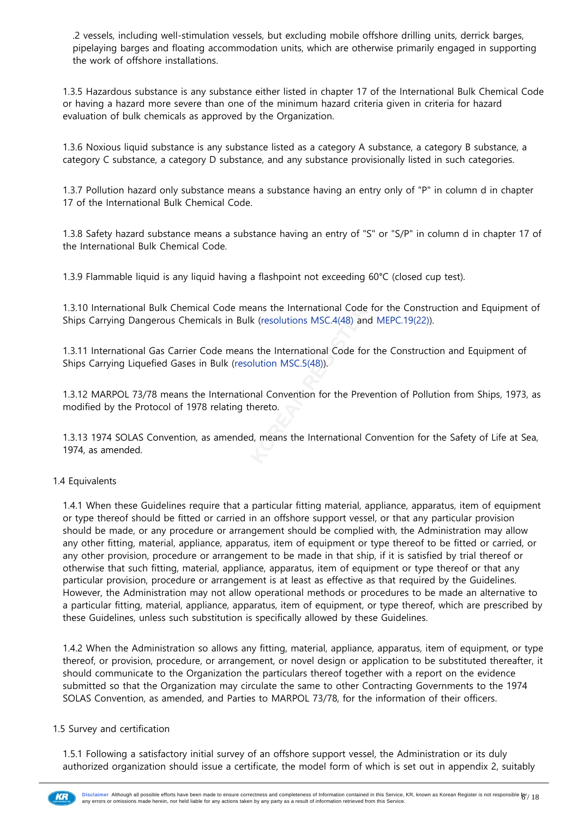.2 vessels, including well-stimulation vessels, but excluding mobile offshore drilling units, derrick barges, pipelaying barges and floating accommodation units, which are otherwise primarily engaged in supporting the work of offshore installations.

1.3.5 Hazardous substance is any substance either listed in chapter 17 of the International Bulk Chemical Code or having a hazard more severe than one of the minimum hazard criteria given in criteria for hazard evaluation of bulk chemicals as approved by the Organization.

1.3.6 Noxious liquid substance is any substance listed as a category A substance, a category B substance, a category C substance, a category D substance, and any substance provisionally listed in such categories.

1.3.7 Pollution hazard only substance means a substance having an entry only of "P" in column d in chapter 17 of the International Bulk Chemical Code.

1.3.8 Safety hazard substance means a substance having an entry of "S" or "S/P" in column d in chapter 17 of the International Bulk Chemical Code.

1.3.9 Flammable liquid is any liquid having a flashpoint not exceeding 60°C (closed cup test).

1.3.10 International Bulk Chemical Code means the International Code for the Construction and Equipment of Ships Carrying Dangerous Chemicals in Bulk (resolutions MSC.4(48) and [MEPC.19\(22\)\)](http://103.12.248.9usercommontreeredirect.aspx?category_id=43070&node_type=normal&is_leaf=true&is_viewchild=true).

1.3.11 International Gas Carrier Code means the International Code for the Construction and Equipment of Ships Carrying Liquefied Gases in Bulk (resolution MSC.5(48)). Framewood Code for the International Code for the International Code for the International Code for the International Code for the Preventencondented.<br>
Internation for the Preventence of the International Code for the Prev

1.3.12 MARPOL 73/78 means the International Convention for the Prevention of Pollution from Ships, 1973, as modified by the Protocol of 1978 relating thereto.

1.3.13 1974 SOLAS Convention, as amended, means the International Convention for the Safety of Life at Sea, 1974, as amended.

#### 1.4 Equivalents

1.4.1 When these Guidelines require that a particular fitting material, appliance, apparatus, item of equipment or type thereof should be fitted or carried in an offshore support vessel, or that any particular provision should be made, or any procedure or arrangement should be complied with, the Administration may allow any other fitting, material, appliance, apparatus, item of equipment or type thereof to be fitted or carried, or any other provision, procedure or arrangement to be made in that ship, if it is satisfied by trial thereof or otherwise that such fitting, material, appliance, apparatus, item of equipment or type thereof or that any particular provision, procedure or arrangement is at least as effective as that required by the Guidelines. However, the Administration may not allow operational methods or procedures to be made an alternative to a particular fitting, material, appliance, apparatus, item of equipment, or type thereof, which are prescribed by these Guidelines, unless such substitution is specifically allowed by these Guidelines.

1.4.2 When the Administration so allows any fitting, material, appliance, apparatus, item of equipment, or type thereof, or provision, procedure, or arrangement, or novel design or application to be substituted thereafter, it should communicate to the Organization the particulars thereof together with a report on the evidence submitted so that the Organization may circulate the same to other Contracting Governments to the 1974 SOLAS Convention, as amended, and Parties to MARPOL 73/78, for the information of their officers.

#### 1.5 Survey and certification

1.5.1 Following a satisfactory initial survey of an offshore support vessel, the Administration or its duly authorized organization should issue a certificate, the model form of which is set out in appendix 2, suitably

endorsed to certify compliance with the provisions of the Guidelines. The certificate should indicate the

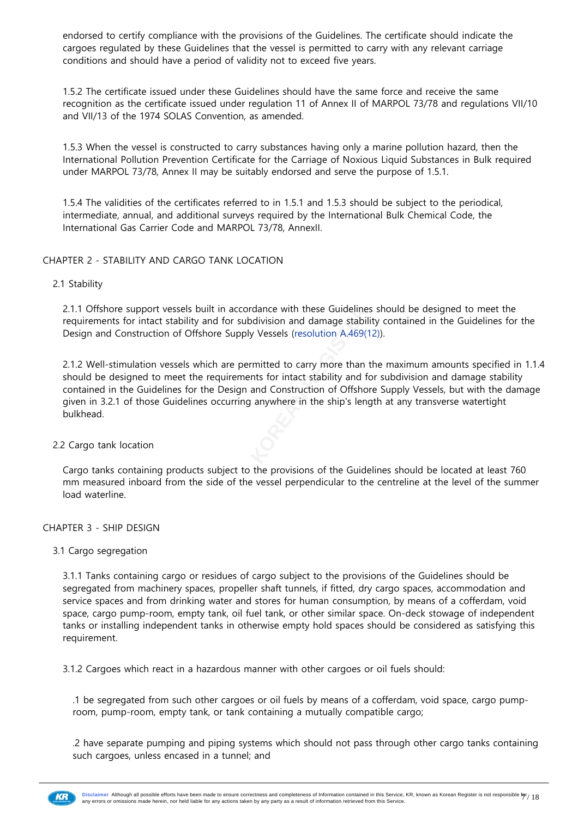endorsed to certify compliance with the provisions of the Guidelines. The certificate should indicate the cargoes regulated by these Guidelines that the vessel is permitted to carry with any relevant carriage conditions and should have a period of validity not to exceed five years.

1.5.2 The certificate issued under these Guidelines should have the same force and receive the same recognition as the certificate issued under regulation 11 of Annex II of MARPOL 73/78 and regulations VII/10 and VII/13 of the 1974 SOLAS Convention, as amended.

1.5.3 When the vessel is constructed to carry substances having only a marine pollution hazard, then the International Pollution Prevention Certificate for the Carriage of Noxious Liquid Substances in Bulk required under MARPOL 73/78, Annex II may be suitably endorsed and serve the purpose of 1.5.1.

1.5.4 The validities of the certificates referred to in 1.5.1 and 1.5.3 should be subject to the periodical, intermediate, annual, and additional surveys required by the International Bulk Chemical Code, the International Gas Carrier Code and MARPOL 73/78, AnnexII.

#### CHAPTER 2 - STABILITY AND CARGO TANK LOCATION

#### 2.1 Stability

2.1.1 Offshore support vessels built in accordance with these Guidelines should be designed to meet the requirements for intact stability and for subdivision and damage stability contained in the Guidelines for the Design and Construction of Offshore Supply Vessels (resolution A.469(12)).

2.1.2 Well-stimulation vessels which are permitted to carry more than the maximum amounts specified in 1.1.4 should be designed to meet the requirements for intact stability and for subdivision and damage stability contained in the Guidelines for the Design and Construction of Offshore Supply Vessels, but with the damage given in 3.2.1 of those Guidelines occurring anywhere in the ship's length at any transverse watertight bulkhead. reader with these Guidelines<br>
polivision and damage stability<br>
y Vessels (resolution A.469(12<br>
rmitted to carry more than the<br>
nts for intact stability and for<br>
and Construction of Offshore<br>
anywhere in the ship's lengt

#### 2.2 Cargo tank location

Cargo tanks containing products subject to the provisions of the Guidelines should be located at least 760 mm measured inboard from the side of the vessel perpendicular to the centreline at the level of the summer load waterline.

### CHAPTER 3 - SHIP DESIGN

#### 3.1 Cargo segregation

3.1.1 Tanks containing cargo or residues of cargo subject to the provisions of the Guidelines should be segregated from machinery spaces, propeller shaft tunnels, if fitted, dry cargo spaces, accommodation and service spaces and from drinking water and stores for human consumption, by means of a cofferdam, void space, cargo pump-room, empty tank, oil fuel tank, or other similar space. On-deck stowage of independent tanks or installing independent tanks in otherwise empty hold spaces should be considered as satisfying this requirement.

3.1.2 Cargoes which react in a hazardous manner with other cargoes or oil fuels should:

.1 be segregated from such other cargoes or oil fuels by means of a cofferdam, void space, cargo pumproom, pump-room, empty tank, or tank containing a mutually compatible cargo;

.2 have separate pumping and piping systems which should not pass through other cargo tanks containing such cargoes, unless encased in a tunnel; and

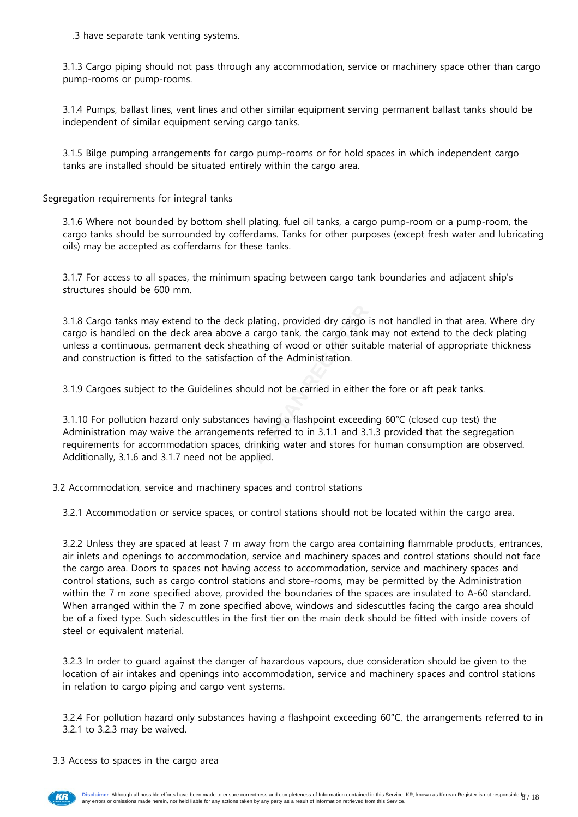.3 have separate tank venting systems.

3.1.3 Cargo piping should not pass through any accommodation, service or machinery space other than cargo pump-rooms or pump-rooms.

3.1.4 Pumps, ballast lines, vent lines and other similar equipment serving permanent ballast tanks should be independent of similar equipment serving cargo tanks.

3.1.5 Bilge pumping arrangements for cargo pump-rooms or for hold spaces in which independent cargo tanks are installed should be situated entirely within the cargo area.

Segregation requirements for integral tanks

3.1.6 Where not bounded by bottom shell plating, fuel oil tanks, a cargo pump-room or a pump-room, the cargo tanks should be surrounded by cofferdams. Tanks for other purposes (except fresh water and lubricating oils) may be accepted as cofferdams for these tanks.

3.1.7 For access to all spaces, the minimum spacing between cargo tank boundaries and adjacent ship's structures should be 600 mm.

3.1.8 Cargo tanks may extend to the deck plating, provided dry cargo is not handled in that area. Where dry cargo is handled on the deck area above a cargo tank, the cargo tank may not extend to the deck plating unless a continuous, permanent deck sheathing of wood or other suitable material of appropriate thickness and construction is fitted to the satisfaction of the Administration. blating, provided dry cargo is<br>cargo tank, the cargo tank r<br>hing of wood or other suitabland<br>of the Administration.<br>and the Administration.<br>and the carried in either t<br>having a flashpoint exceeding<br>s referred to in 3.1.1 a

3.1.9 Cargoes subject to the Guidelines should not be carried in either the fore or aft peak tanks.

3.1.10 For pollution hazard only substances having a flashpoint exceeding 60°C (closed cup test) the Administration may waive the arrangements referred to in 3.1.1 and 3.1.3 provided that the segregation requirements for accommodation spaces, drinking water and stores for human consumption are observed. Additionally, 3.1.6 and 3.1.7 need not be applied.

3.2 Accommodation, service and machinery spaces and control stations

3.2.1 Accommodation or service spaces, or control stations should not be located within the cargo area.

3.2.2 Unless they are spaced at least 7 m away from the cargo area containing flammable products, entrances, air inlets and openings to accommodation, service and machinery spaces and control stations should not face the cargo area. Doors to spaces not having access to accommodation, service and machinery spaces and control stations, such as cargo control stations and store-rooms, may be permitted by the Administration within the 7 m zone specified above, provided the boundaries of the spaces are insulated to A-60 standard. When arranged within the 7 m zone specified above, windows and sidescuttles facing the cargo area should be of a fixed type. Such sidescuttles in the first tier on the main deck should be fitted with inside covers of steel or equivalent material.

3.2.3 In order to guard against the danger of hazardous vapours, due consideration should be given to the location of air intakes and openings into accommodation, service and machinery spaces and control stations in relation to cargo piping and cargo vent systems.

3.2.4 For pollution hazard only substances having a flashpoint exceeding 60°C, the arrangements referred to in 3.2.1 to 3.2.3 may be waived.

3.3 Access to spaces in the cargo area

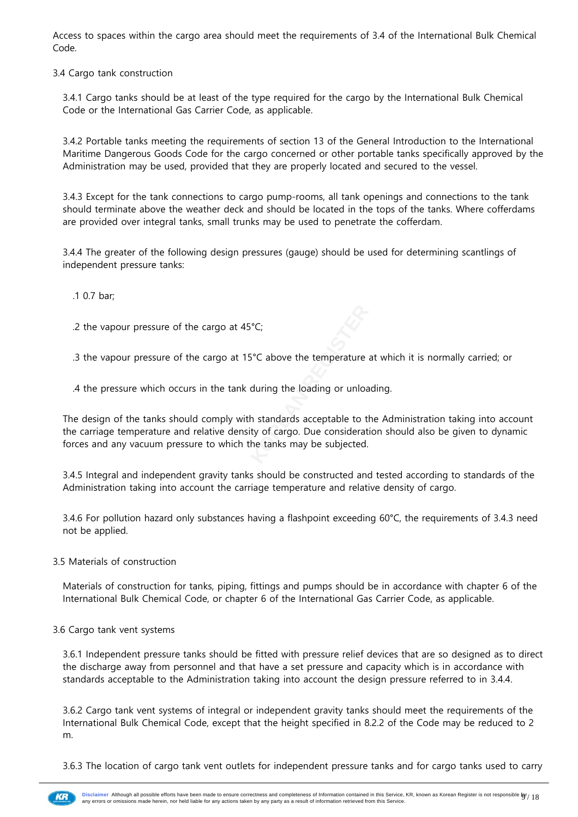Access to spaces within the cargo area should meet the requirements of 3.4 of the International Bulk Chemical Code.

3.4 Cargo tank construction

3.4.1 Cargo tanks should be at least of the type required for the cargo by the International Bulk Chemical Code or the International Gas Carrier Code, as applicable.

3.4.2 Portable tanks meeting the requirements of section 13 of the General Introduction to the International Maritime Dangerous Goods Code for the cargo concerned or other portable tanks specifically approved by the Administration may be used, provided that they are properly located and secured to the vessel.

3.4.3 Except for the tank connections to cargo pump-rooms, all tank openings and connections to the tank should terminate above the weather deck and should be located in the tops of the tanks. Where cofferdams are provided over integral tanks, small trunks may be used to penetrate the cofferdam.

3.4.4 The greater of the following design pressures (gauge) should be used for determining scantlings of independent pressure tanks:

.1 0.7 bar;

.2 the vapour pressure of the cargo at 45°C;

.3 the vapour pressure of the cargo at 15°C above the temperature at which it is normally carried; or

.4 the pressure which occurs in the tank during the loading or unloading.

The design of the tanks should comply with standards acceptable to the Administration taking into account the carriage temperature and relative density of cargo. Due consideration should also be given to dynamic forces and any vacuum pressure to which the tanks may be subjected. <sup>®</sup>C;<br>
<sup>S</sup>°C above the temperature at<br>
during the loading or unload<br>
the standards acceptable to the<br>
ty of cargo. Due consideratic<br>
the tanks may be subjected.

3.4.5 Integral and independent gravity tanks should be constructed and tested according to standards of the Administration taking into account the carriage temperature and relative density of cargo.

3.4.6 For pollution hazard only substances having a flashpoint exceeding  $60^{\circ}$ C, the requirements of 3.4.3 need not be applied.

3.5 Materials of construction

Materials of construction for tanks, piping, fittings and pumps should be in accordance with chapter 6 of the International Bulk Chemical Code, or chapter 6 of the International Gas Carrier Code, as applicable.

3.6 Cargo tank vent systems

3.6.1 Independent pressure tanks should be fitted with pressure relief devices that are so designed as to direct the discharge away from personnel and that have a set pressure and capacity which is in accordance with standards acceptable to the Administration taking into account the design pressure referred to in 3.4.4.

3.6.2 Cargo tank vent systems of integral or independent gravity tanks should meet the requirements of the International Bulk Chemical Code, except that the height specified in 8.2.2 of the Code may be reduced to 2 m.

3.6.3 The location of cargo tank vent outlets for independent pressure tanks and for cargo tanks used to carry pollution hazard only substances with a flashpoint exceeding 60 degrees C (closed cup test) should be to the

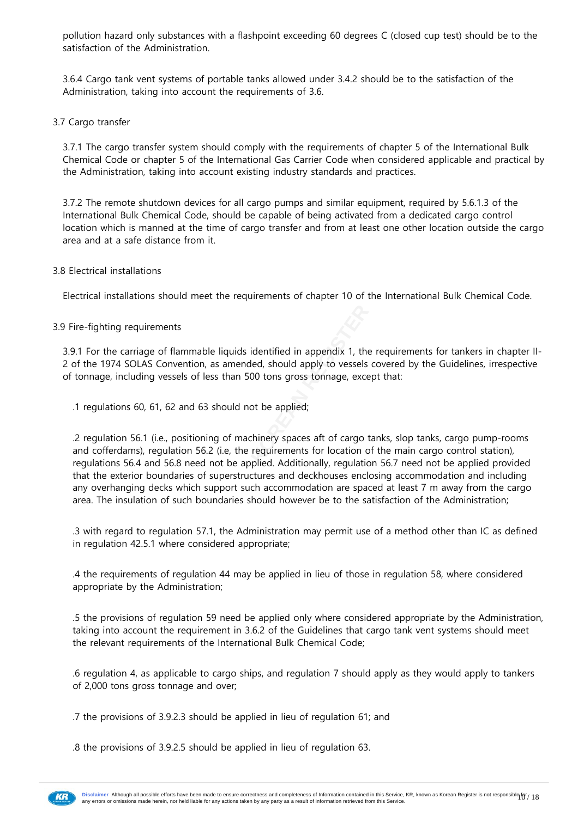pollution hazard only substances with a flashpoint exceeding 60 degrees C (closed cup test) should be to the satisfaction of the Administration.

3.6.4 Cargo tank vent systems of portable tanks allowed under 3.4.2 should be to the satisfaction of the Administration, taking into account the requirements of 3.6.

#### 3.7 Cargo transfer

3.7.1 The cargo transfer system should comply with the requirements of chapter 5 of the International Bulk Chemical Code or chapter 5 of the International Gas Carrier Code when considered applicable and practical by the Administration, taking into account existing industry standards and practices.

3.7.2 The remote shutdown devices for all cargo pumps and similar equipment, required by 5.6.1.3 of the International Bulk Chemical Code, should be capable of being activated from a dedicated cargo control location which is manned at the time of cargo transfer and from at least one other location outside the cargo area and at a safe distance from it.

### 3.8 Electrical installations

Electrical installations should meet the requirements of chapter 10 of the International Bulk Chemical Code.

### 3.9 Fire-fighting requirements

3.9.1 For the carriage of flammable liquids identified in appendix 1, the requirements for tankers in chapter II-2 of the 1974 SOLAS Convention, as amended, should apply to vessels covered by the Guidelines, irrespective of tonnage, including vessels of less than 500 tons gross tonnage, except that: Example identified in appendix 1, the<br> **KOREAN REGISTER**<br> **KOREAN REGISTER**<br> **KOREAN REGISTER**<br> **KOREAN REGISTER**<br> **KOREAN REGISTER**<br> **KOREAN REGISTER**<br> **KOREAN REGISTER**<br> **COREAN REGISTER**<br> **COREAN REGISTER**<br> **COREAN REGI** 

.1 regulations 60, 61, 62 and 63 should not be applied;

.2 regulation 56.1 (i.e., positioning of machinery spaces aft of cargo tanks, slop tanks, cargo pump-rooms and cofferdams), regulation 56.2 (i.e, the requirements for location of the main cargo control station), regulations 56.4 and 56.8 need not be applied. Additionally, regulation 56.7 need not be applied provided that the exterior boundaries of superstructures and deckhouses enclosing accommodation and including any overhanging decks which support such accommodation are spaced at least 7 m away from the cargo area. The insulation of such boundaries should however be to the satisfaction of the Administration;

.3 with regard to regulation 57.1, the Administration may permit use of a method other than IC as defined in regulation 42.5.1 where considered appropriate;

.4 the requirements of regulation 44 may be applied in lieu of those in regulation 58, where considered appropriate by the Administration;

.5 the provisions of regulation 59 need be applied only where considered appropriate by the Administration, taking into account the requirement in 3.6.2 of the Guidelines that cargo tank vent systems should meet the relevant requirements of the International Bulk Chemical Code;

.6 regulation 4, as applicable to cargo ships, and regulation 7 should apply as they would apply to tankers of 2,000 tons gross tonnage and over;

.7 the provisions of 3.9.2.3 should be applied in lieu of regulation 61; and

.8 the provisions of 3.9.2.5 should be applied in lieu of regulation 63.



3.9.2 The following provisions also apply for the carriage of flammable liquids identified in appendix 1: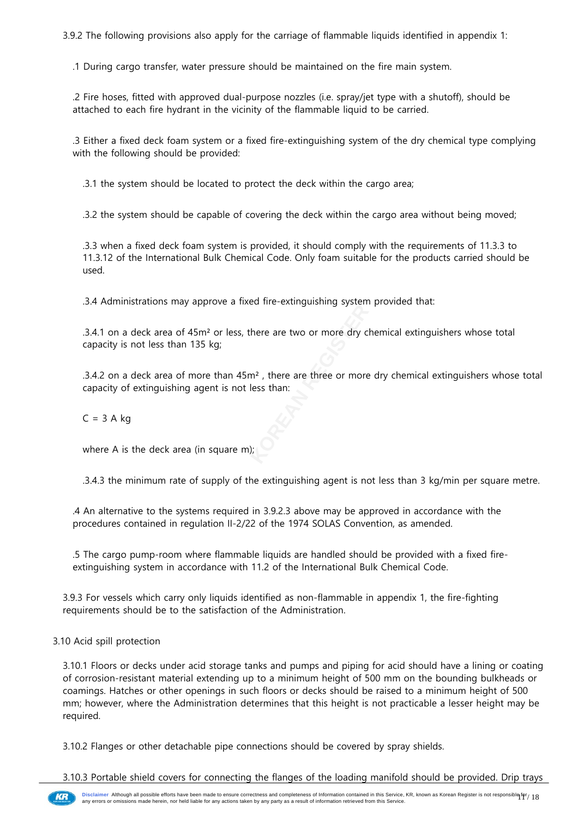3.9.2 The following provisions also apply for the carriage of flammable liquids identified in appendix 1:

.1 During cargo transfer, water pressure should be maintained on the fire main system.

.2 Fire hoses, fitted with approved dual-purpose nozzles (i.e. spray/jet type with a shutoff), should be attached to each fire hydrant in the vicinity of the flammable liquid to be carried.

.3 Either a fixed deck foam system or a fixed fire-extinguishing system of the dry chemical type complying with the following should be provided:

.3.1 the system should be located to protect the deck within the cargo area;

.3.2 the system should be capable of covering the deck within the cargo area without being moved;

.3.3 when a fixed deck foam system is provided, it should comply with the requirements of 11.3.3 to 11.3.12 of the International Bulk Chemical Code. Only foam suitable for the products carried should be used.

.3.4 Administrations may approve a fixed fire-extinguishing system provided that:

.3.4.1 on a deck area of 45m² or less, there are two or more dry chemical extinguishers whose total capacity is not less than 135 kg; Example of the changes single system provides there are two or more dry changes of the system of the system of the system of the system of the system of the system of the system of the system of the system of the system of

.3.4.2 on a deck area of more than  $45m^2$ , there are three or more dry chemical extinguishers whose total capacity of extinguishing agent is not less than:

 $C = 3$  A kg

where A is the deck area (in square m);

.3.4.3 the minimum rate of supply of the extinguishing agent is not less than 3 kg/min per square metre.

.4 An alternative to the systems required in 3.9.2.3 above may be approved in accordance with the procedures contained in regulation II-2/22 of the 1974 SOLAS Convention, as amended.

.5 The cargo pump-room where flammable liquids are handled should be provided with a fixed fireextinguishing system in accordance with 11.2 of the International Bulk Chemical Code.

3.9.3 For vessels which carry only liquids identified as non-flammable in appendix 1, the fire-fighting requirements should be to the satisfaction of the Administration.

#### 3.10 Acid spill protection

3.10.1 Floors or decks under acid storage tanks and pumps and piping for acid should have a lining or coating of corrosion-resistant material extending up to a minimum height of 500 mm on the bounding bulkheads or coamings. Hatches or other openings in such floors or decks should be raised to a minimum height of 500 mm; however, where the Administration determines that this height is not practicable a lesser height may be required.

3.10.2 Flanges or other detachable pipe connections should be covered by spray shields.

3.10.3 Portable shield covers for connecting the flanges of the loading manifold should be provided. Drip trays

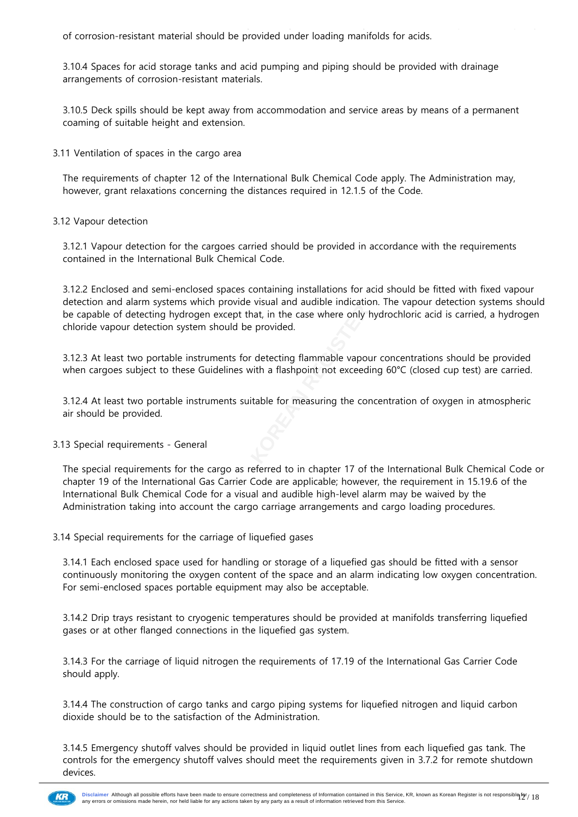of corrosion-resistant material should be provided under loading manifolds for acids.

3.10.4 Spaces for acid storage tanks and acid pumping and piping should be provided with drainage arrangements of corrosion-resistant materials.

3.10.5 Deck spills should be kept away from accommodation and service areas by means of a permanent coaming of suitable height and extension.

3.11 Ventilation of spaces in the cargo area

The requirements of chapter 12 of the International Bulk Chemical Code apply. The Administration may, however, grant relaxations concerning the distances required in 12.1.5 of the Code.

#### 3.12 Vapour detection

3.12.1 Vapour detection for the cargoes carried should be provided in accordance with the requirements contained in the International Bulk Chemical Code.

3.12.2 Enclosed and semi-enclosed spaces containing installations for acid should be fitted with fixed vapour detection and alarm systems which provide visual and audible indication. The vapour detection systems should be capable of detecting hydrogen except that, in the case where only hydrochloric acid is carried, a hydrogen chloride vapour detection system should be provided. Islam and didnive indication<br>
and, in the case where only hy<br>
Provided.<br>
<br> **Containery the and the conduct of the conduct of the conduct of the conduct**<br> **KORER REGISTER**<br> **CORER SECUTE:** 

3.12.3 At least two portable instruments for detecting flammable vapour concentrations should be provided when cargoes subject to these Guidelines with a flashpoint not exceeding 60°C (closed cup test) are carried.

3.12.4 At least two portable instruments suitable for measuring the concentration of oxygen in atmospheric air should be provided.

#### 3.13 Special requirements - General

The special requirements for the cargo as referred to in chapter 17 of the International Bulk Chemical Code or chapter 19 of the International Gas Carrier Code are applicable; however, the requirement in 15.19.6 of the International Bulk Chemical Code for a visual and audible high-level alarm may be waived by the Administration taking into account the cargo carriage arrangements and cargo loading procedures.

3.14 Special requirements for the carriage of liquefied gases

3.14.1 Each enclosed space used for handling or storage of a liquefied gas should be fitted with a sensor continuously monitoring the oxygen content of the space and an alarm indicating low oxygen concentration. For semi-enclosed spaces portable equipment may also be acceptable.

3.14.2 Drip trays resistant to cryogenic temperatures should be provided at manifolds transferring liquefied gases or at other flanged connections in the liquefied gas system.

3.14.3 For the carriage of liquid nitrogen the requirements of 17.19 of the International Gas Carrier Code should apply.

3.14.4 The construction of cargo tanks and cargo piping systems for liquefied nitrogen and liquid carbon dioxide should be to the satisfaction of the Administration.

3.14.5 Emergency shutoff valves should be provided in liquid outlet lines from each liquefied gas tank. The controls for the emergency shutoff valves should meet the requirements given in 3.7.2 for remote shutdown devices.

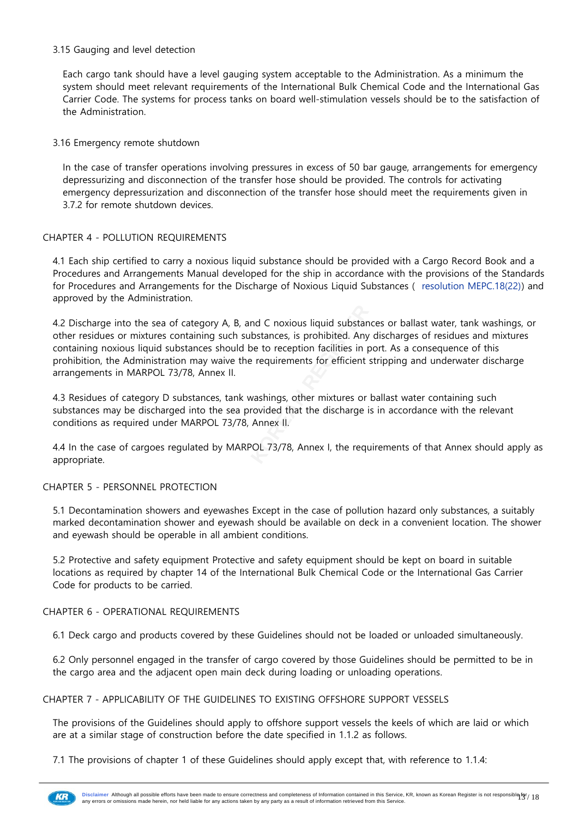### 3.15 Gauging and level detection

Each cargo tank should have a level gauging system acceptable to the Administration. As a minimum the system should meet relevant requirements of the International Bulk Chemical Code and the International Gas Carrier Code. The systems for process tanks on board well-stimulation vessels should be to the satisfaction of the Administration.

### 3.16 Emergency remote shutdown

In the case of transfer operations involving pressures in excess of 50 bar gauge, arrangements for emergency depressurizing and disconnection of the transfer hose should be provided. The controls for activating emergency depressurization and disconnection of the transfer hose should meet the requirements given in 3.7.2 for remote shutdown devices.

### CHAPTER 4 - POLLUTION REQUIREMENTS

4.1 Each ship certified to carry a noxious liquid substance should be provided with a Cargo Record Book and a Procedures and Arrangements Manual developed for the ship in accordance with the provisions of the Standards for Procedures and Arrangements for the Discharge of Noxious Liquid Substances ( [resolution MEPC.18\(22\)\)](http://103.12.248.9usercommontreeredirect.aspx?category_id=7394&node_type=normal&is_leaf=true&is_viewchild=true) and approved by the Administration.

4.2 Discharge into the sea of category A, B, and C noxious liquid substances or ballast water, tank washings, or other residues or mixtures containing such substances, is prohibited. Any discharges of residues and mixtures containing noxious liquid substances should be to reception facilities in port. As a consequence of this prohibition, the Administration may waive the requirements for efficient stripping and underwater discharge arrangements in MARPOL 73/78, Annex II. nd C noxious liquid substance<br>bstances, is prohibited. Any cover to reception facilities in portion facilities in portion of the requirements for efficient st<br>washings, other mixtures or b<br>rovided that the discharge is<br>Ann

4.3 Residues of category D substances, tank washings, other mixtures or ballast water containing such substances may be discharged into the sea provided that the discharge is in accordance with the relevant conditions as required under MARPOL 73/78, Annex II.

4.4 In the case of cargoes regulated by MARPOL 73/78, Annex I, the requirements of that Annex should apply as appropriate.

### CHAPTER 5 - PERSONNEL PROTECTION

5.1 Decontamination showers and eyewashes Except in the case of pollution hazard only substances, a suitably marked decontamination shower and eyewash should be available on deck in a convenient location. The shower and eyewash should be operable in all ambient conditions.

5.2 Protective and safety equipment Protective and safety equipment should be kept on board in suitable locations as required by chapter 14 of the International Bulk Chemical Code or the International Gas Carrier Code for products to be carried.

#### CHAPTER 6 - OPERATIONAL REQUIREMENTS

6.1 Deck cargo and products covered by these Guidelines should not be loaded or unloaded simultaneously.

6.2 Only personnel engaged in the transfer of cargo covered by those Guidelines should be permitted to be in the cargo area and the adjacent open main deck during loading or unloading operations.

#### CHAPTER 7 - APPLICABILITY OF THE GUIDELINES TO EXISTING OFFSHORE SUPPORT VESSELS

The provisions of the Guidelines should apply to offshore support vessels the keels of which are laid or which are at a similar stage of construction before the date specified in 1.1.2 as follows.

7.1 The provisions of chapter 1 of these Guidelines should apply except that, with reference to 1.1.4:

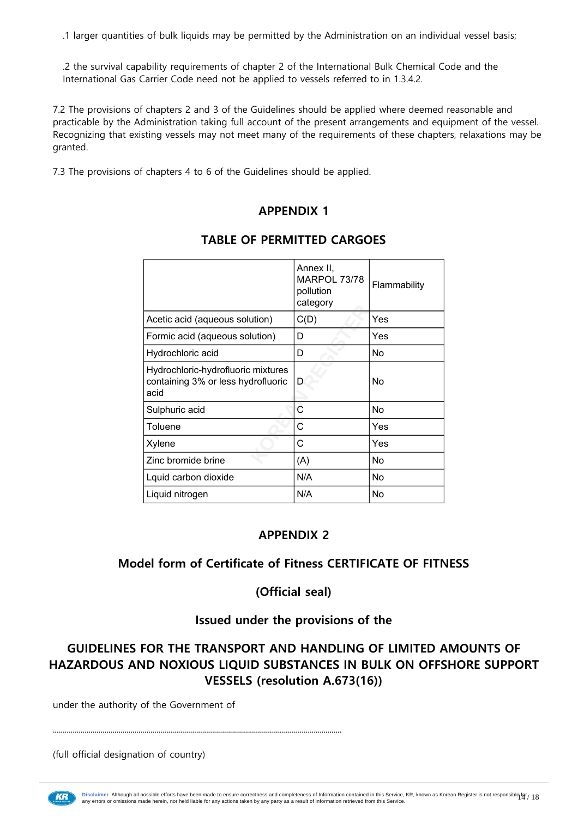.1 larger quantities of bulk liquids may be permitted by the Administration on an individual vessel basis;

.2 the survival capability requirements of chapter 2 of the International Bulk Chemical Code and the International Gas Carrier Code need not be applied to vessels referred to in 1.3.4.2.

7.2 The provisions of chapters 2 and 3 of the Guidelines should be applied where deemed reasonable and practicable by the Administration taking full account of the present arrangements and equipment of the vessel. Recognizing that existing vessels may not meet many of the requirements of these chapters, relaxations may be granted.

7.3 The provisions of chapters 4 to 6 of the Guidelines should be applied.

## **APPENDIX 1**

### **TABLE OF PERMITTED CARGOES**

|                                                                                  | Annex II,<br>MARPOL 73/78<br>pollution<br>category | Flammability |
|----------------------------------------------------------------------------------|----------------------------------------------------|--------------|
| Acetic acid (aqueous solution)                                                   | C(D)                                               | Yes          |
| Formic acid (aqueous solution)                                                   | D                                                  | Yes          |
| Hydrochloric acid                                                                | D                                                  | No           |
| Hydrochloric-hydrofluoric mixtures<br>containing 3% or less hydrofluoric<br>acid | D                                                  | No           |
| Sulphuric acid                                                                   | С                                                  | No           |
| Toluene                                                                          | С                                                  | Yes          |
| Xylene                                                                           | С                                                  | Yes          |
| Zinc bromide brine                                                               | (A)                                                | No           |
| Lquid carbon dioxide                                                             | N/A                                                | No           |
| Liquid nitrogen                                                                  | N/A                                                | No           |

### **APPENDIX 2**

## **Model form of Certificate of Fitness CERTIFICATE OF FITNESS**

**(Official seal)**

### **Issued under the provisions of the**

## **GUIDELINES FOR THE TRANSPORT AND HANDLING OF LIMITED AMOUNTS OF HAZARDOUS AND NOXIOUS LIQUID SUBSTANCES IN BULK ON OFFSHORE SUPPORT VESSELS (resolution A.673(16))**

under the authority of the Government of

.................................................................................................................................................

by.................................................................................................................................................

(full official designation of country)

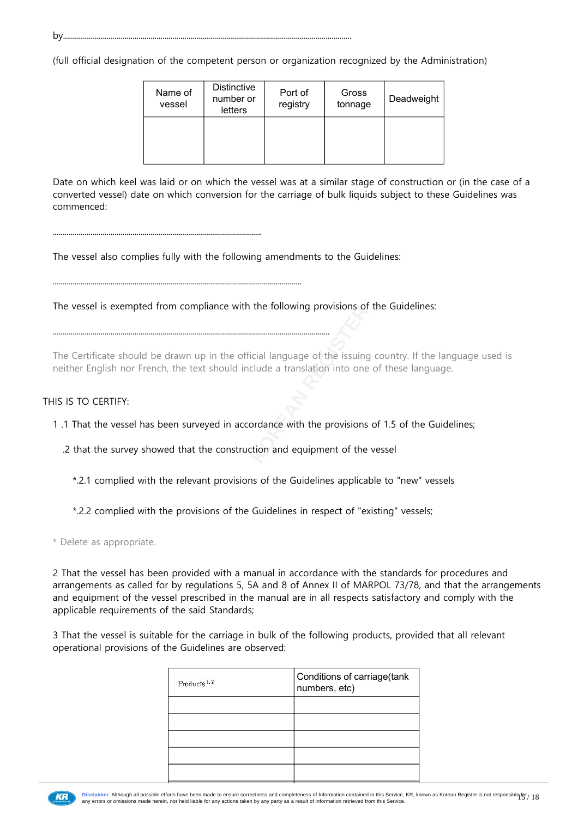by.................................................................................................................................................

(full official designation of the competent person or organization recognized by the Administration)

| Name of<br>vessel | <b>Distinctive</b><br>number or<br>letters | Port of<br>registry | Gross<br>tonnage | Deadweight |
|-------------------|--------------------------------------------|---------------------|------------------|------------|
|                   |                                            |                     |                  |            |

Date on which keel was laid or on which the vessel was at a similar stage of construction or (in the case of a converted vessel) date on which conversion for the carriage of bulk liquids subject to these Guidelines was commenced:

The vessel also complies fully with the following amendments to the Guidelines:

.............................................................................................................................

...........................................................................................................................................

The vessel is exempted from compliance with the following provisions of the Guidelines:

The Certificate should be drawn up in the official language of the issuing country. If the language used is neither English nor French, the text should include a translation into one of these language. the following provisions of the following provisions of the summann controller a translation into one of the summan controller a translation into one of the provisions controller and equipment of the v

### THIS IS TO CERTIFY:

1 .1 That the vessel has been surveyed in accordance with the provisions of 1.5 of the Guidelines;

.2 that the survey showed that the construction and equipment of the vessel

\*.2.1 complied with the relevant provisions of the Guidelines applicable to "new" vessels

\*.2.2 complied with the provisions of the Guidelines in respect of "existing" vessels;

\* Delete as appropriate.

2 That the vessel has been provided with a manual in accordance with the standards for procedures and arrangements as called for by regulations 5, 5A and 8 of Annex II of MARPOL 73/78, and that the arrangements and equipment of the vessel prescribed in the manual are in all respects satisfactory and comply with the applicable requirements of the said Standards;

3 That the vessel is suitable for the carriage in bulk of the following products, provided that all relevant operational provisions of the Guidelines are observed:

| $P_{\text{roducts}}^{1,2}$ | Conditions of carriage(tank<br>numbers, etc) |
|----------------------------|----------------------------------------------|
|                            |                                              |
|                            |                                              |
|                            |                                              |
|                            |                                              |
|                            |                                              |

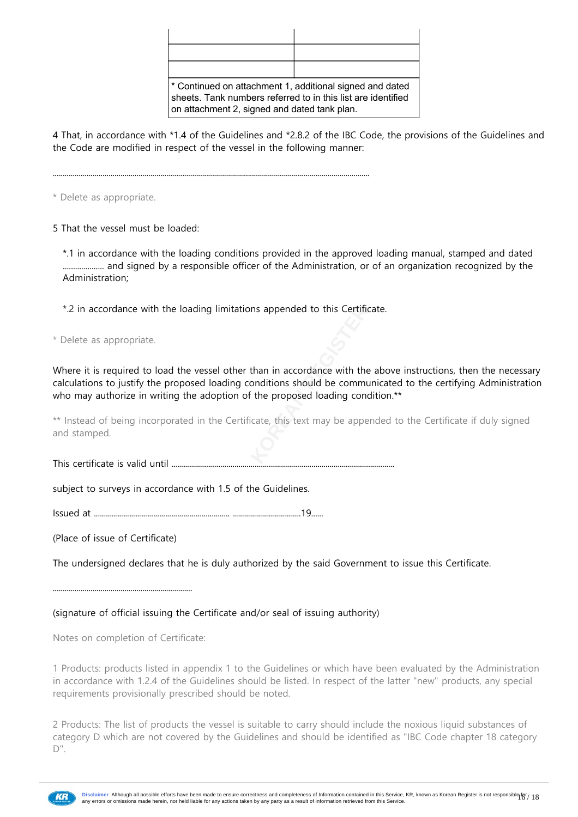| * Continued on attachment 1, additional signed and dated<br>sheets. Tank numbers referred to in this list are identified<br>on attachment 2, signed and dated tank plan. |  |
|--------------------------------------------------------------------------------------------------------------------------------------------------------------------------|--|

4 That, in accordance with \*1.4 of the Guidelines and \*2.8.2 of the IBC Code, the provisions of the Guidelines and the Code are modified in respect of the vessel in the following manner:

...............................................................................................................................................................

\* Delete as appropriate.

5 That the vessel must be loaded:

\*.1 in accordance with the loading conditions provided in the approved loading manual, stamped and dated .................... and signed by a responsible officer of the Administration, or of an organization recognized by the Administration;

\*.2 in accordance with the loading limitations appended to this Certificate.

\* Delete as appropriate.

Where it is required to load the vessel other than in accordance with the above instructions, then the necessary calculations to justify the proposed loading conditions should be communicated to the certifying Administration who may authorize in writing the adoption of the proposed loading condition.\*\* In appended to this Certifica<br>
than in accordance with the a<br>
inditions should be commun<br>
if the proposed loading condicate, this text may be appenent

\*\* Instead of being incorporated in the Certificate, this text may be appended to the Certificate if duly signed and stamped.

This certificate is valid until ..............................................................................................................

subject to surveys in accordance with 1.5 of the Guidelines.

Issued at .................................................................... ..................................19......

(Place of issue of Certificate)

The undersigned declares that he is duly authorized by the said Government to issue this Certificate.

......................................................................

#### (signature of official issuing the Certificate and/or seal of issuing authority)

Notes on completion of Certificate:

1 Products: products listed in appendix 1 to the Guidelines or which have been evaluated by the Administration in accordance with 1.2.4 of the Guidelines should be listed. In respect of the latter "new" products, any special requirements provisionally prescribed should be noted.

2 Products: The list of products the vessel is suitable to carry should include the noxious liquid substances of category D which are not covered by the Guidelines and should be identified as "IBC Code chapter 18 category  $D$ ".

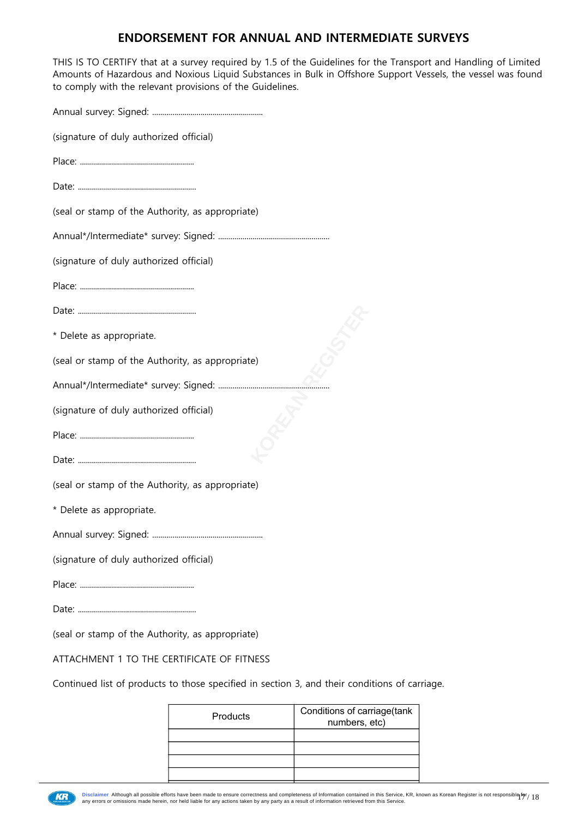## **ENDORSEMENT FOR ANNUAL AND INTERMEDIATE SURVEYS**

| THIS IS TO CERTIFY that at a survey required by 1.5 of the Guidelines for the Transport and Handling of Limited<br>Amounts of Hazardous and Noxious Liquid Substances in Bulk in Offshore Support Vessels, the vessel was found<br>to comply with the relevant provisions of the Guidelines. |
|----------------------------------------------------------------------------------------------------------------------------------------------------------------------------------------------------------------------------------------------------------------------------------------------|
|                                                                                                                                                                                                                                                                                              |
| (signature of duly authorized official)                                                                                                                                                                                                                                                      |
|                                                                                                                                                                                                                                                                                              |
|                                                                                                                                                                                                                                                                                              |
| (seal or stamp of the Authority, as appropriate)                                                                                                                                                                                                                                             |
|                                                                                                                                                                                                                                                                                              |
| (signature of duly authorized official)                                                                                                                                                                                                                                                      |
|                                                                                                                                                                                                                                                                                              |
|                                                                                                                                                                                                                                                                                              |
| * Delete as appropriate.                                                                                                                                                                                                                                                                     |
| (seal or stamp of the Authority, as appropriate)                                                                                                                                                                                                                                             |
|                                                                                                                                                                                                                                                                                              |
| (signature of duly authorized official)                                                                                                                                                                                                                                                      |
|                                                                                                                                                                                                                                                                                              |
|                                                                                                                                                                                                                                                                                              |
| (seal or stamp of the Authority, as appropriate)                                                                                                                                                                                                                                             |
| * Delete as appropriate.                                                                                                                                                                                                                                                                     |
|                                                                                                                                                                                                                                                                                              |
| (signature of duly authorized official)                                                                                                                                                                                                                                                      |
|                                                                                                                                                                                                                                                                                              |
|                                                                                                                                                                                                                                                                                              |
| (seal or stamp of the Authority, as appropriate)                                                                                                                                                                                                                                             |
| ATTACHMENT 1 TO THE CERTIFICATE OF FITNESS                                                                                                                                                                                                                                                   |
| Continued list of products to those specified in section 3, and their conditions of carriage.                                                                                                                                                                                                |

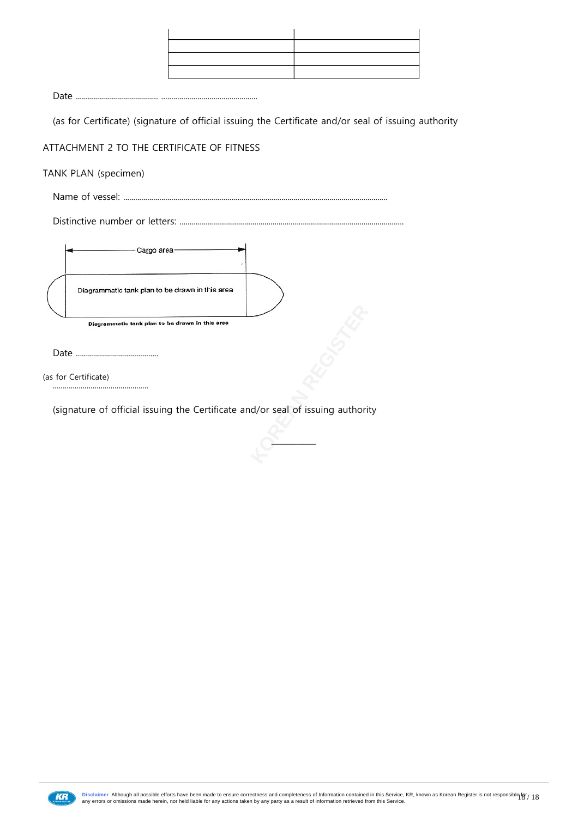**\_\_\_\_\_\_\_\_\_**

Date ......................................... ................................................

(as for Certificate) (signature of official issuing the Certificate and/or seal of issuing authority

### ATTACHMENT 2 TO THE CERTIFICATE OF FITNESS

TANK PLAN (specimen)

Name of vessel: ....................................................................................................................................

Distinctive number or letters: ...............................................................................................................



Date .........................................

(as for Certificate) ................................................

(signature of official issuing the Certificate and/or seal of issuing authority

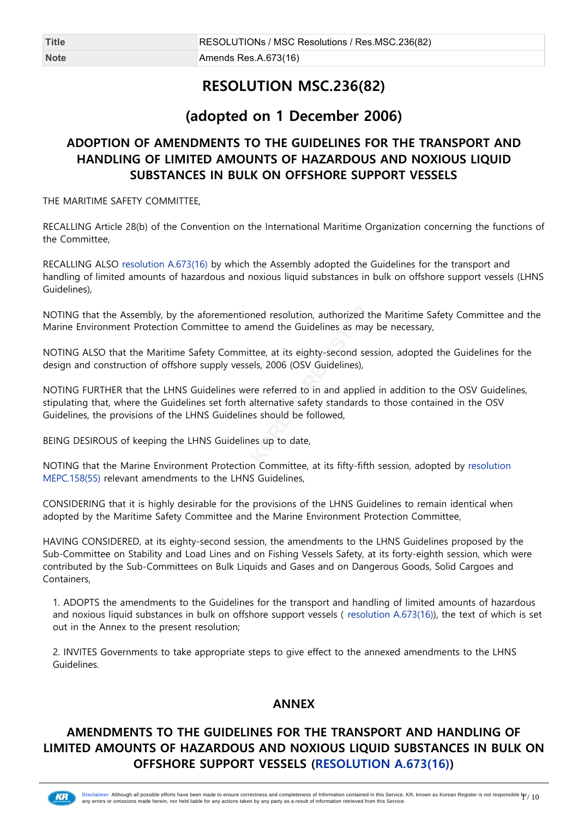# **RESOLUTION MSC.236(82)**

# **(adopted on 1 December 2006)**

## **ADOPTION OF AMENDMENTS TO THE GUIDELINES FOR THE TRANSPORT AND HANDLING OF LIMITED AMOUNTS OF HAZARDOUS AND NOXIOUS LIQUID SUBSTANCES IN BULK ON OFFSHORE SUPPORT VESSELS**

THE MARITIME SAFETY COMMITTEE,

RECALLING Article 28(b) of the Convention on the International Maritime Organization concerning the functions of the Committee,

RECALLING ALSO [resolution A.673\(16\)](http://103.12.248.9usercommontreeredirect.aspx?category_id=7191&node_type=normal&is_leaf=true&is_viewchild=true) by which the Assembly adopted the Guidelines for the transport and handling of limited amounts of hazardous and noxious liquid substances in bulk on offshore support vessels (LHNS Guidelines),

NOTING that the Assembly, by the aforementioned resolution, authorized the Maritime Safety Committee and the Marine Environment Protection Committee to amend the Guidelines as may be necessary,

NOTING ALSO that the Maritime Safety Committee, at its eighty-second session, adopted the Guidelines for the design and construction of offshore supply vessels, 2006 (OSV Guidelines),

NOTING FURTHER that the LHNS Guidelines were referred to in and applied in addition to the OSV Guidelines, stipulating that, where the Guidelines set forth alternative safety standards to those contained in the OSV Guidelines, the provisions of the LHNS Guidelines should be followed, mend the Guidelines as may<br>
ttee, at its eighty-second sess<br>
ttee, at its eighty-second sess<br>
tels, 2006 (OSV Guidelines),<br>
re referred to in and applied<br>
alternative safety standards to<br>
should be followed,<br>
es up to date

BEING DESIROUS of keeping the LHNS Guidelines up to date,

[NOTING that the Marine Environment Protection Committee, at its fifty-fifth session, adopted by resolution](http://103.12.248.9usercommontreeredirect.aspx?category_id=39065&node_type=normal&is_leaf=true&is_viewchild=true) MEPC.158(55) relevant amendments to the LHNS Guidelines,

CONSIDERING that it is highly desirable for the provisions of the LHNS Guidelines to remain identical when adopted by the Maritime Safety Committee and the Marine Environment Protection Committee,

HAVING CONSIDERED, at its eighty-second session, the amendments to the LHNS Guidelines proposed by the Sub-Committee on Stability and Load Lines and on Fishing Vessels Safety, at its forty-eighth session, which were contributed by the Sub-Committees on Bulk Liquids and Gases and on Dangerous Goods, Solid Cargoes and Containers,

1. ADOPTS the amendments to the Guidelines for the transport and handling of limited amounts of hazardous and noxious liquid substances in bulk on offshore support vessels ( [resolution A.673\(16\)](http://103.12.248.9usercommontreeredirect.aspx?category_id=7191&node_type=normal&is_leaf=true&is_viewchild=true)), the text of which is set out in the Annex to the present resolution;

2. INVITES Governments to take appropriate steps to give effect to the annexed amendments to the LHNS Guidelines.

## **ANNEX**

## **AMENDMENTS TO THE GUIDELINES FOR THE TRANSPORT AND HANDLING OF LIMITED AMOUNTS OF HAZARDOUS AND NOXIOUS LIQUID SUBSTANCES IN BULK ON OFFSHORE SUPPORT VESSELS ([RESOLUTION A.673\(16\)](http://103.12.248.9usercommontreeredirect.aspx?category_id=7191&node_type=normal&is_leaf=true&is_viewchild=true) )**

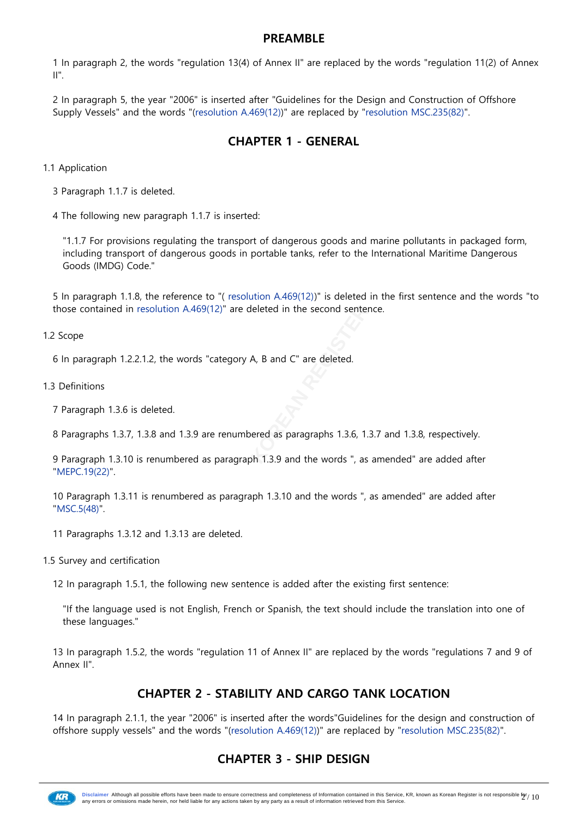### **PREAMBLE**

1 In paragraph 2, the words "regulation 13(4) of Annex II" are replaced by the words "regulation 11(2) of Annex II".

2 In paragraph 5, the year "2006" is inserted after "Guidelines for the Design and Construction of Offshore Supply Vessels" and the words "([resolution A.469\(12\)](http://103.12.248.9usercommontreeredirect.aspx?category_id=7065&node_type=normal&is_leaf=true&is_viewchild=true))" are replaced by ["resolution MSC.235\(82\)"](http://103.12.248.9usercommontreeredirect.aspx?category_id=39223&node_type=normal&is_leaf=true&is_viewchild=true).

### **CHAPTER 1 - GENERAL**

1.1 Application

3 Paragraph 1.1.7 is deleted.

4 The following new paragraph 1.1.7 is inserted:

"1.1.7 For provisions regulating the transport of dangerous goods and marine pollutants in packaged form, including transport of dangerous goods in portable tanks, refer to the International Maritime Dangerous Goods (IMDG) Code."

5 In paragraph 1.1.8, the reference to "( [resolution A.469\(12\)\)](http://103.12.248.9usercommontreeredirect.aspx?category_id=7065&node_type=normal&is_leaf=true&is_viewchild=true)" is deleted in the first sentence and the words "to those contained in [resolution A.469\(12\)](http://103.12.248.9usercommontreeredirect.aspx?category_id=7065&node_type=normal&is_leaf=true&is_viewchild=true)" are deleted in the second sentence.

1.2 Scope

6 In paragraph 1.2.2.1.2, the words "category A, B and C" are deleted.

1.3 Definitions

7 Paragraph 1.3.6 is deleted.

8 Paragraphs 1.3.7, 1.3.8 and 1.3.9 are renumbered as paragraphs 1.3.6, 1.3.7 and 1.3.8, respectively. leleted in the second sentend<br>A, B and C" are deleted.<br>ered as paragraphs 1.3.6, 1.3.<br><sup>bh</sup> 1.3.9 and the words ", as a

9 Paragraph 1.3.10 is renumbered as paragraph 1.3.9 and the words ", as amended" are added after ["MEPC.19\(22\)"](http://103.12.248.9usercommontreeredirect.aspx?category_id=43070&node_type=normal&is_leaf=true&is_viewchild=true).

10 Paragraph 1.3.11 is renumbered as paragraph 1.3.10 and the words ", as amended" are added after ["MSC.5\(48\)](http://103.12.248.9usercommontreeredirect.aspx?category_id=43080&node_type=normal&is_leaf=true&is_viewchild=true)".

11 Paragraphs 1.3.12 and 1.3.13 are deleted.

1.5 Survey and certification

12 In paragraph 1.5.1, the following new sentence is added after the existing first sentence:

"If the language used is not English, French or Spanish, the text should include the translation into one of these languages."

13 In paragraph 1.5.2, the words "regulation 11 of Annex II" are replaced by the words "regulations 7 and 9 of Annex II".

## **CHAPTER 2 - STABILITY AND CARGO TANK LOCATION**

14 In paragraph 2.1.1, the year "2006" is inserted after the words"Guidelines for the design and construction of offshore supply vessels" and the words "([resolution A.469\(12\)](http://103.12.248.9usercommontreeredirect.aspx?category_id=7065&node_type=normal&is_leaf=true&is_viewchild=true))" are replaced by ["resolution MSC.235\(82\)"](http://103.12.248.9usercommontreeredirect.aspx?category_id=39223&node_type=normal&is_leaf=true&is_viewchild=true).

### **CHAPTER 3 - SHIP DESIGN**

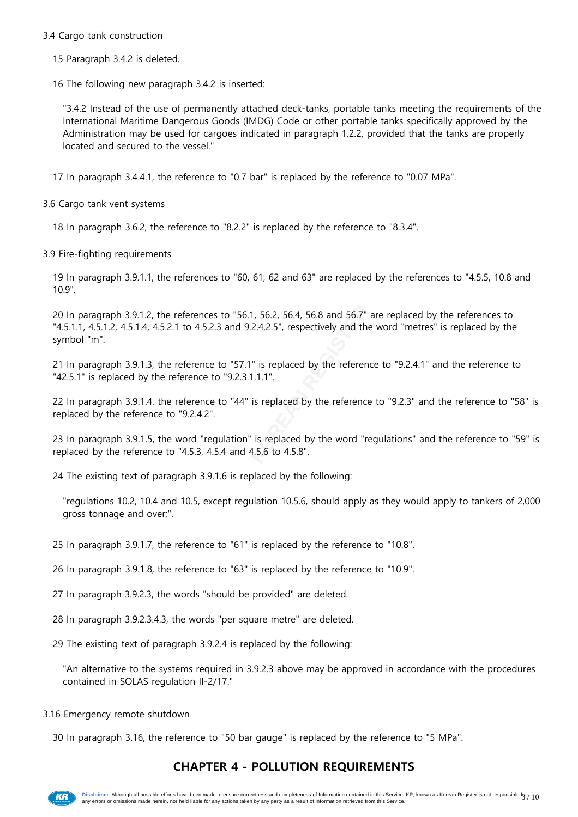#### 3.4 Cargo tank construction

15 Paragraph 3.4.2 is deleted.

16 The following new paragraph 3.4.2 is inserted:

"3.4.2 Instead of the use of permanently attached deck-tanks, portable tanks meeting the requirements of the International Maritime Dangerous Goods (IMDG) Code or other portable tanks specifically approved by the Administration may be used for cargoes indicated in paragraph 1.2.2, provided that the tanks are properly located and secured to the vessel."

17 In paragraph 3.4.4.1, the reference to "0.7 bar" is replaced by the reference to "0.07 MPa".

3.6 Cargo tank vent systems

18 In paragraph 3.6.2, the reference to "8.2.2" is replaced by the reference to "8.3.4".

3.9 Fire-fighting requirements

19 In paragraph 3.9.1.1, the references to "60, 61, 62 and 63" are replaced by the references to "4.5.5, 10.8 and 10.9".

20 In paragraph 3.9.1.2, the references to "56.1, 56.2, 56.4, 56.8 and 56.7" are replaced by the references to "4.5.1.1, 4.5.1.2, 4.5.1.4, 4.5.2.1 to 4.5.2.3 and 9.2.4.2.5", respectively and the word "metres" is replaced by the symbol "m". 1, 56.2, 56.4, 56.8 and 56.7" a<br>2.4.2.5", respectively and the<br>" is replaced by the reference<br>1.1.1".<br>is replaced by the reference<br>" is replaced by the word "reg<br>4.5.6 to 4.5.8".

21 In paragraph 3.9.1.3, the reference to "57.1" is replaced by the reference to "9.2.4.1" and the reference to "42.5.1" is replaced by the reference to "9.2.3.1.1.1".

22 In paragraph 3.9.1.4, the reference to "44" is replaced by the reference to "9.2.3" and the reference to "58" is replaced by the reference to "9.2.4.2".

23 In paragraph 3.9.1.5, the word "regulation" is replaced by the word "regulations" and the reference to "59" is replaced by the reference to "4.5.3, 4.5.4 and 4.5.6 to 4.5.8".

24 The existing text of paragraph 3.9.1.6 is replaced by the following:

"regulations 10.2, 10.4 and 10.5, except regulation 10.5.6, should apply as they would apply to tankers of 2,000 gross tonnage and over;".

25 In paragraph 3.9.1.7, the reference to "61" is replaced by the reference to "10.8".

26 In paragraph 3.9.1.8, the reference to "63" is replaced by the reference to "10.9".

27 In paragraph 3.9.2.3, the words "should be provided" are deleted.

28 In paragraph 3.9.2.3.4.3, the words "per square metre" are deleted.

29 The existing text of paragraph 3.9.2.4 is replaced by the following:

"An alternative to the systems required in 3.9.2.3 above may be approved in accordance with the procedures contained in SOLAS regulation II-2/17."

3.16 Emergency remote shutdown

30 In paragraph 3.16, the reference to "50 bar gauge" is replaced by the reference to "5 MPa".

### **CHAPTER 4 - POLLUTION REQUIREMENTS**

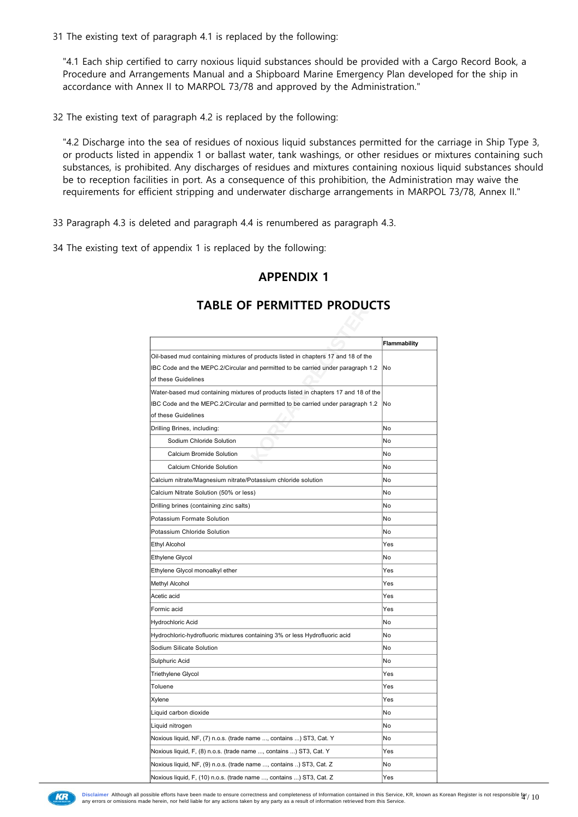31 The existing text of paragraph 4.1 is replaced by the following:

"4.1 Each ship certified to carry noxious liquid substances should be provided with a Cargo Record Book, a Procedure and Arrangements Manual and a Shipboard Marine Emergency Plan developed for the ship in accordance with Annex II to MARPOL 73/78 and approved by the Administration."

32 The existing text of paragraph 4.2 is replaced by the following:

"4.2 Discharge into the sea of residues of noxious liquid substances permitted for the carriage in Ship Type 3, or products listed in appendix 1 or ballast water, tank washings, or other residues or mixtures containing such substances, is prohibited. Any discharges of residues and mixtures containing noxious liquid substances should be to reception facilities in port. As a consequence of this prohibition, the Administration may waive the requirements for efficient stripping and underwater discharge arrangements in MARPOL 73/78, Annex II."

- 33 Paragraph 4.3 is deleted and paragraph 4.4 is renumbered as paragraph 4.3.
- 34 The existing text of appendix 1 is replaced by the following:

## **APPENDIX 1**

## **TABLE OF PERMITTED PRODUCTS**

|                                                                                     | Flammability |
|-------------------------------------------------------------------------------------|--------------|
| Oil-based mud containing mixtures of products listed in chapters 17 and 18 of the   |              |
| IBC Code and the MEPC.2/Circular and permitted to be carried under paragraph 1.2    | No           |
| of these Guidelines                                                                 |              |
| Water-based mud containing mixtures of products listed in chapters 17 and 18 of the |              |
| IBC Code and the MEPC.2/Circular and permitted to be carried under paragraph 1.2    | No           |
| of these Guidelines                                                                 |              |
| Drilling Brines, including:                                                         | No           |
| Sodium Chloride Solution                                                            | No           |
| Calcium Bromide Solution                                                            | No           |
| Calcium Chloride Solution                                                           | No           |
| Calcium nitrate/Magnesium nitrate/Potassium chloride solution                       | No           |
| Calcium Nitrate Solution (50% or less)                                              | No           |
| Drilling brines (containing zinc salts)                                             | No           |
| Potassium Formate Solution                                                          | No           |
| Potassium Chloride Solution                                                         | No           |
| Ethyl Alcohol                                                                       | Yes          |
| Ethylene Glycol                                                                     | No           |
| Ethylene Glycol monoalkyl ether                                                     | Yes          |
| Methyl Alcohol                                                                      | Yes          |
| Acetic acid                                                                         | Yes          |
| Formic acid                                                                         | Yes          |
| Hydrochloric Acid                                                                   | No           |
| Hydrochloric-hydrofluoric mixtures containing 3% or less Hydrofluoric acid          | No           |
| Sodium Silicate Solution                                                            | No           |
| Sulphuric Acid                                                                      | No           |
| Triethylene Glycol                                                                  | Yes          |
| Toluene                                                                             | Yes          |
| Xylene                                                                              | Yes          |
| Liquid carbon dioxide                                                               | No           |
| Liquid nitrogen                                                                     | No           |
| Noxious liquid, NF, (7) n.o.s. (trade name , contains ) ST3, Cat. Y                 | No           |
| Noxious liquid, F, (8) n.o.s. (trade name , contains ) ST3, Cat. Y                  | Yes          |
| Noxious liquid, NF, (9) n.o.s. (trade name , contains ) ST3, Cat. Z                 | No           |
| Noxious liquid, F, (10) n.o.s. (trade name , contains ) ST3, Cat. Z                 | Yes          |

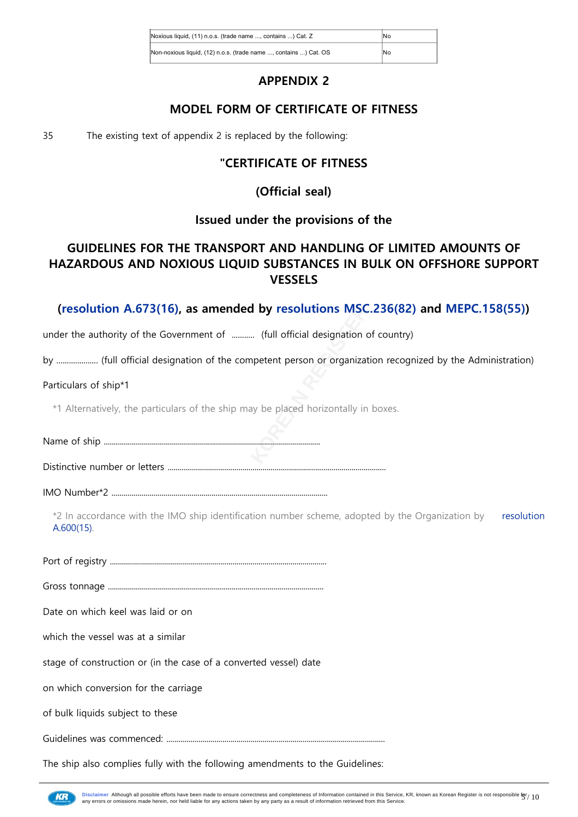| Noxious liquid, (11) n.o.s. (trade name , contains ) Cat. Z      | lNo |
|------------------------------------------------------------------|-----|
| Non-noxious liquid, (12) n.o.s. (trade name , contains ) Cat. OS | lNo |

## **APPENDIX 2**

## **MODEL FORM OF CERTIFICATE OF FITNESS**

35 The existing text of appendix 2 is replaced by the following:

### **"CERTIFICATE OF FITNESS**

## **(Official seal)**

### **Issued under the provisions of the**

## **GUIDELINES FOR THE TRANSPORT AND HANDLING OF LIMITED AMOUNTS OF HAZARDOUS AND NOXIOUS LIQUID SUBSTANCES IN BULK ON OFFSHORE SUPPORT VESSELS**

### **([resolution A.673\(16\),](http://103.12.248.9usercommontreeredirect.aspx?category_id=7191&node_type=normal&is_leaf=true&is_viewchild=true) as amended by [resolutions MSC.236\(82\)](http://103.12.248.9usercommontreeredirect.aspx?category_id=39224&node_type=normal&is_leaf=true&is_viewchild=true) and [MEPC.158\(55\)](http://103.12.248.9usercommontreeredirect.aspx?category_id=39065&node_type=normal&is_leaf=true&is_viewchild=true) )**

under the authority of the Government of ........... (full official designation of country) **KOREAN REGISTER SIDE OF STARK AND SET AND REFERENCE AND REFERENCE AND REPORT AND REPORT AND REFERENCE AND REFERENCE AND REFERENCE AND REFERENCE AND REFERENCE AND REFERENCE AND REFERENCE AND REFERENCE AND REFERENCE AND REF** 

by .................... (full official designation of the competent person or organization recognized by the Administration)

Particulars of ship\*1

\*1 Alternatively, the particulars of the ship may be placed horizontally in boxes.

Name of ship ............................................................................................................

Distinctive number or letters ............................................................................................................

IMO Number\*2 ............................................................................................................

[\\*2 In accordance with the IMO ship identification number scheme, adopted by the Organization by resolution](http://103.12.248.9usercommontreeredirect.aspx?category_id=7144&node_type=normal&is_leaf=true&is_viewchild=true) A.600(15) .

Port of registry ............................................................................................................

Gross tonnage ............................................................................................................

Date on which keel was laid or on

which the vessel was at a similar

stage of construction or (in the case of a converted vessel) date

on which conversion for the carriage

of bulk liquids subject to these

Guidelines was commenced: .............................................................................................................

The ship also complies fully with the following amendments to the Guidelines:

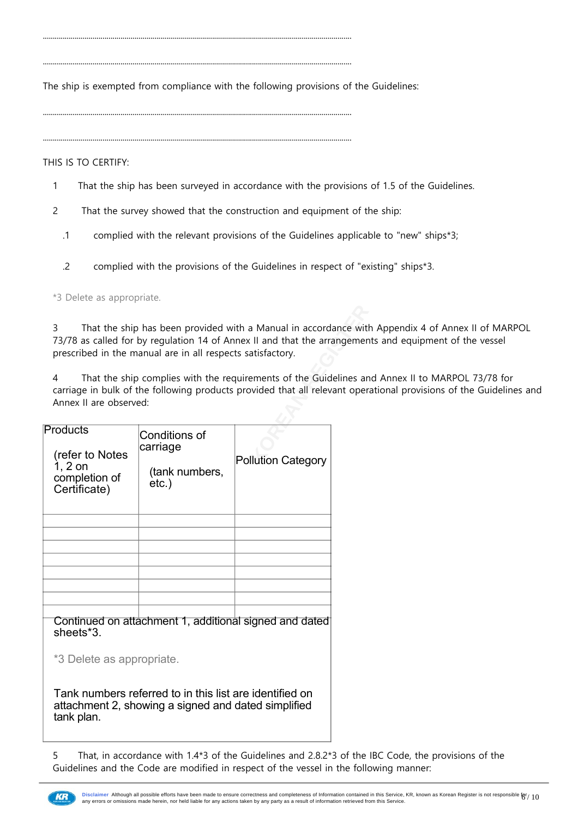The ship is exempted from compliance with the following provisions of the Guidelines:

...........................................................................................................................................................

...........................................................................................................................................................

...........................................................................................................................................................

THIS IS TO CERTIFY:

- 1 That the ship has been surveyed in accordance with the provisions of 1.5 of the Guidelines.
- 2 That the survey showed that the construction and equipment of the ship:
	- .1 complied with the relevant provisions of the Guidelines applicable to "new" ships\*3;
	- .2 complied with the provisions of the Guidelines in respect of "existing" ships\*3.

\*3 Delete as appropriate.

3 That the ship has been provided with a Manual in accordance with Appendix 4 of Annex II of MARPOL 73/78 as called for by regulation 14 of Annex II and that the arrangements and equipment of the vessel prescribed in the manual are in all respects satisfactory. **Kantager Standard Standard Standard Standard Standard Standard Standard Standard Standard Standard Standard Standard Standard Standard Standard Standard Standard Standard Standard Standard Standard Standard Standard Stand** 

4 That the ship complies with the requirements of the Guidelines and Annex II to MARPOL 73/78 for carriage in bulk of the following products provided that all relevant operational provisions of the Guidelines and Annex II are observed:

| Products<br>(refer to Notes<br>$1, 2$ on<br>completion of<br>Certificate)                                                    | Conditions of<br>carriage<br>(tank numbers,<br>$etc.$ ) | <b>Pollution Category</b> |
|------------------------------------------------------------------------------------------------------------------------------|---------------------------------------------------------|---------------------------|
|                                                                                                                              |                                                         |                           |
| Continued on attachment 1, additional signed and dated<br>sheets*3.                                                          |                                                         |                           |
| *3 Delete as appropriate.                                                                                                    |                                                         |                           |
| Tank numbers referred to in this list are identified on<br>attachment 2, showing a signed and dated simplified<br>tank plan. |                                                         |                           |

5 That, in accordance with 1.4\*3 of the Guidelines and 2.8.2\*3 of the IBC Code, the provisions of the Guidelines and the Code are modified in respect of the vessel in the following manner:

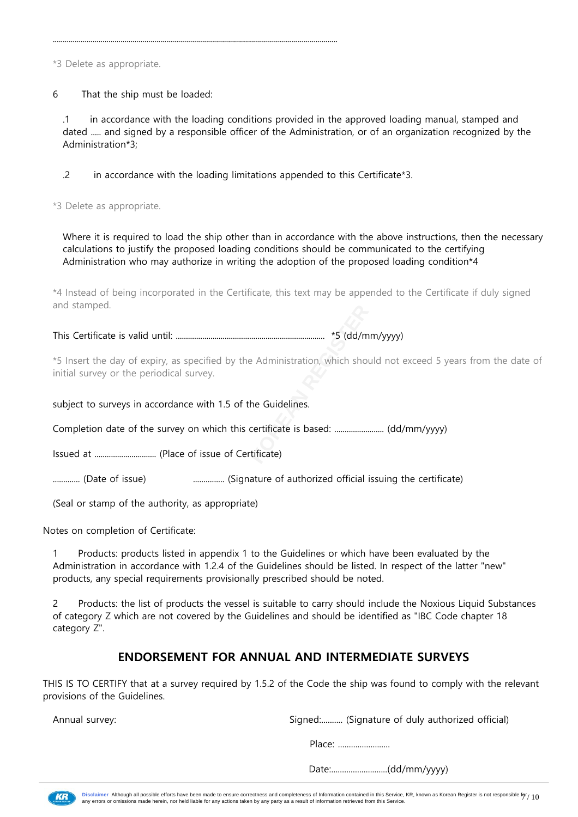\*3 Delete as appropriate.

6 That the ship must be loaded:

.1 in accordance with the loading conditions provided in the approved loading manual, stamped and dated ..... and signed by a responsible officer of the Administration, or of an organization recognized by the Administration\*3;

.2 in accordance with the loading limitations appended to this Certificate\*3.

...............................................................................................................................................

\*3 Delete as appropriate.

Where it is required to load the ship other than in accordance with the above instructions, then the necessary calculations to justify the proposed loading conditions should be communicated to the certifying Administration who may authorize in writing the adoption of the proposed loading condition\*4

\*4 Instead of being incorporated in the Certificate, this text may be appended to the Certificate if duly signed and stamped.

This Certificate is valid until: ......................................................................... \*5 (dd/mm/yyyy)

\*5 Insert the day of expiry, as specified by the Administration, which should not exceed 5 years from the date of initial survey or the periodical survey. **KOREAN REGISTER**

subject to surveys in accordance with 1.5 of the Guidelines.

Completion date of the survey on which this certificate is based: ........................ (dd/mm/yyyy)

Issued at .............................. (Place of issue of Certificate)

............. (Date of issue) ............... (Signature of authorized official issuing the certificate)

(Seal or stamp of the authority, as appropriate)

Notes on completion of Certificate:

1 Products: products listed in appendix 1 to the Guidelines or which have been evaluated by the Administration in accordance with 1.2.4 of the Guidelines should be listed. In respect of the latter "new" products, any special requirements provisionally prescribed should be noted.

2 Products: the list of products the vessel is suitable to carry should include the Noxious Liquid Substances of category Z which are not covered by the Guidelines and should be identified as "IBC Code chapter 18 category Z".

### **ENDORSEMENT FOR ANNUAL AND INTERMEDIATE SURVEYS**

THIS IS TO CERTIFY that at a survey required by 1.5.2 of the Code the ship was found to comply with the relevant provisions of the Guidelines.

Annual survey: example and the Signed:........... (Signature of duly authorized official)

Place: ........................

Date:..........................(dd/mm/yyyy)



Disclaimer Although all possible efforts have been made to ensure correctness and completeness of Information contained in this Service, KR, known as Korean Register is not responsible for / 10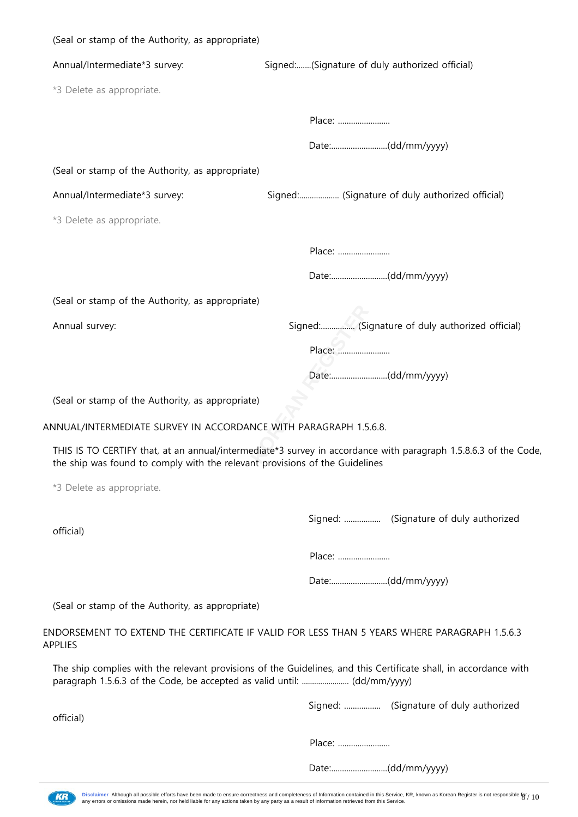| (Seal or stamp of the Authority, as appropriate)                                                                                                                                               |                                                                                              |  |
|------------------------------------------------------------------------------------------------------------------------------------------------------------------------------------------------|----------------------------------------------------------------------------------------------|--|
| Annual/Intermediate*3 survey:                                                                                                                                                                  | Signed:(Signature of duly authorized official)                                               |  |
| *3 Delete as appropriate.                                                                                                                                                                      |                                                                                              |  |
|                                                                                                                                                                                                | Place:                                                                                       |  |
|                                                                                                                                                                                                |                                                                                              |  |
| (Seal or stamp of the Authority, as appropriate)                                                                                                                                               |                                                                                              |  |
| Annual/Intermediate*3 survey:                                                                                                                                                                  | Signed: (Signature of duly authorized official)                                              |  |
| *3 Delete as appropriate.                                                                                                                                                                      |                                                                                              |  |
|                                                                                                                                                                                                | Place:                                                                                       |  |
|                                                                                                                                                                                                |                                                                                              |  |
| (Seal or stamp of the Authority, as appropriate)                                                                                                                                               |                                                                                              |  |
| Annual survey:                                                                                                                                                                                 | Signed: (Signature of duly authorized official)                                              |  |
|                                                                                                                                                                                                | Place:                                                                                       |  |
|                                                                                                                                                                                                |                                                                                              |  |
| (Seal or stamp of the Authority, as appropriate)                                                                                                                                               |                                                                                              |  |
| ANNUAL/INTERMEDIATE SURVEY IN ACCORDANCE WITH PARAGRAPH 1.5.6.8.                                                                                                                               |                                                                                              |  |
| THIS IS TO CERTIFY that, at an annual/intermediate*3 survey in accordance with paragraph 1.5.8.6.3 of the Code,<br>the ship was found to comply with the relevant provisions of the Guidelines |                                                                                              |  |
| *3 Delete as appropriate.                                                                                                                                                                      |                                                                                              |  |
| official)                                                                                                                                                                                      | Signed:  (Signature of duly authorized                                                       |  |
|                                                                                                                                                                                                | Place:                                                                                       |  |
|                                                                                                                                                                                                |                                                                                              |  |
| (Seal or stamp of the Authority, as appropriate)                                                                                                                                               |                                                                                              |  |
| <b>APPLIES</b>                                                                                                                                                                                 | ENDORSEMENT TO EXTEND THE CERTIFICATE IF VALID FOR LESS THAN 5 YEARS WHERE PARAGRAPH 1.5.6.3 |  |
| The ship complies with the relevant provisions of the Guidelines, and this Certificate shall, in accordance with<br>paragraph 1.5.6.3 of the Code, be accepted as valid until:  (dd/mm/yyyy)   |                                                                                              |  |
| official)                                                                                                                                                                                      | Signed:  (Signature of duly authorized                                                       |  |
|                                                                                                                                                                                                | Place:                                                                                       |  |
|                                                                                                                                                                                                |                                                                                              |  |

Disclaimer Although all possible efforts have been made to ensure correctness and completeness of Information contained in this Service, KR, known as Korean Register is not responsible for / 10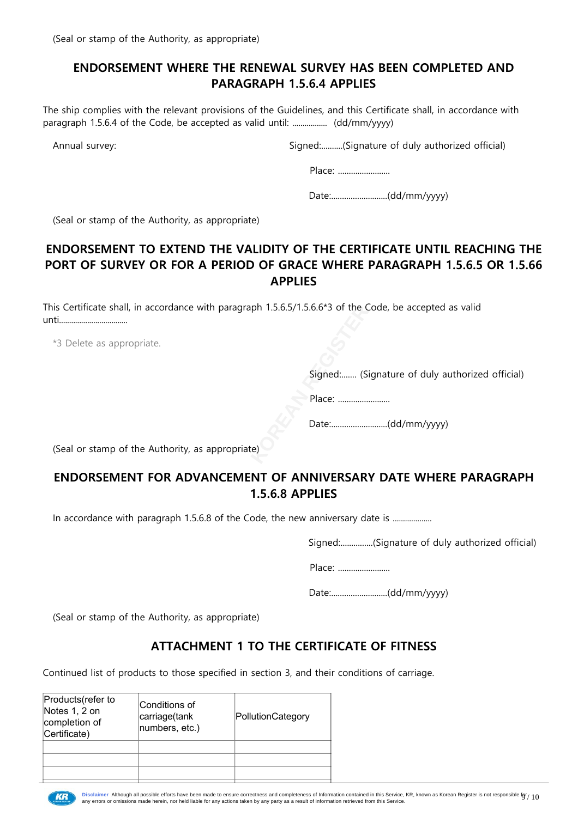## **ENDORSEMENT WHERE THE RENEWAL SURVEY HAS BEEN COMPLETED AND PARAGRAPH 1.5.6.4 APPLIES**

The ship complies with the relevant provisions of the Guidelines, and this Certificate shall, in accordance with paragraph 1.5.6.4 of the Code, be accepted as valid until: ................... (dd/mm/yyyy)

Annual survey: Signed:..........(Signature of duly authorized official)

Place: ........................

Date:..........................(dd/mm/yyyy)

(Seal or stamp of the Authority, as appropriate)

## **ENDORSEMENT TO EXTEND THE VALIDITY OF THE CERTIFICATE UNTIL REACHING THE PORT OF SURVEY OR FOR A PERIOD OF GRACE WHERE PARAGRAPH 1.5.6.5 OR 1.5.66 APPLIES**

This Certificate shall, in accordance with paragraph 1.5.6.5/1.5.6.6\*3 of the Code, be accepted as valid unti.................................. **KOREAN REGISTER**

\*3 Delete as appropriate.

Signed:....... (Signature of duly authorized official)

Place: ...........................

Date:..........................(dd/mm/yyyy)

(Seal or stamp of the Authority, as appropriate)

### **ENDORSEMENT FOR ADVANCEMENT OF ANNIVERSARY DATE WHERE PARAGRAPH 1.5.6.8 APPLIES**

In accordance with paragraph 1.5.6.8 of the Code, the new anniversary date is ....................

Signed:...............(Signature of duly authorized official)

Place: ........................

Date:..........................(dd/mm/yyyy)

(Seal or stamp of the Authority, as appropriate)

## **ATTACHMENT 1 TO THE CERTIFICATE OF FITNESS**

Continued list of products to those specified in section 3, and their conditions of carriage.

| Products (refer to<br>Notes 1, 2 on<br>completion of<br>Certificate) | Conditions of<br>carriage(tank<br>numbers, etc.) | PollutionCategory |
|----------------------------------------------------------------------|--------------------------------------------------|-------------------|
|                                                                      |                                                  |                   |
|                                                                      |                                                  |                   |
|                                                                      |                                                  |                   |



Disclaimer Although all possible efforts have been made to ensure correctness and completeness of Information contained in this Service, KR, known as Korean Register is not responsible for /  $10$ <br>any errors or omissions ma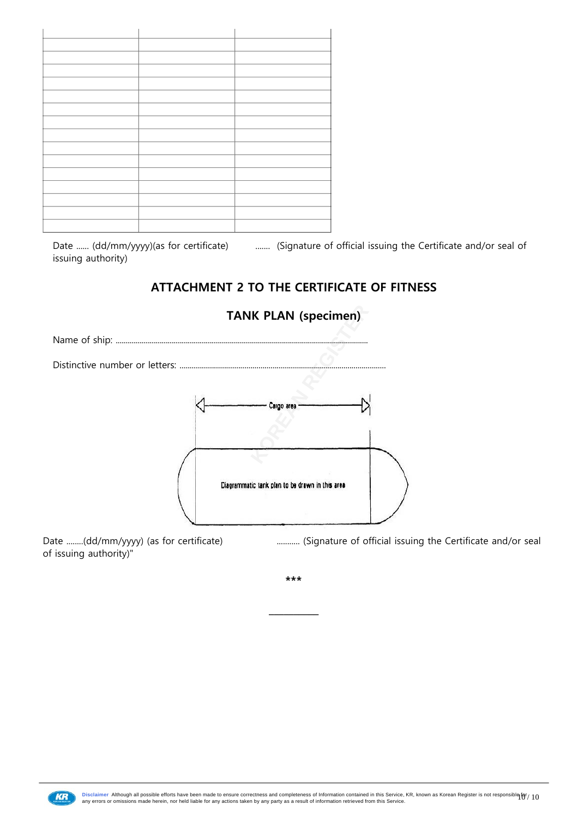Date ...... (dd/mm/yyyy)(as for certificate) ........ (Signature of official issuing the Certificate and/or seal of issuing authority)

## **ATTACHMENT 2 TO THE CERTIFICATE OF FITNESS**



# **TANK PLAN (specimen)**

Date ........(dd/mm/yyyy) (as for certificate) ...............................(Signature of official issuing the Certificate and/or seal of issuing authority)"

**\*\*\***

**\_\_\_\_\_\_\_\_\_\_**

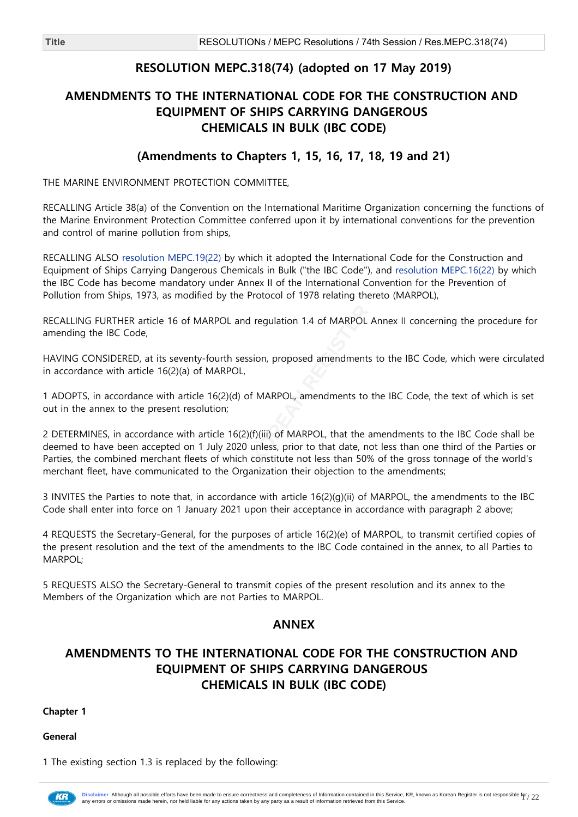## **RESOLUTION MEPC.318(74) (adopted on 17 May 2019)**

## **AMENDMENTS TO THE INTERNATIONAL CODE FOR THE CONSTRUCTION AND EQUIPMENT OF SHIPS CARRYING DANGEROUS CHEMICALS IN BULK (IBC CODE)**

### **(Amendments to Chapters 1, 15, 16, 17, 18, 19 and 21)**

THE MARINE ENVIRONMENT PROTECTION COMMITTEE,

RECALLING Article 38(a) of the Convention on the International Maritime Organization concerning the functions of the Marine Environment Protection Committee conferred upon it by international conventions for the prevention and control of marine pollution from ships,

RECALLING ALSO [resolution MEPC.19\(22\)](http://krcon.krs.co.kr/functions/treeview/usercommontreeredirect.aspx?category_id=43070&node_type=normal&is_leaf=true&is_viewchild=true) by which it adopted the International Code for the Construction and Equipment of Ships Carrying Dangerous Chemicals in Bulk ("the IBC Code"), and [resolution MEPC.16\(22\)](http://krcon.krs.co.kr/functions/treeview/usercommontreeredirect.aspx?category_id=43073&node_type=normal&is_leaf=true&is_viewchild=true) by which the IBC Code has become mandatory under Annex II of the International Convention for the Prevention of Pollution from Ships, 1973, as modified by the Protocol of 1978 relating thereto (MARPOL),

RECALLING FURTHER article 16 of MARPOL and regulation 1.4 of MARPOL Annex II concerning the procedure for amending the IBC Code,

HAVING CONSIDERED, at its seventy-fourth session, proposed amendments to the IBC Code, which were circulated in accordance with article 16(2)(a) of MARPOL,

1 ADOPTS, in accordance with article 16(2)(d) of MARPOL, amendments to the IBC Code, the text of which is set out in the annex to the present resolution;

2 DETERMINES, in accordance with article 16(2)(f)(iii) of MARPOL, that the amendments to the IBC Code shall be deemed to have been accepted on 1 July 2020 unless, prior to that date, not less than one third of the Parties or Parties, the combined merchant fleets of which constitute not less than 50% of the gross tonnage of the world's merchant fleet, have communicated to the Organization their objection to the amendments; 19.11. NG FURTHER article 16 of MARPOL and regulation 1.4 of MARPOL A<br>
Migrary the IBC Code,<br>
ING CONSIDERED, at its seventy-fourth session, proposed amendments<br>
cordance with article 16(2)(a) of MARPOL, amendments to the<br>

3 INVITES the Parties to note that, in accordance with article 16(2)(g)(ii) of MARPOL, the amendments to the IBC Code shall enter into force on 1 January 2021 upon their acceptance in accordance with paragraph 2 above;

4 REQUESTS the Secretary-General, for the purposes of article 16(2)(e) of MARPOL, to transmit certified copies of the present resolution and the text of the amendments to the IBC Code contained in the annex, to all Parties to MARPOL;

5 REQUESTS ALSO the Secretary-General to transmit copies of the present resolution and its annex to the Members of the Organization which are not Parties to MARPOL.

### **ANNEX**

## **AMENDMENTS TO THE INTERNATIONAL CODE FOR THE CONSTRUCTION AND EQUIPMENT OF SHIPS CARRYING DANGEROUS CHEMICALS IN BULK (IBC CODE)**

#### **Chapter 1**

**General**

1 The existing section 1.3 is replaced by the following:

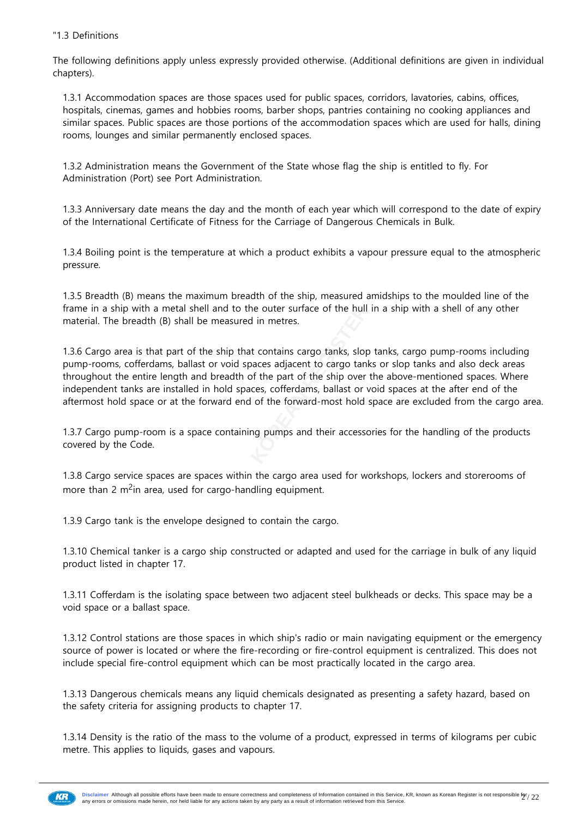### "1.3 Definitions

The following definitions apply unless expressly provided otherwise. (Additional definitions are given in individual chapters).

1.3.1 Accommodation spaces are those spaces used for public spaces, corridors, lavatories, cabins, offices, hospitals, cinemas, games and hobbies rooms, barber shops, pantries containing no cooking appliances and similar spaces. Public spaces are those portions of the accommodation spaces which are used for halls, dining rooms, lounges and similar permanently enclosed spaces.

1.3.2 Administration means the Government of the State whose flag the ship is entitled to fly. For Administration (Port) see Port Administration .

1.3.3 Anniversary date means the day and the month of each year which will correspond to the date of expiry of the International Certificate of Fitness for the Carriage of Dangerous Chemicals in Bulk.

1.3.4 Boiling point is the temperature at which a product exhibits a vapour pressure equal to the atmospheric pressure.

1.3.5 Breadth (B) means the maximum breadth of the ship, measured amidships to the moulded line of the frame in a ship with a metal shell and to the outer surface of the hull in a ship with a shell of any other material. The breadth (B) shall be measured in metres.

1.3.6 Cargo area is that part of the ship that contains cargo tanks, slop tanks, cargo pump-rooms including pump-rooms, cofferdams, ballast or void spaces adjacent to cargo tanks or slop tanks and also deck areas throughout the entire length and breadth of the part of the ship over the above-mentioned spaces. Where independent tanks are installed in hold spaces, cofferdams, ballast or void spaces at the after end of the aftermost hold space or at the forward end of the forward-most hold space are excluded from the cargo area. Frame in a ship with a metal shell and to the outer surface of the hull in<br>
1.3.6 Cargo area is that part of the ship that contains cargo tanks, slop<br>
1.3.6 Cargo area is that part of the ship bat contains cargo tanks, slo

1.3.7 Cargo pump-room is a space containing pumps and their accessories for the handling of the products covered by the Code.

1.3.8 Cargo service spaces are spaces within the cargo area used for workshops, lockers and storerooms of more than 2 m<sup>2</sup>in area, used for cargo-handling equipment.

1.3.9 Cargo tank is the envelope designed to contain the cargo.

1.3.10 Chemical tanker is a cargo ship constructed or adapted and used for the carriage in bulk of any liquid product listed in chapter 17.

1.3.11 Cofferdam is the isolating space between two adjacent steel bulkheads or decks. This space may be a void space or a ballast space.

1.3.12 Control stations are those spaces in which ship's radio or main navigating equipment or the emergency source of power is located or where the fire-recording or fire-control equipment is centralized. This does not include special fire-control equipment which can be most practically located in the cargo area.

1.3.13 Dangerous chemicals means any liquid chemicals designated as presenting a safety hazard, based on the safety criteria for assigning products to chapter 17.

1.3.14 Density is the ratio of the mass to the volume of a product, expressed in terms of kilograms per cubic metre. This applies to liquids, gases and vapours.

1.3.15 Explosive/flammability limits/range are the conditions defining the state of fuel–oxidant mixture at

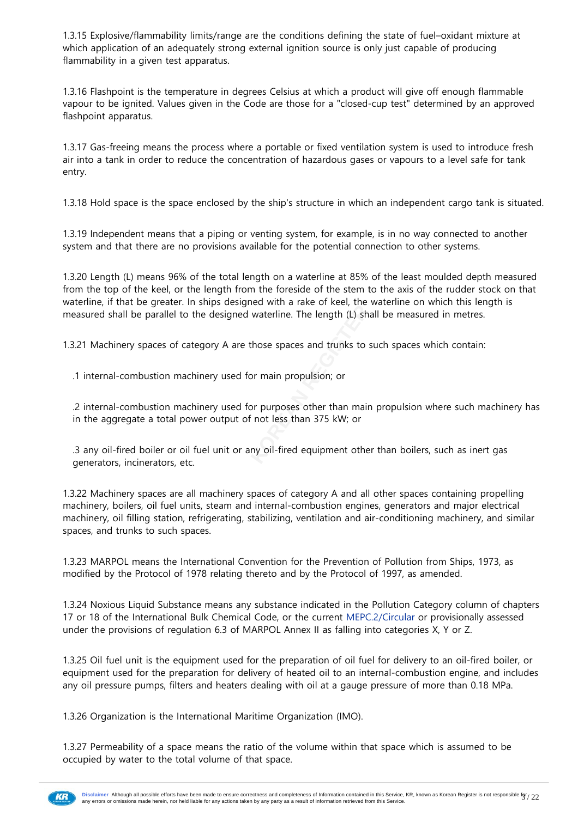1.3.15 Explosive/flammability limits/range are the conditions defining the state of fuel–oxidant mixture at which application of an adequately strong external ignition source is only just capable of producing flammability in a given test apparatus.

1.3.16 Flashpoint is the temperature in degrees Celsius at which a product will give off enough flammable vapour to be ignited. Values given in the Code are those for a "closed-cup test" determined by an approved flashpoint apparatus.

1.3.17 Gas-freeing means the process where a portable or fixed ventilation system is used to introduce fresh air into a tank in order to reduce the concentration of hazardous gases or vapours to a level safe for tank entry.

1.3.18 Hold space is the space enclosed by the ship's structure in which an independent cargo tank is situated.

1.3.19 Independent means that a piping or venting system, for example, is in no way connected to another system and that there are no provisions available for the potential connection to other systems.

1.3.20 Length (L) means 96% of the total length on a waterline at 85% of the least moulded depth measured from the top of the keel, or the length from the foreside of the stem to the axis of the rudder stock on that waterline, if that be greater. In ships designed with a rake of keel, the waterline on which this length is measured shall be parallel to the designed waterline. The length (L) shall be measured in metres.

1.3.21 Machinery spaces of category A are those spaces and trunks to such spaces which contain:

.1 internal-combustion machinery used for main propulsion; or

.2 internal-combustion machinery used for purposes other than main propulsion where such machinery has in the aggregate a total power output of not less than 375 kW; or

.3 any oil-fired boiler or oil fuel unit or any oil-fired equipment other than boilers, such as inert gas generators, incinerators, etc.

1.3.22 Machinery spaces are all machinery spaces of category A and all other spaces containing propelling machinery, boilers, oil fuel units, steam and internal-combustion engines, generators and major electrical machinery, oil filling station, refrigerating, stabilizing, ventilation and air-conditioning machinery, and similar spaces, and trunks to such spaces. Internal only the parallel to the designed waterline. The length (L) shale measured shall be parallel to the designed waterline. The length (L) shale measured shall be parallel to the designed waterline. The length (L) sha

1.3.23 MARPOL means the International Convention for the Prevention of Pollution from Ships, 1973, as modified by the Protocol of 1978 relating thereto and by the Protocol of 1997, as amended.

1.3.24 Noxious Liquid Substance means any substance indicated in the Pollution Category column of chapters 17 or 18 of the International Bulk Chemical Code, or the current [MEPC.2/Circular](http://103.12.248.9usercommontreeredirect.aspx?category_id=48786&node_type=normal&is_leaf=false&is_viewchild=false) or provisionally assessed under the provisions of regulation 6.3 of MARPOL Annex II as falling into categories X, Y or Z.

1.3.25 Oil fuel unit is the equipment used for the preparation of oil fuel for delivery to an oil-fired boiler, or equipment used for the preparation for delivery of heated oil to an internal-combustion engine, and includes any oil pressure pumps, filters and heaters dealing with oil at a gauge pressure of more than 0.18 MPa.

1.3.26 Organization is the International Maritime Organization (IMO).

1.3.27 Permeability of a space means the ratio of the volume within that space which is assumed to be occupied by water to the total volume of that space.

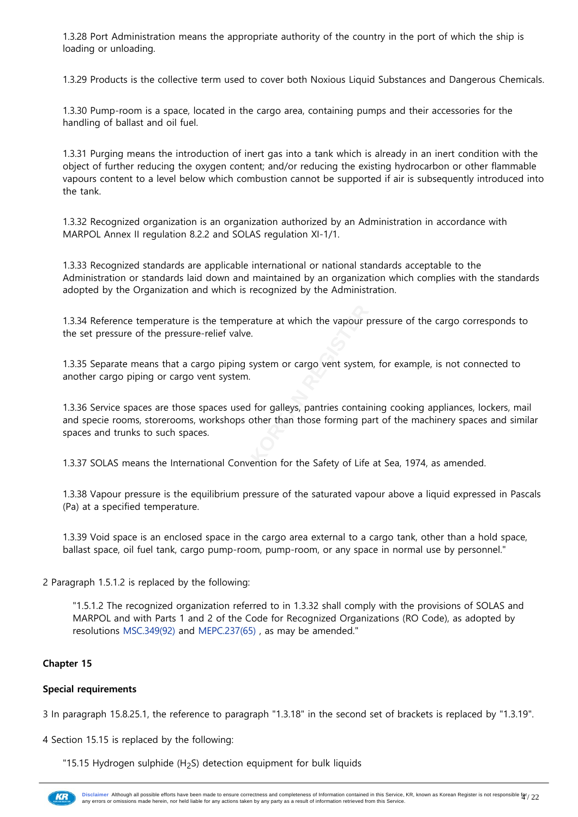1.3.28 Port Administration means the appropriate authority of the country in the port of which the ship is loading or unloading.

1.3.29 Products is the collective term used to cover both Noxious Liquid Substances and Dangerous Chemicals.

1.3.30 Pump-room is a space, located in the cargo area, containing pumps and their accessories for the handling of ballast and oil fuel.

1.3.31 Purging means the introduction of inert gas into a tank which is already in an inert condition with the object of further reducing the oxygen content; and/or reducing the existing hydrocarbon or other flammable vapours content to a level below which combustion cannot be supported if air is subsequently introduced into the tank.

1.3.32 Recognized organization is an organization authorized by an Administration in accordance with MARPOL Annex II regulation 8.2.2 and SOLAS regulation XI-1/1.

1.3.33 Recognized standards are applicable international or national standards acceptable to the Administration or standards laid down and maintained by an organization which complies with the standards adopted by the Organization and which is recognized by the Administration.

1.3.34 Reference temperature is the temperature at which the vapour pressure of the cargo corresponds to the set pressure of the pressure-relief valve.

1.3.35 Separate means that a cargo piping system or cargo vent system, for example, is not connected to another cargo piping or cargo vent system.

1.3.36 Service spaces are those spaces used for galleys, pantries containing cooking appliances, lockers, mail and specie rooms, storerooms, workshops other than those forming part of the machinery spaces and similar spaces and trunks to such spaces. 1.3.34 Reference temperature is the temperature at which the vapour pr<br>the set pressure of the pressure-relief valve.<br>
1.3.35 Separate means that a cargo piping system or cargo vent system,<br>
1.3.36 Service spaces are those

1.3.37 SOLAS means the International Convention for the Safety of Life at Sea, 1974, as amended.

1.3.38 Vapour pressure is the equilibrium pressure of the saturated vapour above a liquid expressed in Pascals (Pa) at a specified temperature.

1.3.39 Void space is an enclosed space in the cargo area external to a cargo tank, other than a hold space, ballast space, oil fuel tank, cargo pump-room, pump-room, or any space in normal use by personnel."

2 Paragraph 1.5.1.2 is replaced by the following:

"1.5.1.2 The recognized organization referred to in 1.3.32 shall comply with the provisions of SOLAS and MARPOL and with Parts 1 and 2 of the Code for Recognized Organizations (RO Code), as adopted by resolutions [MSC.349\(92\)](http://krcon.krs.co.kr/functions/treeview/usercommontreeredirect.aspx?category_id=58617&node_type=normal&is_leaf=true&is_viewchild=true) and [MEPC.237\(65\)](http://krcon.krs.co.kr/functions/treeview/usercommontreeredirect.aspx?category_id=58399&node_type=normal&is_leaf=true&is_viewchild=true) , as may be amended."

### **Chapter 15**

#### **Special requirements**

3 In paragraph 15.8.25.1, the reference to paragraph "1.3.18" in the second set of brackets is replaced by "1.3.19".

4 Section 15.15 is replaced by the following:

"15.15 Hydrogen sulphide (H 2S) detection equipment for bulk liquids

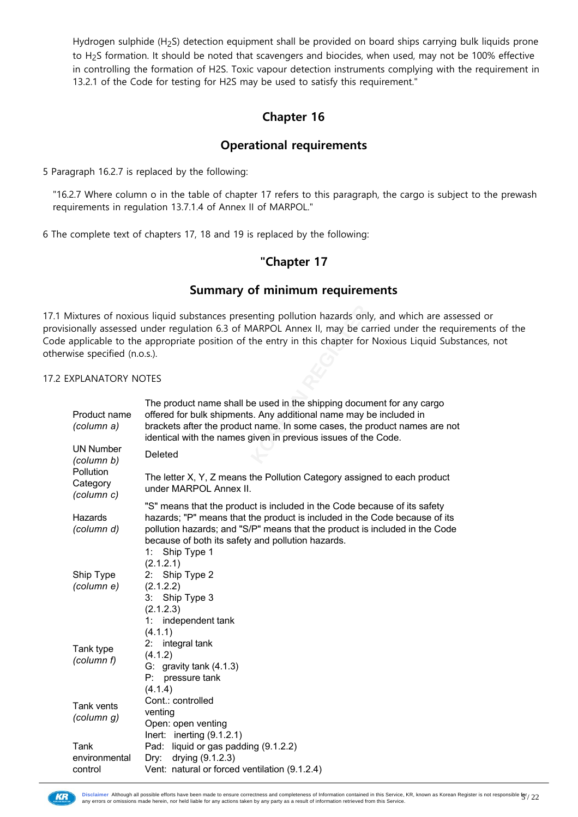Hydrogen sulphide (H 2S) detection equipment shall be provided on board ships carrying bulk liquids prone to H 2S formation. It should be noted that scavengers and biocides, when used, may not be 100% effective in controlling the formation of H2S. Toxic vapour detection instruments complying with the requirement in 13.2.1 of the Code for testing for H2S may be used to satisfy this requirement."

## **Chapter 16**

### **Operational requirements**

5 Paragraph 16.2.7 is replaced by the following:

"16.2.7 Where column o in the table of chapter 17 refers to this paragraph, the cargo is subject to the prewash requirements in regulation 13.7.1.4 of Annex II of MARPOL."

6 The complete text of chapters 17, 18 and 19 is replaced by the following:

### **"Chapter 17**

### **Summary of minimum requirements**

17.1 Mixtures of noxious liquid substances presenting pollution hazards only, and which are assessed or provisionally assessed under regulation 6.3 of MARPOL Annex II, may be carried under the requirements of the Code applicable to the appropriate position of the entry in this chapter for Noxious Liquid Substances, not otherwise specified (n.o.s.).

### 17.2 EXPLANATORY NOTES

|              | rwise specified (n.o.s.).<br>EXPLANATORY NOTES<br>Product name<br>(column a)<br>UN Number<br>(column b)<br>Pollution<br>Category<br>(column c)<br>Hazards<br>(column d)<br>Ship Type<br>(column e) | Mixtures of noxious liquid substances presenting pollution hazards only, and which are asses<br>isionally assessed under regulation 6.3 of MARPOL Annex II, may be carried under the requir<br>applicable to the appropriate position of the entry in this chapter for Noxious Liquid Subst<br>The product name shall be used in the shipping document for any cargo<br>offered for bulk shipments. Any additional name may be included in<br>brackets after the product name. In some cases, the product names are not<br>identical with the names given in previous issues of the Code.<br>Deleted<br>The letter X, Y, Z means the Pollution Category assigned to each product<br>under MARPOL Annex II.<br>"S" means that the product is included in the Code because of its safety hazards; "P" means that the product is included in the Code because of its pollution hazards; and "S/P" means that the product is included in the Cod<br>1: Ship Type 1<br>(2.1.2.1)<br>2: Ship Type 2<br>(2.1.2.2) |
|--------------|----------------------------------------------------------------------------------------------------------------------------------------------------------------------------------------------------|------------------------------------------------------------------------------------------------------------------------------------------------------------------------------------------------------------------------------------------------------------------------------------------------------------------------------------------------------------------------------------------------------------------------------------------------------------------------------------------------------------------------------------------------------------------------------------------------------------------------------------------------------------------------------------------------------------------------------------------------------------------------------------------------------------------------------------------------------------------------------------------------------------------------------------------------------------------------------------------------------------|
| $\mathbf{B}$ | Tank type<br>(column f)<br>Tank vents<br>(column g)<br>Tank<br>environmental<br>control                                                                                                            | 3: Ship Type 3<br>(2.1.2.3)<br>1: independent tank<br>(4.1.1)<br>2: integral tank<br>(4.1.2)<br>G: gravity tank (4.1.3)<br>P:<br>pressure tank<br>(4.1.4)<br>Cont.: controlled<br>venting<br>Open: open venting<br>Inert: inerting (9.1.2.1)<br>Pad: liquid or gas padding (9.1.2.2)<br>drying (9.1.2.3)<br>Dry:<br>Vent: natural or forced ventilation (9.1.2.4)<br>Disclaimer Although all possible efforts have been made to ensure correctness and completeness of Information contained in this Service, KR, known as Korean Re<br>any errors or omissions made herein, nor held liable for any actions taken by any party as a result of information retrieved from this Service.                                                                                                                                                                                                                                                                                                                    |
|              |                                                                                                                                                                                                    |                                                                                                                                                                                                                                                                                                                                                                                                                                                                                                                                                                                                                                                                                                                                                                                                                                                                                                                                                                                                            |
|              |                                                                                                                                                                                                    |                                                                                                                                                                                                                                                                                                                                                                                                                                                                                                                                                                                                                                                                                                                                                                                                                                                                                                                                                                                                            |
|              |                                                                                                                                                                                                    |                                                                                                                                                                                                                                                                                                                                                                                                                                                                                                                                                                                                                                                                                                                                                                                                                                                                                                                                                                                                            |
|              |                                                                                                                                                                                                    |                                                                                                                                                                                                                                                                                                                                                                                                                                                                                                                                                                                                                                                                                                                                                                                                                                                                                                                                                                                                            |
|              |                                                                                                                                                                                                    |                                                                                                                                                                                                                                                                                                                                                                                                                                                                                                                                                                                                                                                                                                                                                                                                                                                                                                                                                                                                            |
|              |                                                                                                                                                                                                    |                                                                                                                                                                                                                                                                                                                                                                                                                                                                                                                                                                                                                                                                                                                                                                                                                                                                                                                                                                                                            |
|              |                                                                                                                                                                                                    |                                                                                                                                                                                                                                                                                                                                                                                                                                                                                                                                                                                                                                                                                                                                                                                                                                                                                                                                                                                                            |
|              |                                                                                                                                                                                                    |                                                                                                                                                                                                                                                                                                                                                                                                                                                                                                                                                                                                                                                                                                                                                                                                                                                                                                                                                                                                            |
|              |                                                                                                                                                                                                    |                                                                                                                                                                                                                                                                                                                                                                                                                                                                                                                                                                                                                                                                                                                                                                                                                                                                                                                                                                                                            |
|              |                                                                                                                                                                                                    |                                                                                                                                                                                                                                                                                                                                                                                                                                                                                                                                                                                                                                                                                                                                                                                                                                                                                                                                                                                                            |
|              |                                                                                                                                                                                                    |                                                                                                                                                                                                                                                                                                                                                                                                                                                                                                                                                                                                                                                                                                                                                                                                                                                                                                                                                                                                            |
|              |                                                                                                                                                                                                    |                                                                                                                                                                                                                                                                                                                                                                                                                                                                                                                                                                                                                                                                                                                                                                                                                                                                                                                                                                                                            |
|              |                                                                                                                                                                                                    |                                                                                                                                                                                                                                                                                                                                                                                                                                                                                                                                                                                                                                                                                                                                                                                                                                                                                                                                                                                                            |
|              |                                                                                                                                                                                                    |                                                                                                                                                                                                                                                                                                                                                                                                                                                                                                                                                                                                                                                                                                                                                                                                                                                                                                                                                                                                            |
|              |                                                                                                                                                                                                    |                                                                                                                                                                                                                                                                                                                                                                                                                                                                                                                                                                                                                                                                                                                                                                                                                                                                                                                                                                                                            |
|              |                                                                                                                                                                                                    |                                                                                                                                                                                                                                                                                                                                                                                                                                                                                                                                                                                                                                                                                                                                                                                                                                                                                                                                                                                                            |
|              |                                                                                                                                                                                                    |                                                                                                                                                                                                                                                                                                                                                                                                                                                                                                                                                                                                                                                                                                                                                                                                                                                                                                                                                                                                            |
|              |                                                                                                                                                                                                    |                                                                                                                                                                                                                                                                                                                                                                                                                                                                                                                                                                                                                                                                                                                                                                                                                                                                                                                                                                                                            |
|              |                                                                                                                                                                                                    |                                                                                                                                                                                                                                                                                                                                                                                                                                                                                                                                                                                                                                                                                                                                                                                                                                                                                                                                                                                                            |
|              |                                                                                                                                                                                                    |                                                                                                                                                                                                                                                                                                                                                                                                                                                                                                                                                                                                                                                                                                                                                                                                                                                                                                                                                                                                            |
|              |                                                                                                                                                                                                    |                                                                                                                                                                                                                                                                                                                                                                                                                                                                                                                                                                                                                                                                                                                                                                                                                                                                                                                                                                                                            |
|              |                                                                                                                                                                                                    |                                                                                                                                                                                                                                                                                                                                                                                                                                                                                                                                                                                                                                                                                                                                                                                                                                                                                                                                                                                                            |
|              |                                                                                                                                                                                                    |                                                                                                                                                                                                                                                                                                                                                                                                                                                                                                                                                                                                                                                                                                                                                                                                                                                                                                                                                                                                            |
|              |                                                                                                                                                                                                    |                                                                                                                                                                                                                                                                                                                                                                                                                                                                                                                                                                                                                                                                                                                                                                                                                                                                                                                                                                                                            |
|              |                                                                                                                                                                                                    |                                                                                                                                                                                                                                                                                                                                                                                                                                                                                                                                                                                                                                                                                                                                                                                                                                                                                                                                                                                                            |
|              |                                                                                                                                                                                                    |                                                                                                                                                                                                                                                                                                                                                                                                                                                                                                                                                                                                                                                                                                                                                                                                                                                                                                                                                                                                            |
|              |                                                                                                                                                                                                    |                                                                                                                                                                                                                                                                                                                                                                                                                                                                                                                                                                                                                                                                                                                                                                                                                                                                                                                                                                                                            |
|              |                                                                                                                                                                                                    |                                                                                                                                                                                                                                                                                                                                                                                                                                                                                                                                                                                                                                                                                                                                                                                                                                                                                                                                                                                                            |
|              |                                                                                                                                                                                                    |                                                                                                                                                                                                                                                                                                                                                                                                                                                                                                                                                                                                                                                                                                                                                                                                                                                                                                                                                                                                            |
|              |                                                                                                                                                                                                    |                                                                                                                                                                                                                                                                                                                                                                                                                                                                                                                                                                                                                                                                                                                                                                                                                                                                                                                                                                                                            |
|              |                                                                                                                                                                                                    |                                                                                                                                                                                                                                                                                                                                                                                                                                                                                                                                                                                                                                                                                                                                                                                                                                                                                                                                                                                                            |
|              |                                                                                                                                                                                                    |                                                                                                                                                                                                                                                                                                                                                                                                                                                                                                                                                                                                                                                                                                                                                                                                                                                                                                                                                                                                            |
|              |                                                                                                                                                                                                    |                                                                                                                                                                                                                                                                                                                                                                                                                                                                                                                                                                                                                                                                                                                                                                                                                                                                                                                                                                                                            |
|              |                                                                                                                                                                                                    |                                                                                                                                                                                                                                                                                                                                                                                                                                                                                                                                                                                                                                                                                                                                                                                                                                                                                                                                                                                                            |
|              |                                                                                                                                                                                                    |                                                                                                                                                                                                                                                                                                                                                                                                                                                                                                                                                                                                                                                                                                                                                                                                                                                                                                                                                                                                            |
|              |                                                                                                                                                                                                    |                                                                                                                                                                                                                                                                                                                                                                                                                                                                                                                                                                                                                                                                                                                                                                                                                                                                                                                                                                                                            |
|              |                                                                                                                                                                                                    |                                                                                                                                                                                                                                                                                                                                                                                                                                                                                                                                                                                                                                                                                                                                                                                                                                                                                                                                                                                                            |
|              |                                                                                                                                                                                                    |                                                                                                                                                                                                                                                                                                                                                                                                                                                                                                                                                                                                                                                                                                                                                                                                                                                                                                                                                                                                            |
|              |                                                                                                                                                                                                    |                                                                                                                                                                                                                                                                                                                                                                                                                                                                                                                                                                                                                                                                                                                                                                                                                                                                                                                                                                                                            |
|              |                                                                                                                                                                                                    |                                                                                                                                                                                                                                                                                                                                                                                                                                                                                                                                                                                                                                                                                                                                                                                                                                                                                                                                                                                                            |

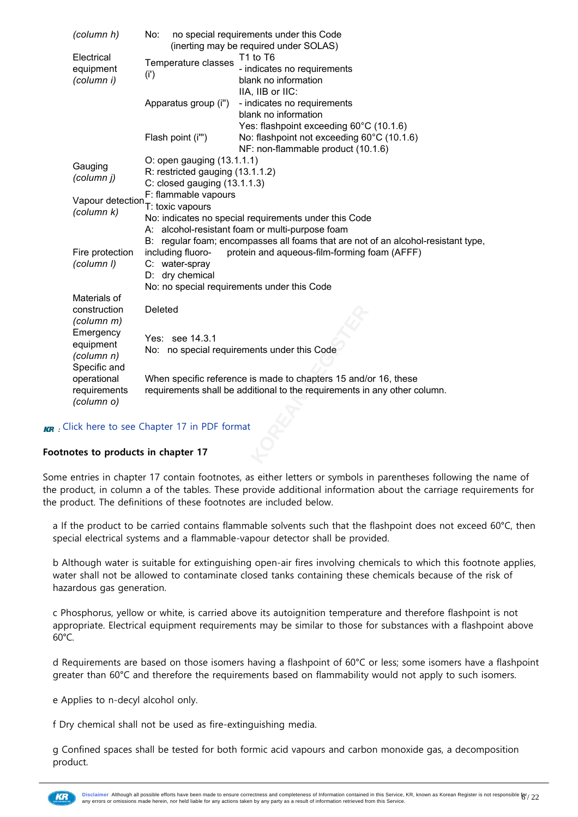| (column h)<br>Electrical<br>equipment<br>(column i)<br>Gauging<br>(column j)<br>(column k)<br>Fire protection<br>(column I)<br>Materials of<br>construction<br>(column m)<br>Emergency<br>equipment<br>(column n)<br>Specific and<br>operational | No:<br>no special requirements under this Code<br>(inerting may be required under SOLAS)<br>T1 to T6<br>Temperature classes<br>- indicates no requirements<br>(i')<br>blank no information<br>IIA, IIB or IIC:<br>Apparatus group (i") - indicates no requirements<br>blank no information<br>Yes: flashpoint exceeding 60°C (10.1.6)<br>No: flashpoint not exceeding 60°C (10.1.6)<br>Flash point (i"')<br>NF: non-flammable product (10.1.6)<br>O: open gauging (13.1.1.1)<br>R: restricted gauging (13.1.1.2)<br>C: closed gauging (13.1.1.3)<br>Vapour detection $\overline{F}$ : flammable vapours<br>(column $k$ ) T: toxic vapours<br>No: indicates no special requirements under this Code<br>A: alcohol-resistant foam or multi-purpose foam<br>B: regular foam; encompasses all foams that are not of an alcohol-resistant type,<br>including fluoro-<br>protein and aqueous-film-forming foam (AFFF)<br>C: water-spray<br>D: dry chemical<br>No: no special requirements under this Code<br>Deleted<br>Yes: see 14.3.1<br>No: no special requirements under this Code<br>When specific reference is made to chapters 15 and/or 16, these |
|--------------------------------------------------------------------------------------------------------------------------------------------------------------------------------------------------------------------------------------------------|-----------------------------------------------------------------------------------------------------------------------------------------------------------------------------------------------------------------------------------------------------------------------------------------------------------------------------------------------------------------------------------------------------------------------------------------------------------------------------------------------------------------------------------------------------------------------------------------------------------------------------------------------------------------------------------------------------------------------------------------------------------------------------------------------------------------------------------------------------------------------------------------------------------------------------------------------------------------------------------------------------------------------------------------------------------------------------------------------------------------------------------------------------|
| requirements<br>(column o)<br>zardous gas generation.<br>°C.                                                                                                                                                                                     | requirements shall be additional to the requirements in any other column.<br>Click here to see Chapter 17 in PDF format<br>notes to products in chapter 17<br>e entries in chapter 17 contain footnotes, as either letters or symbols in parentheses following the<br>broduct, in column a of the tables. These provide additional information about the carriage requir<br>product. The definitions of these footnotes are included below.<br>f the product to be carried contains flammable solvents such that the flashpoint does not exceed<br>ecial electrical systems and a flammable-vapour detector shall be provided.<br>Although water is suitable for extinguishing open-air fires involving chemicals to which this footno<br>ater shall not be allowed to contaminate closed tanks containing these chemicals because of the i<br>Phosphorus, yellow or white, is carried above its autoignition temperature and therefore flashpoin<br>propriate. Electrical equipment requirements may be similar to those for substances with a flashp                                                                                              |
| Applies to n-decyl alcohol only.<br>oduct.<br>R                                                                                                                                                                                                  | Requirements are based on those isomers having a flashpoint of 60°C or less; some isomers have<br>eater than 60°C and therefore the requirements based on flammability would not apply to such is<br>Dry chemical shall not be used as fire-extinguishing media.<br>Confined spaces shall be tested for both formic acid vapours and carbon monoxide gas, a decomp<br>Disclaimer Although all possible efforts have been made to ensure correctness and completeness of Information contained in this Service, KR, known as Korean Register is no                                                                                                                                                                                                                                                                                                                                                                                                                                                                                                                                                                                                   |
|                                                                                                                                                                                                                                                  |                                                                                                                                                                                                                                                                                                                                                                                                                                                                                                                                                                                                                                                                                                                                                                                                                                                                                                                                                                                                                                                                                                                                                     |
|                                                                                                                                                                                                                                                  |                                                                                                                                                                                                                                                                                                                                                                                                                                                                                                                                                                                                                                                                                                                                                                                                                                                                                                                                                                                                                                                                                                                                                     |
|                                                                                                                                                                                                                                                  |                                                                                                                                                                                                                                                                                                                                                                                                                                                                                                                                                                                                                                                                                                                                                                                                                                                                                                                                                                                                                                                                                                                                                     |
|                                                                                                                                                                                                                                                  |                                                                                                                                                                                                                                                                                                                                                                                                                                                                                                                                                                                                                                                                                                                                                                                                                                                                                                                                                                                                                                                                                                                                                     |
|                                                                                                                                                                                                                                                  |                                                                                                                                                                                                                                                                                                                                                                                                                                                                                                                                                                                                                                                                                                                                                                                                                                                                                                                                                                                                                                                                                                                                                     |
|                                                                                                                                                                                                                                                  |                                                                                                                                                                                                                                                                                                                                                                                                                                                                                                                                                                                                                                                                                                                                                                                                                                                                                                                                                                                                                                                                                                                                                     |
|                                                                                                                                                                                                                                                  |                                                                                                                                                                                                                                                                                                                                                                                                                                                                                                                                                                                                                                                                                                                                                                                                                                                                                                                                                                                                                                                                                                                                                     |
|                                                                                                                                                                                                                                                  |                                                                                                                                                                                                                                                                                                                                                                                                                                                                                                                                                                                                                                                                                                                                                                                                                                                                                                                                                                                                                                                                                                                                                     |
|                                                                                                                                                                                                                                                  |                                                                                                                                                                                                                                                                                                                                                                                                                                                                                                                                                                                                                                                                                                                                                                                                                                                                                                                                                                                                                                                                                                                                                     |
|                                                                                                                                                                                                                                                  |                                                                                                                                                                                                                                                                                                                                                                                                                                                                                                                                                                                                                                                                                                                                                                                                                                                                                                                                                                                                                                                                                                                                                     |
|                                                                                                                                                                                                                                                  |                                                                                                                                                                                                                                                                                                                                                                                                                                                                                                                                                                                                                                                                                                                                                                                                                                                                                                                                                                                                                                                                                                                                                     |
|                                                                                                                                                                                                                                                  |                                                                                                                                                                                                                                                                                                                                                                                                                                                                                                                                                                                                                                                                                                                                                                                                                                                                                                                                                                                                                                                                                                                                                     |
|                                                                                                                                                                                                                                                  |                                                                                                                                                                                                                                                                                                                                                                                                                                                                                                                                                                                                                                                                                                                                                                                                                                                                                                                                                                                                                                                                                                                                                     |
|                                                                                                                                                                                                                                                  |                                                                                                                                                                                                                                                                                                                                                                                                                                                                                                                                                                                                                                                                                                                                                                                                                                                                                                                                                                                                                                                                                                                                                     |
|                                                                                                                                                                                                                                                  |                                                                                                                                                                                                                                                                                                                                                                                                                                                                                                                                                                                                                                                                                                                                                                                                                                                                                                                                                                                                                                                                                                                                                     |
|                                                                                                                                                                                                                                                  |                                                                                                                                                                                                                                                                                                                                                                                                                                                                                                                                                                                                                                                                                                                                                                                                                                                                                                                                                                                                                                                                                                                                                     |
|                                                                                                                                                                                                                                                  |                                                                                                                                                                                                                                                                                                                                                                                                                                                                                                                                                                                                                                                                                                                                                                                                                                                                                                                                                                                                                                                                                                                                                     |
|                                                                                                                                                                                                                                                  |                                                                                                                                                                                                                                                                                                                                                                                                                                                                                                                                                                                                                                                                                                                                                                                                                                                                                                                                                                                                                                                                                                                                                     |
|                                                                                                                                                                                                                                                  |                                                                                                                                                                                                                                                                                                                                                                                                                                                                                                                                                                                                                                                                                                                                                                                                                                                                                                                                                                                                                                                                                                                                                     |
|                                                                                                                                                                                                                                                  |                                                                                                                                                                                                                                                                                                                                                                                                                                                                                                                                                                                                                                                                                                                                                                                                                                                                                                                                                                                                                                                                                                                                                     |
|                                                                                                                                                                                                                                                  |                                                                                                                                                                                                                                                                                                                                                                                                                                                                                                                                                                                                                                                                                                                                                                                                                                                                                                                                                                                                                                                                                                                                                     |
|                                                                                                                                                                                                                                                  |                                                                                                                                                                                                                                                                                                                                                                                                                                                                                                                                                                                                                                                                                                                                                                                                                                                                                                                                                                                                                                                                                                                                                     |
|                                                                                                                                                                                                                                                  |                                                                                                                                                                                                                                                                                                                                                                                                                                                                                                                                                                                                                                                                                                                                                                                                                                                                                                                                                                                                                                                                                                                                                     |
|                                                                                                                                                                                                                                                  |                                                                                                                                                                                                                                                                                                                                                                                                                                                                                                                                                                                                                                                                                                                                                                                                                                                                                                                                                                                                                                                                                                                                                     |
|                                                                                                                                                                                                                                                  |                                                                                                                                                                                                                                                                                                                                                                                                                                                                                                                                                                                                                                                                                                                                                                                                                                                                                                                                                                                                                                                                                                                                                     |
|                                                                                                                                                                                                                                                  |                                                                                                                                                                                                                                                                                                                                                                                                                                                                                                                                                                                                                                                                                                                                                                                                                                                                                                                                                                                                                                                                                                                                                     |
|                                                                                                                                                                                                                                                  |                                                                                                                                                                                                                                                                                                                                                                                                                                                                                                                                                                                                                                                                                                                                                                                                                                                                                                                                                                                                                                                                                                                                                     |
|                                                                                                                                                                                                                                                  |                                                                                                                                                                                                                                                                                                                                                                                                                                                                                                                                                                                                                                                                                                                                                                                                                                                                                                                                                                                                                                                                                                                                                     |
|                                                                                                                                                                                                                                                  |                                                                                                                                                                                                                                                                                                                                                                                                                                                                                                                                                                                                                                                                                                                                                                                                                                                                                                                                                                                                                                                                                                                                                     |
|                                                                                                                                                                                                                                                  |                                                                                                                                                                                                                                                                                                                                                                                                                                                                                                                                                                                                                                                                                                                                                                                                                                                                                                                                                                                                                                                                                                                                                     |
|                                                                                                                                                                                                                                                  |                                                                                                                                                                                                                                                                                                                                                                                                                                                                                                                                                                                                                                                                                                                                                                                                                                                                                                                                                                                                                                                                                                                                                     |
|                                                                                                                                                                                                                                                  |                                                                                                                                                                                                                                                                                                                                                                                                                                                                                                                                                                                                                                                                                                                                                                                                                                                                                                                                                                                                                                                                                                                                                     |
|                                                                                                                                                                                                                                                  |                                                                                                                                                                                                                                                                                                                                                                                                                                                                                                                                                                                                                                                                                                                                                                                                                                                                                                                                                                                                                                                                                                                                                     |
|                                                                                                                                                                                                                                                  |                                                                                                                                                                                                                                                                                                                                                                                                                                                                                                                                                                                                                                                                                                                                                                                                                                                                                                                                                                                                                                                                                                                                                     |
|                                                                                                                                                                                                                                                  |                                                                                                                                                                                                                                                                                                                                                                                                                                                                                                                                                                                                                                                                                                                                                                                                                                                                                                                                                                                                                                                                                                                                                     |
|                                                                                                                                                                                                                                                  |                                                                                                                                                                                                                                                                                                                                                                                                                                                                                                                                                                                                                                                                                                                                                                                                                                                                                                                                                                                                                                                                                                                                                     |
|                                                                                                                                                                                                                                                  |                                                                                                                                                                                                                                                                                                                                                                                                                                                                                                                                                                                                                                                                                                                                                                                                                                                                                                                                                                                                                                                                                                                                                     |
|                                                                                                                                                                                                                                                  |                                                                                                                                                                                                                                                                                                                                                                                                                                                                                                                                                                                                                                                                                                                                                                                                                                                                                                                                                                                                                                                                                                                                                     |
|                                                                                                                                                                                                                                                  |                                                                                                                                                                                                                                                                                                                                                                                                                                                                                                                                                                                                                                                                                                                                                                                                                                                                                                                                                                                                                                                                                                                                                     |
|                                                                                                                                                                                                                                                  |                                                                                                                                                                                                                                                                                                                                                                                                                                                                                                                                                                                                                                                                                                                                                                                                                                                                                                                                                                                                                                                                                                                                                     |
|                                                                                                                                                                                                                                                  |                                                                                                                                                                                                                                                                                                                                                                                                                                                                                                                                                                                                                                                                                                                                                                                                                                                                                                                                                                                                                                                                                                                                                     |
|                                                                                                                                                                                                                                                  |                                                                                                                                                                                                                                                                                                                                                                                                                                                                                                                                                                                                                                                                                                                                                                                                                                                                                                                                                                                                                                                                                                                                                     |
|                                                                                                                                                                                                                                                  |                                                                                                                                                                                                                                                                                                                                                                                                                                                                                                                                                                                                                                                                                                                                                                                                                                                                                                                                                                                                                                                                                                                                                     |
|                                                                                                                                                                                                                                                  |                                                                                                                                                                                                                                                                                                                                                                                                                                                                                                                                                                                                                                                                                                                                                                                                                                                                                                                                                                                                                                                                                                                                                     |

### **KR**: [Click here to see Chapter 17 in PDF format](http://103.12.248.9/files/treeeditor/e.r.me.074.318/en/link1.pdf)

#### **Footnotes to products in chapter 17**

Some entries in chapter 17 contain footnotes, as either letters or symbols in parentheses following the name of the product, in column a of the tables. These provide additional information about the carriage requirements for the product. The definitions of these footnotes are included below.

a If the product to be carried contains flammable solvents such that the flashpoint does not exceed 60°C, then special electrical systems and a flammable-vapour detector shall be provided.

b Although water is suitable for extinguishing open-air fires involving chemicals to which this footnote applies, water shall not be allowed to contaminate closed tanks containing these chemicals because of the risk of hazardous gas generation.

c Phosphorus, yellow or white, is carried above its autoignition temperature and therefore flashpoint is not appropriate. Electrical equipment requirements may be similar to those for substances with a flashpoint above 60°C.

d Requirements are based on those isomers having a flashpoint of 60°C or less; some isomers have a flashpoint greater than 60°C and therefore the requirements based on flammability would not apply to such isomers.

e Applies to n-decyl alcohol only.

g Confined spaces shall be tested for both formic acid vapours and carbon monoxide gas, a decomposition product.

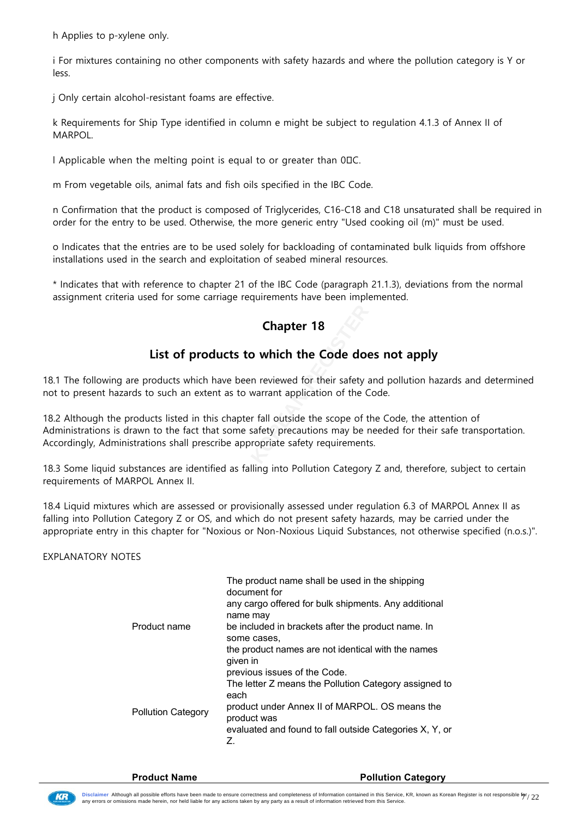h Applies to p-xylene only.

i For mixtures containing no other components with safety hazards and where the pollution category is Y or less.

j Only certain alcohol-resistant foams are effective.

k Requirements for Ship Type identified in column e might be subject to regulation 4.1.3 of Annex II of MARPOL.

I Applicable when the melting point is equal to or greater than ODC.

m From vegetable oils, animal fats and fish oils specified in the IBC Code.

n Confirmation that the product is composed of Triglycerides, C16-C18 and C18 unsaturated shall be required in order for the entry to be used. Otherwise, the more generic entry "Used cooking oil (m)" must be used.

o Indicates that the entries are to be used solely for backloading of contaminated bulk liquids from offshore installations used in the search and exploitation of seabed mineral resources.

\* Indicates that with reference to chapter 21 of the IBC Code (paragraph 21.1.3), deviations from the normal assignment criteria used for some carriage requirements have been implemented.

# **Chapter 18**

# **List of products to which the Code does not apply**

18.1 The following are products which have been reviewed for their safety and pollution hazards and determined not to present hazards to such an extent as to warrant application of the Code.

18.2 Although the products listed in this chapter fall outside the scope of the Code, the attention of Administrations is drawn to the fact that some safety precautions may be needed for their safe transportation. Accordingly, Administrations shall prescribe appropriate safety requirements.

18.3 Some liquid substances are identified as falling into Pollution Category Z and, therefore, subject to certain requirements of MARPOL Annex II.

18.4 Liquid mixtures which are assessed or provisionally assessed under regulation 6.3 of MARPOL Annex II as falling into Pollution Category Z or OS, and which do not present safety hazards, may be carried under the appropriate entry in this chapter for "Noxious or Non-Noxious Liquid Substances, not otherwise specified (n.o.s.)".

EXPLANATORY NOTES

**KR** 

| irements of MARPOL Annex II.             |                                                                  | <b>Chapter 18</b><br>List of products to which the Code does not apply<br>The following are products which have been reviewed for their safety and pollution hazard<br>to present hazards to such an extent as to warrant application of the Code.<br>Although the products listed in this chapter fall outside the scope of the Code, the attenti<br>inistrations is drawn to the fact that some safety precautions may be needed for their safe<br>rdingly, Administrations shall prescribe appropriate safety requirements.<br>Some liquid substances are identified as falling into Pollution Category Z and, therefore, su<br>Liquid mixtures which are assessed or provisionally assessed under regulation 6.3 of MARP<br>g into Pollution Category Z or OS, and which do not present safety hazards, may be carrie<br>opriate entry in this chapter for "Noxious or Non-Noxious Liquid Substances, not otherwise |
|------------------------------------------|------------------------------------------------------------------|-------------------------------------------------------------------------------------------------------------------------------------------------------------------------------------------------------------------------------------------------------------------------------------------------------------------------------------------------------------------------------------------------------------------------------------------------------------------------------------------------------------------------------------------------------------------------------------------------------------------------------------------------------------------------------------------------------------------------------------------------------------------------------------------------------------------------------------------------------------------------------------------------------------------------|
| ANATORY NOTES<br>$\overline{\mathbf{B}}$ | Product name<br><b>Pollution Category</b><br><b>Product Name</b> | The product name shall be used in the shipping<br>document for<br>any cargo offered for bulk shipments. Any additional<br>name may<br>be included in brackets after the product name. In<br>some cases,<br>the product names are not identical with the names<br>given in<br>previous issues of the Code.<br>The letter Z means the Pollution Category assigned to<br>each<br>product under Annex II of MARPOL. OS means the<br>product was<br>evaluated and found to fall outside Categories X, Y, or<br>Z.<br><b>Pollution Category</b><br>Disclaimer Although all possible efforts have been made to ensure correctness and completeness of Information contained in this Service, KR, known as Korean<br>any errors or omissions made herein, nor held liable for any actions taken by any party as a result of information retrieved from this Service.                                                            |
|                                          |                                                                  |                                                                                                                                                                                                                                                                                                                                                                                                                                                                                                                                                                                                                                                                                                                                                                                                                                                                                                                         |
|                                          |                                                                  |                                                                                                                                                                                                                                                                                                                                                                                                                                                                                                                                                                                                                                                                                                                                                                                                                                                                                                                         |
|                                          |                                                                  |                                                                                                                                                                                                                                                                                                                                                                                                                                                                                                                                                                                                                                                                                                                                                                                                                                                                                                                         |
|                                          |                                                                  |                                                                                                                                                                                                                                                                                                                                                                                                                                                                                                                                                                                                                                                                                                                                                                                                                                                                                                                         |
|                                          |                                                                  |                                                                                                                                                                                                                                                                                                                                                                                                                                                                                                                                                                                                                                                                                                                                                                                                                                                                                                                         |
|                                          |                                                                  |                                                                                                                                                                                                                                                                                                                                                                                                                                                                                                                                                                                                                                                                                                                                                                                                                                                                                                                         |
|                                          |                                                                  |                                                                                                                                                                                                                                                                                                                                                                                                                                                                                                                                                                                                                                                                                                                                                                                                                                                                                                                         |
|                                          |                                                                  |                                                                                                                                                                                                                                                                                                                                                                                                                                                                                                                                                                                                                                                                                                                                                                                                                                                                                                                         |
|                                          |                                                                  |                                                                                                                                                                                                                                                                                                                                                                                                                                                                                                                                                                                                                                                                                                                                                                                                                                                                                                                         |
|                                          |                                                                  |                                                                                                                                                                                                                                                                                                                                                                                                                                                                                                                                                                                                                                                                                                                                                                                                                                                                                                                         |
|                                          |                                                                  |                                                                                                                                                                                                                                                                                                                                                                                                                                                                                                                                                                                                                                                                                                                                                                                                                                                                                                                         |
|                                          |                                                                  |                                                                                                                                                                                                                                                                                                                                                                                                                                                                                                                                                                                                                                                                                                                                                                                                                                                                                                                         |
|                                          |                                                                  |                                                                                                                                                                                                                                                                                                                                                                                                                                                                                                                                                                                                                                                                                                                                                                                                                                                                                                                         |
|                                          |                                                                  |                                                                                                                                                                                                                                                                                                                                                                                                                                                                                                                                                                                                                                                                                                                                                                                                                                                                                                                         |
|                                          |                                                                  |                                                                                                                                                                                                                                                                                                                                                                                                                                                                                                                                                                                                                                                                                                                                                                                                                                                                                                                         |
|                                          |                                                                  |                                                                                                                                                                                                                                                                                                                                                                                                                                                                                                                                                                                                                                                                                                                                                                                                                                                                                                                         |
|                                          |                                                                  |                                                                                                                                                                                                                                                                                                                                                                                                                                                                                                                                                                                                                                                                                                                                                                                                                                                                                                                         |
|                                          |                                                                  |                                                                                                                                                                                                                                                                                                                                                                                                                                                                                                                                                                                                                                                                                                                                                                                                                                                                                                                         |
|                                          |                                                                  |                                                                                                                                                                                                                                                                                                                                                                                                                                                                                                                                                                                                                                                                                                                                                                                                                                                                                                                         |
|                                          |                                                                  |                                                                                                                                                                                                                                                                                                                                                                                                                                                                                                                                                                                                                                                                                                                                                                                                                                                                                                                         |
|                                          |                                                                  |                                                                                                                                                                                                                                                                                                                                                                                                                                                                                                                                                                                                                                                                                                                                                                                                                                                                                                                         |
|                                          |                                                                  |                                                                                                                                                                                                                                                                                                                                                                                                                                                                                                                                                                                                                                                                                                                                                                                                                                                                                                                         |
|                                          |                                                                  |                                                                                                                                                                                                                                                                                                                                                                                                                                                                                                                                                                                                                                                                                                                                                                                                                                                                                                                         |
|                                          |                                                                  |                                                                                                                                                                                                                                                                                                                                                                                                                                                                                                                                                                                                                                                                                                                                                                                                                                                                                                                         |
|                                          |                                                                  |                                                                                                                                                                                                                                                                                                                                                                                                                                                                                                                                                                                                                                                                                                                                                                                                                                                                                                                         |
|                                          |                                                                  |                                                                                                                                                                                                                                                                                                                                                                                                                                                                                                                                                                                                                                                                                                                                                                                                                                                                                                                         |
|                                          |                                                                  |                                                                                                                                                                                                                                                                                                                                                                                                                                                                                                                                                                                                                                                                                                                                                                                                                                                                                                                         |
|                                          |                                                                  |                                                                                                                                                                                                                                                                                                                                                                                                                                                                                                                                                                                                                                                                                                                                                                                                                                                                                                                         |
|                                          |                                                                  |                                                                                                                                                                                                                                                                                                                                                                                                                                                                                                                                                                                                                                                                                                                                                                                                                                                                                                                         |
|                                          |                                                                  |                                                                                                                                                                                                                                                                                                                                                                                                                                                                                                                                                                                                                                                                                                                                                                                                                                                                                                                         |
|                                          |                                                                  |                                                                                                                                                                                                                                                                                                                                                                                                                                                                                                                                                                                                                                                                                                                                                                                                                                                                                                                         |
|                                          |                                                                  |                                                                                                                                                                                                                                                                                                                                                                                                                                                                                                                                                                                                                                                                                                                                                                                                                                                                                                                         |
|                                          |                                                                  |                                                                                                                                                                                                                                                                                                                                                                                                                                                                                                                                                                                                                                                                                                                                                                                                                                                                                                                         |
|                                          |                                                                  |                                                                                                                                                                                                                                                                                                                                                                                                                                                                                                                                                                                                                                                                                                                                                                                                                                                                                                                         |
|                                          |                                                                  |                                                                                                                                                                                                                                                                                                                                                                                                                                                                                                                                                                                                                                                                                                                                                                                                                                                                                                                         |
|                                          |                                                                  |                                                                                                                                                                                                                                                                                                                                                                                                                                                                                                                                                                                                                                                                                                                                                                                                                                                                                                                         |
|                                          |                                                                  |                                                                                                                                                                                                                                                                                                                                                                                                                                                                                                                                                                                                                                                                                                                                                                                                                                                                                                                         |
|                                          |                                                                  |                                                                                                                                                                                                                                                                                                                                                                                                                                                                                                                                                                                                                                                                                                                                                                                                                                                                                                                         |
|                                          |                                                                  |                                                                                                                                                                                                                                                                                                                                                                                                                                                                                                                                                                                                                                                                                                                                                                                                                                                                                                                         |
|                                          |                                                                  |                                                                                                                                                                                                                                                                                                                                                                                                                                                                                                                                                                                                                                                                                                                                                                                                                                                                                                                         |
|                                          |                                                                  |                                                                                                                                                                                                                                                                                                                                                                                                                                                                                                                                                                                                                                                                                                                                                                                                                                                                                                                         |

## **Product Name Pollution Category**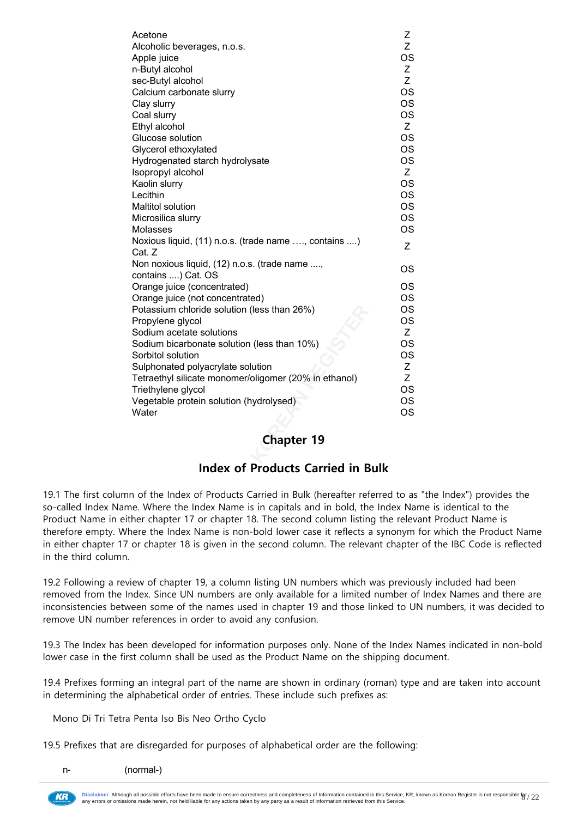|                    | Acetone<br>Alcoholic beverages, n.o.s.<br>Apple juice<br>n-Butyl alcohol<br>sec-Butyl alcohol<br>Calcium carbonate slurry<br>Clay slurry<br>Coal slurry<br>Ethyl alcohol<br>Glucose solution<br>Glycerol ethoxylated<br>Hydrogenated starch hydrolysate<br>Isopropyl alcohol<br>Kaolin slurry<br>Lecithin                                                                                                      |                                                                                                                                                                                                                                                                                                                                                                                                                                                                                                                                                                                                                                                                                           | $\frac{z}{z}$<br>OS<br>$\frac{z}{z}$<br><b>OS</b><br><b>OS</b><br>$\mathsf{OS}$<br>Z<br><b>OS</b><br>$\mathsf{OS}$<br>$\mathsf{OS}$<br>Z<br>$\mathsf{OS}$<br>$\mathsf{OS}$ |
|--------------------|----------------------------------------------------------------------------------------------------------------------------------------------------------------------------------------------------------------------------------------------------------------------------------------------------------------------------------------------------------------------------------------------------------------|-------------------------------------------------------------------------------------------------------------------------------------------------------------------------------------------------------------------------------------------------------------------------------------------------------------------------------------------------------------------------------------------------------------------------------------------------------------------------------------------------------------------------------------------------------------------------------------------------------------------------------------------------------------------------------------------|----------------------------------------------------------------------------------------------------------------------------------------------------------------------------|
|                    | Maltitol solution<br>Microsilica slurry<br>Molasses<br>Cat. Z<br>Non noxious liquid, (12) n.o.s. (trade name ,<br>contains ) Cat. OS<br>Orange juice (concentrated)<br>Orange juice (not concentrated)<br>Potassium chloride solution (less than 26%)<br>Propylene glycol<br>Sodium acetate solutions<br>Sodium bicarbonate solution (less than 10%)<br>Sorbitol solution<br>Sulphonated polyacrylate solution | Noxious liquid, (11) n.o.s. (trade name , contains )                                                                                                                                                                                                                                                                                                                                                                                                                                                                                                                                                                                                                                      | $\mathsf{OS}$<br>OS<br>OS<br>Z<br><b>OS</b><br><b>OS</b><br>OS<br>$\mathsf{OS}$<br>$\mathsf{OS}$<br>Z<br><b>OS</b><br>$\mathsf{OS}$<br>Z<br>$\mathsf Z$                    |
| e third column.    | Triethylene glycol<br>Vegetable protein solution (hydrolysed)<br>Water                                                                                                                                                                                                                                                                                                                                         | Tetraethyl silicate monomer/oligomer (20% in ethanol)<br><b>Chapter 19</b><br><b>Index of Products Carried in Bulk</b><br>The first column of the Index of Products Carried in Bulk (hereafter referred to as<br>alled Index Name. Where the Index Name is in capitals and in bold, the Index Nar<br>uct Name in either chapter 17 or chapter 18. The second column listing the releva<br>efore empty. Where the Index Name is non-bold lower case it reflects a synonym f<br>ther chapter 17 or chapter 18 is given in the second column. The relevant chapter                                                                                                                           | OS<br>OS<br><b>OS</b>                                                                                                                                                      |
|                    | ove UN number references in order to avoid any confusion.<br>ono Di Tri Tetra Penta Iso Bis Neo Ortho Cyclo                                                                                                                                                                                                                                                                                                    | Following a review of chapter 19, a column listing UN numbers which was previou<br>bved from the Index. Since UN numbers are only available for a limited number of<br>nsistencies between some of the names used in chapter 19 and those linked to UN<br>The Index has been developed for information purposes only. None of the Index N<br>r case in the first column shall be used as the Product Name on the shipping doc<br>Prefixes forming an integral part of the name are shown in ordinary (roman) type<br>etermining the alphabetical order of entries. These include such prefixes as:<br>Prefixes that are disregarded for purposes of alphabetical order are the following: |                                                                                                                                                                            |
| n-<br>$\mathbf{R}$ | (normal-)                                                                                                                                                                                                                                                                                                                                                                                                      | Disclaimer Although all possible efforts have been made to ensure correctness and completeness of Information contained in this Service, KR, kr<br>any errors or omissions made herein, nor held liable for any actions taken by                                                                                                                                                                                                                                                                                                                                                                                                                                                          |                                                                                                                                                                            |
|                    |                                                                                                                                                                                                                                                                                                                                                                                                                |                                                                                                                                                                                                                                                                                                                                                                                                                                                                                                                                                                                                                                                                                           |                                                                                                                                                                            |
|                    |                                                                                                                                                                                                                                                                                                                                                                                                                |                                                                                                                                                                                                                                                                                                                                                                                                                                                                                                                                                                                                                                                                                           |                                                                                                                                                                            |
|                    |                                                                                                                                                                                                                                                                                                                                                                                                                |                                                                                                                                                                                                                                                                                                                                                                                                                                                                                                                                                                                                                                                                                           |                                                                                                                                                                            |
|                    |                                                                                                                                                                                                                                                                                                                                                                                                                |                                                                                                                                                                                                                                                                                                                                                                                                                                                                                                                                                                                                                                                                                           |                                                                                                                                                                            |
|                    |                                                                                                                                                                                                                                                                                                                                                                                                                |                                                                                                                                                                                                                                                                                                                                                                                                                                                                                                                                                                                                                                                                                           |                                                                                                                                                                            |
|                    |                                                                                                                                                                                                                                                                                                                                                                                                                |                                                                                                                                                                                                                                                                                                                                                                                                                                                                                                                                                                                                                                                                                           |                                                                                                                                                                            |
|                    |                                                                                                                                                                                                                                                                                                                                                                                                                |                                                                                                                                                                                                                                                                                                                                                                                                                                                                                                                                                                                                                                                                                           |                                                                                                                                                                            |
|                    |                                                                                                                                                                                                                                                                                                                                                                                                                |                                                                                                                                                                                                                                                                                                                                                                                                                                                                                                                                                                                                                                                                                           |                                                                                                                                                                            |
|                    |                                                                                                                                                                                                                                                                                                                                                                                                                |                                                                                                                                                                                                                                                                                                                                                                                                                                                                                                                                                                                                                                                                                           |                                                                                                                                                                            |
|                    |                                                                                                                                                                                                                                                                                                                                                                                                                |                                                                                                                                                                                                                                                                                                                                                                                                                                                                                                                                                                                                                                                                                           |                                                                                                                                                                            |
|                    |                                                                                                                                                                                                                                                                                                                                                                                                                |                                                                                                                                                                                                                                                                                                                                                                                                                                                                                                                                                                                                                                                                                           |                                                                                                                                                                            |
|                    |                                                                                                                                                                                                                                                                                                                                                                                                                |                                                                                                                                                                                                                                                                                                                                                                                                                                                                                                                                                                                                                                                                                           |                                                                                                                                                                            |
|                    |                                                                                                                                                                                                                                                                                                                                                                                                                |                                                                                                                                                                                                                                                                                                                                                                                                                                                                                                                                                                                                                                                                                           |                                                                                                                                                                            |
|                    |                                                                                                                                                                                                                                                                                                                                                                                                                |                                                                                                                                                                                                                                                                                                                                                                                                                                                                                                                                                                                                                                                                                           |                                                                                                                                                                            |
|                    |                                                                                                                                                                                                                                                                                                                                                                                                                |                                                                                                                                                                                                                                                                                                                                                                                                                                                                                                                                                                                                                                                                                           |                                                                                                                                                                            |
|                    |                                                                                                                                                                                                                                                                                                                                                                                                                |                                                                                                                                                                                                                                                                                                                                                                                                                                                                                                                                                                                                                                                                                           |                                                                                                                                                                            |
|                    |                                                                                                                                                                                                                                                                                                                                                                                                                |                                                                                                                                                                                                                                                                                                                                                                                                                                                                                                                                                                                                                                                                                           |                                                                                                                                                                            |
|                    |                                                                                                                                                                                                                                                                                                                                                                                                                |                                                                                                                                                                                                                                                                                                                                                                                                                                                                                                                                                                                                                                                                                           |                                                                                                                                                                            |
|                    |                                                                                                                                                                                                                                                                                                                                                                                                                |                                                                                                                                                                                                                                                                                                                                                                                                                                                                                                                                                                                                                                                                                           |                                                                                                                                                                            |
|                    |                                                                                                                                                                                                                                                                                                                                                                                                                |                                                                                                                                                                                                                                                                                                                                                                                                                                                                                                                                                                                                                                                                                           |                                                                                                                                                                            |
|                    |                                                                                                                                                                                                                                                                                                                                                                                                                |                                                                                                                                                                                                                                                                                                                                                                                                                                                                                                                                                                                                                                                                                           |                                                                                                                                                                            |
|                    |                                                                                                                                                                                                                                                                                                                                                                                                                |                                                                                                                                                                                                                                                                                                                                                                                                                                                                                                                                                                                                                                                                                           |                                                                                                                                                                            |
|                    |                                                                                                                                                                                                                                                                                                                                                                                                                |                                                                                                                                                                                                                                                                                                                                                                                                                                                                                                                                                                                                                                                                                           |                                                                                                                                                                            |
|                    |                                                                                                                                                                                                                                                                                                                                                                                                                |                                                                                                                                                                                                                                                                                                                                                                                                                                                                                                                                                                                                                                                                                           |                                                                                                                                                                            |
|                    |                                                                                                                                                                                                                                                                                                                                                                                                                |                                                                                                                                                                                                                                                                                                                                                                                                                                                                                                                                                                                                                                                                                           |                                                                                                                                                                            |
|                    |                                                                                                                                                                                                                                                                                                                                                                                                                |                                                                                                                                                                                                                                                                                                                                                                                                                                                                                                                                                                                                                                                                                           |                                                                                                                                                                            |
|                    |                                                                                                                                                                                                                                                                                                                                                                                                                |                                                                                                                                                                                                                                                                                                                                                                                                                                                                                                                                                                                                                                                                                           |                                                                                                                                                                            |
|                    |                                                                                                                                                                                                                                                                                                                                                                                                                |                                                                                                                                                                                                                                                                                                                                                                                                                                                                                                                                                                                                                                                                                           |                                                                                                                                                                            |
|                    |                                                                                                                                                                                                                                                                                                                                                                                                                |                                                                                                                                                                                                                                                                                                                                                                                                                                                                                                                                                                                                                                                                                           |                                                                                                                                                                            |
|                    |                                                                                                                                                                                                                                                                                                                                                                                                                |                                                                                                                                                                                                                                                                                                                                                                                                                                                                                                                                                                                                                                                                                           |                                                                                                                                                                            |
|                    |                                                                                                                                                                                                                                                                                                                                                                                                                |                                                                                                                                                                                                                                                                                                                                                                                                                                                                                                                                                                                                                                                                                           |                                                                                                                                                                            |
|                    |                                                                                                                                                                                                                                                                                                                                                                                                                |                                                                                                                                                                                                                                                                                                                                                                                                                                                                                                                                                                                                                                                                                           |                                                                                                                                                                            |
|                    |                                                                                                                                                                                                                                                                                                                                                                                                                |                                                                                                                                                                                                                                                                                                                                                                                                                                                                                                                                                                                                                                                                                           |                                                                                                                                                                            |
|                    |                                                                                                                                                                                                                                                                                                                                                                                                                |                                                                                                                                                                                                                                                                                                                                                                                                                                                                                                                                                                                                                                                                                           |                                                                                                                                                                            |
|                    |                                                                                                                                                                                                                                                                                                                                                                                                                |                                                                                                                                                                                                                                                                                                                                                                                                                                                                                                                                                                                                                                                                                           |                                                                                                                                                                            |
|                    |                                                                                                                                                                                                                                                                                                                                                                                                                |                                                                                                                                                                                                                                                                                                                                                                                                                                                                                                                                                                                                                                                                                           |                                                                                                                                                                            |
|                    |                                                                                                                                                                                                                                                                                                                                                                                                                |                                                                                                                                                                                                                                                                                                                                                                                                                                                                                                                                                                                                                                                                                           |                                                                                                                                                                            |
|                    |                                                                                                                                                                                                                                                                                                                                                                                                                |                                                                                                                                                                                                                                                                                                                                                                                                                                                                                                                                                                                                                                                                                           |                                                                                                                                                                            |
|                    |                                                                                                                                                                                                                                                                                                                                                                                                                |                                                                                                                                                                                                                                                                                                                                                                                                                                                                                                                                                                                                                                                                                           |                                                                                                                                                                            |
|                    |                                                                                                                                                                                                                                                                                                                                                                                                                |                                                                                                                                                                                                                                                                                                                                                                                                                                                                                                                                                                                                                                                                                           |                                                                                                                                                                            |
|                    |                                                                                                                                                                                                                                                                                                                                                                                                                |                                                                                                                                                                                                                                                                                                                                                                                                                                                                                                                                                                                                                                                                                           |                                                                                                                                                                            |
|                    |                                                                                                                                                                                                                                                                                                                                                                                                                |                                                                                                                                                                                                                                                                                                                                                                                                                                                                                                                                                                                                                                                                                           |                                                                                                                                                                            |
|                    |                                                                                                                                                                                                                                                                                                                                                                                                                |                                                                                                                                                                                                                                                                                                                                                                                                                                                                                                                                                                                                                                                                                           |                                                                                                                                                                            |
|                    |                                                                                                                                                                                                                                                                                                                                                                                                                |                                                                                                                                                                                                                                                                                                                                                                                                                                                                                                                                                                                                                                                                                           |                                                                                                                                                                            |
|                    |                                                                                                                                                                                                                                                                                                                                                                                                                |                                                                                                                                                                                                                                                                                                                                                                                                                                                                                                                                                                                                                                                                                           |                                                                                                                                                                            |
|                    |                                                                                                                                                                                                                                                                                                                                                                                                                |                                                                                                                                                                                                                                                                                                                                                                                                                                                                                                                                                                                                                                                                                           |                                                                                                                                                                            |
|                    |                                                                                                                                                                                                                                                                                                                                                                                                                |                                                                                                                                                                                                                                                                                                                                                                                                                                                                                                                                                                                                                                                                                           |                                                                                                                                                                            |
|                    |                                                                                                                                                                                                                                                                                                                                                                                                                |                                                                                                                                                                                                                                                                                                                                                                                                                                                                                                                                                                                                                                                                                           |                                                                                                                                                                            |
|                    |                                                                                                                                                                                                                                                                                                                                                                                                                |                                                                                                                                                                                                                                                                                                                                                                                                                                                                                                                                                                                                                                                                                           |                                                                                                                                                                            |
|                    |                                                                                                                                                                                                                                                                                                                                                                                                                |                                                                                                                                                                                                                                                                                                                                                                                                                                                                                                                                                                                                                                                                                           |                                                                                                                                                                            |
|                    |                                                                                                                                                                                                                                                                                                                                                                                                                |                                                                                                                                                                                                                                                                                                                                                                                                                                                                                                                                                                                                                                                                                           |                                                                                                                                                                            |
|                    |                                                                                                                                                                                                                                                                                                                                                                                                                |                                                                                                                                                                                                                                                                                                                                                                                                                                                                                                                                                                                                                                                                                           |                                                                                                                                                                            |
|                    |                                                                                                                                                                                                                                                                                                                                                                                                                |                                                                                                                                                                                                                                                                                                                                                                                                                                                                                                                                                                                                                                                                                           |                                                                                                                                                                            |
|                    |                                                                                                                                                                                                                                                                                                                                                                                                                |                                                                                                                                                                                                                                                                                                                                                                                                                                                                                                                                                                                                                                                                                           |                                                                                                                                                                            |
|                    |                                                                                                                                                                                                                                                                                                                                                                                                                |                                                                                                                                                                                                                                                                                                                                                                                                                                                                                                                                                                                                                                                                                           |                                                                                                                                                                            |

# **Chapter 19**

# **Index of Products Carried in Bulk**

19.1 The first column of the Index of Products Carried in Bulk (hereafter referred to as "the Index") provides the so-called Index Name. Where the Index Name is in capitals and in bold, the Index Name is identical to the Product Name in either chapter 17 or chapter 18. The second column listing the relevant Product Name is therefore empty. Where the Index Name is non-bold lower case it reflects a synonym for which the Product Name in either chapter 17 or chapter 18 is given in the second column. The relevant chapter of the IBC Code is reflected in the third column.

19.2 Following a review of chapter 19, a column listing UN numbers which was previously included had been removed from the Index. Since UN numbers are only available for a limited number of Index Names and there are inconsistencies between some of the names used in chapter 19 and those linked to UN numbers, it was decided to remove UN number references in order to avoid any confusion.

19.3 The Index has been developed for information purposes only. None of the Index Names indicated in non-bold lower case in the first column shall be used as the Product Name on the shipping document.

19.4 Prefixes forming an integral part of the name are shown in ordinary (roman) type and are taken into account in determining the alphabetical order of entries. These include such prefixes as:

Mono Di Tri Tetra Penta Iso Bis Neo Ortho Cyclo

19.5 Prefixes that are disregarded for purposes of alphabetical order are the following:

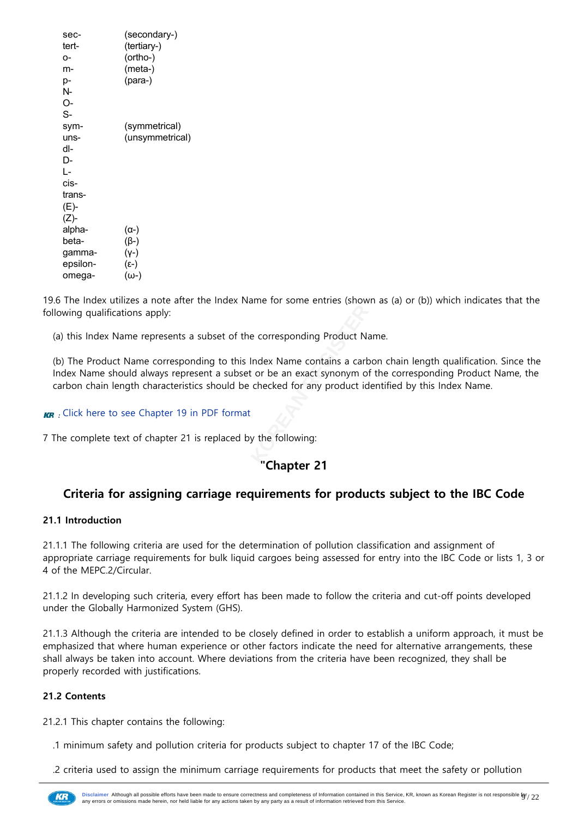| sec-     | (secondary-)    |
|----------|-----------------|
| tert-    | (tertiary-)     |
| о-       | (ortho-)        |
| m-       | (meta-)         |
| p-       | (para-)         |
| N-       |                 |
| О-       |                 |
| S-       |                 |
| sym-     | (symmetrical)   |
| uns-     | (unsymmetrical) |
| dl-      |                 |
| D-       |                 |
| L-       |                 |
| cis-     |                 |
| trans-   |                 |
| (E)-     |                 |
| $(Z)$ -  |                 |
| alpha-   | (α-)            |
| beta-    | $(\beta-)$      |
| gamma-   | (Y-)            |
| epsilon- | (-ع)            |
| omega-   | (ω-)            |

19.6 The Index utilizes a note after the Index Name for some entries (shown as (a) or (b)) which indicates that the following qualifications apply:

(a) this Index Name represents a subset of the corresponding Product Name.

(b) The Product Name corresponding to this Index Name contains a carbon chain length qualification. Since the Index Name should always represent a subset or be an exact synonym of the corresponding Product Name, the carbon chain length characteristics should be checked for any product identified by this Index Name.

**KR** : [Click here to see Chapter 19 in PDF format](http://103.12.248.9/files/treeeditor/e.r.me.074.318/en/link2.pdf)

7 The complete text of chapter 21 is replaced by the following:

# **"Chapter 21**

## **Criteria for assigning carriage requirements for products subject to the IBC Code**

### **21.1 Introduction**

21.1.1 The following criteria are used for the determination of pollution classification and assignment of appropriate carriage requirements for bulk liquid cargoes being assessed for entry into the IBC Code or lists 1, 3 or 4 of the MEPC.2/Circular.

21.1.2 In developing such criteria, every effort has been made to follow the criteria and cut-off points developed under the Globally Harmonized System (GHS).

21.1.3 Although the criteria are intended to be closely defined in order to establish a uniform approach, it must be emphasized that where human experience or other factors indicate the need for alternative arrangements, these shall always be taken into account. Where deviations from the criteria have been recognized, they shall be properly recorded with justifications. wing qualifications apply:<br>
this Index Name corresponding to this Index Name contains a carbota Name<br>
The Product Name corresponding to this Index Name contains a carbota only<br>
or the Name should always represent a subset

### **21.2 Contents**

21.2.1 This chapter contains the following:

criteria to make them subject to make them subject to chapter 17 of them subject to chapter 17 of the IBC Code<br>IBC Code; IBC Code; IBC Code; IBC Code; IBC Code; IBC Code; IBC Code; IBC Code; IBC Code; IBC Code; IBC Code;

- .1 minimum safety and pollution criteria for products subject to chapter 17 of the IBC Code;
- .2 criteria used to assign the minimum carriage requirements for products that meet the safety or pollution

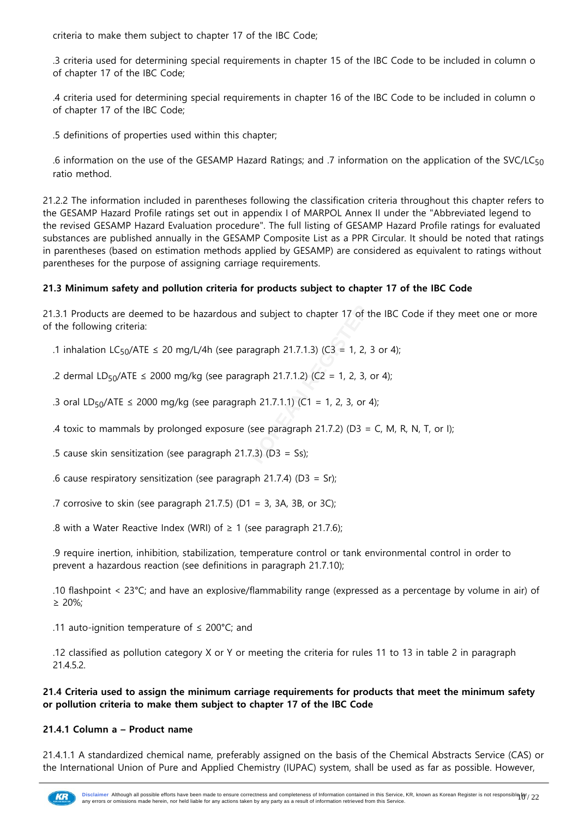criteria to make them subject to chapter 17 of the IBC Code;

.3 criteria used for determining special requirements in chapter 15 of the IBC Code to be included in column o of chapter 17 of the IBC Code;

.4 criteria used for determining special requirements in chapter 16 of the IBC Code to be included in column o of chapter 17 of the IBC Code;

.5 definitions of properties used within this chapter;

.6 information on the use of the GESAMP Hazard Ratings; and .7 information on the application of the SVC/LC<sub>50</sub> ratio method.

21.2.2 The information included in parentheses following the classification criteria throughout this chapter refers to the GESAMP Hazard Profile ratings set out in appendix I of MARPOL Annex II under the "Abbreviated legend to the revised GESAMP Hazard Evaluation procedure". The full listing of GESAMP Hazard Profile ratings for evaluated substances are published annually in the GESAMP Composite List as a PPR Circular. It should be noted that ratings in parentheses (based on estimation methods applied by GESAMP) are considered as equivalent to ratings without parentheses for the purpose of assigning carriage requirements.

## **21.3 Minimum safety and pollution criteria for products subject to chapter 17 of the IBC Code**

21.3.1 Products are deemed to be hazardous and subject to chapter 17 of the IBC Code if they meet one or more of the following criteria: 1 Products are deemed to be hazardous and subject to chapter 17 of the following criteria:<br>
inhalation LC<sub>50</sub>/ATE ≤ 20 mg/L/4h (see paragraph 21.7.1.3) (C3 = 1, 2, 3<br>
dermal LD<sub>50</sub>/ATE ≤ 2000 mg/kg (see paragraph 21.7.1.2)

.1 inhalation LC<sub>50</sub>/ATE ≤ 20 mg/L/4h (see paragraph 21.7.1.3) (C3 = 1, 2, 3 or 4);

.2 dermal LD<sub>50</sub>/ATE ≤ 2000 mg/kg (see paragraph 21.7.1.2) (C2 = 1, 2, 3, or 4);

.3 oral LD<sub>50</sub>/ATE ≤ 2000 mg/kg (see paragraph 21.7.1.1) (C1 = 1, 2, 3, or 4);

.4 toxic to mammals by prolonged exposure (see paragraph 21.7.2) ( $D3 = C$ , M, R, N, T, or I);

.5 cause skin sensitization (see paragraph 21.7.3) (D3 = Ss);

.6 cause respiratory sensitization (see paragraph 21.7.4) ( $D3 = Sr$ );

.7 corrosive to skin (see paragraph 21.7.5) ( $D1 = 3$ , 3A, 3B, or 3C);

.8 with a Water Reactive Index (WRI) of  $\geq 1$  (see paragraph 21.7.6);

.9 require inertion, inhibition, stabilization, temperature control or tank environmental control in order to prevent a hazardous reaction (see definitions in paragraph 21.7.10);

.10 flashpoint < 23°C; and have an explosive/flammability range (expressed as a percentage by volume in air) of ≥ 20%;

.11 auto-ignition temperature of ≤ 200°C; and

.12 classified as pollution category X or Y or meeting the criteria for rules 11 to 13 in table 2 in paragraph 21.4.5.2.

## **21.4 Criteria used to assign the minimum carriage requirements for products that meet the minimum safety or pollution criteria to make them subject to chapter 17 of the IBC Code**

## **21.4.1 Column a – Product name**

21.4.1.1 A standardized chemical name, preferably assigned on the basis of the Chemical Abstracts Service (CAS) or the International Union of Pure and Applied Chemistry (IUPAC) system, shall be used as far as possible. However,

where this is unnecessarily complex, then a technically complex, then a technically control unambiguous alternative name may be used.

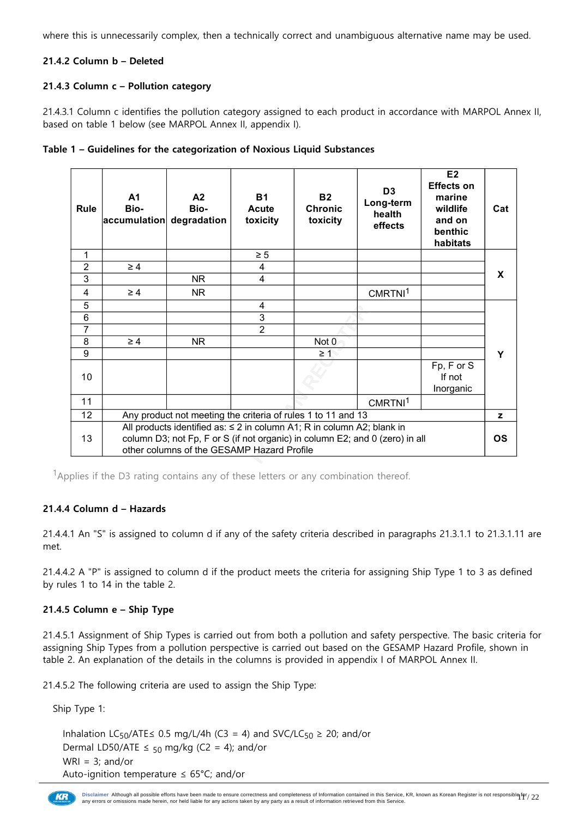where this is unnecessarily complex, then a technically correct and unambiguous alternative name may be used.

## **21.4.2 Column b – Deleted**

## **21.4.3 Column c – Pollution category**

21.4.3.1 Column c identifies the pollution category assigned to each product in accordance with MARPOL Annex II, based on table 1 below (see MARPOL Annex II, appendix I).

|                      | Rule<br>$\overline{1}$                                                                                                                                          | <b>A1</b><br>Bio-<br>$ {\sf accumulation} $ degradation                                                                                                                                                    | A2<br>Bio-                                                     | <b>B1</b><br><b>Acute</b><br>toxicity<br>$\geq 5$ | <b>B2</b><br>Chronic<br>toxicity                                                                                                                                                                                            | D <sub>3</sub><br>Long-term<br>health<br>effects | E2<br><b>Effects on</b><br>marine<br>wildlife<br>and on<br>benthic<br>habitats                                                                                                                                                                                                                                                   | Cat                               |
|----------------------|-----------------------------------------------------------------------------------------------------------------------------------------------------------------|------------------------------------------------------------------------------------------------------------------------------------------------------------------------------------------------------------|----------------------------------------------------------------|---------------------------------------------------|-----------------------------------------------------------------------------------------------------------------------------------------------------------------------------------------------------------------------------|--------------------------------------------------|----------------------------------------------------------------------------------------------------------------------------------------------------------------------------------------------------------------------------------------------------------------------------------------------------------------------------------|-----------------------------------|
|                      | $\overline{2}$<br>$\overline{3}$<br>$\overline{\mathbf{4}}$<br>$\overline{5}$<br>$6\overline{6}$<br>$\overline{7}$<br>$\overline{\mathbf{8}}$<br>$\overline{9}$ | $\geq 4$<br>$\geq 4$<br>$\geq 4$                                                                                                                                                                           | $\overline{\text{NR}}$<br>${\sf NR}$<br>$\overline{\text{NR}}$ | $\overline{4}$<br>$\overline{4}$<br>$\frac{4}{3}$ | Not 0<br>$\geq 1$                                                                                                                                                                                                           | CMRTNI <sup>1</sup>                              |                                                                                                                                                                                                                                                                                                                                  | $\pmb{\mathsf{X}}$<br>$\mathsf Y$ |
|                      | $10\,$<br>11<br>12<br>$13$                                                                                                                                      |                                                                                                                                                                                                            | other columns of the GESAMP Hazard Profile                     |                                                   | Any product not meeting the criteria of rules 1 to 11 and 13<br>All products identified as: $\leq$ 2 in column A1; R in column A2; blank in<br>column D3; not Fp, F or S (if not organic) in column E2; and 0 (zero) in all | $CMRTNI$ <sup>1</sup>                            | Fp, F or S<br>If not<br>Inorganic                                                                                                                                                                                                                                                                                                | $\mathbf{z}$<br>OS                |
|                      |                                                                                                                                                                 | 4 Column d - Hazards                                                                                                                                                                                       |                                                                |                                                   | pplies if the D3 rating contains any of these letters or any combination thereof.                                                                                                                                           |                                                  | 4.1 An "S" is assigned to column d if any of the safety criteria described in paragraphs 21.3.1.1 to 21.3.1.                                                                                                                                                                                                                     |                                   |
|                      |                                                                                                                                                                 | ales 1 to 14 in the table 2.<br>.5 Column e – Ship Type                                                                                                                                                    |                                                                |                                                   | 2. An explanation of the details in the columns is provided in appendix I of MARPOL Annex II.                                                                                                                               |                                                  | 4.2 A "P" is assigned to column d if the product meets the criteria for assigning Ship Type 1 to 3 as defi<br>5.1 Assignment of Ship Types is carried out from both a pollution and safety perspective. The basic crite<br>ning Ship Types from a pollution perspective is carried out based on the GESAMP Hazard Profile, showr |                                   |
|                      | ip Type 1:                                                                                                                                                      | 5.2 The following criteria are used to assign the Ship Type:<br>Dermal LD50/ATE $\leq$ <sub>50</sub> mg/kg (C2 = 4); and/or<br>$WRI = 3$ ; and/or<br>Auto-ignition temperature $\leq 65^{\circ}$ C; and/or |                                                                |                                                   | Inhalation LC <sub>50</sub> /ATE $\leq$ 0.5 mg/L/4h (C3 = 4) and SVC/LC <sub>50</sub> $\geq$ 20; and/or                                                                                                                     |                                                  |                                                                                                                                                                                                                                                                                                                                  |                                   |
| $\overrightarrow{R}$ |                                                                                                                                                                 |                                                                                                                                                                                                            |                                                                |                                                   | any errors or omissions made herein, nor held liable for any actions taken by any party as a result of information retrieved from this Service.                                                                             |                                                  | Disclaimer Although all possible efforts have been made to ensure correctness and completeness of Information contained in this Service, KR, known as Korean Register is not responsib                                                                                                                                           |                                   |
|                      |                                                                                                                                                                 |                                                                                                                                                                                                            |                                                                |                                                   |                                                                                                                                                                                                                             |                                                  |                                                                                                                                                                                                                                                                                                                                  |                                   |
|                      |                                                                                                                                                                 |                                                                                                                                                                                                            |                                                                |                                                   |                                                                                                                                                                                                                             |                                                  |                                                                                                                                                                                                                                                                                                                                  |                                   |
|                      |                                                                                                                                                                 |                                                                                                                                                                                                            |                                                                |                                                   |                                                                                                                                                                                                                             |                                                  |                                                                                                                                                                                                                                                                                                                                  |                                   |
|                      |                                                                                                                                                                 |                                                                                                                                                                                                            |                                                                |                                                   |                                                                                                                                                                                                                             |                                                  |                                                                                                                                                                                                                                                                                                                                  |                                   |
|                      |                                                                                                                                                                 |                                                                                                                                                                                                            |                                                                |                                                   |                                                                                                                                                                                                                             |                                                  |                                                                                                                                                                                                                                                                                                                                  |                                   |
|                      |                                                                                                                                                                 |                                                                                                                                                                                                            |                                                                |                                                   |                                                                                                                                                                                                                             |                                                  |                                                                                                                                                                                                                                                                                                                                  |                                   |
|                      |                                                                                                                                                                 |                                                                                                                                                                                                            |                                                                |                                                   |                                                                                                                                                                                                                             |                                                  |                                                                                                                                                                                                                                                                                                                                  |                                   |
|                      |                                                                                                                                                                 |                                                                                                                                                                                                            |                                                                |                                                   |                                                                                                                                                                                                                             |                                                  |                                                                                                                                                                                                                                                                                                                                  |                                   |
|                      |                                                                                                                                                                 |                                                                                                                                                                                                            |                                                                |                                                   |                                                                                                                                                                                                                             |                                                  |                                                                                                                                                                                                                                                                                                                                  |                                   |
|                      |                                                                                                                                                                 |                                                                                                                                                                                                            |                                                                |                                                   |                                                                                                                                                                                                                             |                                                  |                                                                                                                                                                                                                                                                                                                                  |                                   |
|                      |                                                                                                                                                                 |                                                                                                                                                                                                            |                                                                |                                                   |                                                                                                                                                                                                                             |                                                  |                                                                                                                                                                                                                                                                                                                                  |                                   |
|                      |                                                                                                                                                                 |                                                                                                                                                                                                            |                                                                |                                                   |                                                                                                                                                                                                                             |                                                  |                                                                                                                                                                                                                                                                                                                                  |                                   |
|                      |                                                                                                                                                                 |                                                                                                                                                                                                            |                                                                |                                                   |                                                                                                                                                                                                                             |                                                  |                                                                                                                                                                                                                                                                                                                                  |                                   |
|                      |                                                                                                                                                                 |                                                                                                                                                                                                            |                                                                |                                                   |                                                                                                                                                                                                                             |                                                  |                                                                                                                                                                                                                                                                                                                                  |                                   |
|                      |                                                                                                                                                                 |                                                                                                                                                                                                            |                                                                |                                                   |                                                                                                                                                                                                                             |                                                  |                                                                                                                                                                                                                                                                                                                                  |                                   |
|                      |                                                                                                                                                                 |                                                                                                                                                                                                            |                                                                |                                                   |                                                                                                                                                                                                                             |                                                  |                                                                                                                                                                                                                                                                                                                                  |                                   |
|                      |                                                                                                                                                                 |                                                                                                                                                                                                            |                                                                |                                                   |                                                                                                                                                                                                                             |                                                  |                                                                                                                                                                                                                                                                                                                                  |                                   |
|                      |                                                                                                                                                                 |                                                                                                                                                                                                            |                                                                |                                                   |                                                                                                                                                                                                                             |                                                  |                                                                                                                                                                                                                                                                                                                                  |                                   |
|                      |                                                                                                                                                                 |                                                                                                                                                                                                            |                                                                |                                                   |                                                                                                                                                                                                                             |                                                  |                                                                                                                                                                                                                                                                                                                                  |                                   |
|                      |                                                                                                                                                                 |                                                                                                                                                                                                            |                                                                |                                                   |                                                                                                                                                                                                                             |                                                  |                                                                                                                                                                                                                                                                                                                                  |                                   |
|                      |                                                                                                                                                                 |                                                                                                                                                                                                            |                                                                |                                                   |                                                                                                                                                                                                                             |                                                  |                                                                                                                                                                                                                                                                                                                                  |                                   |
|                      |                                                                                                                                                                 |                                                                                                                                                                                                            |                                                                |                                                   |                                                                                                                                                                                                                             |                                                  |                                                                                                                                                                                                                                                                                                                                  |                                   |
|                      |                                                                                                                                                                 |                                                                                                                                                                                                            |                                                                |                                                   |                                                                                                                                                                                                                             |                                                  |                                                                                                                                                                                                                                                                                                                                  |                                   |
|                      |                                                                                                                                                                 |                                                                                                                                                                                                            |                                                                |                                                   |                                                                                                                                                                                                                             |                                                  |                                                                                                                                                                                                                                                                                                                                  |                                   |
|                      |                                                                                                                                                                 |                                                                                                                                                                                                            |                                                                |                                                   |                                                                                                                                                                                                                             |                                                  |                                                                                                                                                                                                                                                                                                                                  |                                   |
|                      |                                                                                                                                                                 |                                                                                                                                                                                                            |                                                                |                                                   |                                                                                                                                                                                                                             |                                                  |                                                                                                                                                                                                                                                                                                                                  |                                   |
|                      |                                                                                                                                                                 |                                                                                                                                                                                                            |                                                                |                                                   |                                                                                                                                                                                                                             |                                                  |                                                                                                                                                                                                                                                                                                                                  |                                   |
|                      |                                                                                                                                                                 |                                                                                                                                                                                                            |                                                                |                                                   |                                                                                                                                                                                                                             |                                                  |                                                                                                                                                                                                                                                                                                                                  |                                   |
|                      |                                                                                                                                                                 |                                                                                                                                                                                                            |                                                                |                                                   |                                                                                                                                                                                                                             |                                                  |                                                                                                                                                                                                                                                                                                                                  |                                   |
|                      |                                                                                                                                                                 |                                                                                                                                                                                                            |                                                                |                                                   |                                                                                                                                                                                                                             |                                                  |                                                                                                                                                                                                                                                                                                                                  |                                   |
|                      |                                                                                                                                                                 |                                                                                                                                                                                                            |                                                                |                                                   |                                                                                                                                                                                                                             |                                                  |                                                                                                                                                                                                                                                                                                                                  |                                   |
|                      |                                                                                                                                                                 |                                                                                                                                                                                                            |                                                                |                                                   |                                                                                                                                                                                                                             |                                                  |                                                                                                                                                                                                                                                                                                                                  |                                   |
|                      |                                                                                                                                                                 |                                                                                                                                                                                                            |                                                                |                                                   |                                                                                                                                                                                                                             |                                                  |                                                                                                                                                                                                                                                                                                                                  |                                   |
|                      |                                                                                                                                                                 |                                                                                                                                                                                                            |                                                                |                                                   |                                                                                                                                                                                                                             |                                                  |                                                                                                                                                                                                                                                                                                                                  |                                   |
|                      |                                                                                                                                                                 |                                                                                                                                                                                                            |                                                                |                                                   |                                                                                                                                                                                                                             |                                                  |                                                                                                                                                                                                                                                                                                                                  |                                   |
|                      |                                                                                                                                                                 |                                                                                                                                                                                                            |                                                                |                                                   |                                                                                                                                                                                                                             |                                                  |                                                                                                                                                                                                                                                                                                                                  |                                   |
|                      |                                                                                                                                                                 |                                                                                                                                                                                                            |                                                                |                                                   |                                                                                                                                                                                                                             |                                                  |                                                                                                                                                                                                                                                                                                                                  |                                   |
|                      |                                                                                                                                                                 |                                                                                                                                                                                                            |                                                                |                                                   |                                                                                                                                                                                                                             |                                                  |                                                                                                                                                                                                                                                                                                                                  |                                   |
|                      |                                                                                                                                                                 |                                                                                                                                                                                                            |                                                                |                                                   |                                                                                                                                                                                                                             |                                                  |                                                                                                                                                                                                                                                                                                                                  |                                   |
|                      |                                                                                                                                                                 |                                                                                                                                                                                                            |                                                                |                                                   |                                                                                                                                                                                                                             |                                                  |                                                                                                                                                                                                                                                                                                                                  |                                   |
|                      |                                                                                                                                                                 |                                                                                                                                                                                                            |                                                                |                                                   |                                                                                                                                                                                                                             |                                                  |                                                                                                                                                                                                                                                                                                                                  |                                   |
|                      |                                                                                                                                                                 |                                                                                                                                                                                                            |                                                                |                                                   |                                                                                                                                                                                                                             |                                                  |                                                                                                                                                                                                                                                                                                                                  |                                   |
|                      |                                                                                                                                                                 |                                                                                                                                                                                                            |                                                                |                                                   |                                                                                                                                                                                                                             |                                                  |                                                                                                                                                                                                                                                                                                                                  |                                   |
|                      |                                                                                                                                                                 |                                                                                                                                                                                                            |                                                                |                                                   |                                                                                                                                                                                                                             |                                                  |                                                                                                                                                                                                                                                                                                                                  |                                   |
|                      |                                                                                                                                                                 |                                                                                                                                                                                                            |                                                                |                                                   |                                                                                                                                                                                                                             |                                                  |                                                                                                                                                                                                                                                                                                                                  |                                   |
|                      |                                                                                                                                                                 |                                                                                                                                                                                                            |                                                                |                                                   |                                                                                                                                                                                                                             |                                                  |                                                                                                                                                                                                                                                                                                                                  |                                   |
|                      |                                                                                                                                                                 |                                                                                                                                                                                                            |                                                                |                                                   |                                                                                                                                                                                                                             |                                                  |                                                                                                                                                                                                                                                                                                                                  |                                   |
|                      |                                                                                                                                                                 |                                                                                                                                                                                                            |                                                                |                                                   |                                                                                                                                                                                                                             |                                                  |                                                                                                                                                                                                                                                                                                                                  |                                   |
|                      |                                                                                                                                                                 |                                                                                                                                                                                                            |                                                                |                                                   |                                                                                                                                                                                                                             |                                                  |                                                                                                                                                                                                                                                                                                                                  |                                   |
|                      |                                                                                                                                                                 |                                                                                                                                                                                                            |                                                                |                                                   |                                                                                                                                                                                                                             |                                                  |                                                                                                                                                                                                                                                                                                                                  |                                   |
|                      |                                                                                                                                                                 |                                                                                                                                                                                                            |                                                                |                                                   |                                                                                                                                                                                                                             |                                                  |                                                                                                                                                                                                                                                                                                                                  |                                   |
|                      |                                                                                                                                                                 |                                                                                                                                                                                                            |                                                                |                                                   |                                                                                                                                                                                                                             |                                                  |                                                                                                                                                                                                                                                                                                                                  |                                   |
|                      |                                                                                                                                                                 |                                                                                                                                                                                                            |                                                                |                                                   |                                                                                                                                                                                                                             |                                                  |                                                                                                                                                                                                                                                                                                                                  |                                   |
|                      |                                                                                                                                                                 |                                                                                                                                                                                                            |                                                                |                                                   |                                                                                                                                                                                                                             |                                                  |                                                                                                                                                                                                                                                                                                                                  |                                   |
|                      |                                                                                                                                                                 |                                                                                                                                                                                                            |                                                                |                                                   |                                                                                                                                                                                                                             |                                                  |                                                                                                                                                                                                                                                                                                                                  |                                   |
|                      |                                                                                                                                                                 |                                                                                                                                                                                                            |                                                                |                                                   |                                                                                                                                                                                                                             |                                                  |                                                                                                                                                                                                                                                                                                                                  |                                   |
|                      |                                                                                                                                                                 |                                                                                                                                                                                                            |                                                                |                                                   |                                                                                                                                                                                                                             |                                                  |                                                                                                                                                                                                                                                                                                                                  |                                   |
|                      |                                                                                                                                                                 |                                                                                                                                                                                                            |                                                                |                                                   |                                                                                                                                                                                                                             |                                                  |                                                                                                                                                                                                                                                                                                                                  |                                   |
|                      |                                                                                                                                                                 |                                                                                                                                                                                                            |                                                                |                                                   |                                                                                                                                                                                                                             |                                                  |                                                                                                                                                                                                                                                                                                                                  |                                   |
|                      |                                                                                                                                                                 |                                                                                                                                                                                                            |                                                                |                                                   |                                                                                                                                                                                                                             |                                                  |                                                                                                                                                                                                                                                                                                                                  |                                   |
|                      |                                                                                                                                                                 |                                                                                                                                                                                                            |                                                                |                                                   |                                                                                                                                                                                                                             |                                                  |                                                                                                                                                                                                                                                                                                                                  |                                   |
|                      |                                                                                                                                                                 |                                                                                                                                                                                                            |                                                                |                                                   |                                                                                                                                                                                                                             |                                                  |                                                                                                                                                                                                                                                                                                                                  |                                   |
|                      |                                                                                                                                                                 |                                                                                                                                                                                                            |                                                                |                                                   |                                                                                                                                                                                                                             |                                                  |                                                                                                                                                                                                                                                                                                                                  |                                   |
|                      |                                                                                                                                                                 |                                                                                                                                                                                                            |                                                                |                                                   |                                                                                                                                                                                                                             |                                                  |                                                                                                                                                                                                                                                                                                                                  |                                   |
|                      |                                                                                                                                                                 |                                                                                                                                                                                                            |                                                                |                                                   |                                                                                                                                                                                                                             |                                                  |                                                                                                                                                                                                                                                                                                                                  |                                   |
|                      |                                                                                                                                                                 |                                                                                                                                                                                                            |                                                                |                                                   |                                                                                                                                                                                                                             |                                                  |                                                                                                                                                                                                                                                                                                                                  |                                   |
|                      |                                                                                                                                                                 |                                                                                                                                                                                                            |                                                                |                                                   |                                                                                                                                                                                                                             |                                                  |                                                                                                                                                                                                                                                                                                                                  |                                   |
|                      |                                                                                                                                                                 |                                                                                                                                                                                                            |                                                                |                                                   |                                                                                                                                                                                                                             |                                                  |                                                                                                                                                                                                                                                                                                                                  |                                   |
|                      |                                                                                                                                                                 |                                                                                                                                                                                                            |                                                                |                                                   |                                                                                                                                                                                                                             |                                                  |                                                                                                                                                                                                                                                                                                                                  |                                   |
|                      |                                                                                                                                                                 |                                                                                                                                                                                                            |                                                                |                                                   |                                                                                                                                                                                                                             |                                                  |                                                                                                                                                                                                                                                                                                                                  |                                   |
|                      |                                                                                                                                                                 |                                                                                                                                                                                                            |                                                                |                                                   |                                                                                                                                                                                                                             |                                                  |                                                                                                                                                                                                                                                                                                                                  |                                   |

**Table 1 – Guidelines for the categorization of Noxious Liquid Substances**

## **21.4.4 Column d – Hazards**

21.4.4.1 An "S" is assigned to column d if any of the safety criteria described in paragraphs 21.3.1.1 to 21.3.1.11 are met.

21.4.4.2 A "P" is assigned to column d if the product meets the criteria for assigning Ship Type 1 to 3 as defined by rules 1 to 14 in the table 2.

## **21.4.5 Column e – Ship Type**

21.4.5.1 Assignment of Ship Types is carried out from both a pollution and safety perspective. The basic criteria for assigning Ship Types from a pollution perspective is carried out based on the GESAMP Hazard Profile, shown in table 2. An explanation of the details in the columns is provided in appendix I of MARPOL Annex II.

21.4.5.2 The following criteria are used to assign the Ship Type:

Ship Type 1:

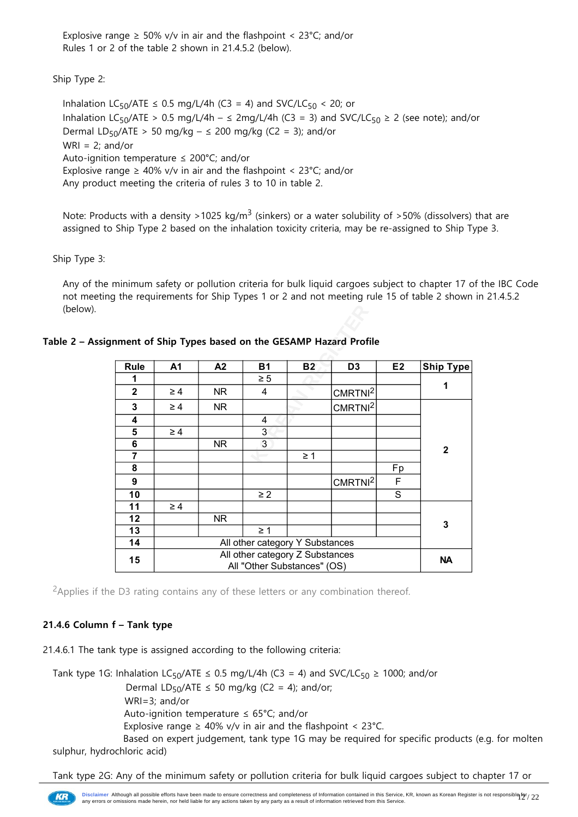Explosive range  $\geq 50\%$  v/v in air and the flashpoint < 23°C; and/or Rules 1 or 2 of the table 2 shown in 21.4.5.2 (below).

Ship Type 2:

Inhalation LC<sub>50</sub>/ATE  $\leq$  0.5 mg/L/4h (C3 = 4) and SVC/LC<sub>50</sub>  $\lt$  20; or Inhalation LC<sub>50</sub>/ATE > 0.5 mg/L/4h –  $\leq$  2mg/L/4h (C3 = 3) and SVC/LC<sub>50</sub>  $\geq$  2 (see note); and/or Dermal LD<sub>50</sub>/ATE > 50 mg/kg –  $\leq$  200 mg/kg (C2 = 3); and/or WRI =  $2$ ; and/or Auto-ignition temperature ≤ 200°C; and/or Explosive range  $\geq 40\%$  v/v in air and the flashpoint < 23°C; and/or Any product meeting the criteria of rules 3 to 10 in table 2.

Note: Products with a density >1025 kg/m<sup>3</sup> (sinkers) or a water solubility of >50% (dissolvers) that are assigned to Ship Type 2 based on the inhalation toxicity criteria, may be re-assigned to Ship Type 3.

Ship Type 3:

Any of the minimum safety or pollution criteria for bulk liquid cargoes subject to chapter 17 of the IBC Code not meeting the requirements for Ship Types 1 or 2 and not meeting rule 15 of table 2 shown in 21.4.5.2 (below).

| (below).                                                                                     | Rule<br>$\mathbf{1}$<br>$\overline{\mathbf{2}}$<br>$\mathbf{3}$<br>$\overline{\mathbf{4}}$<br>$\overline{\mathbf{5}}$                                | A1<br>$\geq 4$<br>$\geq 4$<br>$\geq 4$                                                                                           | A2<br>${\sf NR}$<br>${\sf NR}$ | B1<br>$\geq 5$<br>$\overline{4}$<br>$\overline{\mathbf{4}}$<br>$\overline{3}$                                                               | B2<br>╲  | e 2 – Assignment of Ship Types based on the GESAMP Hazard Profile<br>D <sub>3</sub><br>CMRTNI <sup>2</sup><br>CMRTNI <sup>2</sup>                                                                                                                                                                                                                                                                                                                                                           | E2                                           | <b>Ship Type</b><br>$\mathbf 1$               |
|----------------------------------------------------------------------------------------------|------------------------------------------------------------------------------------------------------------------------------------------------------|----------------------------------------------------------------------------------------------------------------------------------|--------------------------------|---------------------------------------------------------------------------------------------------------------------------------------------|----------|---------------------------------------------------------------------------------------------------------------------------------------------------------------------------------------------------------------------------------------------------------------------------------------------------------------------------------------------------------------------------------------------------------------------------------------------------------------------------------------------|----------------------------------------------|-----------------------------------------------|
|                                                                                              | $6\overline{6}$<br>$\overline{7}$<br>$\overline{\mathbf{8}}$<br>$\pmb{9}$<br>10<br>$\overline{11}$<br>$\overline{12}$<br>$\overline{13}$<br>14<br>15 | $\geq 4$                                                                                                                         | $\overline{\text{NR}}$<br>NR   | $\overline{3}$<br>$\geq$ 2<br>$\geq 1$<br>All other category Y Substances<br>All other category Z Substances<br>All "Other Substances" (OS) | $\geq 1$ | CMRTNI <sup>2</sup>                                                                                                                                                                                                                                                                                                                                                                                                                                                                         | Fp<br>$\mathsf F$<br>$\overline{\mathsf{S}}$ | $\overline{\mathbf{2}}$<br>$\mathbf{3}$<br>NA |
| 6 Column f - Tank type<br>6.1 The tank type is assigned according to the following criteria: |                                                                                                                                                      | Dermal LD <sub>50</sub> /ATE $\leq$ 50 mg/kg (C2 = 4); and/or;<br>WRI=3; and/or<br>Auto-ignition temperature $\leq$ 65°C; and/or |                                |                                                                                                                                             |          | pplies if the D3 rating contains any of these letters or any combination thereof.<br>nk type 1G: Inhalation LC <sub>50</sub> /ATE $\leq$ 0.5 mg/L/4h (C3 = 4) and SVC/LC <sub>50</sub> $\geq$ 1000; and/or                                                                                                                                                                                                                                                                                  |                                              |                                               |
| lphur, hydrochloric acid)<br>$\overrightarrow{R}$                                            |                                                                                                                                                      |                                                                                                                                  |                                |                                                                                                                                             |          | Explosive range $\geq 40\%$ v/v in air and the flashpoint < 23°C.<br>Based on expert judgement, tank type 1G may be required for specific products<br>nk type 2G: Any of the minimum safety or pollution criteria for bulk liquid cargoes subject to or<br>Disclaimer Although all possible efforts have been made to ensure correctness and completeness of Information contained in this Service, KR, known as Korean Registe<br>any errors or omissions made herein, nor held liable for |                                              |                                               |
|                                                                                              |                                                                                                                                                      |                                                                                                                                  |                                |                                                                                                                                             |          |                                                                                                                                                                                                                                                                                                                                                                                                                                                                                             |                                              |                                               |
|                                                                                              |                                                                                                                                                      |                                                                                                                                  |                                |                                                                                                                                             |          |                                                                                                                                                                                                                                                                                                                                                                                                                                                                                             |                                              |                                               |
|                                                                                              |                                                                                                                                                      |                                                                                                                                  |                                |                                                                                                                                             |          |                                                                                                                                                                                                                                                                                                                                                                                                                                                                                             |                                              |                                               |
|                                                                                              |                                                                                                                                                      |                                                                                                                                  |                                |                                                                                                                                             |          |                                                                                                                                                                                                                                                                                                                                                                                                                                                                                             |                                              |                                               |
|                                                                                              |                                                                                                                                                      |                                                                                                                                  |                                |                                                                                                                                             |          |                                                                                                                                                                                                                                                                                                                                                                                                                                                                                             |                                              |                                               |
|                                                                                              |                                                                                                                                                      |                                                                                                                                  |                                |                                                                                                                                             |          |                                                                                                                                                                                                                                                                                                                                                                                                                                                                                             |                                              |                                               |
|                                                                                              |                                                                                                                                                      |                                                                                                                                  |                                |                                                                                                                                             |          |                                                                                                                                                                                                                                                                                                                                                                                                                                                                                             |                                              |                                               |
|                                                                                              |                                                                                                                                                      |                                                                                                                                  |                                |                                                                                                                                             |          |                                                                                                                                                                                                                                                                                                                                                                                                                                                                                             |                                              |                                               |
|                                                                                              |                                                                                                                                                      |                                                                                                                                  |                                |                                                                                                                                             |          |                                                                                                                                                                                                                                                                                                                                                                                                                                                                                             |                                              |                                               |
|                                                                                              |                                                                                                                                                      |                                                                                                                                  |                                |                                                                                                                                             |          |                                                                                                                                                                                                                                                                                                                                                                                                                                                                                             |                                              |                                               |
|                                                                                              |                                                                                                                                                      |                                                                                                                                  |                                |                                                                                                                                             |          |                                                                                                                                                                                                                                                                                                                                                                                                                                                                                             |                                              |                                               |
|                                                                                              |                                                                                                                                                      |                                                                                                                                  |                                |                                                                                                                                             |          |                                                                                                                                                                                                                                                                                                                                                                                                                                                                                             |                                              |                                               |
|                                                                                              |                                                                                                                                                      |                                                                                                                                  |                                |                                                                                                                                             |          |                                                                                                                                                                                                                                                                                                                                                                                                                                                                                             |                                              |                                               |
|                                                                                              |                                                                                                                                                      |                                                                                                                                  |                                |                                                                                                                                             |          |                                                                                                                                                                                                                                                                                                                                                                                                                                                                                             |                                              |                                               |
|                                                                                              |                                                                                                                                                      |                                                                                                                                  |                                |                                                                                                                                             |          |                                                                                                                                                                                                                                                                                                                                                                                                                                                                                             |                                              |                                               |
|                                                                                              |                                                                                                                                                      |                                                                                                                                  |                                |                                                                                                                                             |          |                                                                                                                                                                                                                                                                                                                                                                                                                                                                                             |                                              |                                               |
|                                                                                              |                                                                                                                                                      |                                                                                                                                  |                                |                                                                                                                                             |          |                                                                                                                                                                                                                                                                                                                                                                                                                                                                                             |                                              |                                               |
|                                                                                              |                                                                                                                                                      |                                                                                                                                  |                                |                                                                                                                                             |          |                                                                                                                                                                                                                                                                                                                                                                                                                                                                                             |                                              |                                               |
|                                                                                              |                                                                                                                                                      |                                                                                                                                  |                                |                                                                                                                                             |          |                                                                                                                                                                                                                                                                                                                                                                                                                                                                                             |                                              |                                               |
|                                                                                              |                                                                                                                                                      |                                                                                                                                  |                                |                                                                                                                                             |          |                                                                                                                                                                                                                                                                                                                                                                                                                                                                                             |                                              |                                               |
|                                                                                              |                                                                                                                                                      |                                                                                                                                  |                                |                                                                                                                                             |          |                                                                                                                                                                                                                                                                                                                                                                                                                                                                                             |                                              |                                               |
|                                                                                              |                                                                                                                                                      |                                                                                                                                  |                                |                                                                                                                                             |          |                                                                                                                                                                                                                                                                                                                                                                                                                                                                                             |                                              |                                               |
|                                                                                              |                                                                                                                                                      |                                                                                                                                  |                                |                                                                                                                                             |          |                                                                                                                                                                                                                                                                                                                                                                                                                                                                                             |                                              |                                               |
|                                                                                              |                                                                                                                                                      |                                                                                                                                  |                                |                                                                                                                                             |          |                                                                                                                                                                                                                                                                                                                                                                                                                                                                                             |                                              |                                               |
|                                                                                              |                                                                                                                                                      |                                                                                                                                  |                                |                                                                                                                                             |          |                                                                                                                                                                                                                                                                                                                                                                                                                                                                                             |                                              |                                               |
|                                                                                              |                                                                                                                                                      |                                                                                                                                  |                                |                                                                                                                                             |          |                                                                                                                                                                                                                                                                                                                                                                                                                                                                                             |                                              |                                               |
|                                                                                              |                                                                                                                                                      |                                                                                                                                  |                                |                                                                                                                                             |          |                                                                                                                                                                                                                                                                                                                                                                                                                                                                                             |                                              |                                               |
|                                                                                              |                                                                                                                                                      |                                                                                                                                  |                                |                                                                                                                                             |          |                                                                                                                                                                                                                                                                                                                                                                                                                                                                                             |                                              |                                               |
|                                                                                              |                                                                                                                                                      |                                                                                                                                  |                                |                                                                                                                                             |          |                                                                                                                                                                                                                                                                                                                                                                                                                                                                                             |                                              |                                               |
|                                                                                              |                                                                                                                                                      |                                                                                                                                  |                                |                                                                                                                                             |          |                                                                                                                                                                                                                                                                                                                                                                                                                                                                                             |                                              |                                               |
|                                                                                              |                                                                                                                                                      |                                                                                                                                  |                                |                                                                                                                                             |          |                                                                                                                                                                                                                                                                                                                                                                                                                                                                                             |                                              |                                               |
|                                                                                              |                                                                                                                                                      |                                                                                                                                  |                                |                                                                                                                                             |          |                                                                                                                                                                                                                                                                                                                                                                                                                                                                                             |                                              |                                               |
|                                                                                              |                                                                                                                                                      |                                                                                                                                  |                                |                                                                                                                                             |          |                                                                                                                                                                                                                                                                                                                                                                                                                                                                                             |                                              |                                               |
|                                                                                              |                                                                                                                                                      |                                                                                                                                  |                                |                                                                                                                                             |          |                                                                                                                                                                                                                                                                                                                                                                                                                                                                                             |                                              |                                               |
|                                                                                              |                                                                                                                                                      |                                                                                                                                  |                                |                                                                                                                                             |          |                                                                                                                                                                                                                                                                                                                                                                                                                                                                                             |                                              |                                               |
|                                                                                              |                                                                                                                                                      |                                                                                                                                  |                                |                                                                                                                                             |          |                                                                                                                                                                                                                                                                                                                                                                                                                                                                                             |                                              |                                               |
|                                                                                              |                                                                                                                                                      |                                                                                                                                  |                                |                                                                                                                                             |          |                                                                                                                                                                                                                                                                                                                                                                                                                                                                                             |                                              |                                               |
|                                                                                              |                                                                                                                                                      |                                                                                                                                  |                                |                                                                                                                                             |          |                                                                                                                                                                                                                                                                                                                                                                                                                                                                                             |                                              |                                               |
|                                                                                              |                                                                                                                                                      |                                                                                                                                  |                                |                                                                                                                                             |          |                                                                                                                                                                                                                                                                                                                                                                                                                                                                                             |                                              |                                               |
|                                                                                              |                                                                                                                                                      |                                                                                                                                  |                                |                                                                                                                                             |          |                                                                                                                                                                                                                                                                                                                                                                                                                                                                                             |                                              |                                               |
|                                                                                              |                                                                                                                                                      |                                                                                                                                  |                                |                                                                                                                                             |          |                                                                                                                                                                                                                                                                                                                                                                                                                                                                                             |                                              |                                               |
|                                                                                              |                                                                                                                                                      |                                                                                                                                  |                                |                                                                                                                                             |          |                                                                                                                                                                                                                                                                                                                                                                                                                                                                                             |                                              |                                               |
|                                                                                              |                                                                                                                                                      |                                                                                                                                  |                                |                                                                                                                                             |          |                                                                                                                                                                                                                                                                                                                                                                                                                                                                                             |                                              |                                               |
|                                                                                              |                                                                                                                                                      |                                                                                                                                  |                                |                                                                                                                                             |          |                                                                                                                                                                                                                                                                                                                                                                                                                                                                                             |                                              |                                               |
|                                                                                              |                                                                                                                                                      |                                                                                                                                  |                                |                                                                                                                                             |          |                                                                                                                                                                                                                                                                                                                                                                                                                                                                                             |                                              |                                               |
|                                                                                              |                                                                                                                                                      |                                                                                                                                  |                                |                                                                                                                                             |          |                                                                                                                                                                                                                                                                                                                                                                                                                                                                                             |                                              |                                               |
|                                                                                              |                                                                                                                                                      |                                                                                                                                  |                                |                                                                                                                                             |          |                                                                                                                                                                                                                                                                                                                                                                                                                                                                                             |                                              |                                               |
|                                                                                              |                                                                                                                                                      |                                                                                                                                  |                                |                                                                                                                                             |          |                                                                                                                                                                                                                                                                                                                                                                                                                                                                                             |                                              |                                               |
|                                                                                              |                                                                                                                                                      |                                                                                                                                  |                                |                                                                                                                                             |          |                                                                                                                                                                                                                                                                                                                                                                                                                                                                                             |                                              |                                               |
|                                                                                              |                                                                                                                                                      |                                                                                                                                  |                                |                                                                                                                                             |          |                                                                                                                                                                                                                                                                                                                                                                                                                                                                                             |                                              |                                               |
|                                                                                              |                                                                                                                                                      |                                                                                                                                  |                                |                                                                                                                                             |          |                                                                                                                                                                                                                                                                                                                                                                                                                                                                                             |                                              |                                               |

**Table 2 – Assignment of Ship Types based on the GESAMP Hazard Profile**

## **21.4.6 Column f – Tank type**

21.4.6.1 The tank type is assigned according to the following criteria:

Tank type 1G: Inhalation LC<sub>50</sub>/ATE ≤ 0.5 mg/L/4h (C3 = 4) and SVC/LC<sub>50</sub> ≥ 1000; and/or Dermal LD<sub>50</sub>/ATE  $\leq$  50 mg/kg (C2 = 4); and/or; WRI=3; and/or Auto-ignition temperature ≤ 65°C; and/or Explosive range  $\geq 40\%$  v/v in air and the flashpoint < 23°C. Based on expert judgement, tank type 1G may be required for specific products (e.g. for molten

sulphur, hydrochloric acid)

Tank type 2G: Any of the minimum safety or pollution criteria for bulk liquid cargoes subject to chapter 17 or

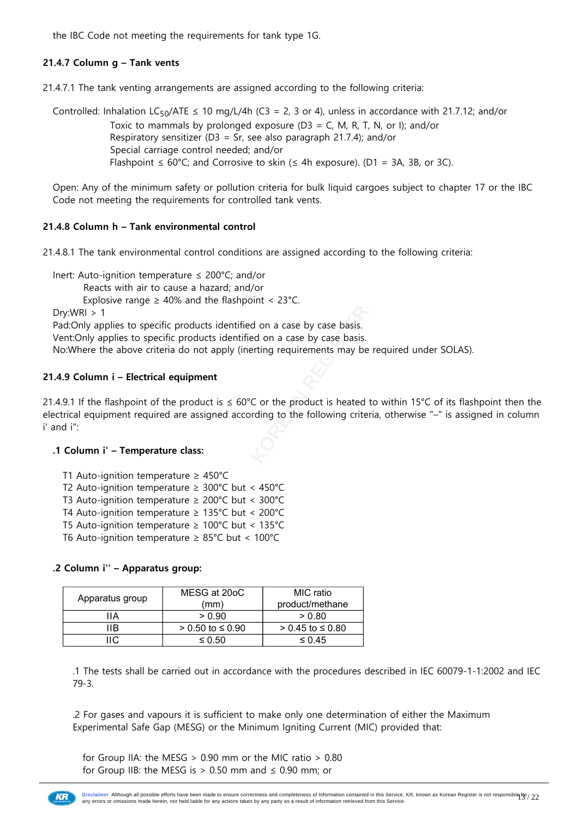the IBC Code not meeting the requirements for tank type 1G.

## **21.4.7 Column g – Tank vents**

21.4.7.1 The tank venting arrangements are assigned according to the following criteria:

Controlled: Inhalation LC<sub>50</sub>/ATE  $\leq$  10 mg/L/4h (C3 = 2, 3 or 4), unless in accordance with 21.7.12; and/or Toxic to mammals by prolonged exposure ( $D3 = C$ , M, R, T, N, or I); and/or Respiratory sensitizer (D3 = Sr, see also paragraph 21.7.4); and/or Special carriage control needed; and/or Flashpoint  $\leq 60^{\circ}$ C; and Corrosive to skin ( $\leq 4$ h exposure). (D1 = 3A, 3B, or 3C).

Open: Any of the minimum safety or pollution criteria for bulk liquid cargoes subject to chapter 17 or the IBC Code not meeting the requirements for controlled tank vents.

## **21.4.8 Column h – Tank environmental control**

21.4.8.1 The tank environmental control conditions are assigned according to the following criteria:

Inert: Auto-ignition temperature ≤ 200°C; and/or

Reacts with air to cause a hazard; and/or

Explosive range  $\geq 40\%$  and the flashpoint < 23°C.

Dry:WRI > 1

No:Where the above criteria do not apply (inerting requirements may be required under SOLAS).

### **21.4.9 Column i – Electrical equipment**

21.4.9.1 If the flashpoint of the product is ≤ 60°C or the product is heated to within 15°C of its flashpoint then the electrical equipment required are assigned according to the following criteria, otherwise "–" is assigned in column i' and i":

### **.1 Column i' – Temperature class:**

### **.2 Column i'' – Apparatus group:**

| ry:WRI > 1<br>ad:Only applies to specific products identified on a case by case basis.<br>ent:Only applies to specific products identified on a case by case basis.<br>o:Where the above criteria do not apply (inerting requirements may be r<br>.9 Column i - Electrical equipment<br>.9.1 If the flashpoint of the product is $\leq 60^{\circ}$ C or the product is heated to<br>trical equipment required are assigned according to the following criteri<br>d i":<br>Column i' - Temperature class:<br>T1 Auto-ignition temperature $\geq 450^{\circ}$ C<br>T2 Auto-ignition temperature $\geq 300^{\circ}$ C but < 450°C<br>T3 Auto-ignition temperature $\geq 200^{\circ}$ C but < 300°C<br>T4 Auto-ignition temperature ≥ 135°C but < 200°C<br>T5 Auto-ignition temperature ≥ 100°C but < 135°C<br>T6 Auto-ignition temperature $\geq 85^{\circ}$ C but < 100°C<br>Column i" - Apparatus group:<br>MESG at 20oC<br>MIC ratio<br>Apparatus group<br>product/methane<br>(mm)<br><b>IIA</b><br>> 0.90<br>> 0.80 |  |
|----------------------------------------------------------------------------------------------------------------------------------------------------------------------------------------------------------------------------------------------------------------------------------------------------------------------------------------------------------------------------------------------------------------------------------------------------------------------------------------------------------------------------------------------------------------------------------------------------------------------------------------------------------------------------------------------------------------------------------------------------------------------------------------------------------------------------------------------------------------------------------------------------------------------------------------------------------------------------------------------------------------------|--|
| $\overline{IIB}$<br>$> 0.50$ to $\leq 0.90$<br>$> 0.45$ to $\leq 0.80$<br>$\overline{\mathsf{IIC}}$<br>$\leq 0.50$<br>$\leq 0.45$<br>.1 The tests shall be carried out in accordance with the procedures de<br>79-3.<br>.2 For gases and vapours it is sufficient to make only one determinati<br>Experimental Safe Gap (MESG) or the Minimum Igniting Current (MIC<br>for Group IIA: the MESG $> 0.90$ mm or the MIC ratio $> 0.80$<br>for Group IIB: the MESG is $> 0.50$ mm and $\leq 0.90$ mm; or                                                                                                                                                                                                                                                                                                                                                                                                                                                                                                                |  |
| Disclaimer Although all possible efforts have been made to ensure correctness and completeness of Information contained in<br>$\boldsymbol{R}$<br>any errors or omissions made herein, nor held liable for any actions taken by any party as a result of information retrieved from                                                                                                                                                                                                                                                                                                                                                                                                                                                                                                                                                                                                                                                                                                                                  |  |
|                                                                                                                                                                                                                                                                                                                                                                                                                                                                                                                                                                                                                                                                                                                                                                                                                                                                                                                                                                                                                      |  |
|                                                                                                                                                                                                                                                                                                                                                                                                                                                                                                                                                                                                                                                                                                                                                                                                                                                                                                                                                                                                                      |  |
|                                                                                                                                                                                                                                                                                                                                                                                                                                                                                                                                                                                                                                                                                                                                                                                                                                                                                                                                                                                                                      |  |
|                                                                                                                                                                                                                                                                                                                                                                                                                                                                                                                                                                                                                                                                                                                                                                                                                                                                                                                                                                                                                      |  |
|                                                                                                                                                                                                                                                                                                                                                                                                                                                                                                                                                                                                                                                                                                                                                                                                                                                                                                                                                                                                                      |  |
|                                                                                                                                                                                                                                                                                                                                                                                                                                                                                                                                                                                                                                                                                                                                                                                                                                                                                                                                                                                                                      |  |
|                                                                                                                                                                                                                                                                                                                                                                                                                                                                                                                                                                                                                                                                                                                                                                                                                                                                                                                                                                                                                      |  |
|                                                                                                                                                                                                                                                                                                                                                                                                                                                                                                                                                                                                                                                                                                                                                                                                                                                                                                                                                                                                                      |  |
|                                                                                                                                                                                                                                                                                                                                                                                                                                                                                                                                                                                                                                                                                                                                                                                                                                                                                                                                                                                                                      |  |
|                                                                                                                                                                                                                                                                                                                                                                                                                                                                                                                                                                                                                                                                                                                                                                                                                                                                                                                                                                                                                      |  |
|                                                                                                                                                                                                                                                                                                                                                                                                                                                                                                                                                                                                                                                                                                                                                                                                                                                                                                                                                                                                                      |  |
|                                                                                                                                                                                                                                                                                                                                                                                                                                                                                                                                                                                                                                                                                                                                                                                                                                                                                                                                                                                                                      |  |
|                                                                                                                                                                                                                                                                                                                                                                                                                                                                                                                                                                                                                                                                                                                                                                                                                                                                                                                                                                                                                      |  |
|                                                                                                                                                                                                                                                                                                                                                                                                                                                                                                                                                                                                                                                                                                                                                                                                                                                                                                                                                                                                                      |  |
|                                                                                                                                                                                                                                                                                                                                                                                                                                                                                                                                                                                                                                                                                                                                                                                                                                                                                                                                                                                                                      |  |
|                                                                                                                                                                                                                                                                                                                                                                                                                                                                                                                                                                                                                                                                                                                                                                                                                                                                                                                                                                                                                      |  |
|                                                                                                                                                                                                                                                                                                                                                                                                                                                                                                                                                                                                                                                                                                                                                                                                                                                                                                                                                                                                                      |  |
|                                                                                                                                                                                                                                                                                                                                                                                                                                                                                                                                                                                                                                                                                                                                                                                                                                                                                                                                                                                                                      |  |
|                                                                                                                                                                                                                                                                                                                                                                                                                                                                                                                                                                                                                                                                                                                                                                                                                                                                                                                                                                                                                      |  |
|                                                                                                                                                                                                                                                                                                                                                                                                                                                                                                                                                                                                                                                                                                                                                                                                                                                                                                                                                                                                                      |  |
|                                                                                                                                                                                                                                                                                                                                                                                                                                                                                                                                                                                                                                                                                                                                                                                                                                                                                                                                                                                                                      |  |
|                                                                                                                                                                                                                                                                                                                                                                                                                                                                                                                                                                                                                                                                                                                                                                                                                                                                                                                                                                                                                      |  |
|                                                                                                                                                                                                                                                                                                                                                                                                                                                                                                                                                                                                                                                                                                                                                                                                                                                                                                                                                                                                                      |  |
|                                                                                                                                                                                                                                                                                                                                                                                                                                                                                                                                                                                                                                                                                                                                                                                                                                                                                                                                                                                                                      |  |
|                                                                                                                                                                                                                                                                                                                                                                                                                                                                                                                                                                                                                                                                                                                                                                                                                                                                                                                                                                                                                      |  |
|                                                                                                                                                                                                                                                                                                                                                                                                                                                                                                                                                                                                                                                                                                                                                                                                                                                                                                                                                                                                                      |  |
|                                                                                                                                                                                                                                                                                                                                                                                                                                                                                                                                                                                                                                                                                                                                                                                                                                                                                                                                                                                                                      |  |
|                                                                                                                                                                                                                                                                                                                                                                                                                                                                                                                                                                                                                                                                                                                                                                                                                                                                                                                                                                                                                      |  |
|                                                                                                                                                                                                                                                                                                                                                                                                                                                                                                                                                                                                                                                                                                                                                                                                                                                                                                                                                                                                                      |  |
|                                                                                                                                                                                                                                                                                                                                                                                                                                                                                                                                                                                                                                                                                                                                                                                                                                                                                                                                                                                                                      |  |
|                                                                                                                                                                                                                                                                                                                                                                                                                                                                                                                                                                                                                                                                                                                                                                                                                                                                                                                                                                                                                      |  |
|                                                                                                                                                                                                                                                                                                                                                                                                                                                                                                                                                                                                                                                                                                                                                                                                                                                                                                                                                                                                                      |  |
|                                                                                                                                                                                                                                                                                                                                                                                                                                                                                                                                                                                                                                                                                                                                                                                                                                                                                                                                                                                                                      |  |
|                                                                                                                                                                                                                                                                                                                                                                                                                                                                                                                                                                                                                                                                                                                                                                                                                                                                                                                                                                                                                      |  |
|                                                                                                                                                                                                                                                                                                                                                                                                                                                                                                                                                                                                                                                                                                                                                                                                                                                                                                                                                                                                                      |  |
|                                                                                                                                                                                                                                                                                                                                                                                                                                                                                                                                                                                                                                                                                                                                                                                                                                                                                                                                                                                                                      |  |

.1 The tests shall be carried out in accordance with the procedures described in IEC 60079-1-1:2002 and IEC 79-3.

.2 For gases and vapours it is sufficient to make only one determination of either the Maximum Experimental Safe Gap (MESG) or the Minimum Igniting Current (MIC) provided that:

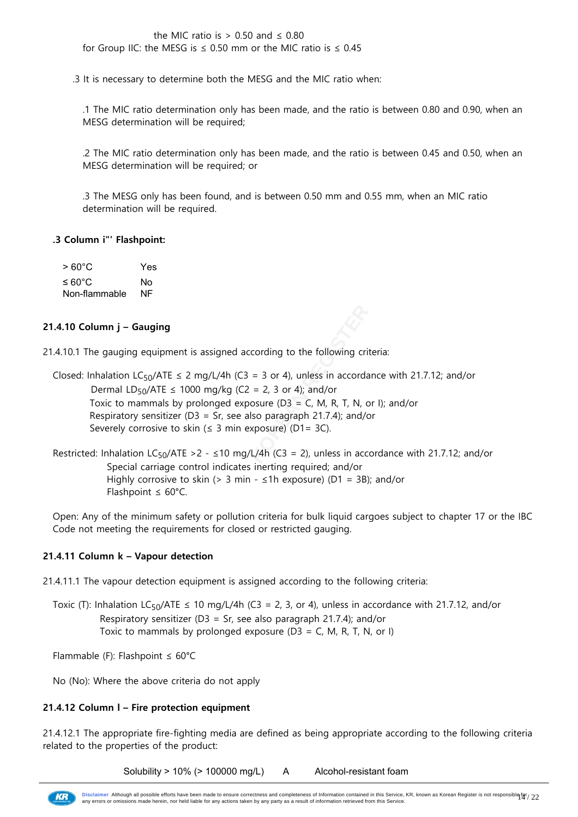the MIC ratio is  $> 0.50$  and  $\leq 0.80$ 

for Group IIC: the MESG is  $\leq$  0.50 mm or the MIC ratio is  $\leq$  0.45

.3 It is necessary to determine both the MESG and the MIC ratio when:

.1 The MIC ratio determination only has been made, and the ratio is between 0.80 and 0.90, when an MESG determination will be required;

.2 The MIC ratio determination only has been made, and the ratio is between 0.45 and 0.50, when an MESG determination will be required; or

.3 The MESG only has been found, and is between 0.50 mm and 0.55 mm, when an MIC ratio determination will be required.

## **.3 Column i"' Flashpoint:**

| $>60^{\circ}$ C | Yes |
|-----------------|-----|
| ≤ 60°C          | Nο  |
| Non-flammable   | NF  |

## **21.4.10 Column j – Gauging**

21.4.10.1 The gauging equipment is assigned according to the following criteria:

Closed: Inhalation LC<sub>50</sub>/ATE  $\leq$  2 mg/L/4h (C3 = 3 or 4), unless in accordance with 21.7.12; and/or Dermal LD<sub>50</sub>/ATE  $\leq$  1000 mg/kg (C2 = 2, 3 or 4); and/or Toxic to mammals by prolonged exposure ( $D3 = C$ , M, R, T, N, or I); and/or Respiratory sensitizer ( $D3 = Sr$ , see also paragraph 21.7.4); and/or Severely corrosive to skin ( $\leq$  3 min exposure) (D1= 3C). 10. Column j – Gauging<br>
10.1 The gauging equipment is assigned according to the following crite<br>
10.1 The gauging equipment is assigned according to the following crite<br>
10.1 The same integral and the same only (C2 = 2, 3

Restricted: Inhalation LC<sub>50</sub>/ATE > 2 - ≤10 mg/L/4h (C3 = 2), unless in accordance with 21.7.12; and/or Special carriage control indicates inerting required; and/or Highly corrosive to skin (> 3 min -  $\leq 1$ h exposure) (D1 = 3B); and/or Flashpoint ≤ 60°C.

Open: Any of the minimum safety or pollution criteria for bulk liquid cargoes subject to chapter 17 or the IBC Code not meeting the requirements for closed or restricted gauging.

## **21.4.11 Column k – Vapour detection**

21.4.11.1 The vapour detection equipment is assigned according to the following criteria:

Toxic (T): Inhalation LC<sub>50</sub>/ATE  $\leq$  10 mg/L/4h (C3 = 2, 3, or 4), unless in accordance with 21.7.12, and/or Respiratory sensitizer ( $D3 = Sr$ , see also paragraph 21.7.4); and/or Toxic to mammals by prolonged exposure ( $D3 = C$ , M, R, T, N, or I)

Flammable (F): Flashpoint ≤ 60°C

No (No): Where the above criteria do not apply

## **21.4.12 Column l – Fire protection equipment**

21.4.12.1 The appropriate fire-fighting media are defined as being appropriate according to the following criteria related to the properties of the product:

> Solubility > 10% (> 100000 mg/L) A Alcohol-resistant foam



Disclaimer Although all possible efforts have been made to ensure correctness and completeness of Information contained in this Service, KR, known as Korean Register is not responsible far / 22<br>any errors or omissions made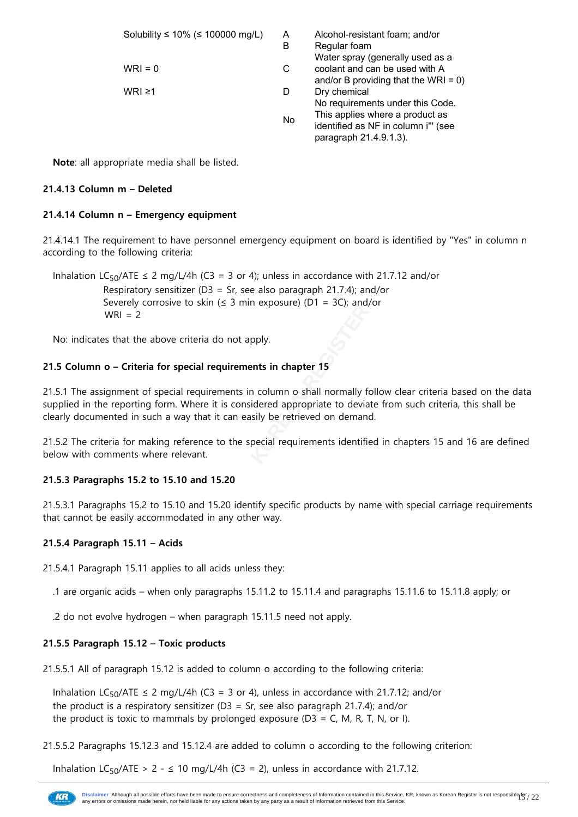| Solubility $\leq 10\%$ ( $\leq 100000$ mg/L) | A<br>в    | Alcohol-resistant foam; and/or<br>Regular foam                            |
|----------------------------------------------|-----------|---------------------------------------------------------------------------|
|                                              |           | Water spray (generally used as a                                          |
| $WRI = 0$                                    | C         | coolant and can be used with A<br>and/or B providing that the WRI = $0$ ) |
| WRI ≥1                                       | D         | Dry chemical                                                              |
|                                              |           | No requirements under this Code.                                          |
|                                              | <b>No</b> | This applies where a product as                                           |
|                                              |           | identified as NF in column i"' (see                                       |
|                                              |           | paragraph 21.4.9.1.3).                                                    |

**Note**: all appropriate media shall be listed.

### **21.4.13 Column m – Deleted**

### **21.4.14 Column n – Emergency equipment**

21.4.14.1 The requirement to have personnel emergency equipment on board is identified by "Yes" in column n according to the following criteria:

Inhalation LC<sub>50</sub>/ATE  $\leq$  2 mg/L/4h (C3 = 3 or 4); unless in accordance with 21.7.12 and/or Respiratory sensitizer ( $D3 = Sr$ , see also paragraph 21.7.4); and/or Severely corrosive to skin ( $\leq$  3 min exposure) (D1 = 3C); and/or  $WRI = 2$ 

No: indicates that the above criteria do not apply.

### **21.5 Column o – Criteria for special requirements in chapter 15**

21.5.1 The assignment of special requirements in column o shall normally follow clear criteria based on the data supplied in the reporting form. Where it is considered appropriate to deviate from such criteria, this shall be clearly documented in such a way that it can easily be retrieved on demand.

21.5.2 The criteria for making reference to the special requirements identified in chapters 15 and 16 are defined below with comments where relevant.

### **21.5.3 Paragraphs 15.2 to 15.10 and 15.20**

21.5.3.1 Paragraphs 15.2 to 15.10 and 15.20 identify specific products by name with special carriage requirements that cannot be easily accommodated in any other way.

## **21.5.4 Paragraph 15.11 – Acids**

21.5.4.1 Paragraph 15.11 applies to all acids unless they:

.1 are organic acids – when only paragraphs 15.11.2 to 15.11.4 and paragraphs 15.11.6 to 15.11.8 apply; or

.2 do not evolve hydrogen – when paragraph 15.11.5 need not apply.

## **21.5.5 Paragraph 15.12 – Toxic products**

21.5.5.1 All of paragraph 15.12 is added to column o according to the following criteria:

Inhalation LC<sub>50</sub>/ATE  $\leq$  2 mg/L/4h (C3 = 3 or 4), unless in accordance with 21.7.12; and/or the product is a respiratory sensitizer ( $D3 = Sr$ , see also paragraph 21.7.4); and/or the product is toxic to mammals by prolonged exposure ( $D3 = C$ , M, R, T, N, or I). 15.19.6 is not required based on the inhalation hazard only, if: **KOREAN REGISTER**

21.5.5.2 Paragraphs 15.12.3 and 15.12.4 are added to column o according to the following criterion:

Inhalation LC<sub>50</sub>/ATE > 2 -  $\leq$  10 mg/L/4h (C3 = 2), unless in accordance with 21.7.12.

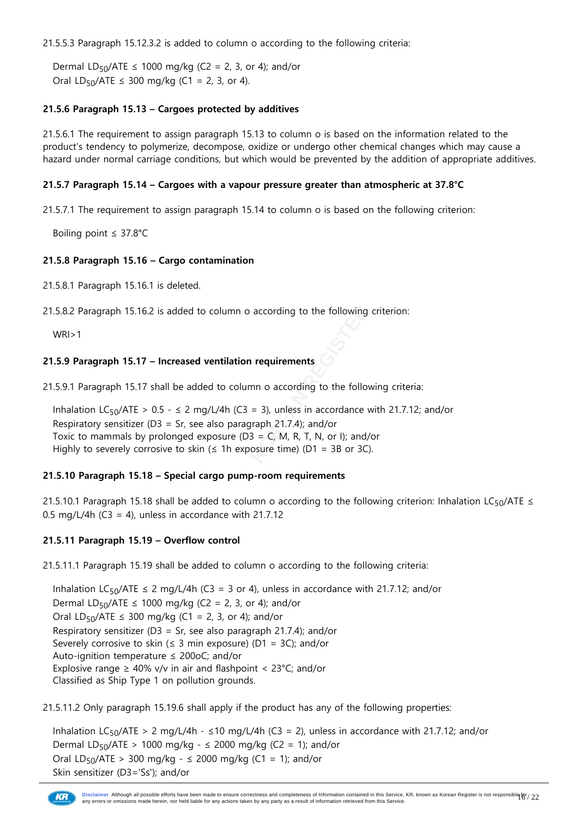21.5.5.3 Paragraph 15.12.3.2 is added to column o according to the following criteria:

Dermal LD<sub>50</sub>/ATE ≤ 1000 mg/kg (C2 = 2, 3, or 4); and/or Oral LD<sub>50</sub>/ATE ≤ 300 mg/kg (C1 = 2, 3, or 4).

### **21.5.6 Paragraph 15.13 – Cargoes protected by additives**

21.5.6.1 The requirement to assign paragraph 15.13 to column o is based on the information related to the product's tendency to polymerize, decompose, oxidize or undergo other chemical changes which may cause a hazard under normal carriage conditions, but which would be prevented by the addition of appropriate additives.

### **21.5.7 Paragraph 15.14 – Cargoes with a vapour pressure greater than atmospheric at 37.8°C**

21.5.7.1 The requirement to assign paragraph 15.14 to column o is based on the following criterion:

Boiling point ≤ 37.8°C

### **21.5.8 Paragraph 15.16 – Cargo contamination**

21.5.8.1 Paragraph 15.16.1 is deleted.

21.5.8.2 Paragraph 15.16.2 is added to column o according to the following criterion:

WRI>1

### **21.5.9 Paragraph 15.17 – Increased ventilation requirements**

21.5.9.1 Paragraph 15.17 shall be added to column o according to the following criteria:

Inhalation LC<sub>50</sub>/ATE > 0.5 -  $\leq$  2 mg/L/4h (C3 = 3), unless in accordance with 21.7.12; and/or Respiratory sensitizer ( $D3 = Sr$ , see also paragraph 21.7.4); and/or Toxic to mammals by prolonged exposure ( $D3 = C$ , M, R, T, N, or I); and/or Highly to severely corrosive to skin ( $\leq$  1h exposure time) (D1 = 3B or 3C).

## **21.5.10 Paragraph 15.18 – Special cargo pump-room requirements**

21.5.10.1 Paragraph 15.18 shall be added to column o according to the following criterion: Inhalation LC<sub>50</sub>/ATE  $\leq$ 0.5 mg/L/4h (C3 = 4), unless in accordance with  $21.7.12$ 

## **21.5.11 Paragraph 15.19 – Overflow control**

21.5.11.1 Paragraph 15.19 shall be added to column o according to the following criteria:

Inhalation LC<sub>50</sub>/ATE  $\leq$  2 mg/L/4h (C3 = 3 or 4), unless in accordance with 21.7.12; and/or Dermal LD<sub>50</sub>/ATE ≤ 1000 mg/kg (C2 = 2, 3, or 4); and/or Oral LD<sub>50</sub>/ATE ≤ 300 mg/kg (C1 = 2, 3, or 4); and/or Respiratory sensitizer ( $D3 = Sr$ , see also paragraph 21.7.4); and/or Severely corrosive to skin ( $\leq$  3 min exposure) (D1 = 3C); and/or Auto-ignition temperature ≤ 200oC; and/or Explosive range  $\geq 40\%$  v/v in air and flashpoint < 23°C; and/or Classified as Ship Type 1 on pollution grounds. 8.2 Paragraph 15.16.2 is added to column o according to the following c<br>
RI>1<br>
9 **Paragraph 15.17** – **Increased ventilation requirements**<br>
9.1 Paragraph 15.17 shall be added to column o according to the follow<br>
halation LC

21.5.11.2 Only paragraph 15.19.6 shall apply if the product has any of the following properties:

Inhalation LC<sub>50</sub>/ATE > 2 mg/L/4h - ≤10 mg/L/4h (C3 = 2), unless in accordance with 21.7.12; and/or Dermal LD<sub>50</sub>/ATE > 1000 mg/kg -  $\leq$  2000 mg/kg (C2 = 1); and/or Oral LD<sub>50</sub>/ATE > 300 mg/kg - ≤ 2000 mg/kg (C1 = 1); and/or Skin sensitizer (D3='Ss'); and/or

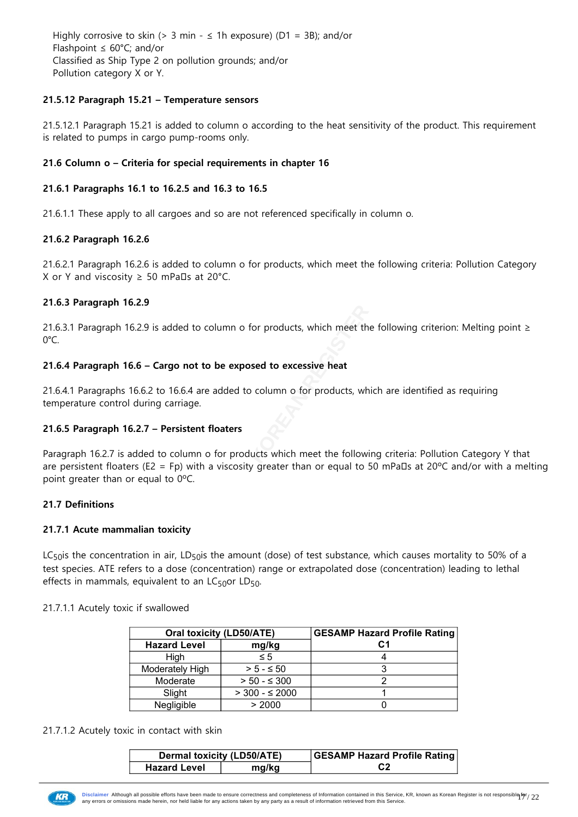Highly corrosive to skin (> 3 min -  $\leq$  1h exposure) (D1 = 3B); and/or Flashpoint ≤ 60°C; and/or Classified as Ship Type 2 on pollution grounds; and/or Pollution category X or Y.

### **21.5.12 Paragraph 15.21 – Temperature sensors**

21.5.12.1 Paragraph 15.21 is added to column o according to the heat sensitivity of the product. This requirement is related to pumps in cargo pump-rooms only.

### **21.6 Column o – Criteria for special requirements in chapter 16**

### **21.6.1 Paragraphs 16.1 to 16.2.5 and 16.3 to 16.5**

21.6.1.1 These apply to all cargoes and so are not referenced specifically in column o .

### **21.6.2 Paragraph 16.2.6**

21.6.2.1 Paragraph 16.2.6 is added to column o for products, which meet the following criteria: Pollution Category X or Y and viscosity ≥ 50 mPa $\square$ s at 20°C.

### **21.6.3 Paragraph 16.2.9**

21.6.3.1 Paragraph 16.2.9 is added to column o for products, which meet the following criterion: Melting point ≥ 0°C.

### **21.6.4 Paragraph 16.6 – Cargo not to be exposed to excessive heat**

21.6.4.1 Paragraphs 16.6.2 to 16.6.4 are added to column o for products, which are identified as requiring temperature control during carriage.

### **21.6.5 Paragraph 16.2.7 – Persistent floaters**

Paragraph 16.2.7 is added to column o for products which meet the following criteria: Pollution Category Y that are persistent floaters (E2 = Fp) with a viscosity greater than or equal to 50 mPa Os at 20°C and/or with a melting point greater than or equal to 0ºC.

### **21.7 Definitions**

### **21.7.1 Acute mammalian toxicity**

LC<sub>50</sub> is the concentration in air, LD<sub>50</sub> is the amount (dose) of test substance, which causes mortality to 50% of a test species. ATE refers to a dose (concentration) range or extrapolated dose (concentration) leading to lethal effects in mammals, equivalent to an LC<sub>50</sub>or LD<sub>50</sub>.

### 21.7.1.1 Acutely toxic if swallowed

|                                                       | 3.1 Paragraph 16.2.9 is added to column o for products, which meet the following criterion:                                                                                                                                                                                 |                                                                 |                                                                               |  |
|-------------------------------------------------------|-----------------------------------------------------------------------------------------------------------------------------------------------------------------------------------------------------------------------------------------------------------------------------|-----------------------------------------------------------------|-------------------------------------------------------------------------------|--|
|                                                       | 4 Paragraph 16.6 - Cargo not to be exposed to excessive heat<br>4.1 Paragraphs 16.6.2 to 16.6.4 are added to column o for products, which are identified as i<br>berature control during carriage.                                                                          |                                                                 |                                                                               |  |
|                                                       | 5 Paragraph 16.2.7 - Persistent floaters<br>graph 16.2.7 is added to column o for products which meet the following criteria: Pollution                                                                                                                                     |                                                                 |                                                                               |  |
| t greater than or equal to 0°C.<br><b>Definitions</b> | bersistent floaters (E2 = Fp) with a viscosity greater than or equal to 50 mPa <mark>Ds at 20°C ar</mark>                                                                                                                                                                   |                                                                 |                                                                               |  |
| 1 Acute mammalian toxicity                            |                                                                                                                                                                                                                                                                             |                                                                 |                                                                               |  |
|                                                       | is the concentration in air, $LD_{50}$ is the amount (dose) of test substance, which causes morta<br>species. ATE refers to a dose (concentration) range or extrapolated dose (concentration) lea<br>ts in mammals, equivalent to an LC <sub>50</sub> or LD <sub>50</sub> . |                                                                 |                                                                               |  |
| 1.1 Acutely toxic if swallowed                        | Oral toxicity (LD50/ATE)<br><b>Hazard Level</b>                                                                                                                                                                                                                             | mg/kg                                                           | <b>GESAMP Hazard Profile Rating</b><br>C <sub>1</sub>                         |  |
|                                                       | High<br>Moderately High<br>Moderate<br>Slight                                                                                                                                                                                                                               | $\leq 5$<br>$> 5 - 50$<br>$> 50 - 5300$<br>$>300$ - $\leq 2000$ | $\overline{\mathbf{4}}$<br>$\overline{3}$<br>$\overline{2}$<br>$\overline{1}$ |  |
|                                                       | Negligible<br>1.2 Acutely toxic in contact with skin                                                                                                                                                                                                                        | > 2000                                                          | $\pmb{0}$                                                                     |  |
| B                                                     | <b>Dermal toxicity (LD50/ATE)</b><br><b>Hazard Level</b><br>Disclaimer Although all possible efforts have been made to ensure correctness and completeness of Information contained in this Service, KR, known as Korean F                                                  | mg/kg                                                           | <b>GESAMP Hazard Profile Rating</b><br>C <sub>2</sub>                         |  |
|                                                       | any errors or omissions made herein, nor held liable for any actions taken by any party as a result of information retrieved from this Service.                                                                                                                             |                                                                 |                                                                               |  |
|                                                       |                                                                                                                                                                                                                                                                             |                                                                 |                                                                               |  |
|                                                       |                                                                                                                                                                                                                                                                             |                                                                 |                                                                               |  |
|                                                       |                                                                                                                                                                                                                                                                             |                                                                 |                                                                               |  |
|                                                       |                                                                                                                                                                                                                                                                             |                                                                 |                                                                               |  |
|                                                       |                                                                                                                                                                                                                                                                             |                                                                 |                                                                               |  |
|                                                       |                                                                                                                                                                                                                                                                             |                                                                 |                                                                               |  |
|                                                       |                                                                                                                                                                                                                                                                             |                                                                 |                                                                               |  |
|                                                       |                                                                                                                                                                                                                                                                             |                                                                 |                                                                               |  |
|                                                       |                                                                                                                                                                                                                                                                             |                                                                 |                                                                               |  |
|                                                       |                                                                                                                                                                                                                                                                             |                                                                 |                                                                               |  |
|                                                       |                                                                                                                                                                                                                                                                             |                                                                 |                                                                               |  |
|                                                       |                                                                                                                                                                                                                                                                             |                                                                 |                                                                               |  |
|                                                       |                                                                                                                                                                                                                                                                             |                                                                 |                                                                               |  |
|                                                       |                                                                                                                                                                                                                                                                             |                                                                 |                                                                               |  |
|                                                       |                                                                                                                                                                                                                                                                             |                                                                 |                                                                               |  |
|                                                       |                                                                                                                                                                                                                                                                             |                                                                 |                                                                               |  |
|                                                       |                                                                                                                                                                                                                                                                             |                                                                 |                                                                               |  |
|                                                       |                                                                                                                                                                                                                                                                             |                                                                 |                                                                               |  |
|                                                       |                                                                                                                                                                                                                                                                             |                                                                 |                                                                               |  |
|                                                       |                                                                                                                                                                                                                                                                             |                                                                 |                                                                               |  |
|                                                       |                                                                                                                                                                                                                                                                             |                                                                 |                                                                               |  |
|                                                       |                                                                                                                                                                                                                                                                             |                                                                 |                                                                               |  |
|                                                       |                                                                                                                                                                                                                                                                             |                                                                 |                                                                               |  |
|                                                       |                                                                                                                                                                                                                                                                             |                                                                 |                                                                               |  |
|                                                       |                                                                                                                                                                                                                                                                             |                                                                 |                                                                               |  |
|                                                       |                                                                                                                                                                                                                                                                             |                                                                 |                                                                               |  |
|                                                       |                                                                                                                                                                                                                                                                             |                                                                 |                                                                               |  |
|                                                       |                                                                                                                                                                                                                                                                             |                                                                 |                                                                               |  |
|                                                       |                                                                                                                                                                                                                                                                             |                                                                 |                                                                               |  |
|                                                       |                                                                                                                                                                                                                                                                             |                                                                 |                                                                               |  |
|                                                       |                                                                                                                                                                                                                                                                             |                                                                 |                                                                               |  |
|                                                       |                                                                                                                                                                                                                                                                             |                                                                 |                                                                               |  |
|                                                       |                                                                                                                                                                                                                                                                             |                                                                 |                                                                               |  |
|                                                       |                                                                                                                                                                                                                                                                             |                                                                 |                                                                               |  |
|                                                       |                                                                                                                                                                                                                                                                             |                                                                 |                                                                               |  |
|                                                       |                                                                                                                                                                                                                                                                             |                                                                 |                                                                               |  |
|                                                       |                                                                                                                                                                                                                                                                             |                                                                 |                                                                               |  |
|                                                       |                                                                                                                                                                                                                                                                             |                                                                 |                                                                               |  |
|                                                       |                                                                                                                                                                                                                                                                             |                                                                 |                                                                               |  |
|                                                       |                                                                                                                                                                                                                                                                             |                                                                 |                                                                               |  |
|                                                       |                                                                                                                                                                                                                                                                             |                                                                 |                                                                               |  |
|                                                       |                                                                                                                                                                                                                                                                             |                                                                 |                                                                               |  |
|                                                       |                                                                                                                                                                                                                                                                             |                                                                 |                                                                               |  |
|                                                       |                                                                                                                                                                                                                                                                             |                                                                 |                                                                               |  |
|                                                       |                                                                                                                                                                                                                                                                             |                                                                 |                                                                               |  |
|                                                       |                                                                                                                                                                                                                                                                             |                                                                 |                                                                               |  |
|                                                       |                                                                                                                                                                                                                                                                             |                                                                 |                                                                               |  |
|                                                       |                                                                                                                                                                                                                                                                             |                                                                 |                                                                               |  |
|                                                       |                                                                                                                                                                                                                                                                             |                                                                 |                                                                               |  |
|                                                       |                                                                                                                                                                                                                                                                             |                                                                 |                                                                               |  |
|                                                       |                                                                                                                                                                                                                                                                             |                                                                 |                                                                               |  |
|                                                       |                                                                                                                                                                                                                                                                             |                                                                 |                                                                               |  |
|                                                       |                                                                                                                                                                                                                                                                             |                                                                 |                                                                               |  |
|                                                       |                                                                                                                                                                                                                                                                             |                                                                 |                                                                               |  |
|                                                       |                                                                                                                                                                                                                                                                             |                                                                 |                                                                               |  |
|                                                       |                                                                                                                                                                                                                                                                             |                                                                 |                                                                               |  |
|                                                       |                                                                                                                                                                                                                                                                             |                                                                 |                                                                               |  |
|                                                       |                                                                                                                                                                                                                                                                             |                                                                 |                                                                               |  |
|                                                       |                                                                                                                                                                                                                                                                             |                                                                 |                                                                               |  |
|                                                       |                                                                                                                                                                                                                                                                             |                                                                 |                                                                               |  |
|                                                       |                                                                                                                                                                                                                                                                             |                                                                 |                                                                               |  |
|                                                       |                                                                                                                                                                                                                                                                             |                                                                 |                                                                               |  |
|                                                       |                                                                                                                                                                                                                                                                             |                                                                 |                                                                               |  |
|                                                       |                                                                                                                                                                                                                                                                             |                                                                 |                                                                               |  |
|                                                       |                                                                                                                                                                                                                                                                             |                                                                 |                                                                               |  |
|                                                       |                                                                                                                                                                                                                                                                             |                                                                 |                                                                               |  |
|                                                       |                                                                                                                                                                                                                                                                             |                                                                 |                                                                               |  |
|                                                       |                                                                                                                                                                                                                                                                             |                                                                 |                                                                               |  |

### 21.7.1.2 Acutely toxic in contact with skin

| <b>Dermal toxicity (LD50/ATE)</b> |  | <b>GESAMP Hazard Profile Rating</b> |
|-----------------------------------|--|-------------------------------------|
| <b>Hazard Level</b><br>mg/kg      |  | C2                                  |
|                                   |  |                                     |

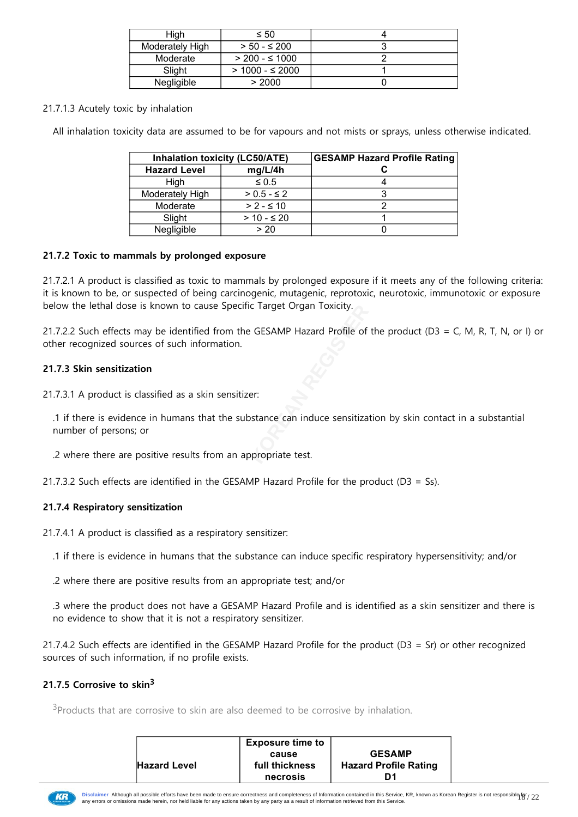| Hiah            | $\leq 50$        |  |
|-----------------|------------------|--|
| Moderately High | $> 50 - 5200$    |  |
| Moderate        | $> 200 - 51000$  |  |
| Slight          | $> 1000 - 52000$ |  |
| Negligible      | > 2000           |  |

### 21.7.1.3 Acutely toxic by inhalation

All inhalation toxicity data are assumed to be for vapours and not mists or sprays, unless otherwise indicated.

| <b>Inhalation toxicity (LC50/ATE)</b> |               | <b>GESAMP Hazard Profile Rating</b> |
|---------------------------------------|---------------|-------------------------------------|
| <b>Hazard Level</b>                   | mg/L/4h       |                                     |
| High                                  | $\leq 0.5$    |                                     |
| Moderately High                       | $> 0.5 - 5.2$ |                                     |
| Moderate                              | $> 2 - 510$   |                                     |
| Slight                                | $> 10 - 520$  |                                     |
| Negligible                            | > 20          |                                     |

### **21.7.2 Toxic to mammals by prolonged exposure**

21.7.2.1 A product is classified as toxic to mammals by prolonged exposure if it meets any of the following criteria: it is known to be, or suspected of being carcinogenic, mutagenic, reprotoxic, neurotoxic, immunotoxic or exposure below the lethal dose is known to cause Specific Target Organ Toxicity.

21.7.2.2 Such effects may be identified from the GESAMP Hazard Profile of the product (D3 = C, M, R, T, N, or I) or other recognized sources of such information.

### **21.7.3 Skin sensitization**

21.7.3.1 A product is classified as a skin sensitizer :

.1 if there is evidence in humans that the substance can induce sensitization by skin contact in a substantial number of persons; or

21.7.3.2 Such effects are identified in the GESAMP Hazard Profile for the product ( $D3 = Ss$ ).

## **21.7.4 Respiratory sensitization**

21.7.4.1 A product is classified as a respiratory sensitizer

:.1 if there is evidence in humans that the substance can induce specific respiratory hypersensitivity; and/or

.3 where the product does not have a GESAMP Hazard Profile and is identified as a skin sensitizer and there is no evidence to show that it is not a respiratory sensitizer.

21.7.4.2 Such effects are identified in the GESAMP Hazard Profile for the product (D3 = Sr) or other recognized sources of such information, if no profile exists.

## **21.7.5 Corrosive to skin 3**

| 3 Skin sensitization             | w the lethal dose is known to cause Specific Target Organ Toxicity.<br>r recognized sources of such information.                                                       |                                  | 2.2 Such effects may be identified from the GESAMP Hazard Profile of the product (D3 :                                                                                                                     |
|----------------------------------|------------------------------------------------------------------------------------------------------------------------------------------------------------------------|----------------------------------|------------------------------------------------------------------------------------------------------------------------------------------------------------------------------------------------------------|
| mber of persons; or              | 3.1 A product is classified as a skin sensitizer:                                                                                                                      |                                  | if there is evidence in humans that the substance can induce sensitization by skin conta                                                                                                                   |
|                                  | where there are positive results from an appropriate test.                                                                                                             |                                  | 3.2 Such effects are identified in the GESAMP Hazard Profile for the product ( $D3 = Ss$ ).                                                                                                                |
| 4 Respiratory sensitization      | 4.1 A product is classified as a respiratory sensitizer:                                                                                                               |                                  |                                                                                                                                                                                                            |
|                                  | where there are positive results from an appropriate test; and/or                                                                                                      |                                  | if there is evidence in humans that the substance can induce specific respiratory hypers                                                                                                                   |
|                                  | evidence to show that it is not a respiratory sensitizer.                                                                                                              |                                  | where the product does not have a GESAMP Hazard Profile and is identified as a skin s<br>4.2 Such effects are identified in the GESAMP Hazard Profile for the product (D3 = Sr) of                         |
| 5 Corrosive to skin <sup>3</sup> | ces of such information, if no profile exists.                                                                                                                         |                                  |                                                                                                                                                                                                            |
|                                  | roducts that are corrosive to skin are also deemed to be corrosive by inhalation.<br>┍                                                                                 | <b>Exposure time to</b><br>cause | <b>GESAMP</b>                                                                                                                                                                                              |
| B                                | <b>Hazard Level</b><br>any errors or omissions made herein, nor held liable for any actions taken by any party as a result of information retrieved from this Service. | full thickness<br>necrosis       | <b>Hazard Profile Rating</b><br>D <sub>1</sub><br>Disclaimer Although all possible efforts have been made to ensure correctness and completeness of Information contained in this Service, KR, known as Ko |
|                                  |                                                                                                                                                                        |                                  |                                                                                                                                                                                                            |
|                                  |                                                                                                                                                                        |                                  |                                                                                                                                                                                                            |
|                                  |                                                                                                                                                                        |                                  |                                                                                                                                                                                                            |
|                                  |                                                                                                                                                                        |                                  |                                                                                                                                                                                                            |
|                                  |                                                                                                                                                                        |                                  |                                                                                                                                                                                                            |
|                                  |                                                                                                                                                                        |                                  |                                                                                                                                                                                                            |
|                                  |                                                                                                                                                                        |                                  |                                                                                                                                                                                                            |
|                                  |                                                                                                                                                                        |                                  |                                                                                                                                                                                                            |
|                                  |                                                                                                                                                                        |                                  |                                                                                                                                                                                                            |
|                                  |                                                                                                                                                                        |                                  |                                                                                                                                                                                                            |
|                                  |                                                                                                                                                                        |                                  |                                                                                                                                                                                                            |
|                                  |                                                                                                                                                                        |                                  |                                                                                                                                                                                                            |
|                                  |                                                                                                                                                                        |                                  |                                                                                                                                                                                                            |
|                                  |                                                                                                                                                                        |                                  |                                                                                                                                                                                                            |
|                                  |                                                                                                                                                                        |                                  |                                                                                                                                                                                                            |
|                                  |                                                                                                                                                                        |                                  |                                                                                                                                                                                                            |
|                                  |                                                                                                                                                                        |                                  |                                                                                                                                                                                                            |
|                                  |                                                                                                                                                                        |                                  |                                                                                                                                                                                                            |
|                                  |                                                                                                                                                                        |                                  |                                                                                                                                                                                                            |
|                                  |                                                                                                                                                                        |                                  |                                                                                                                                                                                                            |
|                                  |                                                                                                                                                                        |                                  |                                                                                                                                                                                                            |
|                                  |                                                                                                                                                                        |                                  |                                                                                                                                                                                                            |
|                                  |                                                                                                                                                                        |                                  |                                                                                                                                                                                                            |
|                                  |                                                                                                                                                                        |                                  |                                                                                                                                                                                                            |
|                                  |                                                                                                                                                                        |                                  |                                                                                                                                                                                                            |
|                                  |                                                                                                                                                                        |                                  |                                                                                                                                                                                                            |
|                                  |                                                                                                                                                                        |                                  |                                                                                                                                                                                                            |
|                                  |                                                                                                                                                                        |                                  |                                                                                                                                                                                                            |
|                                  |                                                                                                                                                                        |                                  |                                                                                                                                                                                                            |
|                                  |                                                                                                                                                                        |                                  |                                                                                                                                                                                                            |
|                                  |                                                                                                                                                                        |                                  |                                                                                                                                                                                                            |
|                                  |                                                                                                                                                                        |                                  |                                                                                                                                                                                                            |
|                                  |                                                                                                                                                                        |                                  |                                                                                                                                                                                                            |
|                                  |                                                                                                                                                                        |                                  |                                                                                                                                                                                                            |
|                                  |                                                                                                                                                                        |                                  |                                                                                                                                                                                                            |
|                                  |                                                                                                                                                                        |                                  |                                                                                                                                                                                                            |
|                                  |                                                                                                                                                                        |                                  |                                                                                                                                                                                                            |
|                                  |                                                                                                                                                                        |                                  |                                                                                                                                                                                                            |
|                                  |                                                                                                                                                                        |                                  |                                                                                                                                                                                                            |
|                                  |                                                                                                                                                                        |                                  |                                                                                                                                                                                                            |
|                                  |                                                                                                                                                                        |                                  |                                                                                                                                                                                                            |
|                                  |                                                                                                                                                                        |                                  |                                                                                                                                                                                                            |
|                                  |                                                                                                                                                                        |                                  |                                                                                                                                                                                                            |
|                                  |                                                                                                                                                                        |                                  |                                                                                                                                                                                                            |
|                                  |                                                                                                                                                                        |                                  |                                                                                                                                                                                                            |
|                                  |                                                                                                                                                                        |                                  |                                                                                                                                                                                                            |
|                                  |                                                                                                                                                                        |                                  |                                                                                                                                                                                                            |
|                                  |                                                                                                                                                                        |                                  |                                                                                                                                                                                                            |
|                                  |                                                                                                                                                                        |                                  |                                                                                                                                                                                                            |
|                                  |                                                                                                                                                                        |                                  |                                                                                                                                                                                                            |
|                                  |                                                                                                                                                                        |                                  |                                                                                                                                                                                                            |
|                                  |                                                                                                                                                                        |                                  |                                                                                                                                                                                                            |
|                                  |                                                                                                                                                                        |                                  |                                                                                                                                                                                                            |

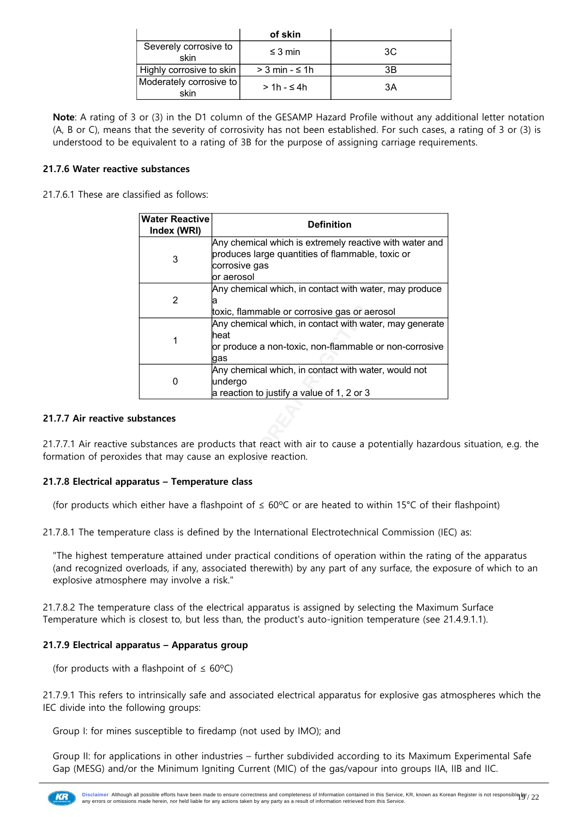|                                 | of skin               |    |
|---------------------------------|-----------------------|----|
| Severely corrosive to<br>skin   | $\leq$ 3 min          | 3C |
| Highly corrosive to skin        | $>$ 3 min - $\leq$ 1h | 3B |
| Moderately corrosive to<br>skin | > 1h - ≤ 4h           | 3A |

**Note**: A rating of 3 or (3) in the D1 column of the GESAMP Hazard Profile without any additional letter notation (A, B or C), means that the severity of corrosivity has not been established. For such cases, a rating of 3 or (3) is understood to be equivalent to a rating of 3B for the purpose of assigning carriage requirements.

### **21.7.6 Water reactive substances**

21.7.6.1 These are classified as follows:

|                                                       | <b>Water Reactive</b><br>Index (WRI) | <b>Definition</b>                                                                                                                                                                                                                                                                                                                                                                                        |
|-------------------------------------------------------|--------------------------------------|----------------------------------------------------------------------------------------------------------------------------------------------------------------------------------------------------------------------------------------------------------------------------------------------------------------------------------------------------------------------------------------------------------|
|                                                       | $\mathsf 3$                          | Any chemical which is extremely reactive with water and<br>produces large quantities of flammable, toxic or<br>corrosive gas<br>or aerosol                                                                                                                                                                                                                                                               |
|                                                       | $\sqrt{2}$                           | Any chemical which, in contact with water, may produce<br>toxic, flammable or corrosive gas or aerosol<br>Any chemical which, in contact with water, may generate                                                                                                                                                                                                                                        |
|                                                       | $\mathbf 1$                          | heat<br>or produce a non-toxic, non-flammable or non-corrosive<br>gas<br>Any chemical which, in contact with water, would not                                                                                                                                                                                                                                                                            |
|                                                       | 0                                    | undergo<br>a reaction to justify a value of 1, 2 or 3                                                                                                                                                                                                                                                                                                                                                    |
| 7 Air reactive substances                             |                                      | 7.1 Air reactive substances are products that react with air to cause a potentially hazardo<br>ation of peroxides that may cause an explosive reaction.                                                                                                                                                                                                                                                  |
| 8 Electrical apparatus - Temperature class            |                                      | or products which either have a flashpoint of $\leq 60^{\circ}$ C or are heated to within 15°C of their                                                                                                                                                                                                                                                                                                  |
|                                                       |                                      | 8.1 The temperature class is defined by the International Electrotechnical Commission (IEC<br>he highest temperature attained under practical conditions of operation within the rating                                                                                                                                                                                                                  |
| plosive atmosphere may involve a risk."               |                                      | nd recognized overloads, if any, associated therewith) by any part of any surface, the expo<br>8.2 The temperature class of the electrical apparatus is assigned by selecting the Maximui                                                                                                                                                                                                                |
| .9 Electrical apparatus – Apparatus group             |                                      | perature which is closest to, but less than, the product's auto-ignition temperature (see 21                                                                                                                                                                                                                                                                                                             |
| or products with a flashpoint of $\leq 60^{\circ}$ C) |                                      | 9.1 This refers to intrinsically safe and associated electrical apparatus for explosive gas atr                                                                                                                                                                                                                                                                                                          |
| divide into the following groups:                     |                                      | oup I: for mines susceptible to firedamp (not used by IMO); and<br>oup II: for applications in other industries - further subdivided according to its Maximum                                                                                                                                                                                                                                            |
| B                                                     |                                      | ip (MESG) and/or the Minimum Igniting Current (MIC) of the gas/vapour into groups IIA,<br>Disclaimer Although all possible efforts have been made to ensure correctness and completeness of Information contained in this Service, KR, known as Korea<br>any errors or omissions made herein, nor held liable for any actions taken by any party as a result of information retrieved from this Service. |
|                                                       |                                      |                                                                                                                                                                                                                                                                                                                                                                                                          |
|                                                       |                                      |                                                                                                                                                                                                                                                                                                                                                                                                          |
|                                                       |                                      |                                                                                                                                                                                                                                                                                                                                                                                                          |
|                                                       |                                      |                                                                                                                                                                                                                                                                                                                                                                                                          |
|                                                       |                                      |                                                                                                                                                                                                                                                                                                                                                                                                          |
|                                                       |                                      |                                                                                                                                                                                                                                                                                                                                                                                                          |
|                                                       |                                      |                                                                                                                                                                                                                                                                                                                                                                                                          |
|                                                       |                                      |                                                                                                                                                                                                                                                                                                                                                                                                          |
|                                                       |                                      |                                                                                                                                                                                                                                                                                                                                                                                                          |
|                                                       |                                      |                                                                                                                                                                                                                                                                                                                                                                                                          |
|                                                       |                                      |                                                                                                                                                                                                                                                                                                                                                                                                          |
|                                                       |                                      |                                                                                                                                                                                                                                                                                                                                                                                                          |
|                                                       |                                      |                                                                                                                                                                                                                                                                                                                                                                                                          |
|                                                       |                                      |                                                                                                                                                                                                                                                                                                                                                                                                          |
|                                                       |                                      |                                                                                                                                                                                                                                                                                                                                                                                                          |
|                                                       |                                      |                                                                                                                                                                                                                                                                                                                                                                                                          |
|                                                       |                                      |                                                                                                                                                                                                                                                                                                                                                                                                          |
|                                                       |                                      |                                                                                                                                                                                                                                                                                                                                                                                                          |
|                                                       |                                      |                                                                                                                                                                                                                                                                                                                                                                                                          |
|                                                       |                                      |                                                                                                                                                                                                                                                                                                                                                                                                          |
|                                                       |                                      |                                                                                                                                                                                                                                                                                                                                                                                                          |
|                                                       |                                      |                                                                                                                                                                                                                                                                                                                                                                                                          |
|                                                       |                                      |                                                                                                                                                                                                                                                                                                                                                                                                          |
|                                                       |                                      |                                                                                                                                                                                                                                                                                                                                                                                                          |
|                                                       |                                      |                                                                                                                                                                                                                                                                                                                                                                                                          |
|                                                       |                                      |                                                                                                                                                                                                                                                                                                                                                                                                          |
|                                                       |                                      |                                                                                                                                                                                                                                                                                                                                                                                                          |
|                                                       |                                      |                                                                                                                                                                                                                                                                                                                                                                                                          |
|                                                       |                                      |                                                                                                                                                                                                                                                                                                                                                                                                          |
|                                                       |                                      |                                                                                                                                                                                                                                                                                                                                                                                                          |
|                                                       |                                      |                                                                                                                                                                                                                                                                                                                                                                                                          |
|                                                       |                                      |                                                                                                                                                                                                                                                                                                                                                                                                          |
|                                                       |                                      |                                                                                                                                                                                                                                                                                                                                                                                                          |
|                                                       |                                      |                                                                                                                                                                                                                                                                                                                                                                                                          |
|                                                       |                                      |                                                                                                                                                                                                                                                                                                                                                                                                          |
|                                                       |                                      |                                                                                                                                                                                                                                                                                                                                                                                                          |
|                                                       |                                      |                                                                                                                                                                                                                                                                                                                                                                                                          |
|                                                       |                                      |                                                                                                                                                                                                                                                                                                                                                                                                          |
|                                                       |                                      |                                                                                                                                                                                                                                                                                                                                                                                                          |
|                                                       |                                      |                                                                                                                                                                                                                                                                                                                                                                                                          |
|                                                       |                                      |                                                                                                                                                                                                                                                                                                                                                                                                          |
|                                                       |                                      |                                                                                                                                                                                                                                                                                                                                                                                                          |
|                                                       |                                      |                                                                                                                                                                                                                                                                                                                                                                                                          |

### **21.7.7 Air reactive substances**

21.7.7.1 Air reactive substances are products that react with air to cause a potentially hazardous situation, e.g. the formation of peroxides that may cause an explosive reaction.

## **21.7.8 Electrical apparatus – Temperature class**

(for products which either have a flashpoint of ≤ 60ºC or are heated to within 15°C of their flashpoint)

21.7.8.1 The temperature class is defined by the International Electrotechnical Commission (IEC) as:

"The highest temperature attained under practical conditions of operation within the rating of the apparatus (and recognized overloads, if any, associated therewith) by any part of any surface, the exposure of which to an explosive atmosphere may involve a risk."

21.7.8.2 The temperature class of the electrical apparatus is assigned by selecting the Maximum Surface Temperature which is closest to, but less than, the product's auto-ignition temperature (see 21.4.9.1.1).

## **21.7.9 Electrical apparatus – Apparatus group**

(for products with a flashpoint of  $\leq 60^{\circ}$ C)

21.7.9.1 This refers to intrinsically safe and associated electrical apparatus for explosive gas atmospheres which the IEC divide into the following groups:

Group II: for applications in other industries – further subdivided according to its Maximum Experimental Safe Gap (MESG) and/or the Minimum Igniting Current (MIC) of the gas/vapour into groups IIA, IIB and IIC.

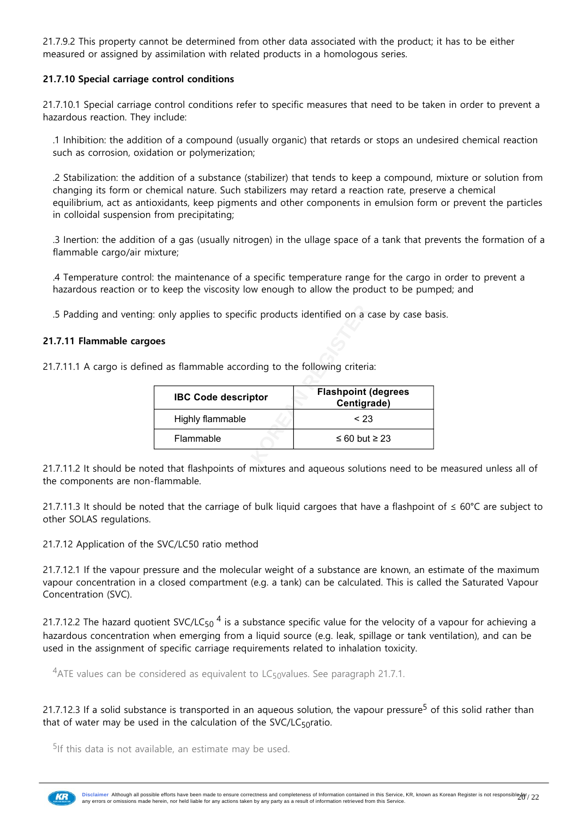21.7.9.2 This property cannot be determined from other data associated with the product; it has to be either measured or assigned by assimilation with related products in a homologous series.

### **21.7.10 Special carriage control conditions**

21.7.10.1 Special carriage control conditions refer to specific measures that need to be taken in order to prevent a hazardous reaction. They include:

.1 Inhibition: the addition of a compound (usually organic) that retards or stops an undesired chemical reaction such as corrosion, oxidation or polymerization;

.2 Stabilization: the addition of a substance (stabilizer) that tends to keep a compound, mixture or solution from changing its form or chemical nature. Such stabilizers may retard a reaction rate, preserve a chemical equilibrium, act as antioxidants, keep pigments and other components in emulsion form or prevent the particles in colloidal suspension from precipitating;

.3 Inertion: the addition of a gas (usually nitrogen) in the ullage space of a tank that prevents the formation of a flammable cargo/air mixture;

.4 Temperature control: the maintenance of a specific temperature range for the cargo in order to prevent a hazardous reaction or to keep the viscosity low enough to allow the product to be pumped; and

.5 Padding and venting: only applies to specific products identified on a case by case basis.

### **21.7.11 Flammable cargoes**

21.7.11.1 A cargo is defined as flammable according to the following criteria:

|                               |                                                                            | Padding and venting: only applies to specific products identified on a case by case ba                                                                                                                                                                                                                |
|-------------------------------|----------------------------------------------------------------------------|-------------------------------------------------------------------------------------------------------------------------------------------------------------------------------------------------------------------------------------------------------------------------------------------------------|
| 11 Flammable cargoes          |                                                                            |                                                                                                                                                                                                                                                                                                       |
|                               | 11.1 A cargo is defined as flammable according to the following criteria:  |                                                                                                                                                                                                                                                                                                       |
|                               | <b>IBC Code descriptor</b>                                                 | <b>Flashpoint (degrees</b><br>Centigrade)                                                                                                                                                                                                                                                             |
|                               | Highly flammable<br>Flammable                                              | < 23<br>≤ 60 but ≥ 23                                                                                                                                                                                                                                                                                 |
| components are non-flammable. |                                                                            | 11.2 It should be noted that flashpoints of mixtures and aqueous solutions need to b                                                                                                                                                                                                                  |
| r SOLAS regulations.          |                                                                            | 11.3 It should be noted that the carriage of bulk liquid cargoes that have a flashpoint                                                                                                                                                                                                               |
|                               | 12 Application of the SVC/LC50 ratio method                                |                                                                                                                                                                                                                                                                                                       |
| entration (SVC).              |                                                                            | 12.1 If the vapour pressure and the molecular weight of a substance are known, an e<br>ur concentration in a closed compartment (e.g. a tank) can be calculated. This is calle                                                                                                                        |
|                               |                                                                            | 12.2 The hazard quotient SVC/LC <sub>50</sub> <sup>4</sup> is a substance specific value for the velocity of a<br>rdous concentration when emerging from a liquid source (e.g. leak, spillage or tank v<br>in the assignment of specific carriage requirements related to inhalation toxicity.        |
|                               |                                                                            | TE values can be considered as equivalent to $LC_{50}$ values. See paragraph 21.7.1.                                                                                                                                                                                                                  |
|                               | of water may be used in the calculation of the SVC/LC <sub>50</sub> ratio. | 12.3 If a solid substance is transported in an aqueous solution, the vapour pressure <sup>5</sup> o                                                                                                                                                                                                   |
|                               | this data is not available, an estimate may be used.                       |                                                                                                                                                                                                                                                                                                       |
| R                             |                                                                            | Disclaimer Although all possible efforts have been made to ensure correctness and completeness of Information contained in this Service, KR, known<br>any errors or omissions made herein, nor held liable for any actions taken by any party as a result of information retrieved from this Service. |
|                               |                                                                            |                                                                                                                                                                                                                                                                                                       |
|                               |                                                                            |                                                                                                                                                                                                                                                                                                       |
|                               |                                                                            |                                                                                                                                                                                                                                                                                                       |
|                               |                                                                            |                                                                                                                                                                                                                                                                                                       |
|                               |                                                                            |                                                                                                                                                                                                                                                                                                       |
|                               |                                                                            |                                                                                                                                                                                                                                                                                                       |
|                               |                                                                            |                                                                                                                                                                                                                                                                                                       |
|                               |                                                                            |                                                                                                                                                                                                                                                                                                       |
|                               |                                                                            |                                                                                                                                                                                                                                                                                                       |
|                               |                                                                            |                                                                                                                                                                                                                                                                                                       |
|                               |                                                                            |                                                                                                                                                                                                                                                                                                       |
|                               |                                                                            |                                                                                                                                                                                                                                                                                                       |
|                               |                                                                            |                                                                                                                                                                                                                                                                                                       |
|                               |                                                                            |                                                                                                                                                                                                                                                                                                       |
|                               |                                                                            |                                                                                                                                                                                                                                                                                                       |
|                               |                                                                            |                                                                                                                                                                                                                                                                                                       |
|                               |                                                                            |                                                                                                                                                                                                                                                                                                       |
|                               |                                                                            |                                                                                                                                                                                                                                                                                                       |
|                               |                                                                            |                                                                                                                                                                                                                                                                                                       |
|                               |                                                                            |                                                                                                                                                                                                                                                                                                       |
|                               |                                                                            |                                                                                                                                                                                                                                                                                                       |
|                               |                                                                            |                                                                                                                                                                                                                                                                                                       |
|                               |                                                                            |                                                                                                                                                                                                                                                                                                       |
|                               |                                                                            |                                                                                                                                                                                                                                                                                                       |
|                               |                                                                            |                                                                                                                                                                                                                                                                                                       |
|                               |                                                                            |                                                                                                                                                                                                                                                                                                       |
|                               |                                                                            |                                                                                                                                                                                                                                                                                                       |
|                               |                                                                            |                                                                                                                                                                                                                                                                                                       |
|                               |                                                                            |                                                                                                                                                                                                                                                                                                       |
|                               |                                                                            |                                                                                                                                                                                                                                                                                                       |
|                               |                                                                            |                                                                                                                                                                                                                                                                                                       |
|                               |                                                                            |                                                                                                                                                                                                                                                                                                       |
|                               |                                                                            |                                                                                                                                                                                                                                                                                                       |
|                               |                                                                            |                                                                                                                                                                                                                                                                                                       |
|                               |                                                                            |                                                                                                                                                                                                                                                                                                       |
|                               |                                                                            |                                                                                                                                                                                                                                                                                                       |
|                               |                                                                            |                                                                                                                                                                                                                                                                                                       |
|                               |                                                                            |                                                                                                                                                                                                                                                                                                       |
|                               |                                                                            |                                                                                                                                                                                                                                                                                                       |
|                               |                                                                            |                                                                                                                                                                                                                                                                                                       |
|                               |                                                                            |                                                                                                                                                                                                                                                                                                       |
|                               |                                                                            |                                                                                                                                                                                                                                                                                                       |
|                               |                                                                            |                                                                                                                                                                                                                                                                                                       |
|                               |                                                                            |                                                                                                                                                                                                                                                                                                       |
|                               |                                                                            |                                                                                                                                                                                                                                                                                                       |
|                               |                                                                            |                                                                                                                                                                                                                                                                                                       |
|                               |                                                                            |                                                                                                                                                                                                                                                                                                       |

21.7.11.2 It should be noted that flashpoints of mixtures and aqueous solutions need to be measured unless all of the components are non-flammable.

21.7.11.3 It should be noted that the carriage of bulk liquid cargoes that have a flashpoint of ≤ 60°C are subject to other SOLAS regulations.

21.7.12 Application of the SVC/LC50 ratio method

21.7.12.1 If the vapour pressure and the molecular weight of a substance are known, an estimate of the maximum vapour concentration in a closed compartment (e.g. a tank) can be calculated. This is called the Saturated Vapour Concentration (SVC).

21.7.12.2 The hazard quotient SVC/LC<sub>50</sub>  $^4$  is a substance specific value for the velocity of a vapour for achieving a hazardous concentration when emerging from a liquid source (e.g. leak, spillage or tank ventilation), and can be used in the assignment of specific carriage requirements related to inhalation toxicity.

21.7.12.3 If a solid substance is transported in an aqueous solution, the vapour pressure<sup>5</sup> of this solid rather than that of water may be used in the calculation of the SVC/LC $_{50}$ ratio.

<sup>5</sup>If this data is not available, an estimate may be used.

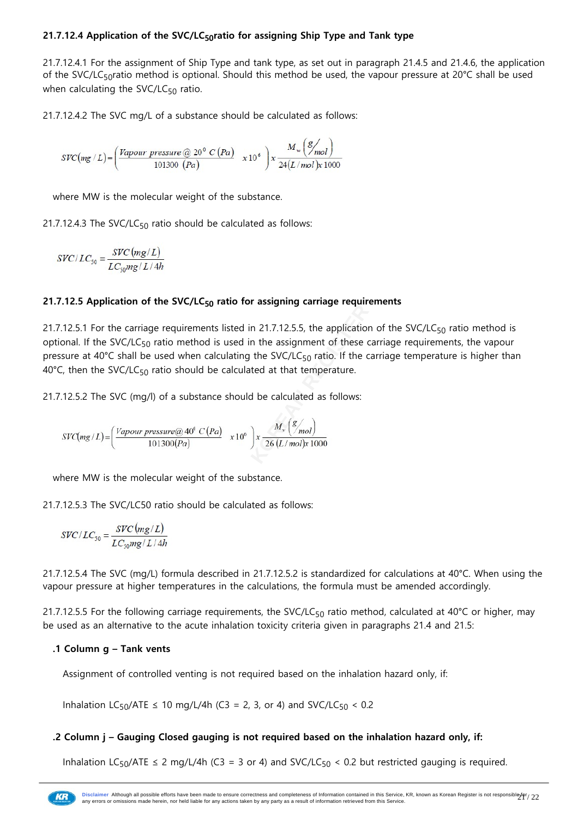## **21.7.12.4 Application of the SVC/LC50ratio for assigning Ship Type and Tank type**

21.7.12.4.1 For the assignment of Ship Type and tank type, as set out in paragraph 21.4.5 and 21.4.6, the application of the SVC/LC<sub>50</sub>ratio method is optional. Should this method be used, the vapour pressure at 20°C shall be used when calculating the SVC/LC $_{50}$  ratio.

21.7.12.4.2 The SVC mg/L of a substance should be calculated as follows:

$$
SVC(mg / L) = \left(\frac{Vapour pressure @ 20^{\circ} C (Pa)}{101300 (Pa)} \times 10^{\circ}\right) \times \frac{M_{w} \left(\frac{g}{mol}\right)}{24(L/mol) \times 1000}
$$

where MW is the molecular weight of the substance.

21.7.12.4.3 The SVC/LC $_{50}$  ratio should be calculated as follows:

$$
SVC/LC_{50} = \frac{SVC \left(mg/L\right)}{LC_{50}mg/L/4h}
$$

## **21.7.12.5 Application of the SVC/LC50 ratio for assigning carriage requirements**

21.7.12.5.1 For the carriage requirements listed in 21.7.12.5.5, the application of the SVC/LC<sub>50</sub> ratio method is optional. If the SVC/LC $_{50}$  ratio method is used in the assignment of these carriage requirements, the vapour pressure at 40 $\degree$ C shall be used when calculating the SVC/LC<sub>50</sub> ratio. If the carriage temperature is higher than 40°C, then the SVC/LC $_{50}$  ratio should be calculated at that temperature. 11.19. The carrier and the the carry and is not required based on the inhalation  $L_5L_5$ . The spin calculation different listed in 21.7.125.5, the application<br>turnal. If the SVC/LC<sub>50</sub> ratio enterd is used in the assignm

21.7.12.5.2 The SVC (mg/l) of a substance should be calculated as follows:

$$
SVC(mg/L) = \left(\frac{Vapour pressure@40^{\circ} C(Pa)}{101300(Pa)} \times 10^{\circ}\right) \times \frac{M_{w}\left(\frac{S}{N_{mol}}\right)}{26\left(L/mol\right)x\,1000}
$$

where MW is the molecular weight of the substance.

21.7.12.5.3 The SVC/LC50 ratio should be calculated as follows:

$$
SVC/LC_{50} = \frac{SVC(mg/L)}{LC_{50}mg/L/4h}
$$

21.7.12.5.4 The SVC (mg/L) formula described in 21.7.12.5.2 is standardized for calculations at 40°C. When using the vapour pressure at higher temperatures in the calculations, the formula must be amended accordingly.

21.7.12.5.5 For the following carriage requirements, the SVC/LC<sub>50</sub> ratio method, calculated at 40°C or higher, may be used as an alternative to the acute inhalation toxicity criteria given in paragraphs 21.4 and 21.5:

## **.1 Column g – Tank vents**

Assignment of controlled venting is not required based on the inhalation hazard only, if:

Inhalation LC<sub>50</sub>/ATE ≤ 10 mg/L/4h (C3 = 2, 3, or 4) and SVC/LC<sub>50</sub> < 0.2

## **.2 Column j – Gauging Closed gauging is not required based on the inhalation hazard only, if:**

Inhalation LC<sub>50</sub>/ATE  $\leq$  2 mg/L/4h (C3 = 3 or 4) and SVC/LC<sub>50</sub> < 0.2 but restricted gauging is required.

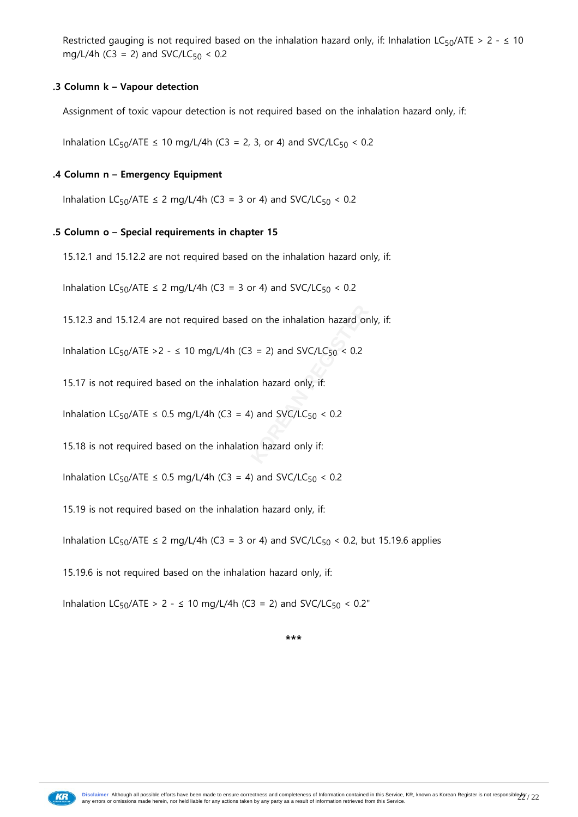Restricted gauging is not required based on the inhalation hazard only, if: Inhalation LC<sub>50</sub>/ATE > 2 -  $\leq$  10 mg/L/4h (C3 = 2) and SVC/LC<sub>50</sub> < 0.2

#### **.3 Column k – Vapour detection**

Assignment of toxic vapour detection is not required based on the inhalation hazard only, if:

Inhalation LC<sub>50</sub>/ATE ≤ 10 mg/L/4h (C3 = 2, 3, or 4) and SVC/LC<sub>50</sub> < 0.2

#### **.4 Column n – Emergency Equipment**

Inhalation LC<sub>50</sub>/ATE  $\leq$  2 mg/L/4h (C3 = 3 or 4) and SVC/LC<sub>50</sub> < 0.2

#### **.5 Column o – Special requirements in chapter 15**

15.12.1 and 15.12.2 are not required based on the inhalation hazard only, if:

Inhalation LC<sub>50</sub>/ATE  $\leq$  2 mg/L/4h (C3 = 3 or 4) and SVC/LC<sub>50</sub> < 0.2

15.12.3 and 15.12.4 are not required based on the inhalation hazard only, if: on the inhalation hazard only<br>  $B = 2$ ) and SVC/LC<sub>50</sub> < 0.2<br>
on hazard only, if:<br>
b) and SVC/LC<sub>50</sub> < 0.2<br>
on hazard only if:

Inhalation LC<sub>50</sub>/ATE > 2 - ≤ 10 mg/L/4h (C3 = 2) and SVC/LC<sub>50</sub> < 0.2

15.17 is not required based on the inhalation hazard only, if:

Inhalation LC<sub>50</sub>/ATE  $\leq$  0.5 mg/L/4h (C3 = 4) and SVC/LC<sub>50</sub> < 0.2

15.18 is not required based on the inhalation hazard only if:

Inhalation LC<sub>50</sub>/ATE  $\leq$  0.5 mg/L/4h (C3 = 4) and SVC/LC<sub>50</sub> < 0.2

15.19 is not required based on the inhalation hazard only, if:

Inhalation LC<sub>50</sub>/ATE  $\leq$  2 mg/L/4h (C3 = 3 or 4) and SVC/LC<sub>50</sub>  $\lt$  0.2, but 15.19.6 applies

15.19.6 is not required based on the inhalation hazard only, if:

Inhalation LC<sub>50</sub>/ATE > 2 -  $\leq$  10 mg/L/4h (C3 = 2) and SVC/LC<sub>50</sub> < 0.2"

**\*\*\***

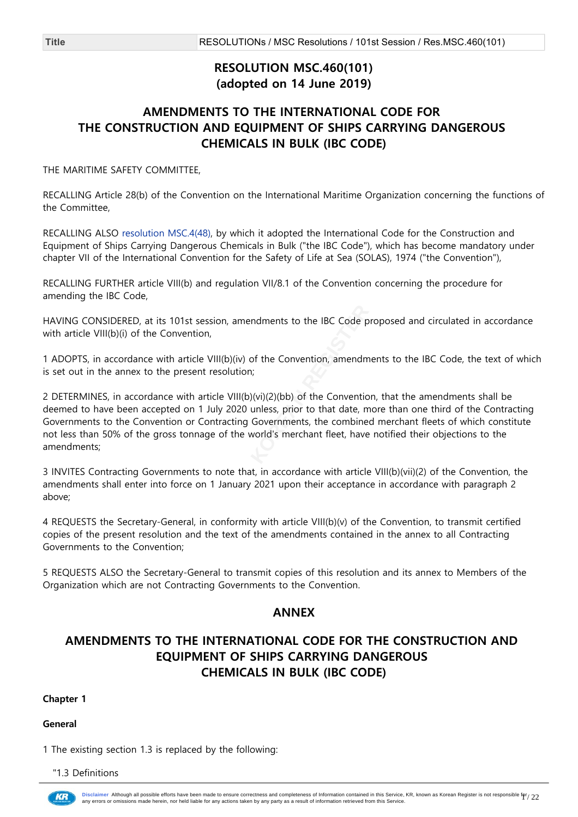# **RESOLUTION MSC.460(101) (adopted on 14 June 2019)**

# **AMENDMENTS TO THE INTERNATIONAL CODE FOR THE CONSTRUCTION AND EQUIPMENT OF SHIPS CARRYING DANGEROUS CHEMICALS IN BULK (IBC CODE)**

THE MARITIME SAFETY COMMITTEE,

RECALLING Article 28(b) of the Convention on the International Maritime Organization concerning the functions of the Committee,

RECALLING ALSO [resolution MSC.4\(48\),](http://103.12.248.9usercommontreeredirect.aspx?category_id=43067&node_type=normal&is_leaf=true&is_viewchild=true) by which it adopted the International Code for the Construction and Equipment of Ships Carrying Dangerous Chemicals in Bulk ("the IBC Code"), which has become mandatory under chapter VII of the International Convention for the Safety of Life at Sea (SOLAS), 1974 ("the Convention"),

RECALLING FURTHER article VIII(b) and regulation VII/8.1 of the Convention concerning the procedure for amending the IBC Code,

HAVING CONSIDERED, at its 101st session, amendments to the IBC Code proposed and circulated in accordance with article VIII(b)(i) of the Convention,

1 ADOPTS, in accordance with article VIII(b)(iv) of the Convention, amendments to the IBC Code, the text of which is set out in the annex to the present resolution;

2 DETERMINES, in accordance with article VIII(b)(vi)(2)(bb) of the Convention, that the amendments shall be deemed to have been accepted on 1 July 2020 unless, prior to that date, more than one third of the Contracting Governments to the Convention or Contracting Governments, the combined merchant fleets of which constitute not less than 50% of the gross tonnage of the world's merchant fleet, have notified their objections to the amendments; mandments to the IBC Code pro<br>of the Convention, amendme<br>i;<br>)(vi)(2)(bb) of the Convention<br>unless, prior to that date, mc<br>Governments, the combined<br>world's merchant fleet, have r

3 INVITES Contracting Governments to note that, in accordance with article VIII(b)(vii)(2) of the Convention, the amendments shall enter into force on 1 January 2021 upon their acceptance in accordance with paragraph 2 above;

4 REQUESTS the Secretary-General, in conformity with article VIII(b)(v) of the Convention, to transmit certified copies of the present resolution and the text of the amendments contained in the annex to all Contracting Governments to the Convention;

5 REQUESTS ALSO the Secretary-General to transmit copies of this resolution and its annex to Members of the Organization which are not Contracting Governments to the Convention.

## **ANNEX**

# **AMENDMENTS TO THE INTERNATIONAL CODE FOR THE CONSTRUCTION AND EQUIPMENT OF SHIPS CARRYING DANGEROUS CHEMICALS IN BULK (IBC CODE)**

### **Chapter 1**

### **General**

1 The existing section 1.3 is replaced by the following:

"1.3 Definitions

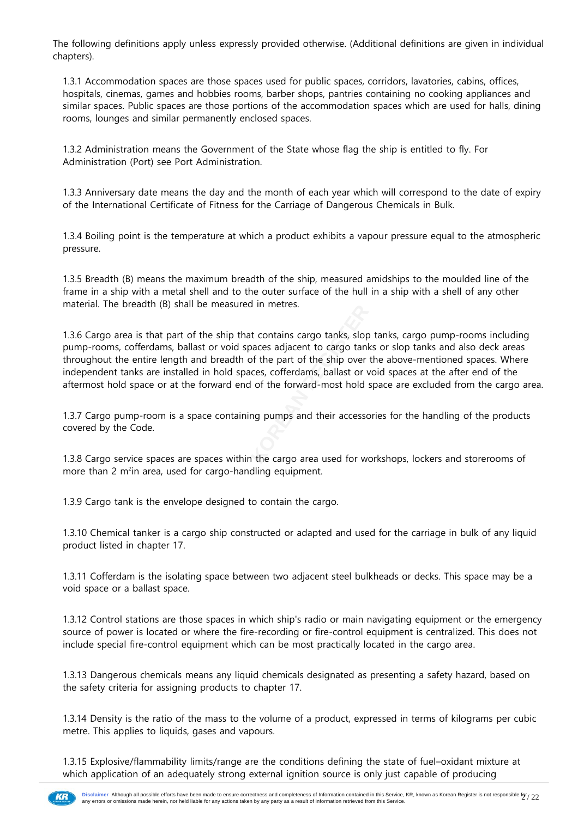The following definitions apply unless expressly provided otherwise. (Additional definitions are given in individual chapters).

1.3.1 Accommodation spaces are those spaces used for public spaces, corridors, lavatories, cabins, offices, hospitals, cinemas, games and hobbies rooms, barber shops, pantries containing no cooking appliances and similar spaces. Public spaces are those portions of the accommodation spaces which are used for halls, dining rooms, lounges and similar permanently enclosed spaces.

1.3.2 Administration means the Government of the State whose flag the ship is entitled to fly. For Administration (Port) see Port Administration .

1.3.3 Anniversary date means the day and the month of each year which will correspond to the date of expiry of the International Certificate of Fitness for the Carriage of Dangerous Chemicals in Bulk.

1.3.4 Boiling point is the temperature at which a product exhibits a vapour pressure equal to the atmospheric pressure.

1.3.5 Breadth (B) means the maximum breadth of the ship, measured amidships to the moulded line of the frame in a ship with a metal shell and to the outer surface of the hull in a ship with a shell of any other material. The breadth (B) shall be measured in metres.

1.3.6 Cargo area is that part of the ship that contains cargo tanks, slop tanks, cargo pump-rooms including pump-rooms, cofferdams, ballast or void spaces adjacent to cargo tanks or slop tanks and also deck areas throughout the entire length and breadth of the part of the ship over the above-mentioned spaces. Where independent tanks are installed in hold spaces, cofferdams, ballast or void spaces at the after end of the aftermost hold space or at the forward end of the forward-most hold space are excluded from the cargo area. In metres.<br>
It contains cargo tanks, slop t<br>
baces adjacent to cargo tanks<br>
of the part of the ship over th<br>
Legisland over the forward-most hold sp<br>
Ing pumps and their accessor<br>
In the cargo area used for wor

1.3.7 Cargo pump-room is a space containing pumps and their accessories for the handling of the products covered by the Code.

1.3.8 Cargo service spaces are spaces within the cargo area used for workshops, lockers and storerooms of more than 2 m<sup>2</sup> in area, used for cargo-handling equipment.

1.3.9 Cargo tank is the envelope designed to contain the cargo.

1.3.10 Chemical tanker is a cargo ship constructed or adapted and used for the carriage in bulk of any liquid product listed in chapter 17.

1.3.11 Cofferdam is the isolating space between two adjacent steel bulkheads or decks. This space may be a void space or a ballast space.

1.3.12 Control stations are those spaces in which ship's radio or main navigating equipment or the emergency source of power is located or where the fire-recording or fire-control equipment is centralized. This does not include special fire-control equipment which can be most practically located in the cargo area.

1.3.13 Dangerous chemicals means any liquid chemicals designated as presenting a safety hazard, based on the safety criteria for assigning products to chapter 17.

1.3.14 Density is the ratio of the mass to the volume of a product, expressed in terms of kilograms per cubic metre. This applies to liquids, gases and vapours.

1.3.15 Explosive/flammability limits/range are the conditions defining the state of fuel–oxidant mixture at which application of an adequately strong external ignition source is only just capable of producing

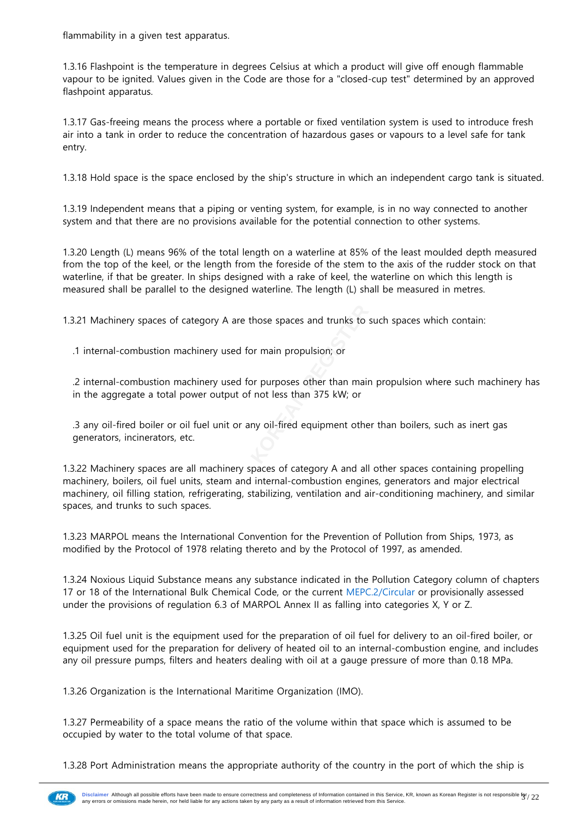flammability in a given test apparatus.

1.3.16 Flashpoint is the temperature in degrees Celsius at which a product will give off enough flammable vapour to be ignited. Values given in the Code are those for a "closed-cup test" determined by an approved flashpoint apparatus.

1.3.17 Gas-freeing means the process where a portable or fixed ventilation system is used to introduce fresh air into a tank in order to reduce the concentration of hazardous gases or vapours to a level safe for tank entry.

1.3.18 Hold space is the space enclosed by the ship's structure in which an independent cargo tank is situated.

1.3.19 Independent means that a piping or venting system, for example, is in no way connected to another system and that there are no provisions available for the potential connection to other systems.

1.3.20 Length (L) means 96% of the total length on a waterline at 85% of the least moulded depth measured from the top of the keel, or the length from the foreside of the stem to the axis of the rudder stock on that waterline, if that be greater. In ships designed with a rake of keel, the waterline on which this length is measured shall be parallel to the designed waterline. The length (L) shall be measured in metres.

1.3.21 Machinery spaces of category A are those spaces and trunks to such spaces which contain:

.1 internal-combustion machinery used for main propulsion; or

.2 internal-combustion machinery used for purposes other than main propulsion where such machinery has in the aggregate a total power output of not less than 375 kW; or those spaces and trunks to sum<br>or main propulsion; or<br>or purposes other than main<br>int less than 375 kW; or<br>ny oil-fired equipment other

.3 any oil-fired boiler or oil fuel unit or any oil-fired equipment other than boilers, such as inert gas generators, incinerators, etc.

1.3.22 Machinery spaces are all machinery spaces of category A and all other spaces containing propelling machinery, boilers, oil fuel units, steam and internal-combustion engines, generators and major electrical machinery, oil filling station, refrigerating, stabilizing, ventilation and air-conditioning machinery, and similar spaces, and trunks to such spaces.

1.3.23 MARPOL means the International Convention for the Prevention of Pollution from Ships, 1973, as modified by the Protocol of 1978 relating thereto and by the Protocol of 1997, as amended.

1.3.24 Noxious Liquid Substance means any substance indicated in the Pollution Category column of chapters 17 or 18 of the International Bulk Chemical Code, or the current [MEPC.2/Circular](http://krcon.krs.co.kr/functions/treeview/usercommontreeredirect.aspx?category_id=48786&node_type=normal&is_leaf=false&is_viewchild=false) or provisionally assessed under the provisions of regulation 6.3 of MARPOL Annex II as falling into categories X, Y or Z.

1.3.25 Oil fuel unit is the equipment used for the preparation of oil fuel for delivery to an oil-fired boiler, or equipment used for the preparation for delivery of heated oil to an internal-combustion engine, and includes any oil pressure pumps, filters and heaters dealing with oil at a gauge pressure of more than 0.18 MPa.

1.3.26 Organization is the International Maritime Organization (IMO).

1.3.27 Permeability of a space means the ratio of the volume within that space which is assumed to be occupied by water to the total volume of that space.

1.3.28 Port Administration means the appropriate authority of the country in the port of which the ship is



loading or unloading.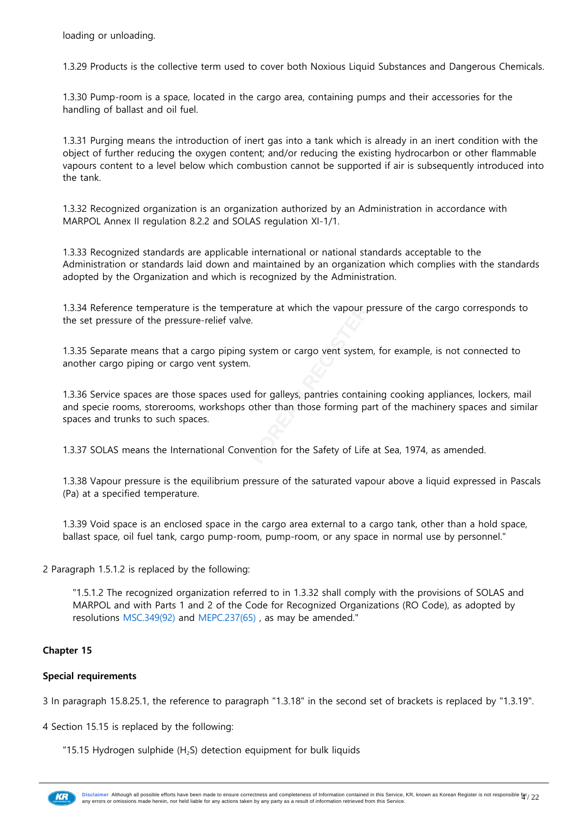1.3.29 Products is the collective term used to cover both Noxious Liquid Substances and Dangerous Chemicals.

1.3.30 Pump-room is a space, located in the cargo area, containing pumps and their accessories for the handling of ballast and oil fuel.

1.3.31 Purging means the introduction of inert gas into a tank which is already in an inert condition with the object of further reducing the oxygen content; and/or reducing the existing hydrocarbon or other flammable vapours content to a level below which combustion cannot be supported if air is subsequently introduced into the tank.

1.3.32 Recognized organization is an organization authorized by an Administration in accordance with MARPOL Annex II regulation 8.2.2 and SOLAS regulation XI-1/1.

1.3.33 Recognized standards are applicable international or national standards acceptable to the Administration or standards laid down and maintained by an organization which complies with the standards adopted by the Organization and which is recognized by the Administration.

1.3.34 Reference temperature is the temperature at which the vapour pressure of the cargo corresponds to the set pressure of the pressure-relief valve.

1.3.35 Separate means that a cargo piping system or cargo vent system, for example, is not connected to another cargo piping or cargo vent system.

1.3.36 Service spaces are those spaces used for galleys, pantries containing cooking appliances, lockers, mail and specie rooms, storerooms, workshops other than those forming part of the machinery spaces and similar spaces and trunks to such spaces. ature at which the vapour pr<br>Korean or cargo vent system,<br>For galleys, pantries containing<br>other than those forming par<br>ention for the Safety of Life a

1.3.37 SOLAS means the International Convention for the Safety of Life at Sea, 1974, as amended.

1.3.38 Vapour pressure is the equilibrium pressure of the saturated vapour above a liquid expressed in Pascals (Pa) at a specified temperature.

1.3.39 Void space is an enclosed space in the cargo area external to a cargo tank, other than a hold space, ballast space, oil fuel tank, cargo pump-room, pump-room, or any space in normal use by personnel."

2 Paragraph 1.5.1.2 is replaced by the following:

"1.5.1.2 The recognized organization referred to in 1.3.32 shall comply with the provisions of SOLAS and MARPOL and with Parts 1 and 2 of the Code for Recognized Organizations (RO Code), as adopted by resolutions [MSC.349\(92\)](http://krcon.krs.co.kr/functions/treeview/usercommontreeredirect.aspx?category_id=58617&node_type=normal&is_leaf=true&is_viewchild=true) and [MEPC.237\(65\)](http://krcon.krs.co.kr/functions/treeview/usercommontreeredirect.aspx?category_id=58399&node_type=normal&is_leaf=true&is_viewchild=true) , as may be amended."

## **Chapter 15**

### **Special requirements**

3 In paragraph 15.8.25.1, the reference to paragraph "1.3.18" in the second set of brackets is replaced by "1.3.19".

4 Section 15.15 is replaced by the following:

Hydrogen sulphide (H

"15.15 Hydrogen sulphide (H<sub>2</sub>S) detection equipment for bulk liquids



 $\overline{\mathcal{L}}$  shall be provided on board shall be provided on board ships carrying bulk liquids provided on board ships carrying bulk liquids provided on board ships carrying bulk liquids provided on board  $\overline{\mathcal{L}}$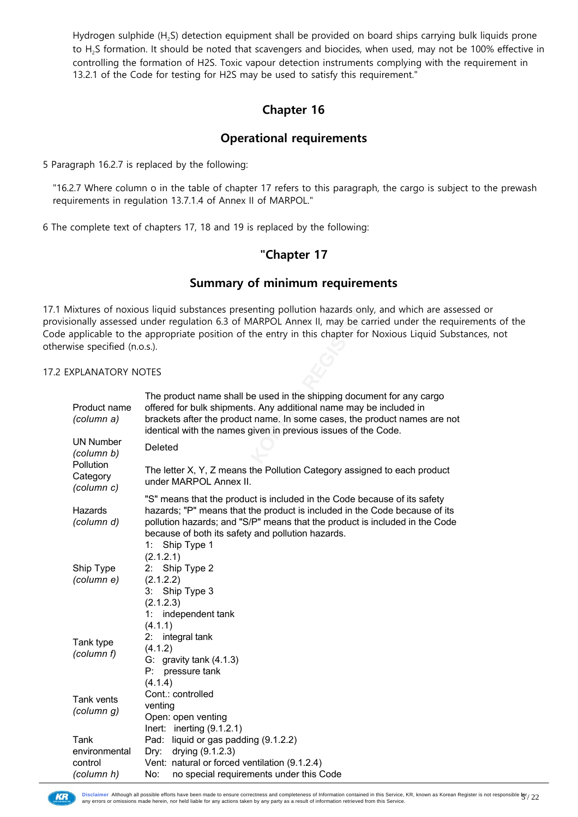Hydrogen sulphide (H <sup>2</sup>S) detection equipment shall be provided on board ships carrying bulk liquids prone to H <sup>2</sup>S formation. It should be noted that scavengers and biocides, when used, may not be 100% effective in controlling the formation of H2S. Toxic vapour detection instruments complying with the requirement in 13.2.1 of the Code for testing for H2S may be used to satisfy this requirement."

# **Chapter 16**

## **Operational requirements**

5 Paragraph 16.2.7 is replaced by the following:

"16.2.7 Where column o in the table of chapter 17 refers to this paragraph, the cargo is subject to the prewash requirements in regulation 13.7.1.4 of Annex II of MARPOL."

6 The complete text of chapters 17, 18 and 19 is replaced by the following:

# **"Chapter 17**

# **Summary of minimum requirements**

17.1 Mixtures of noxious liquid substances presenting pollution hazards only, and which are assessed or provisionally assessed under regulation 6.3 of MARPOL Annex II, may be carried under the requirements of the Code applicable to the appropriate position of the entry in this chapter for Noxious Liquid Substances, not otherwise specified (n.o.s.).

### 17.2 EXPLANATORY NOTES

| ise specified (n.o.s.).                | lixtures of noxious liquid substances presenting pollution hazards only, and which are asses<br>onally assessed under regulation 6.3 of MARPOL Annex II, may be carried under the requir<br>applicable to the appropriate position of the entry in this chapter for Noxious Liquid Substa                       |
|----------------------------------------|-----------------------------------------------------------------------------------------------------------------------------------------------------------------------------------------------------------------------------------------------------------------------------------------------------------------|
| <b>KPLANATORY NOTES</b>                |                                                                                                                                                                                                                                                                                                                 |
| Product name<br>(column a)             | The product name shall be used in the shipping document for any cargo<br>offered for bulk shipments. Any additional name may be included in<br>brackets after the product name. In some cases, the product names are not<br>identical with the names given in previous issues of the Code.                      |
| UN Number<br>(column b)                | Deleted                                                                                                                                                                                                                                                                                                         |
| Pollution<br>Category<br>(column c)    | The letter X, Y, Z means the Pollution Category assigned to each product<br>under MARPOL Annex II.                                                                                                                                                                                                              |
| Hazards<br>(column d)                  | "S" means that the product is included in the Code because of its safety<br>hazards; "P" means that the product is included in the Code because of its<br>pollution hazards; and "S/P" means that the product is included in the Code<br>because of both its safety and pollution hazards.<br>1:<br>Ship Type 1 |
| Ship Type<br>(column e)                | (2.1.2.1)<br>2:<br>Ship Type 2<br>(2.1.2.2)<br>Ship Type 3<br>3:<br>(2.1.2.3)                                                                                                                                                                                                                                   |
| Tank type<br>(column f)                | independent tank<br>1:<br>(4.1.1)<br>integral tank<br>2:<br>(4.1.2)<br>G: gravity tank $(4.1.3)$<br>P:<br>pressure tank                                                                                                                                                                                         |
| Tank vents<br>(column g)               | (4.1.4)<br>Cont.: controlled<br>venting<br>Open: open venting<br>Inert: inerting $(9.1.2.1)$                                                                                                                                                                                                                    |
| Tank                                   | Pad: liquid or gas padding (9.1.2.2)                                                                                                                                                                                                                                                                            |
| environmental<br>control<br>(column h) | drying (9.1.2.3)<br>Dry:<br>Vent: natural or forced ventilation (9.1.2.4)<br>No:<br>no special requirements under this Code                                                                                                                                                                                     |

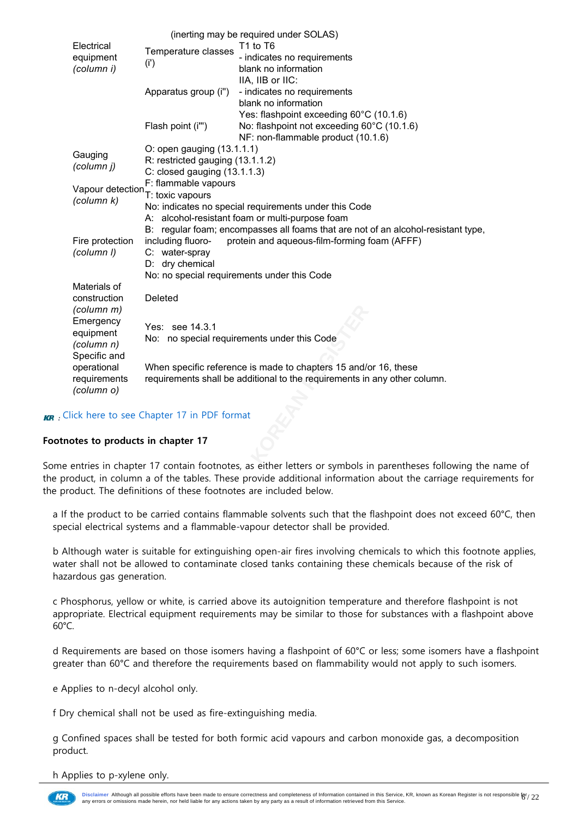|                                |                                           | (inerting may be required under SOLAS)                                         |
|--------------------------------|-------------------------------------------|--------------------------------------------------------------------------------|
| Electrical                     | Temperature classes                       | T1 to T6                                                                       |
| equipment                      |                                           | - indicates no requirements                                                    |
| (column i)                     | (i')                                      | blank no information                                                           |
|                                |                                           | IIA, IIB or IIC:                                                               |
|                                | Apparatus group (i")                      | - indicates no requirements                                                    |
|                                |                                           | blank no information                                                           |
|                                |                                           | Yes: flashpoint exceeding 60°C (10.1.6)                                        |
|                                | Flash point (i"')                         | No: flashpoint not exceeding 60°C (10.1.6)                                     |
|                                |                                           | NF: non-flammable product (10.1.6)                                             |
|                                | O: open gauging (13.1.1.1)                |                                                                                |
| Gauging                        | R: restricted gauging (13.1.1.2)          |                                                                                |
| (column j)                     | C: closed gauging (13.1.1.3)              |                                                                                |
|                                | F: flammable vapours                      |                                                                                |
| Vapour detection               | T: toxic vapours                          |                                                                                |
| (column k)                     |                                           | No: indicates no special requirements under this Code                          |
|                                |                                           | A: alcohol-resistant foam or multi-purpose foam                                |
|                                | B:                                        | regular foam; encompasses all foams that are not of an alcohol-resistant type, |
| Fire protection                | including fluoro-                         | protein and aqueous-film-forming foam (AFFF)                                   |
| (column I)                     | C: water-spray                            |                                                                                |
|                                | D: dry chemical                           |                                                                                |
|                                |                                           | No: no special requirements under this Code                                    |
| Materials of                   |                                           |                                                                                |
| construction                   | Deleted                                   |                                                                                |
| (column m)                     |                                           |                                                                                |
| Emergency                      |                                           |                                                                                |
| equipment                      | Yes: see 14.3.1                           |                                                                                |
| (column n)                     |                                           | No: no special requirements under this Code                                    |
| Specific and                   |                                           |                                                                                |
| operational                    |                                           | When specific reference is made to chapters 15 and/or 16, these                |
| requirements                   |                                           | requirements shall be additional to the requirements in any other column.      |
| (column o)                     |                                           |                                                                                |
|                                |                                           |                                                                                |
|                                | lick here to see Chapter 17 in PDF format |                                                                                |
|                                |                                           |                                                                                |
|                                |                                           |                                                                                |
| otes to products in chapter 17 |                                           |                                                                                |
|                                |                                           |                                                                                |

### **KR** : [Click here to see Chapter 17 in PDF format](http://krcon.krs.co.kr/files/treeeditor/e.r.me.074.318/en/link1.pdf)

### **Footnotes to products in chapter 17**

Some entries in chapter 17 contain footnotes, as either letters or symbols in parentheses following the name of the product, in column a of the tables. These provide additional information about the carriage requirements for the product. The definitions of these footnotes are included below.

a If the product to be carried contains flammable solvents such that the flashpoint does not exceed 60°C, then special electrical systems and a flammable-vapour detector shall be provided.

b Although water is suitable for extinguishing open-air fires involving chemicals to which this footnote applies, water shall not be allowed to contaminate closed tanks containing these chemicals because of the risk of hazardous gas generation.

c Phosphorus, yellow or white, is carried above its autoignition temperature and therefore flashpoint is not appropriate. Electrical equipment requirements may be similar to those for substances with a flashpoint above 60°C.

d Requirements are based on those isomers having a flashpoint of 60°C or less; some isomers have a flashpoint greater than 60°C and therefore the requirements based on flammability would not apply to such isomers.

e Applies to n-decyl alcohol only.

f Dry chemical shall not be used as fire-extinguishing media.

g Confined spaces shall be tested for both formic acid vapours and carbon monoxide gas, a decomposition product.

h Applies to p-xylene only.

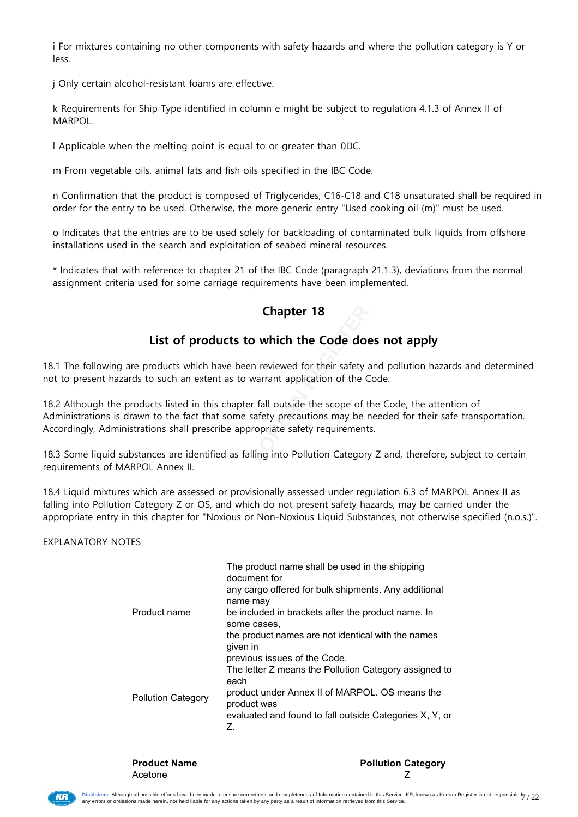i For mixtures containing no other components with safety hazards and where the pollution category is Y or less.

j Only certain alcohol-resistant foams are effective.

k Requirements for Ship Type identified in column e might be subject to regulation 4.1.3 of Annex II of MARPOL.

I Applicable when the melting point is equal to or greater than 0 DC.

m From vegetable oils, animal fats and fish oils specified in the IBC Code.

n Confirmation that the product is composed of Triglycerides, C16-C18 and C18 unsaturated shall be required in order for the entry to be used. Otherwise, the more generic entry "Used cooking oil (m)" must be used.

o Indicates that the entries are to be used solely for backloading of contaminated bulk liquids from offshore installations used in the search and exploitation of seabed mineral resources.

\* Indicates that with reference to chapter 21 of the IBC Code (paragraph 21.1.3), deviations from the normal assignment criteria used for some carriage requirements have been implemented.

## **Chapter 18**

## **List of products to which the Code does not apply**

18.1 The following are products which have been reviewed for their safety and pollution hazards and determined not to present hazards to such an extent as to warrant application of the Code.

18.2 Although the products listed in this chapter fall outside the scope of the Code, the attention of Administrations is drawn to the fact that some safety precautions may be needed for their safe transportation. Accordingly, Administrations shall prescribe appropriate safety requirements. **Chapter 18**<br> **Solution which the Code doe:**<br>
In reviewed for their safety are<br>
warrant application of the Cc<br>
In fall outside the scope of the<br>
safety precautions may be neer<br>
propriate safety requirements.<br>
Iling into Po

18.3 Some liquid substances are identified as falling into Pollution Category Z and, therefore, subject to certain requirements of MARPOL Annex II.

18.4 Liquid mixtures which are assessed or provisionally assessed under regulation 6.3 of MARPOL Annex II as falling into Pollution Category Z or OS, and which do not present safety hazards, may be carried under the appropriate entry in this chapter for "Noxious or Non-Noxious Liquid Substances, not otherwise specified (n.o.s.)".

EXPLANATORY NOTES

|                           | The product name shall be used in the shipping<br>document for<br>any cargo offered for bulk shipments. Any additional<br>name may |
|---------------------------|------------------------------------------------------------------------------------------------------------------------------------|
| Product name              | be included in brackets after the product name. In                                                                                 |
|                           | some cases.                                                                                                                        |
|                           | the product names are not identical with the names<br>given in                                                                     |
|                           | previous issues of the Code.                                                                                                       |
|                           | The letter Z means the Pollution Category assigned to<br>each                                                                      |
| <b>Pollution Category</b> | product under Annex II of MARPOL. OS means the<br>product was                                                                      |
|                           | evaluated and found to fall outside Categories X, Y, or<br>Ζ.                                                                      |
|                           |                                                                                                                                    |



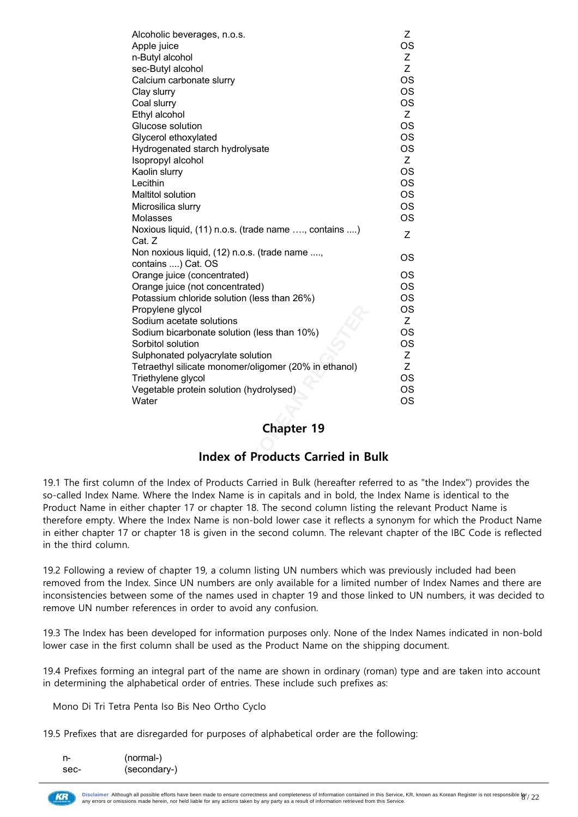| Alcoholic beverages, n.o.s.                           | Ζ                      |
|-------------------------------------------------------|------------------------|
| Apple juice                                           | <b>OS</b>              |
| n-Butyl alcohol                                       | Ζ                      |
| sec-Butyl alcohol                                     | Z                      |
| Calcium carbonate slurry                              | <b>OS</b>              |
| Clay slurry                                           | <b>OS</b>              |
| Coal slurry                                           | OS                     |
| Ethyl alcohol                                         | Z                      |
| Glucose solution                                      | <b>OS</b>              |
| Glycerol ethoxylated                                  | <b>OS</b>              |
| Hydrogenated starch hydrolysate                       | <b>OS</b>              |
| Isopropyl alcohol                                     | Z                      |
| Kaolin slurry                                         | <b>OS</b>              |
| Lecithin                                              | <b>OS</b>              |
| Maltitol solution                                     | <b>OS</b>              |
| Microsilica slurry                                    | <b>OS</b>              |
| Molasses                                              | <b>OS</b>              |
| Noxious liquid, (11) n.o.s. (trade name , contains )  | Z                      |
| Cat. Z                                                |                        |
| Non noxious liquid, (12) n.o.s. (trade name ,         | OS                     |
| contains ) Cat. OS                                    |                        |
| Orange juice (concentrated)                           | <b>OS</b>              |
| Orange juice (not concentrated)                       | <b>OS</b>              |
| Potassium chloride solution (less than 26%)           | <b>OS</b>              |
| Propylene glycol                                      | <b>OS</b>              |
| Sodium acetate solutions                              | Z                      |
| Sodium bicarbonate solution (less than 10%)           | <b>OS</b>              |
| Sorbitol solution                                     | <b>OS</b>              |
| Sulphonated polyacrylate solution                     | Ζ                      |
| Tetraethyl silicate monomer/oligomer (20% in ethanol) | Z                      |
| Triethylene glycol                                    | <b>OS</b><br><b>OS</b> |
| Vegetable protein solution (hydrolysed)<br>Water      | <b>OS</b>              |
|                                                       |                        |
| <b>Chapter 19</b>                                     |                        |
|                                                       |                        |
| <b>Index of Products Carried in Bulk</b>              |                        |

# **Chapter 19**

# **Index of Products Carried in Bulk**

19.1 The first column of the Index of Products Carried in Bulk (hereafter referred to as "the Index") provides the so-called Index Name. Where the Index Name is in capitals and in bold, the Index Name is identical to the Product Name in either chapter 17 or chapter 18. The second column listing the relevant Product Name is therefore empty. Where the Index Name is non-bold lower case it reflects a synonym for which the Product Name in either chapter 17 or chapter 18 is given in the second column. The relevant chapter of the IBC Code is reflected in the third column.

19.2 Following a review of chapter 19, a column listing UN numbers which was previously included had been removed from the Index. Since UN numbers are only available for a limited number of Index Names and there are inconsistencies between some of the names used in chapter 19 and those linked to UN numbers, it was decided to remove UN number references in order to avoid any confusion.

19.3 The Index has been developed for information purposes only. None of the Index Names indicated in non-bold lower case in the first column shall be used as the Product Name on the shipping document.

19.4 Prefixes forming an integral part of the name are shown in ordinary (roman) type and are taken into account in determining the alphabetical order of entries. These include such prefixes as:

Mono Di Tri Tetra Penta Iso Bis Neo Ortho Cyclo

19.5 Prefixes that are disregarded for purposes of alphabetical order are the following:

| n-   | (normal-)    |
|------|--------------|
| sec- | (secondary-) |

tertiary (the state of the state of the state of the state of the state of the state of the state of the state of the state of the state of the state of the state of the state of the state of the state of the state of the

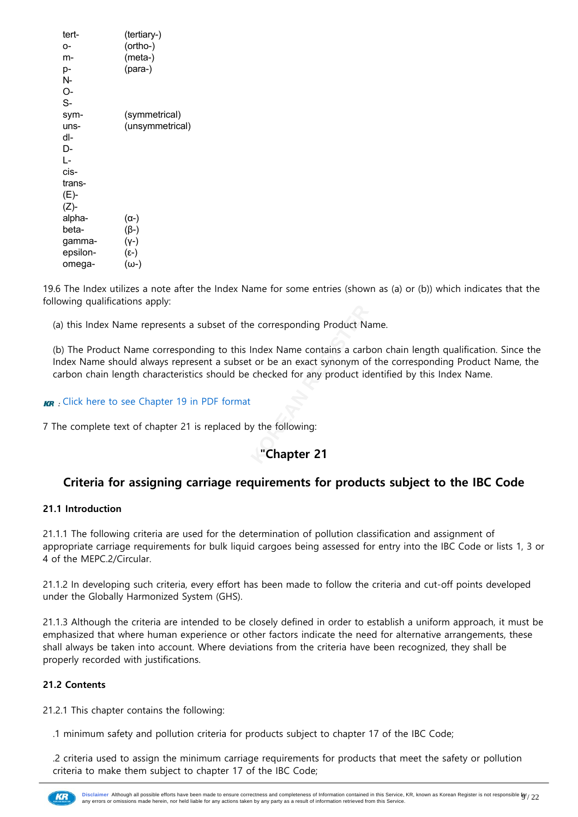| tert-    | (tertiary-)     |
|----------|-----------------|
| о-       | (ortho-)        |
| m-       | (meta-)         |
| p-       | (para-)         |
| N-       |                 |
| О-       |                 |
| S-       |                 |
| sym-     | (symmetrical)   |
| uns-     | (unsymmetrical) |
| dl-      |                 |
| D-       |                 |
| L-       |                 |
| cis-     |                 |
| trans-   |                 |
| (E)-     |                 |
| $(Z)$ -  |                 |
| alpha-   | (α-)            |
| beta-    | (β-)            |
| gamma-   | (Y-)            |
| epsilon- | (-ع)            |
| omega-   | (ω-)            |

19.6 The Index utilizes a note after the Index Name for some entries (shown as (a) or (b)) which indicates that the following qualifications apply:

(a) this Index Name represents a subset of the corresponding Product Name.

(b) The Product Name corresponding to this Index Name contains a carbon chain length qualification. Since the Index Name should always represent a subset or be an exact synonym of the corresponding Product Name, the carbon chain length characteristics should be checked for any product identified by this Index Name. Experiment or corresponding Product Namer<br>
Index Namer contains a carbor<br>
transferred for any product ide<br>
Second the following:<br> **KORER 21** 

**KR**: [Click here to see Chapter 19 in PDF format](http://krcon.krs.co.kr/files/treeeditor/e.r.me.074.318/en/link2.pdf)

7 The complete text of chapter 21 is replaced by the following:

# **"Chapter 21**

## **Criteria for assigning carriage requirements for products subject to the IBC Code**

### **21.1 Introduction**

21.1.1 The following criteria are used for the determination of pollution classification and assignment of appropriate carriage requirements for bulk liquid cargoes being assessed for entry into the IBC Code or lists 1, 3 or 4 of the MEPC.2/Circular.

21.1.2 In developing such criteria, every effort has been made to follow the criteria and cut-off points developed under the Globally Harmonized System (GHS).

21.1.3 Although the criteria are intended to be closely defined in order to establish a uniform approach, it must be emphasized that where human experience or other factors indicate the need for alternative arrangements, these shall always be taken into account. Where deviations from the criteria have been recognized, they shall be properly recorded with justifications.

### **21.2 Contents**

21.2.1 This chapter contains the following:

.1 minimum safety and pollution criteria for products subject to chapter 17 of the IBC Code;

.2 criteria used to assign the minimum carriage requirements for products that meet the safety or pollution criteria to make them subject to chapter 17 of the IBC Code;

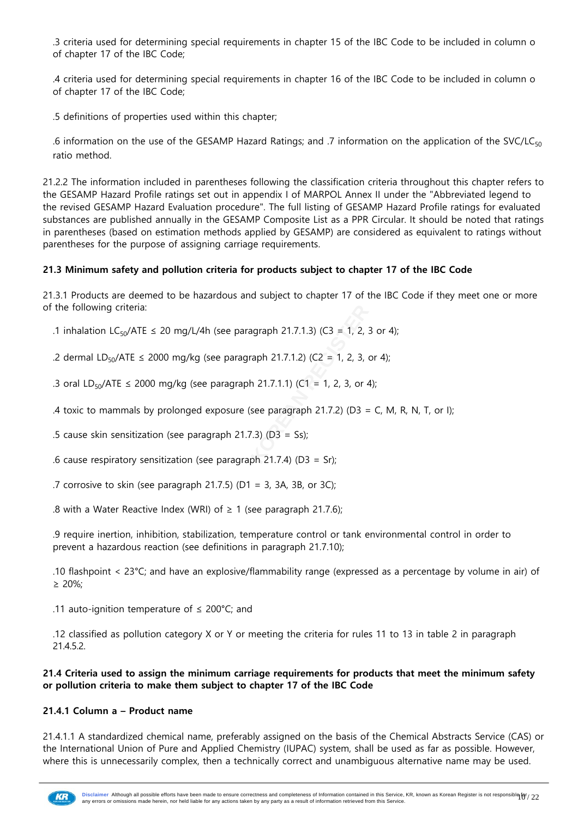.3 criteria used for determining special requirements in chapter 15 of the IBC Code to be included in column o of chapter 17 of the IBC Code;

.4 criteria used for determining special requirements in chapter 16 of the IBC Code to be included in column o of chapter 17 of the IBC Code;

.5 definitions of properties used within this chapter;

.6 information on the use of the GESAMP Hazard Ratings; and .7 information on the application of the SVC/LC<sub>50</sub> ratio method.

21.2.2 The information included in parentheses following the classification criteria throughout this chapter refers to the GESAMP Hazard Profile ratings set out in appendix I of MARPOL Annex II under the "Abbreviated legend to the revised GESAMP Hazard Evaluation procedure". The full listing of GESAMP Hazard Profile ratings for evaluated substances are published annually in the GESAMP Composite List as a PPR Circular. It should be noted that ratings in parentheses (based on estimation methods applied by GESAMP) are considered as equivalent to ratings without parentheses for the purpose of assigning carriage requirements.

## **21.3 Minimum safety and pollution criteria for products subject to chapter 17 of the IBC Code**

21.3.1 Products are deemed to be hazardous and subject to chapter 17 of the IBC Code if they meet one or more of the following criteria:

.1 inhalation LC<sub>50</sub>/ATE ≤ 20 mg/L/4h (see paragraph 21.7.1.3) (C3 = 1, 2, 3 or 4); According the 21.7.1.3) (C3 = 1, 2, 3<br> **According 21.7.1.2)** (C2 = 1, 2, 3, or<br>
According 21.7.1.1) (C1 = 1, 2, 3, or 4)<br>
See paragraph 21.7.2) (D3 = 1<br>
According 21.7.4) (D3 = Sr);

.2 dermal LD<sub>50</sub>/ATE ≤ 2000 mg/kg (see paragraph 21.7.1.2) (C2 = 1, 2, 3, or 4);

.3 oral LD<sub>50</sub>/ATE ≤ 2000 mg/kg (see paragraph 21.7.1.1) (C1 = 1, 2, 3, or 4);

.4 toxic to mammals by prolonged exposure (see paragraph 21.7.2) ( $D3 = C$ , M, R, N, T, or I);

.5 cause skin sensitization (see paragraph 21.7.3) (D3 = Ss);

.6 cause respiratory sensitization (see paragraph 21.7.4) ( $D3 = Sr$ );

.7 corrosive to skin (see paragraph 21.7.5) ( $D1 = 3$ , 3A, 3B, or 3C);

.8 with a Water Reactive Index (WRI) of  $\geq 1$  (see paragraph 21.7.6);

.9 require inertion, inhibition, stabilization, temperature control or tank environmental control in order to prevent a hazardous reaction (see definitions in paragraph 21.7.10);

.10 flashpoint < 23°C; and have an explosive/flammability range (expressed as a percentage by volume in air) of ≥ 20%;

.11 auto-ignition temperature of ≤ 200°C; and

.12 classified as pollution category X or Y or meeting the criteria for rules 11 to 13 in table 2 in paragraph 21452

## **21.4 Criteria used to assign the minimum carriage requirements for products that meet the minimum safety or pollution criteria to make them subject to chapter 17 of the IBC Code**

## **21.4.1 Column a – Product name**

21.4.1.1 A standardized chemical name, preferably assigned on the basis of the Chemical Abstracts Service (CAS) or the International Union of Pure and Applied Chemistry (IUPAC) system, shall be used as far as possible. However, where this is unnecessarily complex, then a technically correct and unambiguous alternative name may be used.

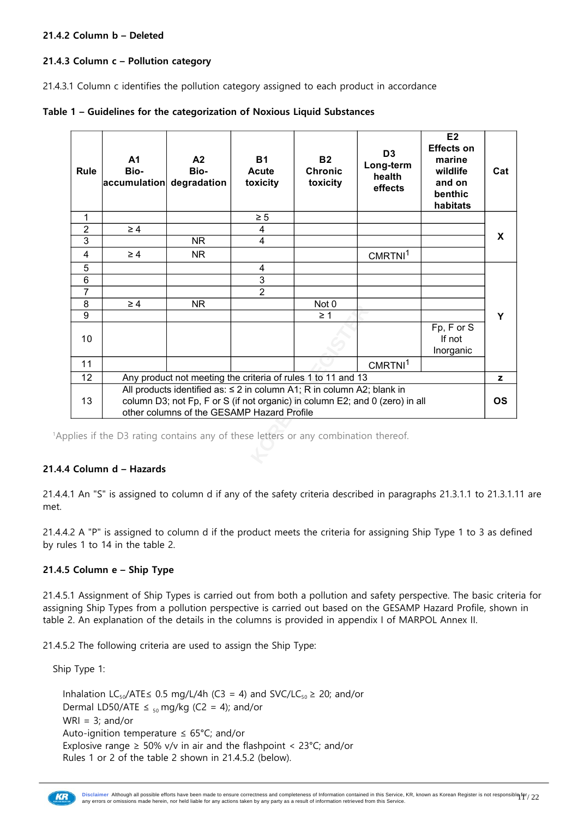## **21.4.2 Column b – Deleted**

### **21.4.3 Column c – Pollution category**

21.4.3.1 Column c identifies the pollution category assigned to each product in accordance

|  |  | Table 1 - Guidelines for the categorization of Noxious Liquid Substances |  |  |
|--|--|--------------------------------------------------------------------------|--|--|
|--|--|--------------------------------------------------------------------------|--|--|

| <b>Rule</b>                                                                      | A <sub>1</sub><br>Bio-<br>accumulation degradation                                                                         | A2<br>Bio- | <b>B1</b><br><b>Acute</b><br>toxicity | <b>B2</b><br><b>Chronic</b><br>toxicity | D <sub>3</sub><br>Long-term<br>health<br>effects | E <sub>2</sub><br><b>Effects on</b><br>marine<br>wildlife<br>and on<br>benthic<br>habitats | Cat |
|----------------------------------------------------------------------------------|----------------------------------------------------------------------------------------------------------------------------|------------|---------------------------------------|-----------------------------------------|--------------------------------------------------|--------------------------------------------------------------------------------------------|-----|
| 1                                                                                |                                                                                                                            |            | $\geq 5$                              |                                         |                                                  |                                                                                            |     |
| $\overline{2}$                                                                   | $\geq 4$                                                                                                                   |            | 4                                     |                                         |                                                  |                                                                                            | X   |
| 3                                                                                |                                                                                                                            | <b>NR</b>  | 4                                     |                                         |                                                  |                                                                                            |     |
| 4                                                                                | $\geq 4$                                                                                                                   | NR.        |                                       |                                         | CMRTNI <sup>1</sup>                              |                                                                                            |     |
| 5                                                                                |                                                                                                                            |            | 4                                     |                                         |                                                  |                                                                                            |     |
| 6                                                                                |                                                                                                                            |            | 3                                     |                                         |                                                  |                                                                                            |     |
| $\overline{7}$                                                                   |                                                                                                                            |            | $\overline{2}$                        |                                         |                                                  |                                                                                            |     |
| 8                                                                                | $\geq 4$                                                                                                                   | <b>NR</b>  |                                       | Not 0                                   |                                                  |                                                                                            |     |
| 9                                                                                |                                                                                                                            |            |                                       | $\geq 1$                                |                                                  |                                                                                            | Y   |
| 10                                                                               |                                                                                                                            |            |                                       |                                         |                                                  | $Fp, F$ or S<br>If not<br>Inorganic                                                        |     |
| 11                                                                               |                                                                                                                            |            |                                       |                                         | CMRTNI <sup>1</sup>                              |                                                                                            |     |
| 12                                                                               | Any product not meeting the criteria of rules 1 to 11 and 13                                                               |            |                                       |                                         |                                                  | z                                                                                          |     |
|                                                                                  | All products identified as: $\leq 2$ in column A1; R in column A2; blank in                                                |            |                                       |                                         |                                                  |                                                                                            |     |
| 13                                                                               | column D3; not Fp, F or S (if not organic) in column E2; and 0 (zero) in all<br>other columns of the GESAMP Hazard Profile |            |                                       |                                         |                                                  | <b>OS</b>                                                                                  |     |
|                                                                                  |                                                                                                                            |            |                                       |                                         |                                                  |                                                                                            |     |
| plies if the D3 rating contains any of these letters or any combination thereof. |                                                                                                                            |            |                                       |                                         |                                                  |                                                                                            |     |

### **21.4.4 Column d – Hazards**

21.4.4.1 An "S" is assigned to column d if any of the safety criteria described in paragraphs 21.3.1.1 to 21.3.1.11 are met.

21.4.4.2 A "P" is assigned to column d if the product meets the criteria for assigning Ship Type 1 to 3 as defined by rules 1 to 14 in the table 2.

### **21.4.5 Column e – Ship Type**

21.4.5.1 Assignment of Ship Types is carried out from both a pollution and safety perspective. The basic criteria for assigning Ship Types from a pollution perspective is carried out based on the GESAMP Hazard Profile, shown in table 2. An explanation of the details in the columns is provided in appendix I of MARPOL Annex II.

21.4.5.2 The following criteria are used to assign the Ship Type:

Ship Type 1:

Inhalation LC<sub>50</sub>/ATE≤ 0.5 mg/L/4h (C3 = 4) and SVC/LC<sub>50</sub> ≥ 20; and/or Dermal LD50/ATE  $\leq$  <sub>50</sub> mg/kg (C2 = 4); and/or  $WRI = 3$ ; and/or Auto-ignition temperature ≤ 65°C; and/or Explosive range  $\geq 50\%$  v/v in air and the flashpoint < 23°C; and/or Rules 1 or 2 of the table 2 shown in 21.4.5.2 (below).

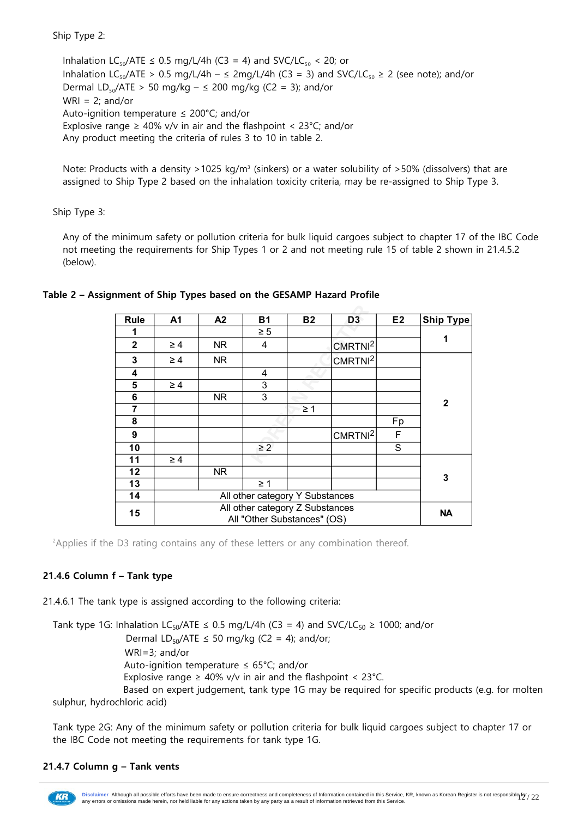Ship Type 2:

Inhalation LC<sub>50</sub>/ATE  $\leq$  0.5 mg/L/4h (C3 = 4) and SVC/LC<sub>50</sub> < 20; or Inhalation LC<sub>50</sub>/ATE > 0.5 mg/L/4h –  $\leq$  2mg/L/4h (C3 = 3) and SVC/LC<sub>50</sub>  $\geq$  2 (see note); and/or Dermal LD<sub>50</sub>/ATE > 50 mg/kg –  $\leq$  200 mg/kg (C2 = 3); and/or  $WRI = 2$ ; and/or Auto-ignition temperature ≤ 200°C; and/or Explosive range  $\geq 40\%$  v/v in air and the flashpoint < 23°C; and/or Any product meeting the criteria of rules 3 to 10 in table 2.

Note: Products with a density >1025 kg/m<sup>3</sup> (sinkers) or a water solubility of >50% (dissolvers) that are assigned to Ship Type 2 based on the inhalation toxicity criteria, may be re-assigned to Ship Type 3.

Ship Type 3:

Any of the minimum safety or pollution criteria for bulk liquid cargoes subject to chapter 17 of the IBC Code not meeting the requirements for Ship Types 1 or 2 and not meeting rule 15 of table 2 shown in 21.4.5.2 (below).

| <b>Rule</b>      | A1                                                             | A2  | <b>B1</b> | <b>B2</b> | D <sub>3</sub>      | E2 | Ship Type    |
|------------------|----------------------------------------------------------------|-----|-----------|-----------|---------------------|----|--------------|
| 1                |                                                                |     | $\geq 5$  |           |                     |    |              |
| $\overline{2}$   | $\geq 4$                                                       | NR. | 4         |           | CMRTNI <sup>2</sup> |    |              |
| 3                | $\geq 4$                                                       | NR  |           |           | CMRTNI <sup>2</sup> |    |              |
| 4                |                                                                |     | 4         |           |                     |    |              |
| 5                | $\geq 4$                                                       |     | 3         |           |                     |    |              |
| 6                |                                                                | NR  | 3         |           |                     |    | $\mathbf{2}$ |
| $\overline{7}$   |                                                                |     |           | $\geq 1$  |                     |    |              |
| 8                |                                                                |     |           |           |                     | Fp |              |
| $\boldsymbol{9}$ |                                                                |     |           |           | CMRTNI <sup>2</sup> | F  |              |
| 10               |                                                                |     | $\geq$ 2  |           |                     | S  |              |
| 11               | $\geq 4$                                                       |     |           |           |                     |    |              |
| 12               |                                                                | NR  |           |           |                     |    | 3            |
| 13               |                                                                |     | $\geq 1$  |           |                     |    |              |
| 14               | All other category Y Substances                                |     |           |           |                     |    |              |
| 15               | All other category Z Substances<br>All "Other Substances" (OS) |     |           | <b>NA</b> |                     |    |              |

## **Table 2 – Assignment of Ship Types based on the GESAMP Hazard Profile**

<sup>2</sup>Applies if the D3 rating contains any of these letters or any combination thereof.

## **21.4.6 Column f – Tank type**

21.4.6.1 The tank type is assigned according to the following criteria:

Tank type 1G: Inhalation LC<sub>50</sub>/ATE  $\leq$  0.5 mg/L/4h (C3 = 4) and SVC/LC<sub>50</sub>  $\geq$  1000; and/or Dermal LD<sub>50</sub>/ATE  $\leq$  50 mg/kg (C2 = 4); and/or; WRI=3; and/or Auto-ignition temperature  $\leq$  65°C; and/or Explosive range  $\geq 40\%$  v/v in air and the flashpoint < 23°C. Based on expert judgement, tank type 1G may be required for specific products (e.g. for molten

sulphur, hydrochloric acid)

Tank type 2G: Any of the minimum safety or pollution criteria for bulk liquid cargoes subject to chapter 17 or the IBC Code not meeting the requirements for tank type 1G.

## **21.4.7 Column g – Tank vents**

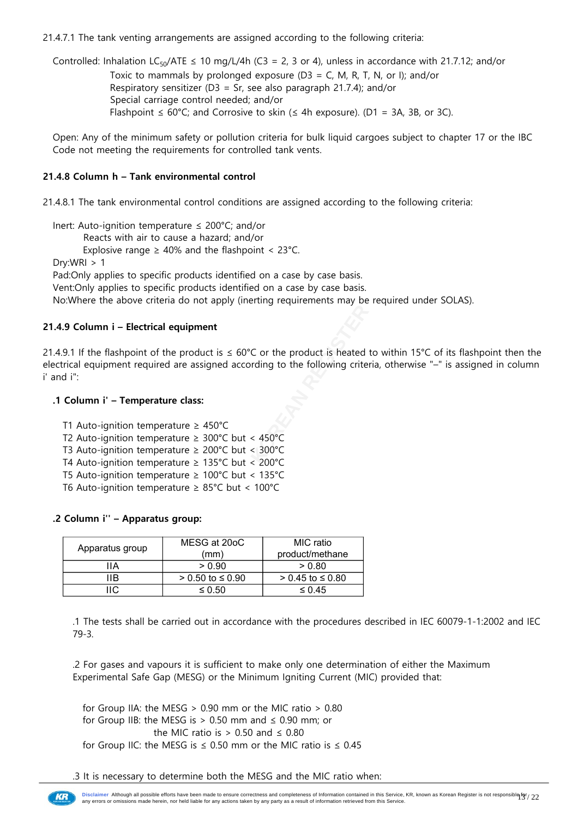21.4.7.1 The tank venting arrangements are assigned according to the following criteria:

Controlled: Inhalation LC<sub>50</sub>/ATE  $\leq$  10 mg/L/4h (C3 = 2, 3 or 4), unless in accordance with 21.7.12; and/or Toxic to mammals by prolonged exposure ( $D3 = C$ , M, R, T, N, or I); and/or Respiratory sensitizer ( $D3 = Sr$ , see also paragraph 21.7.4); and/or Special carriage control needed; and/or Flashpoint  $\leq 60^{\circ}$ C; and Corrosive to skin ( $\leq 4$ h exposure). (D1 = 3A, 3B, or 3C).

Open: Any of the minimum safety or pollution criteria for bulk liquid cargoes subject to chapter 17 or the IBC Code not meeting the requirements for controlled tank vents.

### **21.4.8 Column h – Tank environmental control**

21.4.8.1 The tank environmental control conditions are assigned according to the following criteria:

Inert: Auto-ignition temperature ≤ 200°C; and/or

Reacts with air to cause a hazard; and/or

Explosive range  $\geq 40\%$  and the flashpoint < 23°C.

Dry:WRI > 1

Pad:Only applies to specific products identified on a case by case basis.

Vent:Only applies to specific products identified on a case by case basis.

No:Where the above criteria do not apply (inerting requirements may be required under SOLAS).

## **21.4.9 Column i – Electrical equipment**

21.4.9.1 If the flashpoint of the product is ≤ 60°C or the product is heated to within 15°C of its flashpoint then the electrical equipment required are assigned according to the following criteria, otherwise "–" is assigned in column i' and i": C or the product is heated to<br>
rding to the following criteria<br>
stated to<br>
state of the state of the state of the state of the state of the state of the state of the state of the state of the state of the state of the stat

### **.1 Column i' – Temperature class:**

T1 Auto-ignition temperature ≥ 450°C T2 Auto-ignition temperature ≥ 300°C but < 450°C T3 Auto-ignition temperature ≥ 200°C but < 300°C T4 Auto-ignition temperature ≥ 135°C but < 200°C T5 Auto-ignition temperature ≥ 100°C but < 135°C

T6 Auto-ignition temperature ≥ 85°C but < 100°C

## **.2 Column i'' – Apparatus group:**

| Apparatus group | MESG at 20oC<br>(mm) | MIC ratio<br>product/methane |
|-----------------|----------------------|------------------------------|
| IΙA             | > 0.90               | > 0.80                       |
| IIB             | $> 0.50$ to ≤ 0.90   | $> 0.45$ to ≤ 0.80           |
| ТC              | $\leq 0.50$          | $\leq 0.45$                  |

.1 The tests shall be carried out in accordance with the procedures described in IEC 60079-1-1:2002 and IEC 79-3.

.2 For gases and vapours it is sufficient to make only one determination of either the Maximum Experimental Safe Gap (MESG) or the Minimum Igniting Current (MIC) provided that:

for Group IIA: the MESG  $> 0.90$  mm or the MIC ratio  $> 0.80$ for Group IIB: the MESG is  $> 0.50$  mm and  $\leq 0.90$  mm; or the MIC ratio is  $> 0.50$  and  $\leq 0.80$ for Group IIC: the MESG is  $\leq$  0.50 mm or the MIC ratio is  $\leq$  0.45

.3 It is necessary to determine both the MESG and the MIC ratio when:

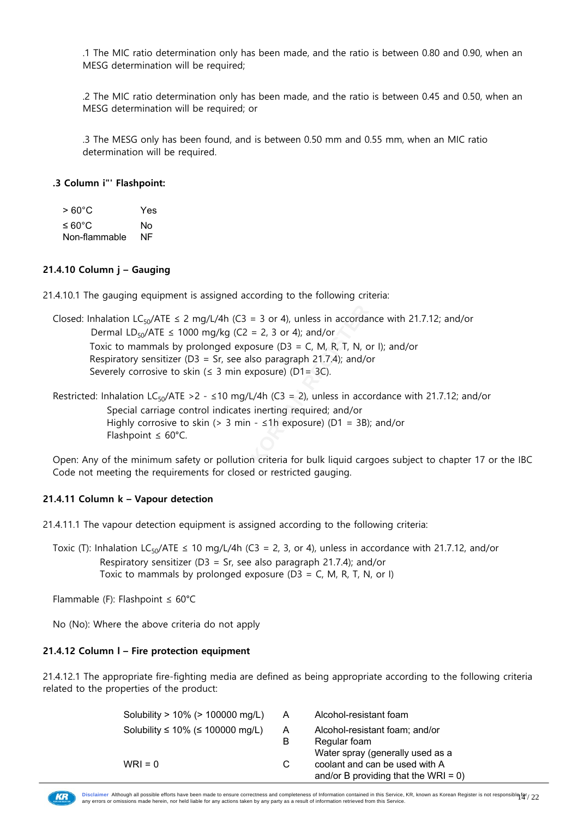.1 The MIC ratio determination only has been made, and the ratio is between 0.80 and 0.90, when an MESG determination will be required;

.2 The MIC ratio determination only has been made, and the ratio is between 0.45 and 0.50, when an MESG determination will be required; or

.3 The MESG only has been found, and is between 0.50 mm and 0.55 mm, when an MIC ratio determination will be required.

#### **.3 Column i"' Flashpoint:**

| $>60^{\circ}$ C | Yes |
|-----------------|-----|
| ≤ 60°C          | N٥  |
| Non-flammable   | NF  |

### **21.4.10 Column j – Gauging**

21.4.10.1 The gauging equipment is assigned according to the following criteria:

```
Closed: Inhalation LC<sub>50</sub>/ATE \leq 2 mg/L/4h (C3 = 3 or 4), unless in accordance with 21.7.12; and/or
              Dermal LD<sub>50</sub>/ATE ≤ 1000 mg/kg (C2 = 2, 3 or 4); and/or
             Toxic to mammals by prolonged exposure (D3 = C, M, R, T, N, or I); and/or
               Respiratory sensitizer (D3 = Sr, see also paragraph 21.7.4); and/or 
             Severely corrosive to skin (\leq 3 min exposure) (D1= 3C).
                                                                          = 3 or 4), unless in accordand<br>
= 2, 3 or 4); and/or<br>
osure (D3 = C, M, R, T, N, or<br>
Iso paragraph 21.7.4); and/or<br>
xposure) (D1 = 3C).<br>
L/4h (C3 = 2), unless in accor<br>
inerting required; and/or<br>
- \leq1h exposure) (D1 =
```

```
Restricted: Inhalation LC<sub>50</sub>/ATE > 2 - ≤10 mg/L/4h (C3 = 2), unless in accordance with 21.7.12; and/or
              Special carriage control indicates inerting required; and/or 
             Highly corrosive to skin (> 3 min - \leq 1h exposure) (D1 = 3B); and/or
              Flashpoint ≤ 60°C.
```
Open: Any of the minimum safety or pollution criteria for bulk liquid cargoes subject to chapter 17 or the IBC Code not meeting the requirements for closed or restricted gauging.

### **21.4.11 Column k – Vapour detection**

21.4.11.1 The vapour detection equipment is assigned according to the following criteria:

Toxic (T): Inhalation LC<sub>50</sub>/ATE  $\leq$  10 mg/L/4h (C3 = 2, 3, or 4), unless in accordance with 21.7.12, and/or Respiratory sensitizer ( $D3 = Sr$ , see also paragraph 21.7.4); and/or Toxic to mammals by prolonged exposure ( $D3 = C$ , M, R, T, N, or I)

Flammable (F): Flashpoint ≤ 60°C

No (No): Where the above criteria do not apply

### **21.4.12 Column l – Fire protection equipment**

21.4.12.1 The appropriate fire-fighting media are defined as being appropriate according to the following criteria related to the properties of the product:

| Solubility > 10% (> 100000 mg/L)             | A            | Alcohol-resistant foam                  |
|----------------------------------------------|--------------|-----------------------------------------|
| Solubility $\leq 10\%$ ( $\leq 100000$ mg/L) | $\mathsf{A}$ | Alcohol-resistant foam; and/or          |
|                                              | B            | Regular foam                            |
|                                              |              | Water spray (generally used as a        |
| $WRI = 0$                                    | C            | coolant and can be used with A          |
|                                              |              | and/or B providing that the WRI = $0$ ) |

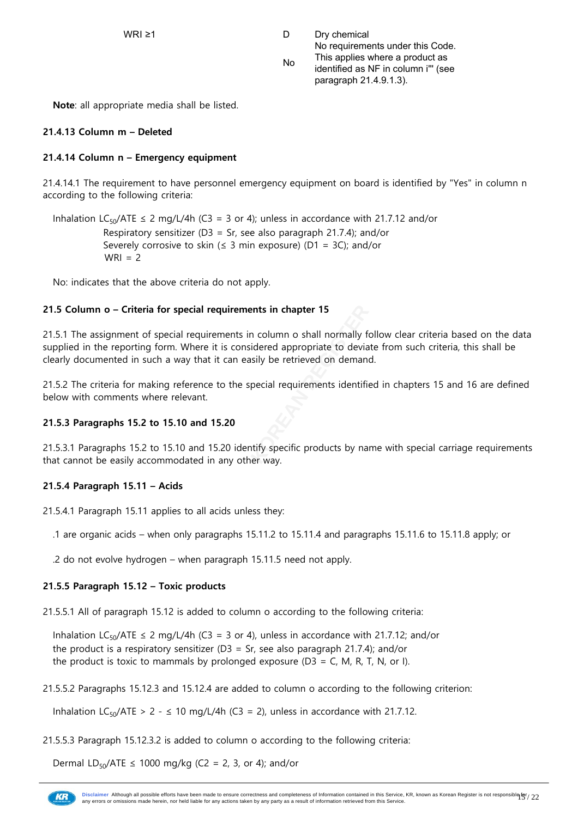| D  | Dry chemical<br>No requirements under this Code.                                                 |
|----|--------------------------------------------------------------------------------------------------|
| No | This applies where a product as<br>identified as NF in column i"' (see<br>paragraph 21.4.9.1.3). |

**Note**: all appropriate media shall be listed.

WRI ≥1

### **21.4.13 Column m – Deleted**

### **21.4.14 Column n – Emergency equipment**

21.4.14.1 The requirement to have personnel emergency equipment on board is identified by "Yes" in column n according to the following criteria:

Inhalation LC<sub>50</sub>/ATE  $\leq$  2 mg/L/4h (C3 = 3 or 4); unless in accordance with 21.7.12 and/or Respiratory sensitizer ( $D3 = Sr$ , see also paragraph 21.7.4); and/or Severely corrosive to skin ( $\leq$  3 min exposure) (D1 = 3C); and/or  $WRI = 2$ 

No: indicates that the above criteria do not apply.

### **21.5 Column o – Criteria for special requirements in chapter 15**

21.5.1 The assignment of special requirements in column o shall normally follow clear criteria based on the data supplied in the reporting form. Where it is considered appropriate to deviate from such criteria, this shall be clearly documented in such a way that it can easily be retrieved on demand. **Example 15**<br>
In column o shall normally fol<br>
idered appropriate to deviate<br>
sily be retrieved on demand.<br>
pecial requirements identified<br>
pecial requirements identified<br>
tify specific products by namer wav.

21.5.2 The criteria for making reference to the special requirements identified in chapters 15 and 16 are defined below with comments where relevant.

## **21.5.3 Paragraphs 15.2 to 15.10 and 15.20**

21.5.3.1 Paragraphs 15.2 to 15.10 and 15.20 identify specific products by name with special carriage requirements that cannot be easily accommodated in any other way.

## **21.5.4 Paragraph 15.11 – Acids**

- 21.5.4.1 Paragraph 15.11 applies to all acids unless they:
	- .1 are organic acids when only paragraphs 15.11.2 to 15.11.4 and paragraphs 15.11.6 to 15.11.8 apply; or

.2 do not evolve hydrogen – when paragraph 15.11.5 need not apply.

## **21.5.5 Paragraph 15.12 – Toxic products**

21.5.5.1 All of paragraph 15.12 is added to column o according to the following criteria:

Inhalation LC<sub>50</sub>/ATE  $\leq$  2 mg/L/4h (C3 = 3 or 4), unless in accordance with 21.7.12; and/or the product is a respiratory sensitizer ( $D3 = Sr$ , see also paragraph 21.7.4); and/or the product is toxic to mammals by prolonged exposure ( $D3 = C$ , M, R, T, N, or I).

21.5.5.2 Paragraphs 15.12.3 and 15.12.4 are added to column o according to the following criterion:

Inhalation LC<sub>50</sub>/ATE > 2 -  $\leq$  10 mg/L/4h (C3 = 2), unless in accordance with 21.7.12.

21.5.5.3 Paragraph 15.12.3.2 is added to column o according to the following criteria:

Dermal LD<sub>50</sub>/ATE  $\leq$  1000 mg/kg (C2 = 2, 3, or 4); and/or

Oral LD50/ATE ≤ 300 mg/kg (C1 = 2, 3, 3, 3, 3, or 4).

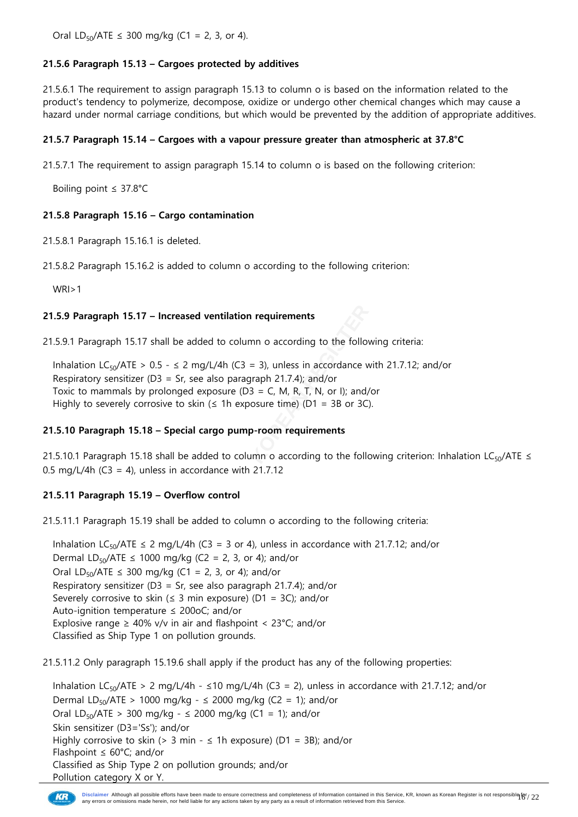Oral LD<sub>50</sub>/ATE ≤ 300 mg/kg (C1 = 2, 3, or 4).

## **21.5.6 Paragraph 15.13 – Cargoes protected by additives**

21.5.6.1 The requirement to assign paragraph 15.13 to column o is based on the information related to the product's tendency to polymerize, decompose, oxidize or undergo other chemical changes which may cause a hazard under normal carriage conditions, but which would be prevented by the addition of appropriate additives.

## **21.5.7 Paragraph 15.14 – Cargoes with a vapour pressure greater than atmospheric at 37.8°C**

21.5.7.1 The requirement to assign paragraph 15.14 to column o is based on the following criterion:

Boiling point ≤ 37.8°C

## **21.5.8 Paragraph 15.16 – Cargo contamination**

21.5.8.1 Paragraph 15.16.1 is deleted.

21.5.8.2 Paragraph 15.16.2 is added to column o according to the following criterion:

WRI>1

## **21.5.9 Paragraph 15.17 – Increased ventilation requirements**

21.5.9.1 Paragraph 15.17 shall be added to column o according to the following criteria:

Inhalation LC<sub>50</sub>/ATE > 0.5 -  $\leq$  2 mg/L/4h (C3 = 3), unless in accordance with 21.7.12; and/or Respiratory sensitizer ( $D3 = Sr$ , see also paragraph 21.7.4); and/or Toxic to mammals by prolonged exposure ( $D3 = C$ , M, R, T, N, or I); and/or Highly to severely corrosive to skin ( $\leq$  1h exposure time) (D1 = 3B or 3C). **KOMAGE EXECUTE:**<br> **KOREY REGISTED:**<br> **KOREGISTED:**<br> **KOREGISTED:**<br> **KOREGISTED:**<br> **KOREGISTED:**<br> **KOREGISTED:**<br> **KOREGISTED:**<br> **KOREGISTED:**<br> **KOREGISTED:**<br> **ROREGISTED:**<br> **ROREGISTED:**<br> **ROREGISTED:**<br> **ROREGISTED:**<br> **ROR** 

## **21.5.10 Paragraph 15.18 – Special cargo pump-room requirements**

21.5.10.1 Paragraph 15.18 shall be added to column o according to the following criterion: Inhalation LC<sub>50</sub>/ATE  $\leq$ 0.5 mg/L/4h (C3 = 4), unless in accordance with 21.7.12

## **21.5.11 Paragraph 15.19 – Overflow control**

21.5.11.1 Paragraph 15.19 shall be added to column o according to the following criteria:

Inhalation LC<sub>50</sub>/ATE  $\leq$  2 mg/L/4h (C3 = 3 or 4), unless in accordance with 21.7.12; and/or Dermal LD<sub>50</sub>/ATE  $\leq$  1000 mg/kg (C2 = 2, 3, or 4); and/or Oral LD<sub>50</sub>/ATE ≤ 300 mg/kg (C1 = 2, 3, or 4); and/or Respiratory sensitizer ( $D3 = Sr$ , see also paragraph 21.7.4); and/or Severely corrosive to skin ( $\leq$  3 min exposure) (D1 = 3C); and/or Auto-ignition temperature ≤ 200oC; and/or Explosive range  $\geq 40\%$  v/v in air and flashpoint < 23°C; and/or Classified as Ship Type 1 on pollution grounds.

21.5.11.2 Only paragraph 15.19.6 shall apply if the product has any of the following properties:

Inhalation LC<sub>50</sub>/ATE > 2 mg/L/4h - ≤10 mg/L/4h (C3 = 2), unless in accordance with 21.7.12; and/or Dermal LD<sub>50</sub>/ATE > 1000 mg/kg -  $\leq$  2000 mg/kg (C2 = 1); and/or Oral LD<sub>50</sub>/ATE > 300 mg/kg - ≤ 2000 mg/kg (C1 = 1); and/or Skin sensitizer (D3='Ss'); and/or Highly corrosive to skin (> 3 min -  $\leq$  1h exposure) (D1 = 3B); and/or Flashpoint ≤ 60°C; and/or Classified as Ship Type 2 on pollution grounds; and/or Pollution category X or Y.

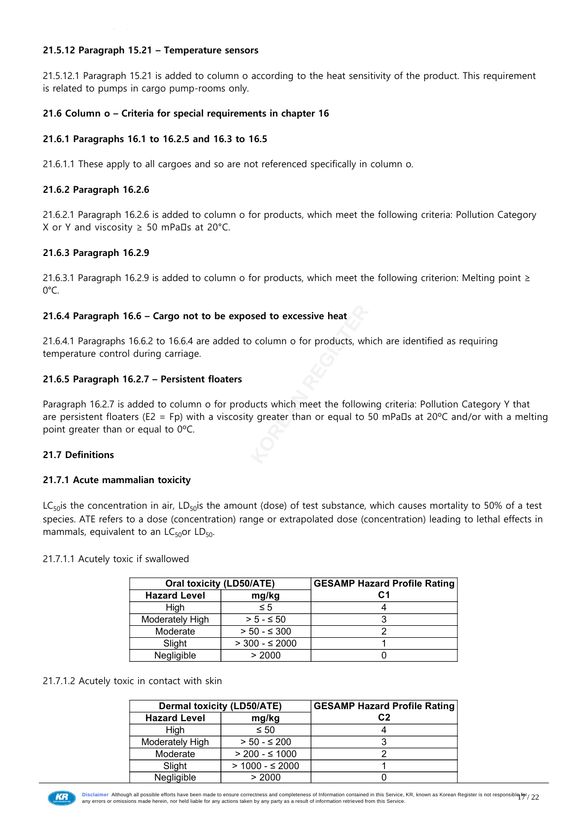### **21.5.12 Paragraph 15.21 – Temperature sensors**

21.5.12.1 Paragraph 15.21 is added to column o according to the heat sensitivity of the product. This requirement is related to pumps in cargo pump-rooms only.

## **21.6 Column o – Criteria for special requirements in chapter 16**

### **21.6.1 Paragraphs 16.1 to 16.2.5 and 16.3 to 16.5**

21.6.1.1 These apply to all cargoes and so are not referenced specifically in column o .

### **21.6.2 Paragraph 16.2.6**

21.6.2.1 Paragraph 16.2.6 is added to column o for products, which meet the following criteria: Pollution Category X or Y and viscosity ≥ 50 mPa $\square$ s at 20°C.

## **21.6.3 Paragraph 16.2.9**

21.6.3.1 Paragraph 16.2.9 is added to column o for products, which meet the following criterion: Melting point ≥  $0^{\circ}$ C.

### **21.6.4 Paragraph 16.6 – Cargo not to be exposed to excessive heat**

21.6.4.1 Paragraphs 16.6.2 to 16.6.4 are added to column o for products, which are identified as requiring temperature control during carriage.

### **21.6.5 Paragraph 16.2.7 – Persistent floaters**

Paragraph 16.2.7 is added to column o for products which meet the following criteria: Pollution Category Y that are persistent floaters (E2 = Fp) with a viscosity greater than or equal to 50 mPaDs at 20°C and/or with a melting point greater than or equal to 0ºC. **KOREAN REGISTER SEARCH COMMON OF STARK SEARCH SEARCH SEARCH SEARCH SEARCH SEARCH SEARCH SEARCH SEARCH SEARCH SEARCH SEARCH SEARCH SEARCH SEARCH SEARCH SEARCH SEARCH SEARCH SEARCH SEARCH SEARCH SEARCH SEARCH SEARCH SEARCH** 

## **21.7 Definitions**

### **21.7.1 Acute mammalian toxicity**

 $LC<sub>50</sub>$ is the concentration in air,  $LD<sub>50</sub>$ is the amount (dose) of test substance, which causes mortality to 50% of a test species. ATE refers to a dose (concentration) range or extrapolated dose (concentration) leading to lethal effects in mammals, equivalent to an  $LC_{50}$ or  $LD_{50}$ .

21.7.1.1 Acutely toxic if swallowed

| Oral toxicity (LD50/ATE) |                       | <b>GESAMP Hazard Profile Rating</b> |
|--------------------------|-----------------------|-------------------------------------|
| <b>Hazard Level</b>      | mg/kg                 | C 1                                 |
| Hiah                     | $\leq 5$              |                                     |
| Moderately High          | $> 5 - 5.50$          |                                     |
| Moderate                 | $> 50 - 5300$         |                                     |
| Slight                   | $>$ 300 - $\leq$ 2000 |                                     |
| Negligible               | > 2000                |                                     |

### 21.7.1.2 Acutely toxic in contact with skin

| <b>Dermal toxicity (LD50/ATE)</b> |                  | <b>GESAMP Hazard Profile Rating</b> |
|-----------------------------------|------------------|-------------------------------------|
| <b>Hazard Level</b>               | mg/kg            | C <sub>2</sub>                      |
| High                              | $\leq 50$        |                                     |
| Moderately High                   | $> 50 - 5200$    |                                     |
| Moderate                          | $> 200 - 51000$  |                                     |
| Slight                            | $> 1000 - 52000$ |                                     |
| Negligible                        | > 2000           |                                     |

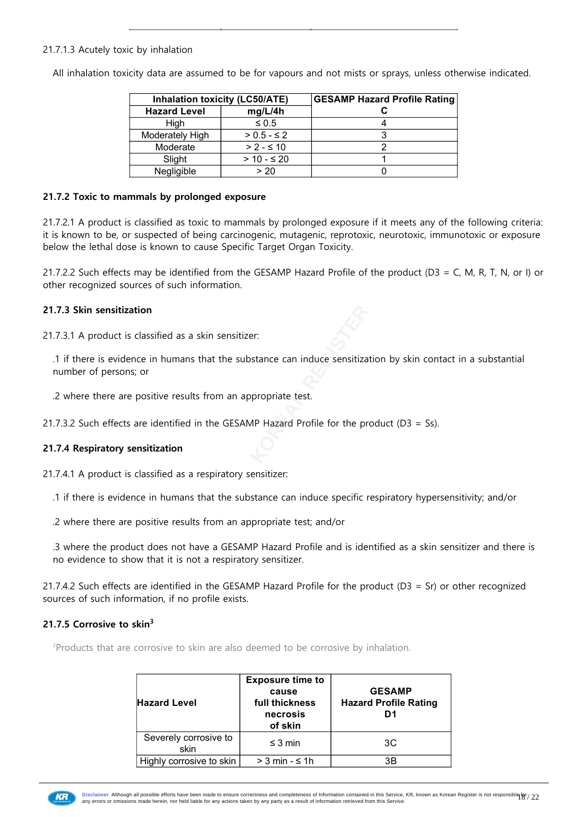### 21.7.1.3 Acutely toxic by inhalation

All inhalation toxicity data are assumed to be for vapours and not mists or sprays, unless otherwise indicated.

| <b>Inhalation toxicity (LC50/ATE)</b> |               | <b>GESAMP Hazard Profile Rating</b> |
|---------------------------------------|---------------|-------------------------------------|
| <b>Hazard Level</b>                   | mg/L/4h       |                                     |
| High                                  | $\leq 0.5$    |                                     |
| Moderately High                       | $> 0.5 - 5.2$ |                                     |
| Moderate                              | $> 2 - 510$   |                                     |
| Slight                                | $> 10 - 520$  |                                     |
| Negligible                            | > 20          |                                     |

#### **21.7.2 Toxic to mammals by prolonged exposure**

21.7.2.1 A product is classified as toxic to mammals by prolonged exposure if it meets any of the following criteria: it is known to be, or suspected of being carcinogenic, mutagenic, reprotoxic, neurotoxic, immunotoxic or exposure below the lethal dose is known to cause Specific Target Organ Toxicity.

21.7.2.2 Such effects may be identified from the GESAMP Hazard Profile of the product (D3 = C, M, R, T, N, or I) or other recognized sources of such information.

#### **21.7.3 Skin sensitization**

21.7.3.1 A product is classified as a skin sensitizer :

.1 if there is evidence in humans that the substance can induce sensitization by skin contact in a substantial number of persons; or Fr:<br>
Stance can induce sensitization<br>
propriate test.<br>
AP Hazard Profile for the proo

.2 where there are positive results from an appropriate test.

21.7.3.2 Such effects are identified in the GESAMP Hazard Profile for the product (D3 = Ss).

### **21.7.4 Respiratory sensitization**

21.7.4.1 A product is classified as a respiratory sensitizer

:.1 if there is evidence in humans that the substance can induce specific respiratory hypersensitivity; and/or

.2 where there are positive results from an appropriate test; and/or

.3 where the product does not have a GESAMP Hazard Profile and is identified as a skin sensitizer and there is no evidence to show that it is not a respiratory sensitizer.

21.7.4.2 Such effects are identified in the GESAMP Hazard Profile for the product (D3 = Sr) or other recognized sources of such information, if no profile exists.

### **21.7.5 Corrosive to skin 3**

<sup>3</sup>Products that are corrosive to skin are also deemed to be corrosive by inhalation.

| <b>Hazard Level</b>           | <b>Exposure time to</b><br>cause<br>full thickness<br>necrosis<br>of skin | <b>GESAMP</b><br><b>Hazard Profile Rating</b><br>D1 |  |
|-------------------------------|---------------------------------------------------------------------------|-----------------------------------------------------|--|
| Severely corrosive to<br>skin | $\leq$ 3 min                                                              | 3C                                                  |  |
| Highly corrosive to skin      | $> 3$ min - $\leq 1$ h                                                    | 3B                                                  |  |

skin og det starte og det starte og det starte og det starte og det starte og det starte og det starte og det

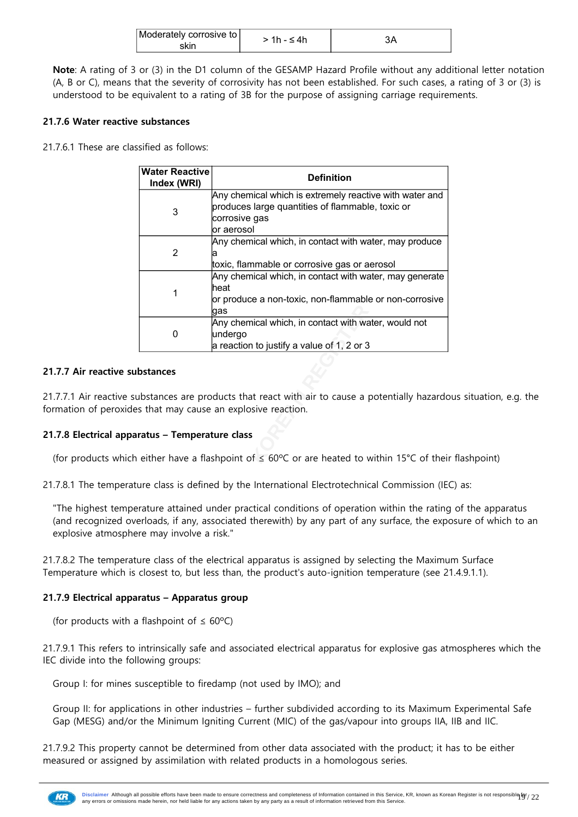| Moderately corrosive to<br>skin | $> 1h - 54h$ |  |
|---------------------------------|--------------|--|
|---------------------------------|--------------|--|

**Note**: A rating of 3 or (3) in the D1 column of the GESAMP Hazard Profile without any additional letter notation (A, B or C), means that the severity of corrosivity has not been established. For such cases, a rating of 3 or (3) is understood to be equivalent to a rating of 3B for the purpose of assigning carriage requirements.

### **21.7.6 Water reactive substances**

21.7.6.1 These are classified as follows:

| <b>Water Reactive</b><br>Index (WRI) | <b>Definition</b>                                                                                                                          |  |
|--------------------------------------|--------------------------------------------------------------------------------------------------------------------------------------------|--|
| 3                                    | Any chemical which is extremely reactive with water and<br>produces large quantities of flammable, toxic or<br>corrosive gas<br>or aerosol |  |
| 2                                    | Any chemical which, in contact with water, may produce<br>toxic, flammable or corrosive gas or aerosol                                     |  |
|                                      | Any chemical which, in contact with water, may generate<br>heat<br>or produce a non-toxic, non-flammable or non-corrosive<br>qas           |  |
| 0                                    | Any chemical which, in contact with water, would not<br>undergo<br>a reaction to justify a value of 1, 2 or 3                              |  |
| bstances                             |                                                                                                                                            |  |
|                                      | ubstances are products that react with air to cause a potentially hazardo<br>s that may cause an explosive reaction.                       |  |
| ratus - Temperature class            |                                                                                                                                            |  |
|                                      | either have a flashpoint of $\leq 60^{\circ}$ C or are heated to within 15°C of their                                                      |  |

### **21.7.7 Air reactive substances**

21.7.7.1 Air reactive substances are products that react with air to cause a potentially hazardous situation, e.g. the formation of peroxides that may cause an explosive reaction.

## **21.7.8 Electrical apparatus – Temperature class**

(for products which either have a flashpoint of ≤ 60ºC or are heated to within 15°C of their flashpoint)

21.7.8.1 The temperature class is defined by the International Electrotechnical Commission (IEC) as:

"The highest temperature attained under practical conditions of operation within the rating of the apparatus (and recognized overloads, if any, associated therewith) by any part of any surface, the exposure of which to an explosive atmosphere may involve a risk."

21.7.8.2 The temperature class of the electrical apparatus is assigned by selecting the Maximum Surface Temperature which is closest to, but less than, the product's auto-ignition temperature (see 21.4.9.1.1).

## **21.7.9 Electrical apparatus – Apparatus group**

(for products with a flashpoint of  $\leq 60^{\circ}$ C)

21.7.9.1 This refers to intrinsically safe and associated electrical apparatus for explosive gas atmospheres which the IEC divide into the following groups:

Group I: for mines susceptible to firedamp (not used by IMO); and

Group II: for applications in other industries – further subdivided according to its Maximum Experimental Safe Gap (MESG) and/or the Minimum Igniting Current (MIC) of the gas/vapour into groups IIA, IIB and IIC.

21.7.9.2 This property cannot be determined from other data associated with the product; it has to be either measured or assigned by assimilation with related products in a homologous series.

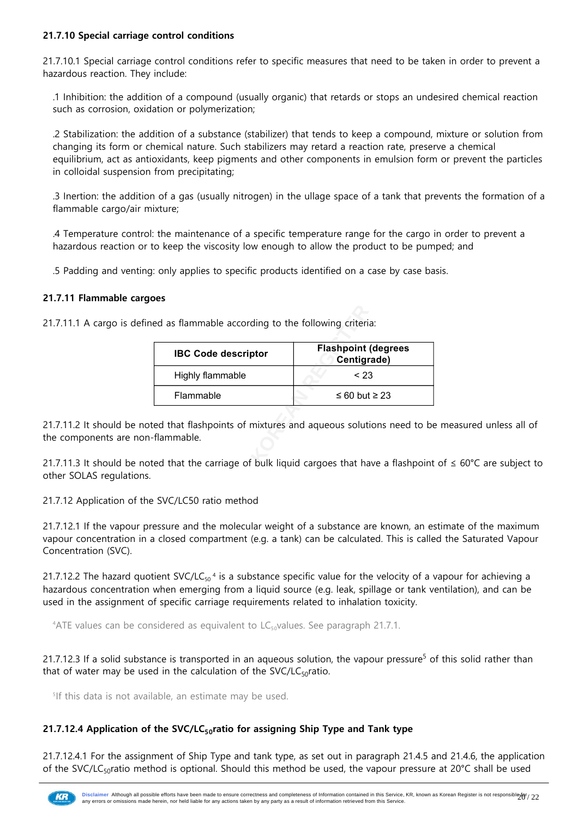## **21.7.10 Special carriage control conditions**

21.7.10.1 Special carriage control conditions refer to specific measures that need to be taken in order to prevent a hazardous reaction. They include:

.1 Inhibition: the addition of a compound (usually organic) that retards or stops an undesired chemical reaction such as corrosion, oxidation or polymerization;

.2 Stabilization: the addition of a substance (stabilizer) that tends to keep a compound, mixture or solution from changing its form or chemical nature. Such stabilizers may retard a reaction rate, preserve a chemical equilibrium, act as antioxidants, keep pigments and other components in emulsion form or prevent the particles in colloidal suspension from precipitating;

.3 Inertion: the addition of a gas (usually nitrogen) in the ullage space of a tank that prevents the formation of a flammable cargo/air mixture;

.4 Temperature control: the maintenance of a specific temperature range for the cargo in order to prevent a hazardous reaction or to keep the viscosity low enough to allow the product to be pumped; and

.5 Padding and venting: only applies to specific products identified on a case by case basis.

### **21.7.11 Flammable cargoes**

21.7.11.1 A cargo is defined as flammable according to the following criteria:

| ed as flammable according to the following criteria:               |                                                                  |  |  |
|--------------------------------------------------------------------|------------------------------------------------------------------|--|--|
| <b>IBC Code descriptor</b>                                         | <b>Flashpoint (degrees</b><br>Centigrade)                        |  |  |
| Highly flammable                                                   | < 23                                                             |  |  |
| Flammable                                                          | ≤ 60 but ≥ 23                                                    |  |  |
| flammable.                                                         | ed that flashpoints of mixtures and aqueous solutions need to be |  |  |
| ed that the carriage of bulk liquid cargoes that have a flashpoint |                                                                  |  |  |

21.7.11.2 It should be noted that flashpoints of mixtures and aqueous solutions need to be measured unless all of the components are non-flammable.

21.7.11.3 It should be noted that the carriage of bulk liquid cargoes that have a flashpoint of ≤ 60°C are subject to other SOLAS regulations.

21.7.12 Application of the SVC/LC50 ratio method

21.7.12.1 If the vapour pressure and the molecular weight of a substance are known, an estimate of the maximum vapour concentration in a closed compartment (e.g. a tank) can be calculated. This is called the Saturated Vapour Concentration (SVC).

21.7.12.2 The hazard quotient SVC/LC<sub>50</sub><sup>4</sup> is a substance specific value for the velocity of a vapour for achieving a hazardous concentration when emerging from a liquid source (e.g. leak, spillage or tank ventilation), and can be used in the assignment of specific carriage requirements related to inhalation toxicity.

 $4$ ATE values can be considered as equivalent to LC $_{50}$ values. See paragraph 21.7.1.

21.7.12.3 If a solid substance is transported in an aqueous solution, the vapour pressure<sup>5</sup> of this solid rather than that of water may be used in the calculation of the SVC/LC $_{50}$ ratio.

5 If this data is not available, an estimate may be used.

## **21.7.12.4 Application of the SVC/LC50ratio for assigning Ship Type and Tank type**

21.7.12.4.1 For the assignment of Ship Type and tank type, as set out in paragraph 21.4.5 and 21.4.6, the application of the SVC/LC<sub>50</sub>ratio method is optional. Should this method be used, the vapour pressure at 20 $\degree$ C shall be used

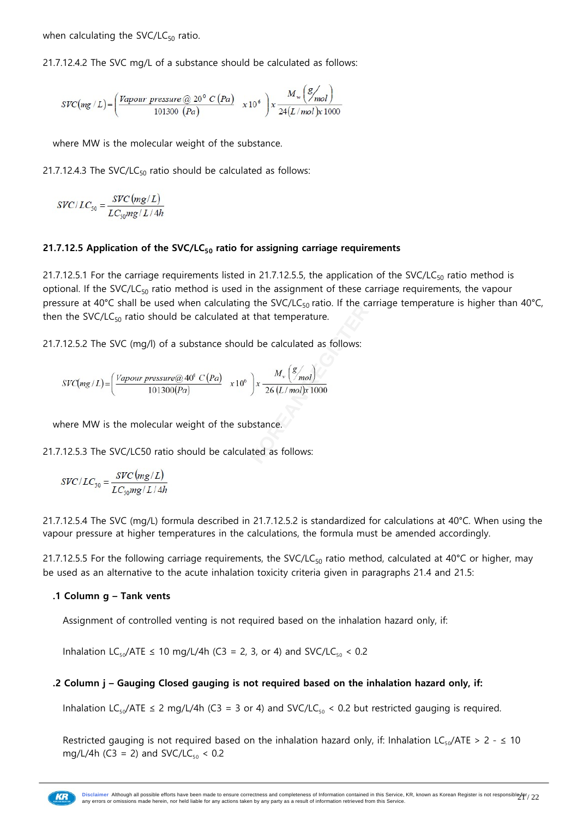when calculating the SVC/LC $_{50}$  ratio.

21.7.12.4.2 The SVC mg/L of a substance should be calculated as follows:

$$
SVC(mg / L) = \left(\frac{Vapour pressure @ 20^{\circ} C (Pa)}{101300 (Pa)} \times 10^{\circ}\right) \times \frac{M_{w} \left(\frac{g}{mol}\right)}{24(L/mol) \times 1000}
$$

where MW is the molecular weight of the substance.

21.7.12.4.3 The SVC/LC $_{50}$  ratio should be calculated as follows:

 $SVC/LC_{50} = \frac{SVC(mg/L)}{LC_{50}mg/L/4h}$ 

### **21.7.12.5 Application of the SVC/LC50 ratio for assigning carriage requirements**

21.7.12.5.1 For the carriage requirements listed in 21.7.12.5.5, the application of the SVC/LC<sub>50</sub> ratio method is optional. If the SVC/LC $_{50}$  ratio method is used in the assignment of these carriage requirements, the vapour pressure at 40°C shall be used when calculating the SVC/LC<sub>50</sub> ratio. If the carriage temperature is higher than 40°C, then the SVC/LC $_{50}$  ratio should be calculated at that temperature.

21.7.12.5.2 The SVC (mg/l) of a substance should be calculated as follows:

The SVC/LC<sub>50</sub> ratio should be calculated at that temperature.  
\n12.5.2 The SVC (mg/l) of a substance should be calculated as follows:  
\n
$$
SVC(mg/L) = \left(\frac{Vapour pressure@40^{\circ}C(Pa)}{101300(Pa)} \times 10^{\circ}\right) \times \frac{M_{w}\left(\frac{g}{mol}\right)}{26(L/mol) \times 1000}
$$
\nwhere MW is the molecular weight of the substance.  
\n12.5.3 The SVC/LC50 ratio should be calculated as follows:

where MW is the molecular weight of the substance.

21.7.12.5.3 The SVC/LC50 ratio should be calculated as follows:

$$
SVC/LC_{50} = \frac{SVC(mg/L)}{LC_{50}mg/L/4h}
$$

21.7.12.5.4 The SVC (mg/L) formula described in 21.7.12.5.2 is standardized for calculations at 40°C. When using the vapour pressure at higher temperatures in the calculations, the formula must be amended accordingly.

21.7.12.5.5 For the following carriage requirements, the SVC/LC<sub>50</sub> ratio method, calculated at 40°C or higher, may be used as an alternative to the acute inhalation toxicity criteria given in paragraphs 21.4 and 21.5:

#### **.1 Column g – Tank vents**

Assignment of controlled venting is not required based on the inhalation hazard only, if:

Inhalation  $LC_{50}/ATE \le 10$  mg/L/4h (C3 = 2, 3, or 4) and SVC/LC<sub>50</sub> < 0.2

#### **.2 Column j – Gauging Closed gauging is not required based on the inhalation hazard only, if:**

Inhalation LC<sub>50</sub>/ATE  $\leq$  2 mg/L/4h (C3 = 3 or 4) and SVC/LC<sub>50</sub> < 0.2 but restricted gauging is required.

Restricted gauging is not required based on the inhalation hazard only, if: Inhalation LC<sub>50</sub>/ATE > 2 -  $\leq$  10 mg/L/4h (C3 = 2) and SVC/LC<sub>50</sub> < 0.2

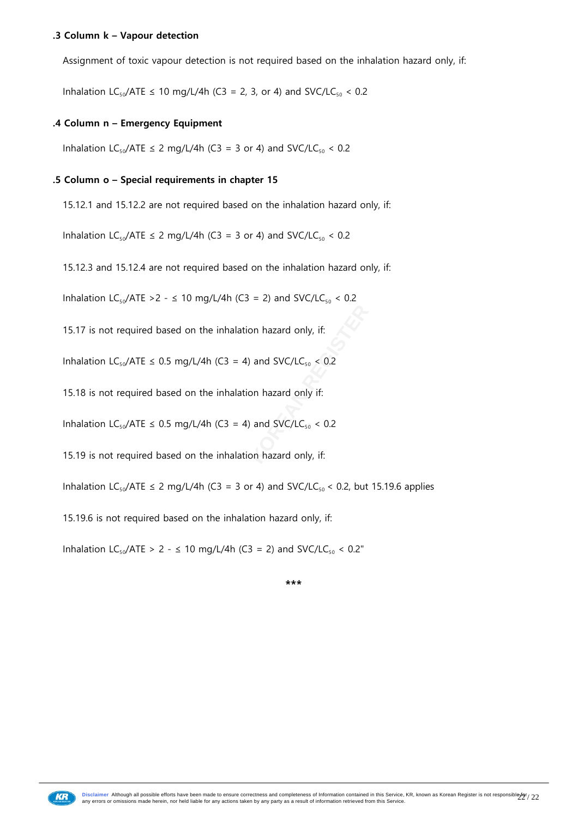#### **.3 Column k – Vapour detection**

Assignment of toxic vapour detection is not required based on the inhalation hazard only, if:

Inhalation LC<sub>50</sub>/ATE ≤ 10 mg/L/4h (C3 = 2, 3, or 4) and SVC/LC<sub>50</sub> < 0.2

#### **.4 Column n – Emergency Equipment**

Inhalation LC<sub>50</sub>/ATE  $\leq$  2 mg/L/4h (C3 = 3 or 4) and SVC/LC<sub>50</sub> < 0.2

#### **.5 Column o – Special requirements in chapter 15**

15.12.1 and 15.12.2 are not required based on the inhalation hazard only, if:

Inhalation LC<sub>50</sub>/ATE  $\leq$  2 mg/L/4h (C3 = 3 or 4) and SVC/LC<sub>50</sub> < 0.2

15.12.3 and 15.12.4 are not required based on the inhalation hazard only, if:

Inhalation  $LC_{50}/ATE > 2 - 510$  mg/L/4h (C3 = 2) and SVC/LC<sub>50</sub> < 0.2

15.17 is not required based on the inhalation hazard only, if:

Inhalation LC<sub>50</sub>/ATE  $\leq$  0.5 mg/L/4h (C3 = 4) and SVC/LC<sub>50</sub>  $<$  0.2 on hazard only, if:<br>
and SVC/LC<sub>50</sub> < 0.2<br>
on hazard only if:<br>
and SVC/LC<sub>50</sub> < 0.2<br>
on hazard only, if:

15.18 is not required based on the inhalation hazard only if:

Inhalation LC<sub>50</sub>/ATE  $\leq$  0.5 mg/L/4h (C3 = 4) and SVC/LC<sub>50</sub> < 0.2

15.19 is not required based on the inhalation hazard only, if:

Inhalation LC<sub>50</sub>/ATE  $\leq$  2 mg/L/4h (C3 = 3 or 4) and SVC/LC<sub>50</sub>  $\lt$  0.2, but 15.19.6 applies

15.19.6 is not required based on the inhalation hazard only, if:

Inhalation LC<sub>50</sub>/ATE > 2 -  $\leq$  10 mg/L/4h (C3 = 2) and SVC/LC<sub>50</sub> < 0.2"

**\*\*\***

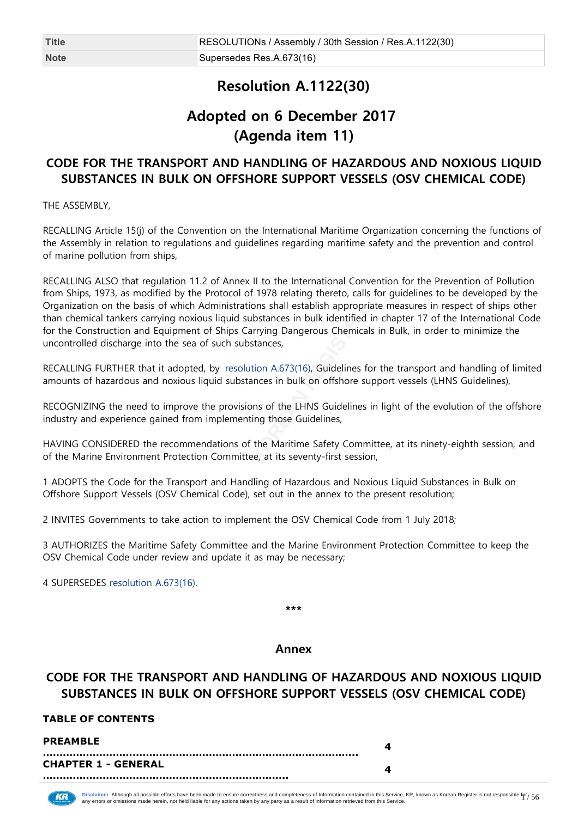# **Resolution A.1122(30)**

# **Adopted on 6 December 2017 (Agenda item 11)**

# **CODE FOR THE TRANSPORT AND HANDLING OF HAZARDOUS AND NOXIOUS LIQUID SUBSTANCES IN BULK ON OFFSHORE SUPPORT VESSELS (OSV CHEMICAL CODE)**

THE ASSEMBLY,

RECALLING Article 15(j) of the Convention on the International Maritime Organization concerning the functions of the Assembly in relation to regulations and guidelines regarding maritime safety and the prevention and control of marine pollution from ships,

RECALLING ALSO that regulation 11.2 of Annex II to the International Convention for the Prevention of Pollution from Ships, 1973, as modified by the Protocol of 1978 relating thereto, calls for guidelines to be developed by the Organization on the basis of which Administrations shall establish appropriate measures in respect of ships other than chemical tankers carrying noxious liquid substances in bulk identified in chapter 17 of the International Code for the Construction and Equipment of Ships Carrying Dangerous Chemicals in Bulk, in order to minimize the uncontrolled discharge into the sea of such substances, **Cryanizzation on the basis or when Aministrations shall establish appropriate**<br> **Channel and Equality and Equipment of Ships Carrying Device and Hamilton and Equipment of Ships Carrying Device<br>
International and Equipment** 

RECALLING FURTHER that it adopted, by [resolution A.673\(16\),](http://103.12.248.9usercommontreeredirect.aspx?category_id=7191&node_type=normal&is_leaf=true&is_viewchild=true) Guidelines for the transport and handling of limited amounts of hazardous and noxious liquid substances in bulk on offshore support vessels (LHNS Guidelines),

RECOGNIZING the need to improve the provisions of the LHNS Guidelines in light of the evolution of the offshore industry and experience gained from implementing those Guidelines,

HAVING CONSIDERED the recommendations of the Maritime Safety Committee, at its ninety-eighth session, and of the Marine Environment Protection Committee, at its seventy-first session,

1 ADOPTS the Code for the Transport and Handling of Hazardous and Noxious Liquid Substances in Bulk on Offshore Support Vessels (OSV Chemical Code), set out in the annex to the present resolution;

2 INVITES Governments to take action to implement the OSV Chemical Code from 1 July 2018;

3 AUTHORIZES the Maritime Safety Committee and the Marine Environment Protection Committee to keep the OSV Chemical Code under review and update it as may be necessary;

4 SUPERSEDES [resolution A.673\(16\)](http://103.12.248.9usercommontreeredirect.aspx?category_id=7191&node_type=normal&is_leaf=true&is_viewchild=true) .

**\*\*\***

# **Annex**

# **CODE FOR THE TRANSPORT AND HANDLING OF HAZARDOUS AND NOXIOUS LIQUID SUBSTANCES IN BULK ON OFFSHORE SUPPORT VESSELS (OSV CHEMICAL CODE)**

# **TABLE OF CONTENTS**

| <b>PREAMBLE</b>            |  |
|----------------------------|--|
| <b>CHAPTER 1 - GENERAL</b> |  |
|                            |  |

Disclaimer Although all possible efforts have been made to ensure correctness and completeness of Information contained in this Service, KR, known as Korean Register is not responsible for / 56 **EXECULTER** Disclaimer Although all possible efforts have been made to ensure correctness and completeness of Information contained in this Service,<br>any errors or omissions made herein, nor held liable for any actions take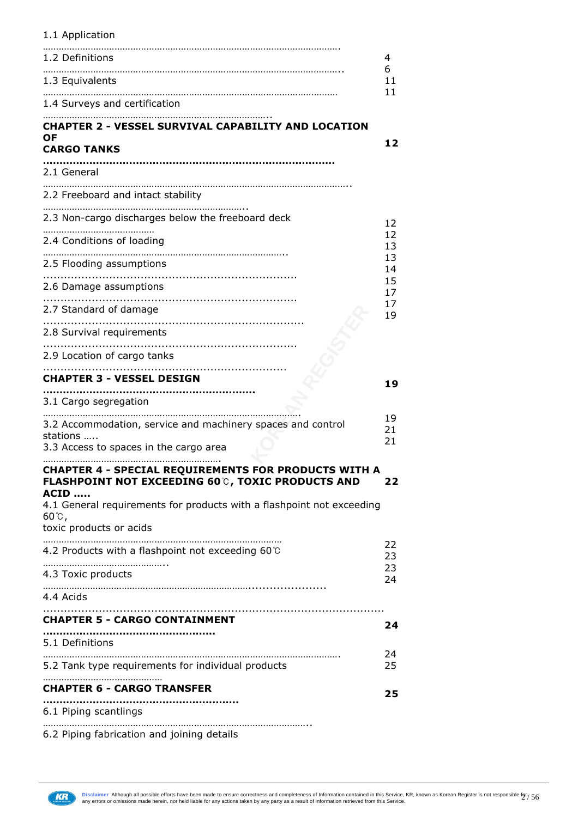| <b>OF</b> | 1.1 Application<br>1.2 Definitions<br>1.3 Equivalents<br><b>CHAPTER 2 - VESSEL SURVIVAL CAPABILITY AND LOCATION</b><br><b>CARGO TANKS</b><br>2.1 General<br>2.2 Freeboard and intact stability<br>2.3 Non-cargo discharges below the freeboard deck<br>2.4 Conditions of loading<br>$\begin{minipage}{0.9\linewidth} \begin{tabular}{l} \hline \textbf{0.01} & \textbf{0.01} & \textbf{0.01} & \textbf{0.01} & \textbf{0.01} & \textbf{0.01} & \textbf{0.01} & \textbf{0.01} & \textbf{0.01} & \textbf{0.01} & \textbf{0.01} & \textbf{0.01} & \textbf{0.01} & \textbf{0.01} & \textbf{0.01} & \textbf{0.01} & \textbf{0.01} & \textbf{0.01} & \textbf{0.01} & \textbf{0.$ | $\overline{4}$<br>6<br>$11\,$<br>$11\,$<br>12<br>12<br>12<br>13<br>13 |
|-----------|----------------------------------------------------------------------------------------------------------------------------------------------------------------------------------------------------------------------------------------------------------------------------------------------------------------------------------------------------------------------------------------------------------------------------------------------------------------------------------------------------------------------------------------------------------------------------------------------------------------------------------------------------------------------------|-----------------------------------------------------------------------|
|           | 2.5 Flooding assumptions<br>2.6 Damage assumptions<br>2.7 Standard of damage<br>2.8 Survival requirements<br>2.9 Location of cargo tanks<br><b>CHAPTER 3 - VESSEL DESIGN</b><br>3.1 Cargo segregation<br>numminimuminimuminimuminimuminimuminimuminimum<br>3.2 Accommodation, service and machinery spaces and control<br>stations<br>3.3 Access to spaces in the cargo area<br><b>CHAPTER 4 - SPECIAL REQUIREMENTS FOR PRODUCTS WITH A FLASHPOINT NOT EXCEEDING 60°C, TOXIC PRODUCTS AND</b><br><b>ACID </b>                                                                                                                                                              | 14<br>15<br>17<br>$17\,$<br>19<br>19<br>19<br>21<br>21<br>22          |
| 60℃,      | 4.1 General requirements for products with a flashpoint not exceeding<br>toxic products or acids<br>4.2 Products with a flashpoint not exceeding 60 $\degree$<br>4.3 Toxic products<br>4.4 Acids<br><b>CHAPTER 5 - CARGO CONTAINMENT</b><br>5.1 Definitions<br>5.2 Tank type requirements for individual products<br><b>CHAPTER 6 - CARGO TRANSFER</b><br>6.1 Piping scantlings<br>6.2 Piping fabrication and joining details                                                                                                                                                                                                                                              | 22<br>23<br>23<br>24<br>24<br>24<br>25<br>25                          |
|           | Disclaimer Although all possible efforts have been made to ensure correctness and completeness of Information contained in this Service, any errors or omissions made herein, nor held liable for any actions taken by any par<br>KR                                                                                                                                                                                                                                                                                                                                                                                                                                       |                                                                       |
|           |                                                                                                                                                                                                                                                                                                                                                                                                                                                                                                                                                                                                                                                                            |                                                                       |
|           |                                                                                                                                                                                                                                                                                                                                                                                                                                                                                                                                                                                                                                                                            |                                                                       |
|           |                                                                                                                                                                                                                                                                                                                                                                                                                                                                                                                                                                                                                                                                            |                                                                       |
|           |                                                                                                                                                                                                                                                                                                                                                                                                                                                                                                                                                                                                                                                                            |                                                                       |
|           |                                                                                                                                                                                                                                                                                                                                                                                                                                                                                                                                                                                                                                                                            |                                                                       |
|           |                                                                                                                                                                                                                                                                                                                                                                                                                                                                                                                                                                                                                                                                            |                                                                       |
|           |                                                                                                                                                                                                                                                                                                                                                                                                                                                                                                                                                                                                                                                                            |                                                                       |
|           |                                                                                                                                                                                                                                                                                                                                                                                                                                                                                                                                                                                                                                                                            |                                                                       |
|           |                                                                                                                                                                                                                                                                                                                                                                                                                                                                                                                                                                                                                                                                            |                                                                       |
|           |                                                                                                                                                                                                                                                                                                                                                                                                                                                                                                                                                                                                                                                                            |                                                                       |
|           |                                                                                                                                                                                                                                                                                                                                                                                                                                                                                                                                                                                                                                                                            |                                                                       |
|           |                                                                                                                                                                                                                                                                                                                                                                                                                                                                                                                                                                                                                                                                            |                                                                       |
|           |                                                                                                                                                                                                                                                                                                                                                                                                                                                                                                                                                                                                                                                                            |                                                                       |
|           |                                                                                                                                                                                                                                                                                                                                                                                                                                                                                                                                                                                                                                                                            |                                                                       |
|           |                                                                                                                                                                                                                                                                                                                                                                                                                                                                                                                                                                                                                                                                            |                                                                       |
|           |                                                                                                                                                                                                                                                                                                                                                                                                                                                                                                                                                                                                                                                                            |                                                                       |
|           |                                                                                                                                                                                                                                                                                                                                                                                                                                                                                                                                                                                                                                                                            |                                                                       |
|           |                                                                                                                                                                                                                                                                                                                                                                                                                                                                                                                                                                                                                                                                            |                                                                       |
|           |                                                                                                                                                                                                                                                                                                                                                                                                                                                                                                                                                                                                                                                                            |                                                                       |
|           |                                                                                                                                                                                                                                                                                                                                                                                                                                                                                                                                                                                                                                                                            |                                                                       |
|           |                                                                                                                                                                                                                                                                                                                                                                                                                                                                                                                                                                                                                                                                            |                                                                       |
|           |                                                                                                                                                                                                                                                                                                                                                                                                                                                                                                                                                                                                                                                                            |                                                                       |
|           |                                                                                                                                                                                                                                                                                                                                                                                                                                                                                                                                                                                                                                                                            |                                                                       |
|           |                                                                                                                                                                                                                                                                                                                                                                                                                                                                                                                                                                                                                                                                            |                                                                       |
|           |                                                                                                                                                                                                                                                                                                                                                                                                                                                                                                                                                                                                                                                                            |                                                                       |
|           |                                                                                                                                                                                                                                                                                                                                                                                                                                                                                                                                                                                                                                                                            |                                                                       |
|           |                                                                                                                                                                                                                                                                                                                                                                                                                                                                                                                                                                                                                                                                            |                                                                       |
|           |                                                                                                                                                                                                                                                                                                                                                                                                                                                                                                                                                                                                                                                                            |                                                                       |
|           |                                                                                                                                                                                                                                                                                                                                                                                                                                                                                                                                                                                                                                                                            |                                                                       |
|           |                                                                                                                                                                                                                                                                                                                                                                                                                                                                                                                                                                                                                                                                            |                                                                       |
|           |                                                                                                                                                                                                                                                                                                                                                                                                                                                                                                                                                                                                                                                                            |                                                                       |
|           |                                                                                                                                                                                                                                                                                                                                                                                                                                                                                                                                                                                                                                                                            |                                                                       |
|           |                                                                                                                                                                                                                                                                                                                                                                                                                                                                                                                                                                                                                                                                            |                                                                       |
|           |                                                                                                                                                                                                                                                                                                                                                                                                                                                                                                                                                                                                                                                                            |                                                                       |
|           |                                                                                                                                                                                                                                                                                                                                                                                                                                                                                                                                                                                                                                                                            |                                                                       |
|           |                                                                                                                                                                                                                                                                                                                                                                                                                                                                                                                                                                                                                                                                            |                                                                       |
|           |                                                                                                                                                                                                                                                                                                                                                                                                                                                                                                                                                                                                                                                                            |                                                                       |
|           |                                                                                                                                                                                                                                                                                                                                                                                                                                                                                                                                                                                                                                                                            |                                                                       |
|           |                                                                                                                                                                                                                                                                                                                                                                                                                                                                                                                                                                                                                                                                            |                                                                       |
|           |                                                                                                                                                                                                                                                                                                                                                                                                                                                                                                                                                                                                                                                                            |                                                                       |
|           |                                                                                                                                                                                                                                                                                                                                                                                                                                                                                                                                                                                                                                                                            |                                                                       |
|           |                                                                                                                                                                                                                                                                                                                                                                                                                                                                                                                                                                                                                                                                            |                                                                       |
|           |                                                                                                                                                                                                                                                                                                                                                                                                                                                                                                                                                                                                                                                                            |                                                                       |
|           |                                                                                                                                                                                                                                                                                                                                                                                                                                                                                                                                                                                                                                                                            |                                                                       |
|           |                                                                                                                                                                                                                                                                                                                                                                                                                                                                                                                                                                                                                                                                            |                                                                       |
|           |                                                                                                                                                                                                                                                                                                                                                                                                                                                                                                                                                                                                                                                                            |                                                                       |
|           |                                                                                                                                                                                                                                                                                                                                                                                                                                                                                                                                                                                                                                                                            |                                                                       |
|           |                                                                                                                                                                                                                                                                                                                                                                                                                                                                                                                                                                                                                                                                            |                                                                       |
|           |                                                                                                                                                                                                                                                                                                                                                                                                                                                                                                                                                                                                                                                                            |                                                                       |
|           |                                                                                                                                                                                                                                                                                                                                                                                                                                                                                                                                                                                                                                                                            |                                                                       |
|           |                                                                                                                                                                                                                                                                                                                                                                                                                                                                                                                                                                                                                                                                            |                                                                       |
|           |                                                                                                                                                                                                                                                                                                                                                                                                                                                                                                                                                                                                                                                                            |                                                                       |
|           |                                                                                                                                                                                                                                                                                                                                                                                                                                                                                                                                                                                                                                                                            |                                                                       |
|           |                                                                                                                                                                                                                                                                                                                                                                                                                                                                                                                                                                                                                                                                            |                                                                       |
|           |                                                                                                                                                                                                                                                                                                                                                                                                                                                                                                                                                                                                                                                                            |                                                                       |
|           |                                                                                                                                                                                                                                                                                                                                                                                                                                                                                                                                                                                                                                                                            |                                                                       |
|           |                                                                                                                                                                                                                                                                                                                                                                                                                                                                                                                                                                                                                                                                            |                                                                       |
|           |                                                                                                                                                                                                                                                                                                                                                                                                                                                                                                                                                                                                                                                                            |                                                                       |

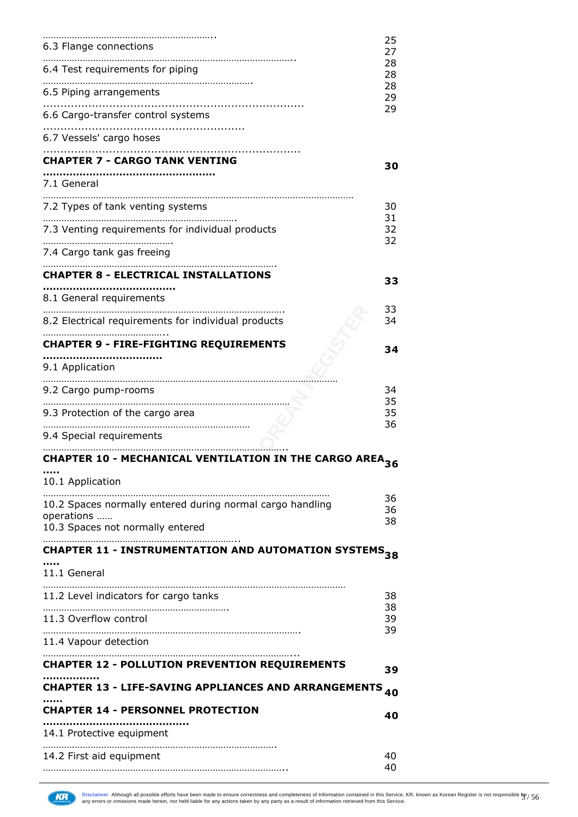| 6.3 Flange connections<br>6.4 Test requirements for piping<br>6.5 Piping arrangements<br>6.6 Cargo-transfer control systems<br>6.7 Vessels' cargo hoses<br><b>CHAPTER 7 - CARGO TANK VENTING</b><br>7.1 General<br>7.2 Types of tank venting systems<br>7.3 Venting requirements for individual products<br>7.4 Cargo tank gas freeing                                                                                                                                                                                                                                                                                   | 25<br>27<br>28<br>28<br>28<br>29<br>29<br>30<br>$30\,$<br>31<br>32<br>32 |
|--------------------------------------------------------------------------------------------------------------------------------------------------------------------------------------------------------------------------------------------------------------------------------------------------------------------------------------------------------------------------------------------------------------------------------------------------------------------------------------------------------------------------------------------------------------------------------------------------------------------------|--------------------------------------------------------------------------|
| <b>CHAPTER 8 - ELECTRICAL INSTALLATIONS</b><br>8.1 General requirements<br>8.2 Electrical requirements for individual products<br><b>CHAPTER 9 - FIRE-FIGHTING REQUIREMENTS</b><br><br>9.1 Application<br>9.2 Cargo pump-rooms<br>9.3 Protection of the cargo area<br>9.4 Special requirements<br><b>CHAPTER 10 - MECHANICAL VENTILATION IN THE CARGO AREA<sub>36</sub></b><br>$\begin{array}{ccc} \bullet & \bullet & \bullet & \bullet & \bullet \end{array}$<br>10.1 Application<br>numminimum minimum minimum minimum minimum minimum 10.2 Spaces normally entered during normal cargo handling<br>operations        | 33<br>33<br>34<br>34<br>34<br>35<br>35<br>$36\,$<br>36<br>36<br>38       |
| 10.3 Spaces not normally entered<br><b>CHAPTER 11 - INSTRUMENTATION AND AUTOMATION SYSTEMS</b> <sub>38</sub><br>$\cdots$<br>11.1 General<br>11.2 Level indicators for cargo tanks<br>11.3 Overflow control<br>11.4 Vapour detection<br><b>CHAPTER 12 - POLLUTION PREVENTION REQUIREMENTS</b><br>.<br><b>CHAPTER 13 - LIFE-SAVING APPLIANCES AND ARRANGEMENTS 40</b><br><br><b>CHAPTER 14 - PERSONNEL PROTECTION</b><br>14.1 Protective equipment<br>14.2 First aid equipment<br>Disclaimer Although all possible efforts have been made to ensure correctness and completeness of Information contained in this Service, | 38<br>38<br>39<br>39<br>39<br>40<br>40<br>40                             |
| any errors or omissions made herein, nor held liable for any actions taken by any party as a result of information retrieved from this Service.                                                                                                                                                                                                                                                                                                                                                                                                                                                                          |                                                                          |
|                                                                                                                                                                                                                                                                                                                                                                                                                                                                                                                                                                                                                          |                                                                          |
|                                                                                                                                                                                                                                                                                                                                                                                                                                                                                                                                                                                                                          |                                                                          |
|                                                                                                                                                                                                                                                                                                                                                                                                                                                                                                                                                                                                                          |                                                                          |
|                                                                                                                                                                                                                                                                                                                                                                                                                                                                                                                                                                                                                          |                                                                          |
|                                                                                                                                                                                                                                                                                                                                                                                                                                                                                                                                                                                                                          |                                                                          |
|                                                                                                                                                                                                                                                                                                                                                                                                                                                                                                                                                                                                                          |                                                                          |
|                                                                                                                                                                                                                                                                                                                                                                                                                                                                                                                                                                                                                          |                                                                          |
|                                                                                                                                                                                                                                                                                                                                                                                                                                                                                                                                                                                                                          |                                                                          |
|                                                                                                                                                                                                                                                                                                                                                                                                                                                                                                                                                                                                                          |                                                                          |
|                                                                                                                                                                                                                                                                                                                                                                                                                                                                                                                                                                                                                          |                                                                          |
|                                                                                                                                                                                                                                                                                                                                                                                                                                                                                                                                                                                                                          |                                                                          |
|                                                                                                                                                                                                                                                                                                                                                                                                                                                                                                                                                                                                                          |                                                                          |
|                                                                                                                                                                                                                                                                                                                                                                                                                                                                                                                                                                                                                          |                                                                          |
|                                                                                                                                                                                                                                                                                                                                                                                                                                                                                                                                                                                                                          |                                                                          |
|                                                                                                                                                                                                                                                                                                                                                                                                                                                                                                                                                                                                                          |                                                                          |
|                                                                                                                                                                                                                                                                                                                                                                                                                                                                                                                                                                                                                          |                                                                          |
|                                                                                                                                                                                                                                                                                                                                                                                                                                                                                                                                                                                                                          |                                                                          |
|                                                                                                                                                                                                                                                                                                                                                                                                                                                                                                                                                                                                                          |                                                                          |
|                                                                                                                                                                                                                                                                                                                                                                                                                                                                                                                                                                                                                          |                                                                          |
|                                                                                                                                                                                                                                                                                                                                                                                                                                                                                                                                                                                                                          |                                                                          |
|                                                                                                                                                                                                                                                                                                                                                                                                                                                                                                                                                                                                                          |                                                                          |
|                                                                                                                                                                                                                                                                                                                                                                                                                                                                                                                                                                                                                          |                                                                          |
|                                                                                                                                                                                                                                                                                                                                                                                                                                                                                                                                                                                                                          |                                                                          |
|                                                                                                                                                                                                                                                                                                                                                                                                                                                                                                                                                                                                                          |                                                                          |
|                                                                                                                                                                                                                                                                                                                                                                                                                                                                                                                                                                                                                          |                                                                          |
|                                                                                                                                                                                                                                                                                                                                                                                                                                                                                                                                                                                                                          |                                                                          |
|                                                                                                                                                                                                                                                                                                                                                                                                                                                                                                                                                                                                                          |                                                                          |
|                                                                                                                                                                                                                                                                                                                                                                                                                                                                                                                                                                                                                          |                                                                          |
|                                                                                                                                                                                                                                                                                                                                                                                                                                                                                                                                                                                                                          |                                                                          |
|                                                                                                                                                                                                                                                                                                                                                                                                                                                                                                                                                                                                                          |                                                                          |
|                                                                                                                                                                                                                                                                                                                                                                                                                                                                                                                                                                                                                          |                                                                          |
|                                                                                                                                                                                                                                                                                                                                                                                                                                                                                                                                                                                                                          |                                                                          |
|                                                                                                                                                                                                                                                                                                                                                                                                                                                                                                                                                                                                                          |                                                                          |
|                                                                                                                                                                                                                                                                                                                                                                                                                                                                                                                                                                                                                          |                                                                          |
|                                                                                                                                                                                                                                                                                                                                                                                                                                                                                                                                                                                                                          |                                                                          |
|                                                                                                                                                                                                                                                                                                                                                                                                                                                                                                                                                                                                                          |                                                                          |
|                                                                                                                                                                                                                                                                                                                                                                                                                                                                                                                                                                                                                          |                                                                          |
|                                                                                                                                                                                                                                                                                                                                                                                                                                                                                                                                                                                                                          |                                                                          |
|                                                                                                                                                                                                                                                                                                                                                                                                                                                                                                                                                                                                                          |                                                                          |
|                                                                                                                                                                                                                                                                                                                                                                                                                                                                                                                                                                                                                          |                                                                          |
|                                                                                                                                                                                                                                                                                                                                                                                                                                                                                                                                                                                                                          |                                                                          |
|                                                                                                                                                                                                                                                                                                                                                                                                                                                                                                                                                                                                                          |                                                                          |
|                                                                                                                                                                                                                                                                                                                                                                                                                                                                                                                                                                                                                          |                                                                          |
|                                                                                                                                                                                                                                                                                                                                                                                                                                                                                                                                                                                                                          |                                                                          |
|                                                                                                                                                                                                                                                                                                                                                                                                                                                                                                                                                                                                                          |                                                                          |
|                                                                                                                                                                                                                                                                                                                                                                                                                                                                                                                                                                                                                          |                                                                          |
|                                                                                                                                                                                                                                                                                                                                                                                                                                                                                                                                                                                                                          |                                                                          |
|                                                                                                                                                                                                                                                                                                                                                                                                                                                                                                                                                                                                                          |                                                                          |
|                                                                                                                                                                                                                                                                                                                                                                                                                                                                                                                                                                                                                          |                                                                          |
|                                                                                                                                                                                                                                                                                                                                                                                                                                                                                                                                                                                                                          |                                                                          |

Disclaimer, Although all possible efforts have been made to ensure correctness and complete any errors or omissions made herein, nor .<br>Disclaimer Although all possible efforts have been made to ensure correctness and completeness of Information contained in this Service, KR, known as Korean Register is not responsible for / 56<br>any errors or omissions m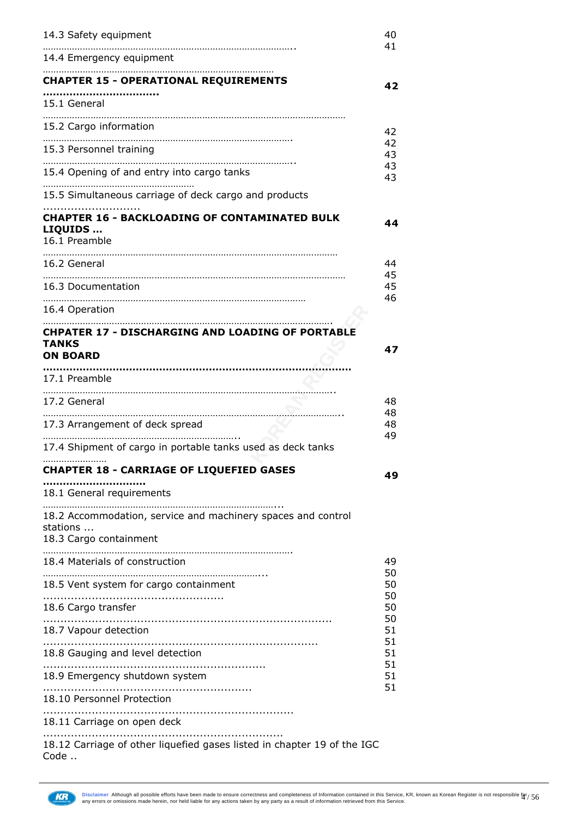| 14.3 Safety equipment<br>40<br>41<br><br>14.4 Emergency equipment<br>42<br><br>15.1 General<br>15.2 Cargo information<br>42<br>42<br>15.3 Personnel training<br>43<br>43<br>15.4 Opening of and entry into cargo tanks<br>43<br><b>CHAPTER 16 - BACKLOADING OF CONTAMINATED BULK</b><br>44<br>LIQUIDS<br>16.1 Preamble<br>16.2 General<br>44<br>45<br>16.3 Documentation<br>45<br>46<br>16.4 Operation                                                                                                                                                                          |                                                          |  |  |  |
|---------------------------------------------------------------------------------------------------------------------------------------------------------------------------------------------------------------------------------------------------------------------------------------------------------------------------------------------------------------------------------------------------------------------------------------------------------------------------------------------------------------------------------------------------------------------------------|----------------------------------------------------------|--|--|--|
| CHPATER 17 - DISCHARGING AND LOADING OF PORTABLE<br><b>TANKS</b><br><b>ON BOARD</b><br>17.1 Preamble<br>$\Omega$<br>17.2 General<br>17.3 Arrangement of deck spread<br><br><b>CHAPTER 18 - CARRIAGE OF LIQUEFIED GASES</b><br><br>18.1 General requirements<br>18.2 Accommodation, service and machinery spaces and control<br>stations<br>18.3 Cargo containment<br>18.4 Materials of construction                                                                                                                                                                             | 47<br>48<br>48<br>48<br>49<br>49<br>49<br>50             |  |  |  |
| 18.5 Vent system for cargo containment<br>18.6 Cargo transfer<br>18.7 Vapour detection<br>18.8 Gauging and level detection<br>18.10 Personnel Protection<br>18.11 Carriage on open deck<br>18.12 Carriage of other liquefied gases listed in chapter 19 of the IGC<br>Code<br>Disclaimer Although all possible efforts have been made to ensure correctness and completeness of Information contained in this Service,<br>KR<br>any errors or omissions made herein, nor held liable for any actions taken by any party as a result of information retrieved from this Service. | 50<br>50<br>50<br>50<br>51<br>51<br>51<br>51<br>51<br>51 |  |  |  |
|                                                                                                                                                                                                                                                                                                                                                                                                                                                                                                                                                                                 |                                                          |  |  |  |
|                                                                                                                                                                                                                                                                                                                                                                                                                                                                                                                                                                                 |                                                          |  |  |  |
|                                                                                                                                                                                                                                                                                                                                                                                                                                                                                                                                                                                 |                                                          |  |  |  |
|                                                                                                                                                                                                                                                                                                                                                                                                                                                                                                                                                                                 |                                                          |  |  |  |
|                                                                                                                                                                                                                                                                                                                                                                                                                                                                                                                                                                                 |                                                          |  |  |  |
|                                                                                                                                                                                                                                                                                                                                                                                                                                                                                                                                                                                 |                                                          |  |  |  |
|                                                                                                                                                                                                                                                                                                                                                                                                                                                                                                                                                                                 |                                                          |  |  |  |
|                                                                                                                                                                                                                                                                                                                                                                                                                                                                                                                                                                                 |                                                          |  |  |  |
|                                                                                                                                                                                                                                                                                                                                                                                                                                                                                                                                                                                 |                                                          |  |  |  |
|                                                                                                                                                                                                                                                                                                                                                                                                                                                                                                                                                                                 |                                                          |  |  |  |
|                                                                                                                                                                                                                                                                                                                                                                                                                                                                                                                                                                                 |                                                          |  |  |  |
|                                                                                                                                                                                                                                                                                                                                                                                                                                                                                                                                                                                 |                                                          |  |  |  |
|                                                                                                                                                                                                                                                                                                                                                                                                                                                                                                                                                                                 |                                                          |  |  |  |
|                                                                                                                                                                                                                                                                                                                                                                                                                                                                                                                                                                                 |                                                          |  |  |  |
|                                                                                                                                                                                                                                                                                                                                                                                                                                                                                                                                                                                 |                                                          |  |  |  |
|                                                                                                                                                                                                                                                                                                                                                                                                                                                                                                                                                                                 |                                                          |  |  |  |
|                                                                                                                                                                                                                                                                                                                                                                                                                                                                                                                                                                                 |                                                          |  |  |  |
|                                                                                                                                                                                                                                                                                                                                                                                                                                                                                                                                                                                 |                                                          |  |  |  |
|                                                                                                                                                                                                                                                                                                                                                                                                                                                                                                                                                                                 |                                                          |  |  |  |
|                                                                                                                                                                                                                                                                                                                                                                                                                                                                                                                                                                                 |                                                          |  |  |  |
|                                                                                                                                                                                                                                                                                                                                                                                                                                                                                                                                                                                 |                                                          |  |  |  |
|                                                                                                                                                                                                                                                                                                                                                                                                                                                                                                                                                                                 |                                                          |  |  |  |
|                                                                                                                                                                                                                                                                                                                                                                                                                                                                                                                                                                                 |                                                          |  |  |  |
|                                                                                                                                                                                                                                                                                                                                                                                                                                                                                                                                                                                 |                                                          |  |  |  |
|                                                                                                                                                                                                                                                                                                                                                                                                                                                                                                                                                                                 |                                                          |  |  |  |
|                                                                                                                                                                                                                                                                                                                                                                                                                                                                                                                                                                                 |                                                          |  |  |  |
|                                                                                                                                                                                                                                                                                                                                                                                                                                                                                                                                                                                 |                                                          |  |  |  |
|                                                                                                                                                                                                                                                                                                                                                                                                                                                                                                                                                                                 |                                                          |  |  |  |
|                                                                                                                                                                                                                                                                                                                                                                                                                                                                                                                                                                                 |                                                          |  |  |  |
|                                                                                                                                                                                                                                                                                                                                                                                                                                                                                                                                                                                 |                                                          |  |  |  |
|                                                                                                                                                                                                                                                                                                                                                                                                                                                                                                                                                                                 |                                                          |  |  |  |
|                                                                                                                                                                                                                                                                                                                                                                                                                                                                                                                                                                                 |                                                          |  |  |  |
|                                                                                                                                                                                                                                                                                                                                                                                                                                                                                                                                                                                 |                                                          |  |  |  |
|                                                                                                                                                                                                                                                                                                                                                                                                                                                                                                                                                                                 |                                                          |  |  |  |
|                                                                                                                                                                                                                                                                                                                                                                                                                                                                                                                                                                                 |                                                          |  |  |  |
|                                                                                                                                                                                                                                                                                                                                                                                                                                                                                                                                                                                 |                                                          |  |  |  |
|                                                                                                                                                                                                                                                                                                                                                                                                                                                                                                                                                                                 |                                                          |  |  |  |
|                                                                                                                                                                                                                                                                                                                                                                                                                                                                                                                                                                                 |                                                          |  |  |  |
|                                                                                                                                                                                                                                                                                                                                                                                                                                                                                                                                                                                 |                                                          |  |  |  |
|                                                                                                                                                                                                                                                                                                                                                                                                                                                                                                                                                                                 |                                                          |  |  |  |
|                                                                                                                                                                                                                                                                                                                                                                                                                                                                                                                                                                                 |                                                          |  |  |  |
|                                                                                                                                                                                                                                                                                                                                                                                                                                                                                                                                                                                 |                                                          |  |  |  |
|                                                                                                                                                                                                                                                                                                                                                                                                                                                                                                                                                                                 |                                                          |  |  |  |
|                                                                                                                                                                                                                                                                                                                                                                                                                                                                                                                                                                                 |                                                          |  |  |  |
|                                                                                                                                                                                                                                                                                                                                                                                                                                                                                                                                                                                 |                                                          |  |  |  |
|                                                                                                                                                                                                                                                                                                                                                                                                                                                                                                                                                                                 |                                                          |  |  |  |
|                                                                                                                                                                                                                                                                                                                                                                                                                                                                                                                                                                                 |                                                          |  |  |  |
|                                                                                                                                                                                                                                                                                                                                                                                                                                                                                                                                                                                 |                                                          |  |  |  |

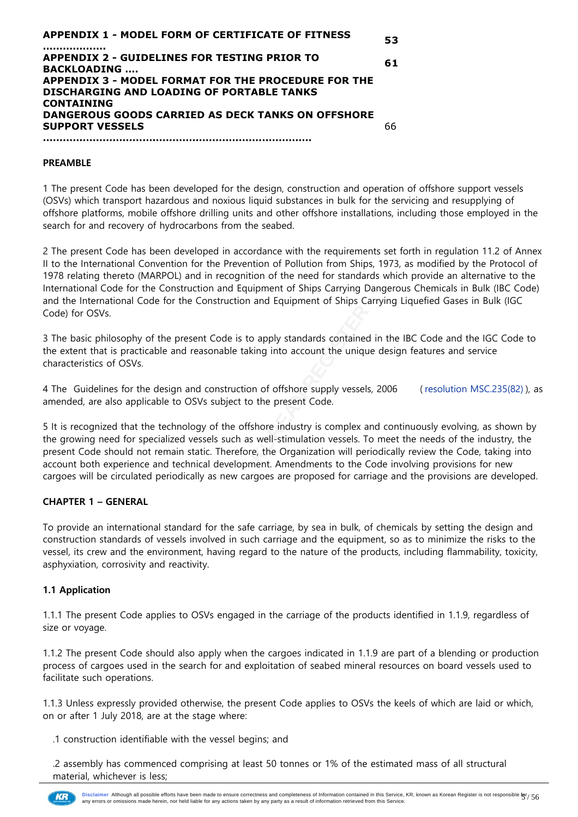| <b>APPENDIX 1 - MODEL FORM OF CERTIFICATE OF FITNESS</b> | 53 |
|----------------------------------------------------------|----|
|                                                          |    |
| <b>APPENDIX 2 - GUIDELINES FOR TESTING PRIOR TO</b>      | 61 |
| <b>BACKLOADING</b>                                       |    |
| APPENDIX 3 - MODEL FORMAT FOR THE PROCEDURE FOR THE      |    |
| <b>DISCHARGING AND LOADING OF PORTABLE TANKS</b>         |    |
| <b>CONTAINING</b>                                        |    |
| <b>DANGEROUS GOODS CARRIED AS DECK TANKS ON OFFSHORE</b> |    |
| <b>SUPPORT VESSELS</b>                                   | 66 |
|                                                          |    |

#### **PREAMBLE**

1 The present Code has been developed for the design, construction and operation of offshore support vessels (OSVs) which transport hazardous and noxious liquid substances in bulk for the servicing and resupplying of offshore platforms, mobile offshore drilling units and other offshore installations, including those employed in the search for and recovery of hydrocarbons from the seabed.

2 The present Code has been developed in accordance with the requirements set forth in regulation 11.2 of Annex II to the International Convention for the Prevention of Pollution from Ships, 1973, as modified by the Protocol of 1978 relating thereto (MARPOL) and in recognition of the need for standards which provide an alternative to the International Code for the Construction and Equipment of Ships Carrying Dangerous Chemicals in Bulk (IBC Code) and the International Code for the Construction and Equipment of Ships Carrying Liquefied Gases in Bulk (IGC Code) for OSVs.

3 The basic philosophy of the present Code is to apply standards contained in the IBC Code and the IGC Code to the extent that is practicable and reasonable taking into account the unique design features and service characteristics of OSVs.

4 The Guidelines for the design and construction of offshore supply vessels, 2006 ([resolution MSC.235\(82\)](http://103.12.248.9usercommontreeredirect.aspx?category_id=39223&node_type=normal&is_leaf=true&is_viewchild=true)), as amended, are also applicable to OSVs subject to the present Code.

5 It is recognized that the technology of the offshore industry is complex and continuously evolving, as shown by the growing need for specialized vessels such as well-stimulation vessels. To meet the needs of the industry, the present Code should not remain static. Therefore, the Organization will periodically review the Code, taking into account both experience and technical development. Amendments to the Code involving provisions for new cargoes will be circulated periodically as new cargoes are proposed for carriage and the provisions are developed. Code) for OSVs.<br> **6.2 Properties that is practicalable and reasonable laking into account the unique that that is practicalable and reasonable laking into account the unique of architect that is practicalable and reasonabl** 

#### **CHAPTER 1 – GENERAL**

To provide an international standard for the safe carriage, by sea in bulk, of chemicals by setting the design and construction standards of vessels involved in such carriage and the equipment, so as to minimize the risks to the vessel, its crew and the environment, having regard to the nature of the products, including flammability, toxicity, asphyxiation, corrosivity and reactivity.

#### **1.1 Application**

1.1.1 The present Code applies to OSVs engaged in the carriage of the products identified in 1.1.9, regardless of size or voyage.

1.1.2 The present Code should also apply when the cargoes indicated in 1.1.9 are part of a blending or production process of cargoes used in the search for and exploitation of seabed mineral resources on board vessels used to facilitate such operations.

1.1.3 Unless expressly provided otherwise, the present Code applies to OSVs the keels of which are laid or which, on or after 1 July 2018, are at the stage where:

.1 construction identifiable with the vessel begins; and

.2 assembly has commenced comprising at least 50 tonnes or 1% of the estimated mass of all structural material, whichever is less;

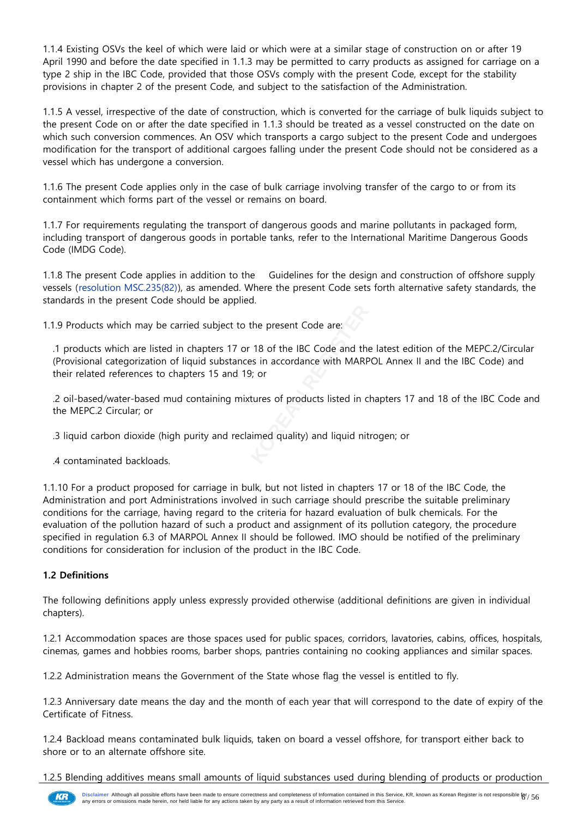1.1.4 Existing OSVs the keel of which were laid or which were at a similar stage of construction on or after 19 April 1990 and before the date specified in 1.1.3 may be permitted to carry products as assigned for carriage on a type 2 ship in the IBC Code, provided that those OSVs comply with the present Code, except for the stability provisions in chapter 2 of the present Code, and subject to the satisfaction of the Administration.

1.1.5 A vessel, irrespective of the date of construction, which is converted for the carriage of bulk liquids subject to the present Code on or after the date specified in 1.1.3 should be treated as a vessel constructed on the date on which such conversion commences. An OSV which transports a cargo subject to the present Code and undergoes modification for the transport of additional cargoes falling under the present Code should not be considered as a vessel which has undergone a conversion.

1.1.6 The present Code applies only in the case of bulk carriage involving transfer of the cargo to or from its containment which forms part of the vessel or remains on board.

1.1.7 For requirements regulating the transport of dangerous goods and marine pollutants in packaged form, including transport of dangerous goods in portable tanks, refer to the International Maritime Dangerous Goods Code (IMDG Code).

1.1.8 The present Code applies in addition to the Guidelines for the design and construction of offshore supply vessels ([resolution MSC.235\(82\)](http://103.12.248.9usercommontreeredirect.aspx?category_id=39223&node_type=normal&is_leaf=true&is_viewchild=true)), as amended. Where the present Code sets forth alternative safety standards, the standards in the present Code should be applied.

1.1.9 Products which may be carried subject to the present Code are:

.1 products which are listed in chapters 17 or 18 of the IBC Code and the latest edition of the MEPC.2/Circular (Provisional categorization of liquid substances in accordance with MARPOL Annex II and the IBC Code) and their related references to chapters 15 and 19; or

.2 oil-based/water-based mud containing mixtures of products listed in chapters 17 and 18 of the IBC Code and the MEPC.2 Circular; or

.3 liquid carbon dioxide (high purity and reclaimed quality) and liquid nitrogen; or

.4 contaminated backloads.

1.1.10 For a product proposed for carriage in bulk, but not listed in chapters 17 or 18 of the IBC Code, the Administration and port Administrations involved in such carriage should prescribe the suitable preliminary conditions for the carriage, having regard to the criteria for hazard evaluation of bulk chemicals. For the evaluation of the pollution hazard of such a product and assignment of its pollution category, the procedure specified in regulation 6.3 of MARPOL Annex II should be followed. IMO should be notified of the preliminary conditions for consideration for inclusion of the product in the IBC Code. **1.1.9 Products which may be carried subject to the present Code are:**<br> **6.1 products which are listed in chapters 17 or 18 of the IBC Code and the (Provisional categorization of liquid substances in accordance with MARPC<br>** 

# **1.2 Definitions**

The following definitions apply unless expressly provided otherwise (additional definitions are given in individual chapters).

1.2.1 Accommodation spaces are those spaces used for public spaces, corridors, lavatories, cabins, offices, hospitals, cinemas, games and hobbies rooms, barber shops, pantries containing no cooking appliances and similar spaces.

1.2.2 Administration means the Government of the State whose flag the vessel is entitled to fly.

1.2.3 Anniversary date means the day and the month of each year that will correspond to the date of expiry of the Certificate of Fitness.

1.2.4 Backload means contaminated bulk liquids, taken on board a vessel offshore, for transport either back to shore or to an alternate offshore site.

1.2.5 Blending additives means small amounts of liquid substances used during blending of products or production

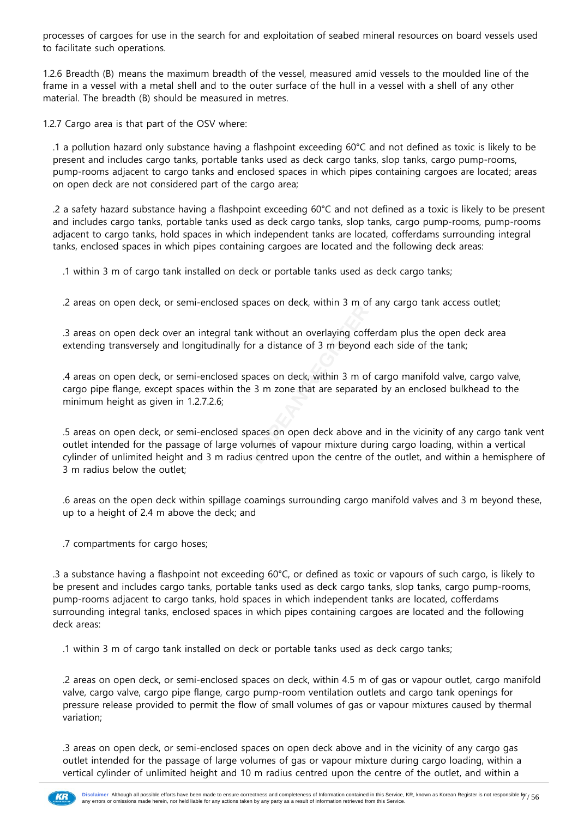processes of cargoes for use in the search for and exploitation of seabed mineral resources on board vessels used to facilitate such operations.

1.2.6 Breadth (B) means the maximum breadth of the vessel, measured amid vessels to the moulded line of the frame in a vessel with a metal shell and to the outer surface of the hull in a vessel with a shell of any other material. The breadth (B) should be measured in metres.

1.2.7 Cargo area is that part of the OSV where:

.1 a pollution hazard only substance having a flashpoint exceeding 60°C and not defined as toxic is likely to be present and includes cargo tanks, portable tanks used as deck cargo tanks, slop tanks, cargo pump-rooms, pump-rooms adjacent to cargo tanks and enclosed spaces in which pipes containing cargoes are located; areas on open deck are not considered part of the cargo area;

.2 a safety hazard substance having a flashpoint exceeding 60°C and not defined as a toxic is likely to be present and includes cargo tanks, portable tanks used as deck cargo tanks, slop tanks, cargo pump-rooms, pump-rooms adjacent to cargo tanks, hold spaces in which independent tanks are located, cofferdams surrounding integral tanks, enclosed spaces in which pipes containing cargoes are located and the following deck areas:

.1 within 3 m of cargo tank installed on deck or portable tanks used as deck cargo tanks;

.2 areas on open deck, or semi-enclosed spaces on deck, within 3 m of any cargo tank access outlet;

.3 areas on open deck over an integral tank without an overlaying cofferdam plus the open deck area extending transversely and longitudinally for a distance of 3 m beyond each side of the tank;

.4 areas on open deck, or semi-enclosed spaces on deck, within 3 m of cargo manifold valve, cargo valve, cargo pipe flange, except spaces within the 3 m zone that are separated by an enclosed bulkhead to the minimum height as given in 1.2.7.2.6;

.5 areas on open deck, or semi-enclosed spaces on open deck above and in the vicinity of any cargo tank vent outlet intended for the passage of large volumes of vapour mixture during cargo loading, within a vertical cylinder of unlimited height and 3 m radius centred upon the centre of the outlet, and within a hemisphere of 3 m radius below the outlet;

.6 areas on the open deck within spillage coamings surrounding cargo manifold valves and 3 m beyond these, up to a height of 2.4 m above the deck; and

.7 compartments for cargo hoses;

.3 a substance having a flashpoint not exceeding 60°C, or defined as toxic or vapours of such cargo, is likely to be present and includes cargo tanks, portable tanks used as deck cargo tanks, slop tanks, cargo pump-rooms, pump-rooms adjacent to cargo tanks, hold spaces in which independent tanks are located, cofferdams surrounding integral tanks, enclosed spaces in which pipes containing cargoes are located and the following deck areas: **Example 19.** The most of the person integral tank without an overlay and consider and properties and properties and properties and properties and properties and properties and properties and properties and properties and

.1 within 3 m of cargo tank installed on deck or portable tanks used as deck cargo tanks;

.2 areas on open deck, or semi-enclosed spaces on deck, within 4.5 m of gas or vapour outlet, cargo manifold valve, cargo valve, cargo pipe flange, cargo pump-room ventilation outlets and cargo tank openings for pressure release provided to permit the flow of small volumes of gas or vapour mixtures caused by thermal variation;

.3 areas on open deck, or semi-enclosed spaces on open deck above and in the vicinity of any cargo gas outlet intended for the passage of large volumes of gas or vapour mixture during cargo loading, within a vertical cylinder of unlimited height and 10 m radius centred upon the centre of the outlet, and within a

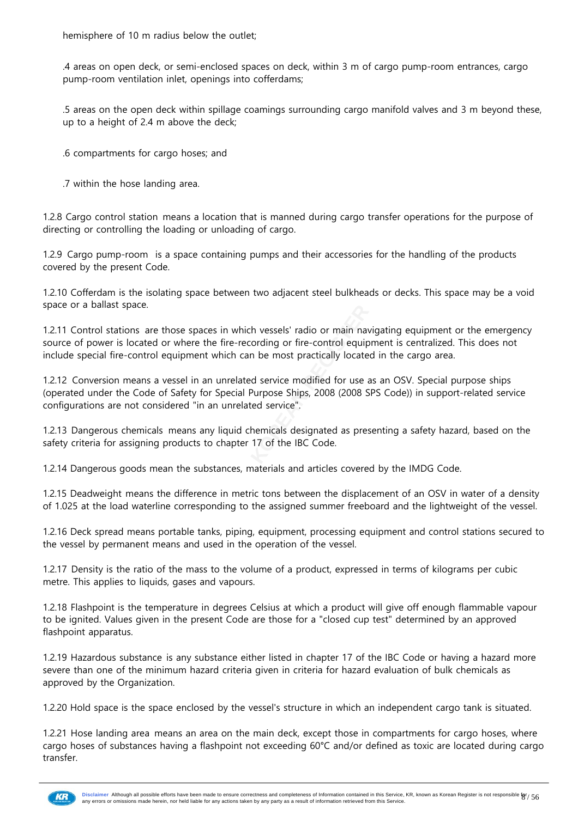hemisphere of 10 m radius below the outlet;

.4 areas on open deck, or semi-enclosed spaces on deck, within 3 m of cargo pump-room entrances, cargo pump-room ventilation inlet, openings into cofferdams;

.5 areas on the open deck within spillage coamings surrounding cargo manifold valves and 3 m beyond these, up to a height of 2.4 m above the deck;

.6 compartments for cargo hoses; and

.7 within the hose landing area.

1.2.8 Cargo control station means a location that is manned during cargo transfer operations for the purpose of directing or controlling the loading or unloading of cargo.

1.2.9 Cargo pump-room is a space containing pumps and their accessories for the handling of the products covered by the present Code.

1.2.10 Cofferdam is the isolating space between two adjacent steel bulkheads or decks. This space may be a void space or a ballast space.

1.2.11 Control stations are those spaces in which vessels' radio or main navigating equipment or the emergency source of power is located or where the fire-recording or fire-control equipment is centralized. This does not include special fire-control equipment which can be most practically located in the cargo area.

1.2.12 Conversion means a vessel in an unrelated service modified for use as an OSV. Special purpose ships (operated under the Code of Safety for Special Purpose Ships, 2008 (2008 SPS Code)) in support-related service configurations are not considered "in an unrelated service".

1.2.13 Dangerous chemicals means any liquid chemicals designated as presenting a safety hazard, based on the safety criteria for assigning products to chapter 17 of the IBC Code.

1.2.14 Dangerous goods mean the substances, materials and articles covered by the IMDG Code.

1.2.15 Deadweight means the difference in metric tons between the displacement of an OSV in water of a density of 1.025 at the load waterline corresponding to the assigned summer freeboard and the lightweight of the vessel.

1.2.16 Deck spread means portable tanks, piping, equipment, processing equipment and control stations secured to the vessel by permanent means and used in the operation of the vessel.

1.2.17 Density is the ratio of the mass to the volume of a product, expressed in terms of kilograms per cubic metre. This applies to liquids, gases and vapours.

1.2.18 Flashpoint is the temperature in degrees Celsius at which a product will give off enough flammable vapour to be ignited. Values given in the present Code are those for a "closed cup test" determined by an approved flashpoint apparatus.

1.2.19 Hazardous substance is any substance either listed in chapter 17 of the IBC Code or having a hazard more severe than one of the minimum hazard criteria given in criteria for hazard evaluation of bulk chemicals as approved by the Organization. **1.2.11 Control stations are those spaces in which vessels' radio or main navisource of power is located or where the fire-recording or fire-control equipment valuations are those spaces in which can be most practically lo** 

1.2.20 Hold space is the space enclosed by the vessel's structure in which an independent cargo tank is situated.

1.2.21 Hose landing area means an area on the main deck, except those in compartments for cargo hoses, where cargo hoses of substances having a flashpoint not exceeding 60°C and/or defined as toxic are located during cargo transfer.

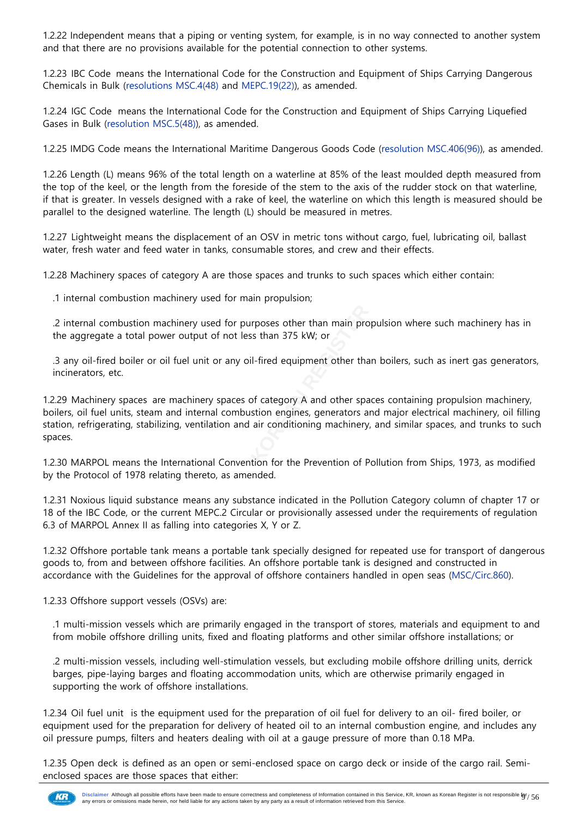1.2.22 Independent means that a piping or venting system, for example, is in no way connected to another system and that there are no provisions available for the potential connection to other systems.

1.2.23 IBC Code means the International Code for the Construction and Equipment of Ships Carrying Dangerous Chemicals in Bulk ([resolutions MSC.4\(48\)](http://103.12.248.9usercommontreeredirect.aspx?category_id=43067&node_type=normal&is_leaf=true&is_viewchild=true) and [MEPC.19\(22\)](http://103.12.248.9usercommontreeredirect.aspx?category_id=43070&node_type=normal&is_leaf=true&is_viewchild=true)), as amended.

1.2.24 IGC Code means the International Code for the Construction and Equipment of Ships Carrying Liquefied Gases in Bulk [\(resolution MSC.5\(48\)](http://103.12.248.9usercommontreeredirect.aspx?category_id=43080&node_type=normal&is_leaf=true&is_viewchild=true)), as amended.

1.2.25 IMDG Code means the International Maritime Dangerous Goods Code ([resolution MSC.406\(96\)](http://103.12.248.9usercommontreeredirect.aspx?category_id=66409&node_type=normal&is_leaf=true&is_viewchild=true)), as amended.

1.2.26 Length (L) means 96% of the total length on a waterline at 85% of the least moulded depth measured from the top of the keel, or the length from the foreside of the stem to the axis of the rudder stock on that waterline, if that is greater. In vessels designed with a rake of keel, the waterline on which this length is measured should be parallel to the designed waterline. The length (L) should be measured in metres.

1.2.27 Lightweight means the displacement of an OSV in metric tons without cargo, fuel, lubricating oil, ballast water, fresh water and feed water in tanks, consumable stores, and crew and their effects.

1.2.28 Machinery spaces of category A are those spaces and trunks to such spaces which either contain:

.1 internal combustion machinery used for main propulsion;

.2 internal combustion machinery used for purposes other than main propulsion where such machinery has in the aggregate a total power output of not less than 375 kW; or

.3 any oil-fired boiler or oil fuel unit or any oil-fired equipment other than boilers, such as inert gas generators, incinerators, etc.

1.2.29 Machinery spaces are machinery spaces of category A and other spaces containing propulsion machinery, boilers, oil fuel units, steam and internal combustion engines, generators and major electrical machinery, oil filling station, refrigerating, stabilizing, ventilation and air conditioning machinery, and similar spaces, and trunks to such spaces. 2. Internal combustion machinery used for purposes other than main prop<br>the aggregate a total power output of not less than 375 kW; or<br>3. any oil-fired boiler or oil fuel unit or any oil-fired equipment other than<br>inciner

1.2.30 MARPOL means the International Convention for the Prevention of Pollution from Ships, 1973, as modified by the Protocol of 1978 relating thereto, as amended.

1.2.31 Noxious liquid substance means any substance indicated in the Pollution Category column of chapter 17 or 18 of the IBC Code, or the current MEPC.2 Circular or provisionally assessed under the requirements of regulation 6.3 of MARPOL Annex II as falling into categories X, Y or Z.

1.2.32 Offshore portable tank means a portable tank specially designed for repeated use for transport of dangerous goods to, from and between offshore facilities. An offshore portable tank is designed and constructed in accordance with the Guidelines for the approval of offshore containers handled in open seas [\(MSC/Circ.860](http://103.12.248.9usercommontreeredirect.aspx?category_id=12739&node_type=normal&is_leaf=true&is_viewchild=true)).

1.2.33 Offshore support vessels (OSVs) are:

.1 multi-mission vessels which are primarily engaged in the transport of stores, materials and equipment to and from mobile offshore drilling units, fixed and floating platforms and other similar offshore installations; or

.2 multi-mission vessels, including well-stimulation vessels, but excluding mobile offshore drilling units, derrick barges, pipe-laying barges and floating accommodation units, which are otherwise primarily engaged in supporting the work of offshore installations.

1.2.34 Oil fuel unit is the equipment used for the preparation of oil fuel for delivery to an oil- fired boiler, or equipment used for the preparation for delivery of heated oil to an internal combustion engine, and includes any oil pressure pumps, filters and heaters dealing with oil at a gauge pressure of more than 0.18 MPa.

1.2.35 Open deck is defined as an open or semi-enclosed space on cargo deck or inside of the cargo rail. Semienclosed spaces are those spaces that either:

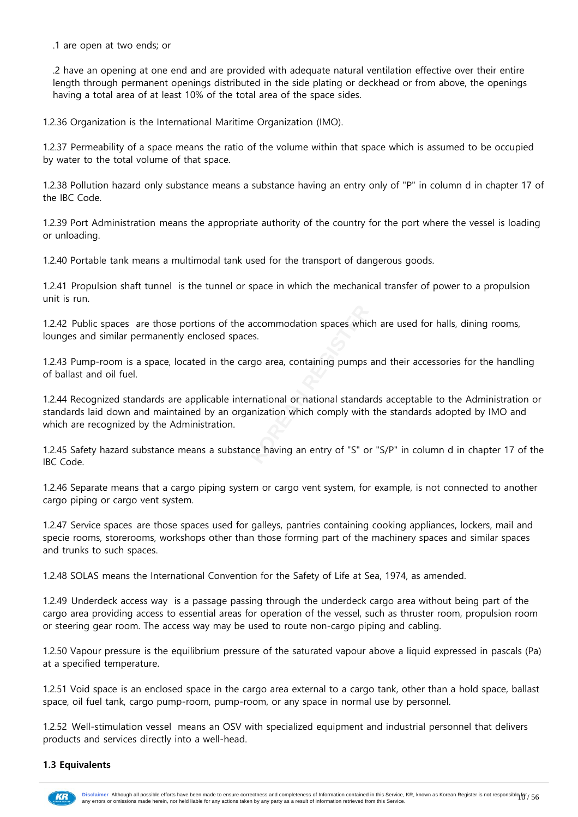.1 are open at two ends; or

.2 have an opening at one end and are provided with adequate natural ventilation effective over their entire length through permanent openings distributed in the side plating or deckhead or from above, the openings having a total area of at least 10% of the total area of the space sides.

1.2.36 Organization is the International Maritime Organization (IMO).

1.2.37 Permeability of a space means the ratio of the volume within that space which is assumed to be occupied by water to the total volume of that space.

1.2.38 Pollution hazard only substance means a substance having an entry only of "P" in column d in chapter 17 of the IBC Code.

1.2.39 Port Administration means the appropriate authority of the country for the port where the vessel is loading or unloading.

1.2.40 Portable tank means a multimodal tank used for the transport of dangerous goods.

1.2.41 Propulsion shaft tunnel is the tunnel or space in which the mechanical transfer of power to a propulsion unit is run.

1.2.42 Public spaces are those portions of the accommodation spaces which are used for halls, dining rooms, lounges and similar permanently enclosed spaces.

1.2.43 Pump-room is a space, located in the cargo area, containing pumps and their accessories for the handling of ballast and oil fuel.

1.2.44 Recognized standards are applicable international or national standards acceptable to the Administration or standards laid down and maintained by an organization which comply with the standards adopted by IMO and which are recognized by the Administration.

1.2.45 Safety hazard substance means a substance having an entry of "S" or "S/P" in column d in chapter 17 of the IBC Code.

1.2.46 Separate means that a cargo piping system or cargo vent system, for example, is not connected to another cargo piping or cargo vent system.

1.2.47 Service spaces are those spaces used for galleys, pantries containing cooking appliances, lockers, mail and specie rooms, storerooms, workshops other than those forming part of the machinery spaces and similar spaces and trunks to such spaces. **6.2.42 Public spaces are those portions of the accommodation spaces which**<br>clounges and similar permanently enclosed spaces.<br> **6.2.43 Pump-room is a space, located in the cargo area, containing pumps a<br>
6.1.2.44 Recognize** 

1.2.48 SOLAS means the International Convention for the Safety of Life at Sea, 1974, as amended.

1.2.49 Underdeck access way is a passage passing through the underdeck cargo area without being part of the cargo area providing access to essential areas for operation of the vessel, such as thruster room, propulsion room or steering gear room. The access way may be used to route non-cargo piping and cabling.

1.2.50 Vapour pressure is the equilibrium pressure of the saturated vapour above a liquid expressed in pascals (Pa) at a specified temperature.

1.2.51 Void space is an enclosed space in the cargo area external to a cargo tank, other than a hold space, ballast space, oil fuel tank, cargo pump-room, pump-room, or any space in normal use by personnel.

1.2.52 Well-stimulation vessel means an OSV with specialized equipment and industrial personnel that delivers products and services directly into a well-head.

#### **1.3 Equivalents**

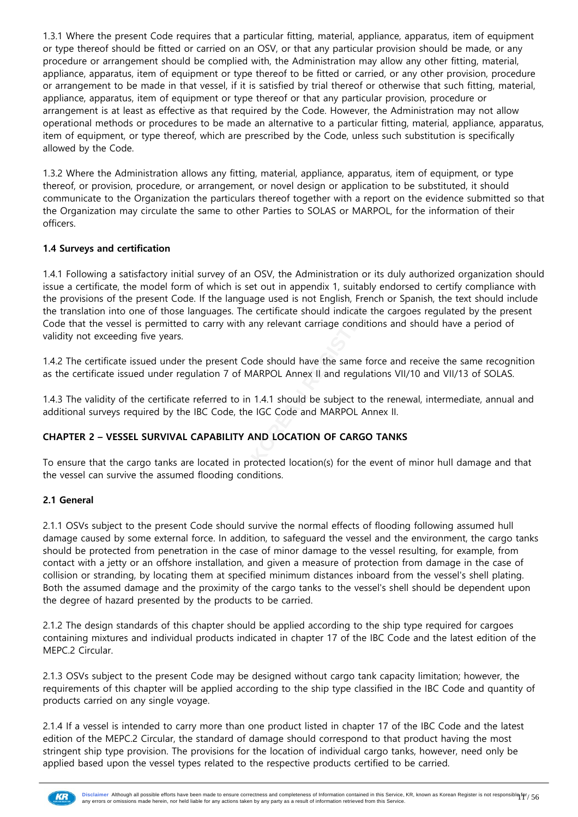1.3.1 Where the present Code requires that a particular fitting, material, appliance, apparatus, item of equipment or type thereof should be fitted or carried on an OSV, or that any particular provision should be made, or any procedure or arrangement should be complied with, the Administration may allow any other fitting, material, appliance, apparatus, item of equipment or type thereof to be fitted or carried, or any other provision, procedure or arrangement to be made in that vessel, if it is satisfied by trial thereof or otherwise that such fitting, material, appliance, apparatus, item of equipment or type thereof or that any particular provision, procedure or arrangement is at least as effective as that required by the Code. However, the Administration may not allow operational methods or procedures to be made an alternative to a particular fitting, material, appliance, apparatus, item of equipment, or type thereof, which are prescribed by the Code, unless such substitution is specifically allowed by the Code.

1.3.2 Where the Administration allows any fitting, material, appliance, apparatus, item of equipment, or type thereof, or provision, procedure, or arrangement, or novel design or application to be substituted, it should communicate to the Organization the particulars thereof together with a report on the evidence submitted so that the Organization may circulate the same to other Parties to SOLAS or MARPOL, for the information of their officers.

# **1.4 Surveys and certification**

1.4.1 Following a satisfactory initial survey of an OSV, the Administration or its duly authorized organization should issue a certificate, the model form of which is set out in appendix 1, suitably endorsed to certify compliance with the provisions of the present Code. If the language used is not English, French or Spanish, the text should include the translation into one of those languages. The certificate should indicate the cargoes regulated by the present Code that the vessel is permitted to carry with any relevant carriage conditions and should have a period of validity not exceeding five years.

1.4.2 The certificate issued under the present Code should have the same force and receive the same recognition as the certificate issued under regulation 7 of MARPOL Annex II and regulations VII/10 and VII/13 of SOLAS.

1.4.3 The validity of the certificate referred to in 1.4.1 should be subject to the renewal, intermediate, annual and additional surveys required by the IBC Code, the IGC Code and MARPOL Annex II.

# **CHAPTER 2 – VESSEL SURVIVAL CAPABILITY AND LOCATION OF CARGO TANKS**

To ensure that the cargo tanks are located in protected location(s) for the event of minor hull damage and that the vessel can survive the assumed flooding conditions.

#### **2.1 General**

2.1.1 OSVs subject to the present Code should survive the normal effects of flooding following assumed hull damage caused by some external force. In addition, to safeguard the vessel and the environment, the cargo tanks should be protected from penetration in the case of minor damage to the vessel resulting, for example, from contact with a jetty or an offshore installation, and given a measure of protection from damage in the case of collision or stranding, by locating them at specified minimum distances inboard from the vessel's shell plating. Both the assumed damage and the proximity of the cargo tanks to the vessel's shell should be dependent upon the degree of hazard presented by the products to be carried. the translation into one of those languages. The certificate should indicate the translation into one of those languages. The certificate issued under the present. Code should have the same for solidarly not exceeding five

2.1.2 The design standards of this chapter should be applied according to the ship type required for cargoes containing mixtures and individual products indicated in chapter 17 of the IBC Code and the latest edition of the MEPC.2 Circular.

2.1.3 OSVs subject to the present Code may be designed without cargo tank capacity limitation; however, the requirements of this chapter will be applied according to the ship type classified in the IBC Code and quantity of products carried on any single voyage.

2.1.4 If a vessel is intended to carry more than one product listed in chapter 17 of the IBC Code and the latest edition of the MEPC.2 Circular, the standard of damage should correspond to that product having the most stringent ship type provision. The provisions for the location of individual cargo tanks, however, need only be applied based upon the vessel types related to the respective products certified to be carried.

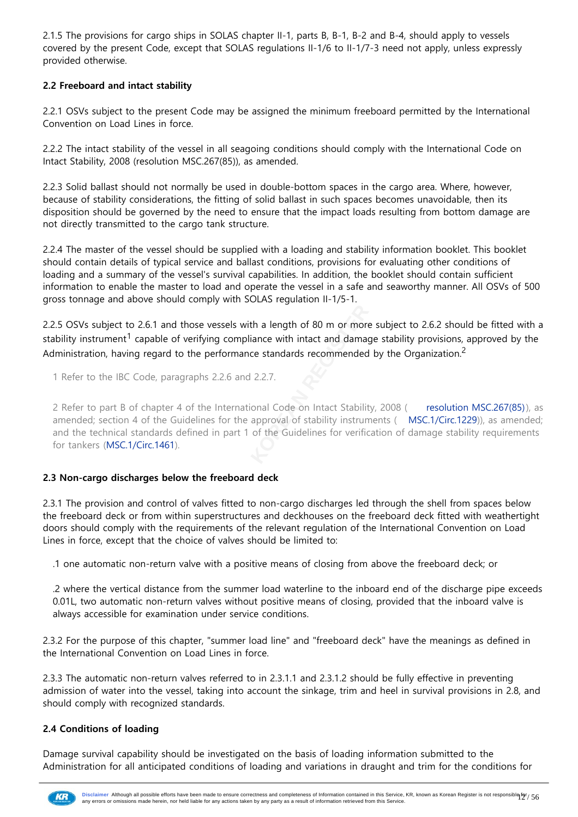2.1.5 The provisions for cargo ships in SOLAS chapter II-1, parts B, B-1, B-2 and B-4, should apply to vessels covered by the present Code, except that SOLAS regulations II-1/6 to II-1/7-3 need not apply, unless expressly provided otherwise.

# **2.2 Freeboard and intact stability**

2.2.1 OSVs subject to the present Code may be assigned the minimum freeboard permitted by the International Convention on Load Lines in force.

2.2.2 The intact stability of the vessel in all seagoing conditions should comply with the International Code on Intact Stability, 2008 (resolution MSC.267(85)), as amended.

2.2.3 Solid ballast should not normally be used in double-bottom spaces in the cargo area. Where, however, because of stability considerations, the fitting of solid ballast in such spaces becomes unavoidable, then its disposition should be governed by the need to ensure that the impact loads resulting from bottom damage are not directly transmitted to the cargo tank structure.

2.2.4 The master of the vessel should be supplied with a loading and stability information booklet. This booklet should contain details of typical service and ballast conditions, provisions for evaluating other conditions of loading and a summary of the vessel's survival capabilities. In addition, the booklet should contain sufficient information to enable the master to load and operate the vessel in a safe and seaworthy manner. All OSVs of 500 gross tonnage and above should comply with SOLAS regulation II-1/5-1.

2.2.5 OSVs subject to 2.6.1 and those vessels with a length of 80 m or more subject to 2.6.2 should be fitted with a stability instrument<sup>1</sup> capable of verifying compliance with intact and damage stability provisions, approved by the Administration, having regard to the performance standards recommended by the Organization.<sup>2</sup>

1 Refer to the IBC Code, paragraphs 2.2.6 and 2.2.7.

2 Refer to part B of chapter 4 of the International Code on Intact Stability, 2008 ( [resolution MSC.267\(85\)](http://103.12.248.9usercommontreeredirect.aspx?category_id=49219&node_type=normal&is_leaf=true&is_viewchild=true)), as amended; section 4 of the Guidelines for the approval of stability instruments ( [MSC.1/Circ.1229](http://103.12.248.9usercommontreeredirect.aspx?category_id=39230&node_type=normal&is_leaf=true&is_viewchild=true))), as amended; and the technical standards defined in part 1 of the Guidelines for verification of damage stability requirements for tankers [\(MSC.1/Circ.1461\)](http://103.12.248.9usercommontreeredirect.aspx?category_id=58460&node_type=normal&is_leaf=true&is_viewchild=true).

# **2.3 Non-cargo discharges below the freeboard deck**

2.3.1 The provision and control of valves fitted to non-cargo discharges led through the shell from spaces below the freeboard deck or from within superstructures and deckhouses on the freeboard deck fitted with weathertight doors should comply with the requirements of the relevant regulation of the International Convention on Load Lines in force, except that the choice of valves should be limited to: **6.2**<br> **EXECTS OSYs subject to 2.6.1 and those vessels with a length of 80 m or more trability instrument<sup>1</sup> capable of verifying compliance with intact and damaged<br>
<b>EXECTS OSYs subject to 2.6.1 and those verifying compli** 

.1 one automatic non-return valve with a positive means of closing from above the freeboard deck; or

.2 where the vertical distance from the summer load waterline to the inboard end of the discharge pipe exceeds 0.01L, two automatic non-return valves without positive means of closing, provided that the inboard valve is always accessible for examination under service conditions.

2.3.2 For the purpose of this chapter, "summer load line" and "freeboard deck" have the meanings as defined in the International Convention on Load Lines in force.

2.3.3 The automatic non-return valves referred to in 2.3.1.1 and 2.3.1.2 should be fully effective in preventing admission of water into the vessel, taking into account the sinkage, trim and heel in survival provisions in 2.8, and should comply with recognized standards.

# **2.4 Conditions of loading**

Damage survival capability should be investigated on the basis of loading information submitted to the Administration for all anticipated conditions of loading and variations in draught and trim for the conditions for

cargoes which the vessels is certified to carry. Conditions where the OSV is not carrying products covered by the

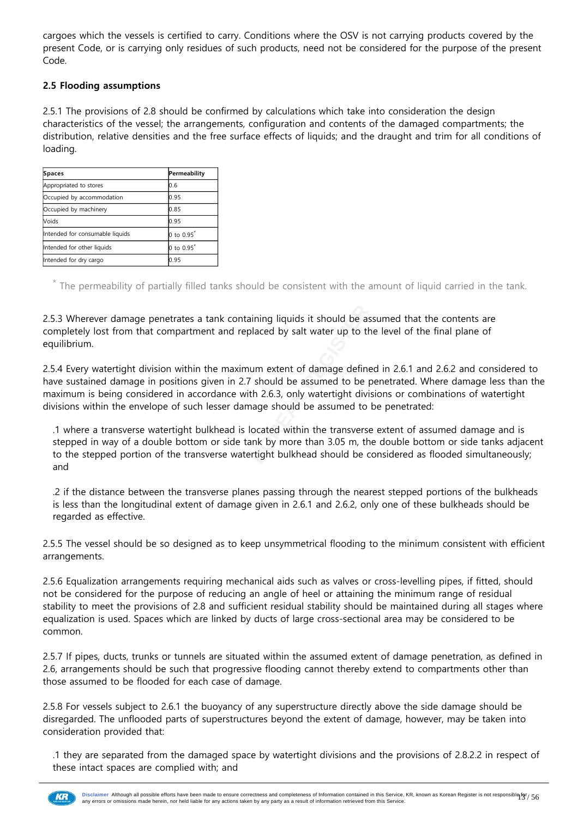cargoes which the vessels is certified to carry. Conditions where the OSV is not carrying products covered by the present Code, or is carrying only residues of such products, need not be considered for the purpose of the present Code.

# **2.5 Flooding assumptions**

2.5.1 The provisions of 2.8 should be confirmed by calculations which take into consideration the design characteristics of the vessel; the arrangements, configuration and contents of the damaged compartments; the distribution, relative densities and the free surface effects of liquids; and the draught and trim for all conditions of loading.

| <b>Spaces</b>                   | Permeability         |  |  |
|---------------------------------|----------------------|--|--|
| Appropriated to stores          | 0.6                  |  |  |
| Occupied by accommodation       | 0.95                 |  |  |
| Occupied by machinery           | 0.85                 |  |  |
| Voids                           | 0.95                 |  |  |
| Intended for consumable liquids | 0 to 0.95 $^{\star}$ |  |  |
| Intended for other liquids      | 0 to 0.95 $^{\star}$ |  |  |
| Intended for dry cargo          | 0.95                 |  |  |

\* The permeability of partially filled tanks should be consistent with the amount of liquid carried in the tank.

2.5.3 Wherever damage penetrates a tank containing liquids it should be assumed that the contents are completely lost from that compartment and replaced by salt water up to the level of the final plane of equilibrium.

2.5.4 Every watertight division within the maximum extent of damage defined in 2.6.1 and 2.6.2 and considered to have sustained damage in positions given in 2.7 should be assumed to be penetrated. Where damage less than the maximum is being considered in accordance with 2.6.3, only watertight divisions or combinations of watertight divisions within the envelope of such lesser damage should be assumed to be penetrated:

.1 where a transverse watertight bulkhead is located within the transverse extent of assumed damage and is stepped in way of a double bottom or side tank by more than 3.05 m, the double bottom or side tanks adjacent to the stepped portion of the transverse watertight bulkhead should be considered as flooded simultaneously; and

.2 if the distance between the transverse planes passing through the nearest stepped portions of the bulkheads is less than the longitudinal extent of damage given in 2.6.1 and 2.6.2, only one of these bulkheads should be regarded as effective.

2.5.5 The vessel should be so designed as to keep unsymmetrical flooding to the minimum consistent with efficient arrangements.

2.5.6 Equalization arrangements requiring mechanical aids such as valves or cross-levelling pipes, if fitted, should not be considered for the purpose of reducing an angle of heel or attaining the minimum range of residual stability to meet the provisions of 2.8 and sufficient residual stability should be maintained during all stages where equalization is used. Spaces which are linked by ducts of large cross-sectional area may be considered to be common. 2.5.3 Wherever damage penetrates a tank containing liquids it should be assembletely lost from that compartment and replaced by salt water up to the equilibrium.<br> **6.2 Case of the control in the maximum extent of damage ef** 

2.5.7 If pipes, ducts, trunks or tunnels are situated within the assumed extent of damage penetration, as defined in 2.6, arrangements should be such that progressive flooding cannot thereby extend to compartments other than those assumed to be flooded for each case of damage.

2.5.8 For vessels subject to 2.6.1 the buoyancy of any superstructure directly above the side damage should be disregarded. The unflooded parts of superstructures beyond the extent of damage, however, may be taken into consideration provided that:

.1 they are separated from the damaged space by watertight divisions and the provisions of 2.8.2.2 in respect of these intact spaces are complied with; and

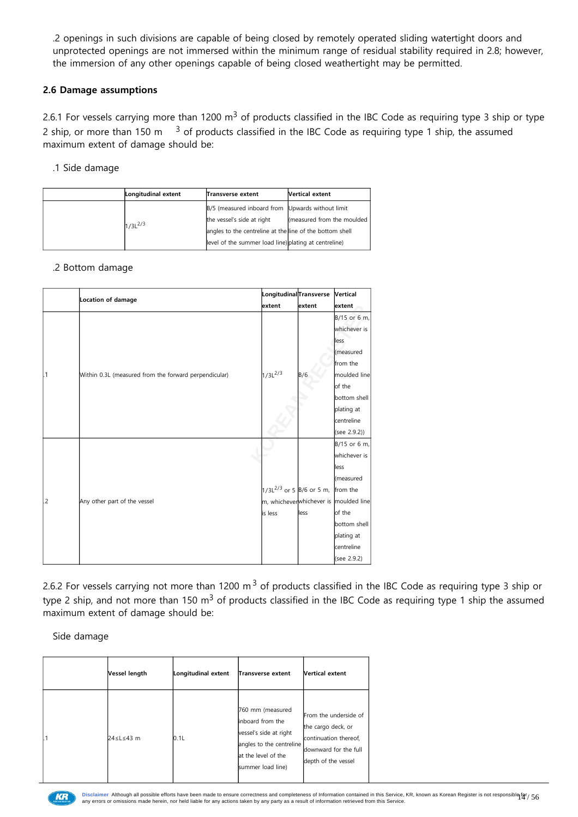.2 openings in such divisions are capable of being closed by remotely operated sliding watertight doors and unprotected openings are not immersed within the minimum range of residual stability required in 2.8; however, the immersion of any other openings capable of being closed weathertight may be permitted.

## **2.6 Damage assumptions**

2.6.1 For vessels carrying more than 1200 m<sup>3</sup> of products classified in the IBC Code as requiring type 3 ship or type 2 ship, or more than 150 m  $^{-3}$  of products classified in the IBC Code as requiring type 1 ship, the assumed maximum extent of damage should be:

## .1 Side damage

| Longitudinal extent | Transverse extent                                        | <b>Vertical extent</b>     |
|---------------------|----------------------------------------------------------|----------------------------|
|                     | B/5 (measured inboard from Upwards without limit         |                            |
| $1/3L^{2/3}$        | the vessel's side at right                               | (measured from the moulded |
|                     | angles to the centreline at the line of the bottom shell |                            |
|                     | level of the summer load line) plating at centreline)    |                            |

#### .2 Bottom damage

|                 | Location of damage                                          |                                                                                                                                                                                                                                   |                     | Longitudinal Transverse<br>extent                                                 | extent                                                               | Vertical<br>extent<br>$B/15$ or 6 m,<br>whichever is<br>less<br>(measured<br>from the |
|-----------------|-------------------------------------------------------------|-----------------------------------------------------------------------------------------------------------------------------------------------------------------------------------------------------------------------------------|---------------------|-----------------------------------------------------------------------------------|----------------------------------------------------------------------|---------------------------------------------------------------------------------------|
| $\mathbf{.1}$   | Within 0.3L (measured from the forward perpendicular)       |                                                                                                                                                                                                                                   |                     | $1/3L^{2/3}$                                                                      | B/6                                                                  | moulded line<br>of the<br>bottom shell<br>plating at<br>centreline<br>(see 2.9.2))    |
| $\overline{c}$  | Any other part of the vessel                                |                                                                                                                                                                                                                                   |                     | $1/3L^{2/3}$ or 5 $B/6$ or 5 m, from the<br>m, whicheverwhichever is moulded line |                                                                      | B/15 or 6 m,<br>whichever is<br>less<br>(measured                                     |
|                 |                                                             | 2.6.2 For vessels carrying not more than 1200 $m3$ of products classified in th                                                                                                                                                   |                     | is less                                                                           | less                                                                 | of the<br>bottom shell<br>plating at<br>centreline<br>(see 2.9.2)                     |
| Side damage     | maximum extent of damage should be:<br><b>Vessel length</b> | type 2 ship, and not more than 150 m <sup>3</sup> of products classified in the IBC Cod<br>Longitudinal extent                                                                                                                    |                     | Transverse extent                                                                 | <b>Vertical extent</b>                                               |                                                                                       |
| $\overline{.1}$ | 24 ≤ L ≤ 43 m                                               | 0.1L                                                                                                                                                                                                                              | inboard from the    | 760 mm (measured<br>vessel's side at right<br>angles to the centreline            | the cargo deck, or<br>continuation thereof,<br>downward for the full | From the underside of                                                                 |
| KR              |                                                             | Disclaimer Although all possible efforts have been made to ensure correctness and completeness of Information contained in<br>any errors or omissions made herein, nor held liable for any actions taken by any party as a result | at the level of the | summer load line)                                                                 | depth of the vessel                                                  |                                                                                       |
|                 |                                                             |                                                                                                                                                                                                                                   |                     |                                                                                   |                                                                      |                                                                                       |
|                 |                                                             |                                                                                                                                                                                                                                   |                     |                                                                                   |                                                                      |                                                                                       |
|                 |                                                             |                                                                                                                                                                                                                                   |                     |                                                                                   |                                                                      |                                                                                       |
|                 |                                                             |                                                                                                                                                                                                                                   |                     |                                                                                   |                                                                      |                                                                                       |
|                 |                                                             |                                                                                                                                                                                                                                   |                     |                                                                                   |                                                                      |                                                                                       |
|                 |                                                             |                                                                                                                                                                                                                                   |                     |                                                                                   |                                                                      |                                                                                       |
|                 |                                                             |                                                                                                                                                                                                                                   |                     |                                                                                   |                                                                      |                                                                                       |
|                 |                                                             |                                                                                                                                                                                                                                   |                     |                                                                                   |                                                                      |                                                                                       |
|                 |                                                             |                                                                                                                                                                                                                                   |                     |                                                                                   |                                                                      |                                                                                       |
|                 |                                                             |                                                                                                                                                                                                                                   |                     |                                                                                   |                                                                      |                                                                                       |
|                 |                                                             |                                                                                                                                                                                                                                   |                     |                                                                                   |                                                                      |                                                                                       |
|                 |                                                             |                                                                                                                                                                                                                                   |                     |                                                                                   |                                                                      |                                                                                       |
|                 |                                                             |                                                                                                                                                                                                                                   |                     |                                                                                   |                                                                      |                                                                                       |
|                 |                                                             |                                                                                                                                                                                                                                   |                     |                                                                                   |                                                                      |                                                                                       |
|                 |                                                             |                                                                                                                                                                                                                                   |                     |                                                                                   |                                                                      |                                                                                       |
|                 |                                                             |                                                                                                                                                                                                                                   |                     |                                                                                   |                                                                      |                                                                                       |
|                 |                                                             |                                                                                                                                                                                                                                   |                     |                                                                                   |                                                                      |                                                                                       |
|                 |                                                             |                                                                                                                                                                                                                                   |                     |                                                                                   |                                                                      |                                                                                       |
|                 |                                                             |                                                                                                                                                                                                                                   |                     |                                                                                   |                                                                      |                                                                                       |
|                 |                                                             |                                                                                                                                                                                                                                   |                     |                                                                                   |                                                                      |                                                                                       |
|                 |                                                             |                                                                                                                                                                                                                                   |                     |                                                                                   |                                                                      |                                                                                       |
|                 |                                                             |                                                                                                                                                                                                                                   |                     |                                                                                   |                                                                      |                                                                                       |
|                 |                                                             |                                                                                                                                                                                                                                   |                     |                                                                                   |                                                                      |                                                                                       |
|                 |                                                             |                                                                                                                                                                                                                                   |                     |                                                                                   |                                                                      |                                                                                       |
|                 |                                                             |                                                                                                                                                                                                                                   |                     |                                                                                   |                                                                      |                                                                                       |
|                 |                                                             |                                                                                                                                                                                                                                   |                     |                                                                                   |                                                                      |                                                                                       |
|                 |                                                             |                                                                                                                                                                                                                                   |                     |                                                                                   |                                                                      |                                                                                       |
|                 |                                                             |                                                                                                                                                                                                                                   |                     |                                                                                   |                                                                      |                                                                                       |
|                 |                                                             |                                                                                                                                                                                                                                   |                     |                                                                                   |                                                                      |                                                                                       |
|                 |                                                             |                                                                                                                                                                                                                                   |                     |                                                                                   |                                                                      |                                                                                       |
|                 |                                                             |                                                                                                                                                                                                                                   |                     |                                                                                   |                                                                      |                                                                                       |
|                 |                                                             |                                                                                                                                                                                                                                   |                     |                                                                                   |                                                                      |                                                                                       |
|                 |                                                             |                                                                                                                                                                                                                                   |                     |                                                                                   |                                                                      |                                                                                       |
|                 |                                                             |                                                                                                                                                                                                                                   |                     |                                                                                   |                                                                      |                                                                                       |
|                 |                                                             |                                                                                                                                                                                                                                   |                     |                                                                                   |                                                                      |                                                                                       |
|                 |                                                             |                                                                                                                                                                                                                                   |                     |                                                                                   |                                                                      |                                                                                       |
|                 |                                                             |                                                                                                                                                                                                                                   |                     |                                                                                   |                                                                      |                                                                                       |
|                 |                                                             |                                                                                                                                                                                                                                   |                     |                                                                                   |                                                                      |                                                                                       |
|                 |                                                             |                                                                                                                                                                                                                                   |                     |                                                                                   |                                                                      |                                                                                       |
|                 |                                                             |                                                                                                                                                                                                                                   |                     |                                                                                   |                                                                      |                                                                                       |
|                 |                                                             |                                                                                                                                                                                                                                   |                     |                                                                                   |                                                                      |                                                                                       |
|                 |                                                             |                                                                                                                                                                                                                                   |                     |                                                                                   |                                                                      |                                                                                       |
|                 |                                                             |                                                                                                                                                                                                                                   |                     |                                                                                   |                                                                      |                                                                                       |
|                 |                                                             |                                                                                                                                                                                                                                   |                     |                                                                                   |                                                                      |                                                                                       |
|                 |                                                             |                                                                                                                                                                                                                                   |                     |                                                                                   |                                                                      |                                                                                       |
|                 |                                                             |                                                                                                                                                                                                                                   |                     |                                                                                   |                                                                      |                                                                                       |
|                 |                                                             |                                                                                                                                                                                                                                   |                     |                                                                                   |                                                                      |                                                                                       |
|                 |                                                             |                                                                                                                                                                                                                                   |                     |                                                                                   |                                                                      |                                                                                       |
|                 |                                                             |                                                                                                                                                                                                                                   |                     |                                                                                   |                                                                      |                                                                                       |
|                 |                                                             |                                                                                                                                                                                                                                   |                     |                                                                                   |                                                                      |                                                                                       |
|                 |                                                             |                                                                                                                                                                                                                                   |                     |                                                                                   |                                                                      |                                                                                       |
|                 |                                                             |                                                                                                                                                                                                                                   |                     |                                                                                   |                                                                      |                                                                                       |
|                 |                                                             |                                                                                                                                                                                                                                   |                     |                                                                                   |                                                                      |                                                                                       |
|                 |                                                             |                                                                                                                                                                                                                                   |                     |                                                                                   |                                                                      |                                                                                       |
|                 |                                                             |                                                                                                                                                                                                                                   |                     |                                                                                   |                                                                      |                                                                                       |
|                 |                                                             |                                                                                                                                                                                                                                   |                     |                                                                                   |                                                                      |                                                                                       |
|                 |                                                             |                                                                                                                                                                                                                                   |                     |                                                                                   |                                                                      |                                                                                       |
|                 |                                                             |                                                                                                                                                                                                                                   |                     |                                                                                   |                                                                      |                                                                                       |
|                 |                                                             |                                                                                                                                                                                                                                   |                     |                                                                                   |                                                                      |                                                                                       |
|                 |                                                             |                                                                                                                                                                                                                                   |                     |                                                                                   |                                                                      |                                                                                       |
|                 |                                                             |                                                                                                                                                                                                                                   |                     |                                                                                   |                                                                      |                                                                                       |
|                 |                                                             |                                                                                                                                                                                                                                   |                     |                                                                                   |                                                                      |                                                                                       |
|                 |                                                             |                                                                                                                                                                                                                                   |                     |                                                                                   |                                                                      |                                                                                       |
|                 |                                                             |                                                                                                                                                                                                                                   |                     |                                                                                   |                                                                      |                                                                                       |
|                 |                                                             |                                                                                                                                                                                                                                   |                     |                                                                                   |                                                                      |                                                                                       |
|                 |                                                             |                                                                                                                                                                                                                                   |                     |                                                                                   |                                                                      |                                                                                       |
|                 |                                                             |                                                                                                                                                                                                                                   |                     |                                                                                   |                                                                      |                                                                                       |
|                 |                                                             |                                                                                                                                                                                                                                   |                     |                                                                                   |                                                                      |                                                                                       |
|                 |                                                             |                                                                                                                                                                                                                                   |                     |                                                                                   |                                                                      |                                                                                       |

2.6.2 For vessels carrying not more than 1200 m<sup>3</sup> of products classified in the IBC Code as requiring type 3 ship or type 2 ship, and not more than 150 m<sup>3</sup> of products classified in the IBC Code as requiring type 1 ship the assumed maximum extent of damage should be:

|           | Vessel length | Longitudinal extent | <b>Transverse extent</b>                                                                                                               | <b>Vertical extent</b>                                                                                               |
|-----------|---------------|---------------------|----------------------------------------------------------------------------------------------------------------------------------------|----------------------------------------------------------------------------------------------------------------------|
| $\cdot$ 1 | 24≤L≤43 m     | 0.1L                | 760 mm (measured<br>inboard from the<br>vessel's side at right<br>angles to the centreline<br>at the level of the<br>summer load line) | From the underside of<br>the cargo deck, or<br>continuation thereof,<br>downward for the full<br>depth of the vessel |



 $760$ Disclaimer Although all possible efforts have been made to ensure correctness and completeness of Information contained in this Service, KR, known as Korean Register is not responsible far / 56<br>any errors or omissions made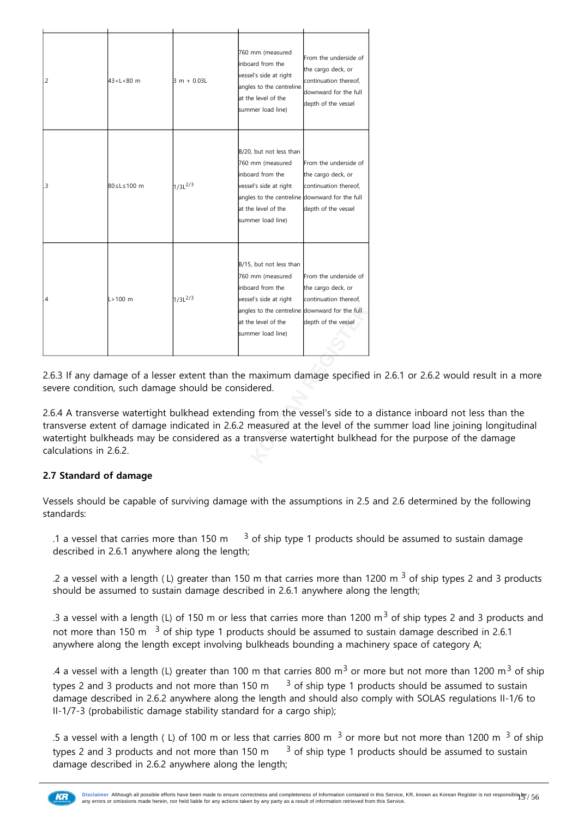| .2                                   | 43 <l<80 m<="" th=""><th><math>3 m + 0.03 L</math></th><th>760 mm (measured<br/>inboard from the<br/>vessel's side at right<br/>angles to the centreline<br/>at the level of the<br/>summer load line)</th><th>From the underside of<br/>the cargo deck, or<br/>continuation thereof,<br/>downward for the full<br/>depth of the vessel</th></l<80> | $3 m + 0.03 L$                                                       | 760 mm (measured<br>inboard from the<br>vessel's side at right<br>angles to the centreline<br>at the level of the<br>summer load line)                                                  | From the underside of<br>the cargo deck, or<br>continuation thereof,<br>downward for the full<br>depth of the vessel                                                                                                                                                                                                                                                                                 |
|--------------------------------------|-----------------------------------------------------------------------------------------------------------------------------------------------------------------------------------------------------------------------------------------------------------------------------------------------------------------------------------------------------|----------------------------------------------------------------------|-----------------------------------------------------------------------------------------------------------------------------------------------------------------------------------------|------------------------------------------------------------------------------------------------------------------------------------------------------------------------------------------------------------------------------------------------------------------------------------------------------------------------------------------------------------------------------------------------------|
| .3                                   | 80≤L≤100 m                                                                                                                                                                                                                                                                                                                                          | $1/3L^{2/3}$                                                         | B/20, but not less than<br>760 mm (measured<br>inboard from the<br>vessel's side at right<br>angles to the centreline downward for the full<br>at the level of the<br>summer load line) | From the underside of<br>the cargo deck, or<br>continuation thereof,<br>depth of the vessel                                                                                                                                                                                                                                                                                                          |
| $\overline{A}$                       | $L > 100$ m                                                                                                                                                                                                                                                                                                                                         | $1/3L^{2/3}$                                                         | B/15, but not less than<br>760 mm (measured<br>inboard from the<br>vessel's side at right<br>angles to the centreline downward for the full<br>at the level of the<br>summer load line) | From the underside of<br>the cargo deck, or<br>continuation thereof,<br>depth of the vessel                                                                                                                                                                                                                                                                                                          |
| calculations in 2.6.2.               |                                                                                                                                                                                                                                                                                                                                                     | severe condition, such damage should be considered.                  |                                                                                                                                                                                         | 2.6.3 If any damage of a lesser extent than the maximum damage specified i<br>2.6.4 A transverse watertight bulkhead extending from the vessel's side to a<br>transverse extent of damage indicated in 2.6.2 measured at the level of the :<br>watertight bulkheads may be considered as a transverse watertight bulkheac                                                                            |
| 2.7 Standard of damage<br>standards: |                                                                                                                                                                                                                                                                                                                                                     | described in 2.6.1 anywhere along the length;                        |                                                                                                                                                                                         | Vessels should be capable of surviving damage with the assumptions in 2.5 a<br>.1 a vessel that carries more than 150 m $3$ of ship type 1 products shou                                                                                                                                                                                                                                             |
|                                      |                                                                                                                                                                                                                                                                                                                                                     |                                                                      |                                                                                                                                                                                         | .2 a vessel with a length (L) greater than 150 m that carries more than 12<br>should be assumed to sustain damage described in 2.6.1 anywhere along t<br>.3 a vessel with a length (L) of 150 m or less that carries more than 1200<br>not more than 150 m $^{-3}$ of ship type 1 products should be assumed to su<br>anywhere along the length except involving bulkheads bounding a machir         |
|                                      |                                                                                                                                                                                                                                                                                                                                                     | II-1/7-3 (probabilistic damage stability standard for a cargo ship); |                                                                                                                                                                                         | .4 a vessel with a length (L) greater than 100 m that carries 800 $\text{m}^3$ or mo<br>types 2 and 3 products and not more than 150 m $3$ of ship type 1 prod<br>damage described in 2.6.2 anywhere along the length and should also cor<br>.5 a vessel with a length (L) of 100 m or less that carries 800 m $^3$ or mor<br>types 2 and 3 products and not more than 150 m $3$ of ship type 1 prod |
| <b>KR</b>                            |                                                                                                                                                                                                                                                                                                                                                     | damage described in 2.6.2 anywhere along the length;                 |                                                                                                                                                                                         | Disclaimer Although all possible efforts have been made to ensure correctness and completeness of Information contained in<br>any errors or omissions made herein, nor held liable for any actions taken by any party as a result of information retrieved from                                                                                                                                      |
|                                      |                                                                                                                                                                                                                                                                                                                                                     |                                                                      |                                                                                                                                                                                         |                                                                                                                                                                                                                                                                                                                                                                                                      |
|                                      |                                                                                                                                                                                                                                                                                                                                                     |                                                                      |                                                                                                                                                                                         |                                                                                                                                                                                                                                                                                                                                                                                                      |
|                                      |                                                                                                                                                                                                                                                                                                                                                     |                                                                      |                                                                                                                                                                                         |                                                                                                                                                                                                                                                                                                                                                                                                      |
|                                      |                                                                                                                                                                                                                                                                                                                                                     |                                                                      |                                                                                                                                                                                         |                                                                                                                                                                                                                                                                                                                                                                                                      |
|                                      |                                                                                                                                                                                                                                                                                                                                                     |                                                                      |                                                                                                                                                                                         |                                                                                                                                                                                                                                                                                                                                                                                                      |
|                                      |                                                                                                                                                                                                                                                                                                                                                     |                                                                      |                                                                                                                                                                                         |                                                                                                                                                                                                                                                                                                                                                                                                      |
|                                      |                                                                                                                                                                                                                                                                                                                                                     |                                                                      |                                                                                                                                                                                         |                                                                                                                                                                                                                                                                                                                                                                                                      |
|                                      |                                                                                                                                                                                                                                                                                                                                                     |                                                                      |                                                                                                                                                                                         |                                                                                                                                                                                                                                                                                                                                                                                                      |
|                                      |                                                                                                                                                                                                                                                                                                                                                     |                                                                      |                                                                                                                                                                                         |                                                                                                                                                                                                                                                                                                                                                                                                      |
|                                      |                                                                                                                                                                                                                                                                                                                                                     |                                                                      |                                                                                                                                                                                         |                                                                                                                                                                                                                                                                                                                                                                                                      |
|                                      |                                                                                                                                                                                                                                                                                                                                                     |                                                                      |                                                                                                                                                                                         |                                                                                                                                                                                                                                                                                                                                                                                                      |
|                                      |                                                                                                                                                                                                                                                                                                                                                     |                                                                      |                                                                                                                                                                                         |                                                                                                                                                                                                                                                                                                                                                                                                      |
|                                      |                                                                                                                                                                                                                                                                                                                                                     |                                                                      |                                                                                                                                                                                         |                                                                                                                                                                                                                                                                                                                                                                                                      |
|                                      |                                                                                                                                                                                                                                                                                                                                                     |                                                                      |                                                                                                                                                                                         |                                                                                                                                                                                                                                                                                                                                                                                                      |
|                                      |                                                                                                                                                                                                                                                                                                                                                     |                                                                      |                                                                                                                                                                                         |                                                                                                                                                                                                                                                                                                                                                                                                      |
|                                      |                                                                                                                                                                                                                                                                                                                                                     |                                                                      |                                                                                                                                                                                         |                                                                                                                                                                                                                                                                                                                                                                                                      |
|                                      |                                                                                                                                                                                                                                                                                                                                                     |                                                                      |                                                                                                                                                                                         |                                                                                                                                                                                                                                                                                                                                                                                                      |
|                                      |                                                                                                                                                                                                                                                                                                                                                     |                                                                      |                                                                                                                                                                                         |                                                                                                                                                                                                                                                                                                                                                                                                      |
|                                      |                                                                                                                                                                                                                                                                                                                                                     |                                                                      |                                                                                                                                                                                         |                                                                                                                                                                                                                                                                                                                                                                                                      |
|                                      |                                                                                                                                                                                                                                                                                                                                                     |                                                                      |                                                                                                                                                                                         |                                                                                                                                                                                                                                                                                                                                                                                                      |
|                                      |                                                                                                                                                                                                                                                                                                                                                     |                                                                      |                                                                                                                                                                                         |                                                                                                                                                                                                                                                                                                                                                                                                      |
|                                      |                                                                                                                                                                                                                                                                                                                                                     |                                                                      |                                                                                                                                                                                         |                                                                                                                                                                                                                                                                                                                                                                                                      |
|                                      |                                                                                                                                                                                                                                                                                                                                                     |                                                                      |                                                                                                                                                                                         |                                                                                                                                                                                                                                                                                                                                                                                                      |
|                                      |                                                                                                                                                                                                                                                                                                                                                     |                                                                      |                                                                                                                                                                                         |                                                                                                                                                                                                                                                                                                                                                                                                      |
|                                      |                                                                                                                                                                                                                                                                                                                                                     |                                                                      |                                                                                                                                                                                         |                                                                                                                                                                                                                                                                                                                                                                                                      |
|                                      |                                                                                                                                                                                                                                                                                                                                                     |                                                                      |                                                                                                                                                                                         |                                                                                                                                                                                                                                                                                                                                                                                                      |
|                                      |                                                                                                                                                                                                                                                                                                                                                     |                                                                      |                                                                                                                                                                                         |                                                                                                                                                                                                                                                                                                                                                                                                      |
|                                      |                                                                                                                                                                                                                                                                                                                                                     |                                                                      |                                                                                                                                                                                         |                                                                                                                                                                                                                                                                                                                                                                                                      |
|                                      |                                                                                                                                                                                                                                                                                                                                                     |                                                                      |                                                                                                                                                                                         |                                                                                                                                                                                                                                                                                                                                                                                                      |
|                                      |                                                                                                                                                                                                                                                                                                                                                     |                                                                      |                                                                                                                                                                                         |                                                                                                                                                                                                                                                                                                                                                                                                      |
|                                      |                                                                                                                                                                                                                                                                                                                                                     |                                                                      |                                                                                                                                                                                         |                                                                                                                                                                                                                                                                                                                                                                                                      |
|                                      |                                                                                                                                                                                                                                                                                                                                                     |                                                                      |                                                                                                                                                                                         |                                                                                                                                                                                                                                                                                                                                                                                                      |
|                                      |                                                                                                                                                                                                                                                                                                                                                     |                                                                      |                                                                                                                                                                                         |                                                                                                                                                                                                                                                                                                                                                                                                      |
|                                      |                                                                                                                                                                                                                                                                                                                                                     |                                                                      |                                                                                                                                                                                         |                                                                                                                                                                                                                                                                                                                                                                                                      |
|                                      |                                                                                                                                                                                                                                                                                                                                                     |                                                                      |                                                                                                                                                                                         |                                                                                                                                                                                                                                                                                                                                                                                                      |
|                                      |                                                                                                                                                                                                                                                                                                                                                     |                                                                      |                                                                                                                                                                                         |                                                                                                                                                                                                                                                                                                                                                                                                      |
|                                      |                                                                                                                                                                                                                                                                                                                                                     |                                                                      |                                                                                                                                                                                         |                                                                                                                                                                                                                                                                                                                                                                                                      |
|                                      |                                                                                                                                                                                                                                                                                                                                                     |                                                                      |                                                                                                                                                                                         |                                                                                                                                                                                                                                                                                                                                                                                                      |
|                                      |                                                                                                                                                                                                                                                                                                                                                     |                                                                      |                                                                                                                                                                                         |                                                                                                                                                                                                                                                                                                                                                                                                      |
|                                      |                                                                                                                                                                                                                                                                                                                                                     |                                                                      |                                                                                                                                                                                         |                                                                                                                                                                                                                                                                                                                                                                                                      |
|                                      |                                                                                                                                                                                                                                                                                                                                                     |                                                                      |                                                                                                                                                                                         |                                                                                                                                                                                                                                                                                                                                                                                                      |
|                                      |                                                                                                                                                                                                                                                                                                                                                     |                                                                      |                                                                                                                                                                                         |                                                                                                                                                                                                                                                                                                                                                                                                      |
|                                      |                                                                                                                                                                                                                                                                                                                                                     |                                                                      |                                                                                                                                                                                         |                                                                                                                                                                                                                                                                                                                                                                                                      |
|                                      |                                                                                                                                                                                                                                                                                                                                                     |                                                                      |                                                                                                                                                                                         |                                                                                                                                                                                                                                                                                                                                                                                                      |
|                                      |                                                                                                                                                                                                                                                                                                                                                     |                                                                      |                                                                                                                                                                                         |                                                                                                                                                                                                                                                                                                                                                                                                      |
|                                      |                                                                                                                                                                                                                                                                                                                                                     |                                                                      |                                                                                                                                                                                         |                                                                                                                                                                                                                                                                                                                                                                                                      |

2.6.3 If any damage of a lesser extent than the maximum damage specified in 2.6.1 or 2.6.2 would result in a more severe condition, such damage should be considered.

2.6.4 A transverse watertight bulkhead extending from the vessel's side to a distance inboard not less than the transverse extent of damage indicated in 2.6.2 measured at the level of the summer load line joining longitudinal watertight bulkheads may be considered as a transverse watertight bulkhead for the purpose of the damage calculations in 2.6.2.

# **2.7 Standard of damage**

Vessels should be capable of surviving damage with the assumptions in 2.5 and 2.6 determined by the following standards:

.1 a vessel that carries more than 150 m  $3$  of ship type 1 products should be assumed to sustain damage described in 2.6.1 anywhere along the length;

.2 a vessel with a length (L) greater than 150 m that carries more than 1200 m  $^3$  of ship types 2 and 3 products should be assumed to sustain damage described in 2.6.1 anywhere along the length;

.3 a vessel with a length (L) of 150 m or less that carries more than 1200 m<sup>3</sup> of ship types 2 and 3 products and not more than 150 m  $^{-3}$  of ship type 1 products should be assumed to sustain damage described in 2.6.1 anywhere along the length except involving bulkheads bounding a machinery space of category A;

.4 a vessel with a length (L) greater than 100 m that carries 800 m<sup>3</sup> or more but not more than 1200 m<sup>3</sup> of ship types 2 and 3 products and not more than 150 m  $3$  of ship type 1 products should be assumed to sustain damage described in 2.6.2 anywhere along the length and should also comply with SOLAS regulations II-1/6 to II-1/7-3 (probabilistic damage stability standard for a cargo ship);

.5 a vessel with a length (L) of 100 m or less that carries 800 m  $3$  or more but not more than 1200 m  $3$  of ship types 2 and 3 products and not more than 150 m  $3$  of ship type 1 products should be assumed to sustain damage described in 2.6.2 anywhere along the length;

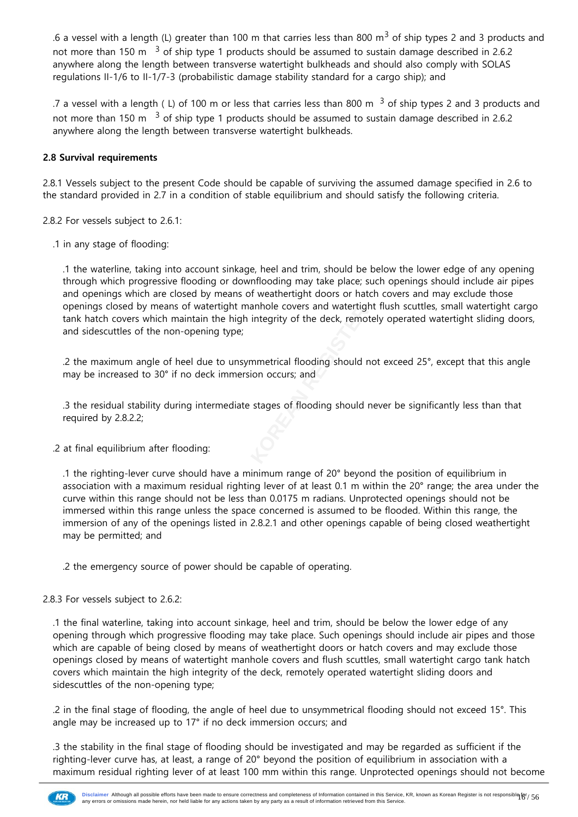.6 a vessel with a length (L) greater than 100 m that carries less than 800 m<sup>3</sup> of ship types 2 and 3 products and not more than 150 m  $^{-3}$  of ship type 1 products should be assumed to sustain damage described in 2.6.2 anywhere along the length between transverse watertight bulkheads and should also comply with SOLAS regulations II-1/6 to II-1/7-3 (probabilistic damage stability standard for a cargo ship); and

.7 a vessel with a length (L) of 100 m or less that carries less than 800 m  $3$  of ship types 2 and 3 products and not more than 150 m  $^{-3}$  of ship type 1 products should be assumed to sustain damage described in 2.6.2 anywhere along the length between transverse watertight bulkheads.

## **2.8 Survival requirements**

2.8.1 Vessels subject to the present Code should be capable of surviving the assumed damage specified in 2.6 to the standard provided in 2.7 in a condition of stable equilibrium and should satisfy the following criteria.

2.8.2 For vessels subject to 2.6.1:

.1 in any stage of flooding:

.1 the waterline, taking into account sinkage, heel and trim, should be below the lower edge of any opening through which progressive flooding or downflooding may take place; such openings should include air pipes and openings which are closed by means of weathertight doors or hatch covers and may exclude those openings closed by means of watertight manhole covers and watertight flush scuttles, small watertight cargo tank hatch covers which maintain the high integrity of the deck, remotely operated watertight sliding doors, and sidescuttles of the non-opening type;

.2 the maximum angle of heel due to unsymmetrical flooding should not exceed 25°, except that this angle may be increased to 30° if no deck immersion occurs; and

.3 the residual stability during intermediate stages of flooding should never be significantly less than that required by 2.8.2.2;

.2 at final equilibrium after flooding:

.1 the righting-lever curve should have a minimum range of 20° beyond the position of equilibrium in association with a maximum residual righting lever of at least 0.1 m within the 20° range; the area under the curve within this range should not be less than 0.0175 m radians. Unprotected openings should not be immersed within this range unless the space concerned is assumed to be flooded. Within this range, the immersion of any of the openings listed in 2.8.2.1 and other openings capable of being closed weathertight may be permitted; and

.2 the emergency source of power should be capable of operating.

2.8.3 For vessels subject to 2.6.2:

.1 the final waterline, taking into account sinkage, heel and trim, should be below the lower edge of any opening through which progressive flooding may take place. Such openings should include air pipes and those which are capable of being closed by means of weathertight doors or hatch covers and may exclude those openings closed by means of watertight manhole covers and flush scuttles, small watertight cargo tank hatch covers which maintain the high integrity of the deck, remotely operated watertight sliding doors and sidescuttles of the non-opening type; opening cosed by means of watertight manhole covers and watertight<br> **Example 2.2** the maximum angle of heel due to unsymmetrical flooding should not<br>
and sidescuttles of the non-opening type:<br>
2. Une maximum angle of heel

.2 in the final stage of flooding, the angle of heel due to unsymmetrical flooding should not exceed 15°. This angle may be increased up to 17° if no deck immersion occurs; and

.3 the stability in the final stage of flooding should be investigated and may be regarded as sufficient if the righting-lever curve has, at least, a range of 20° beyond the position of equilibrium in association with a maximum residual righting lever of at least 100 mm within this range. Unprotected openings should not become

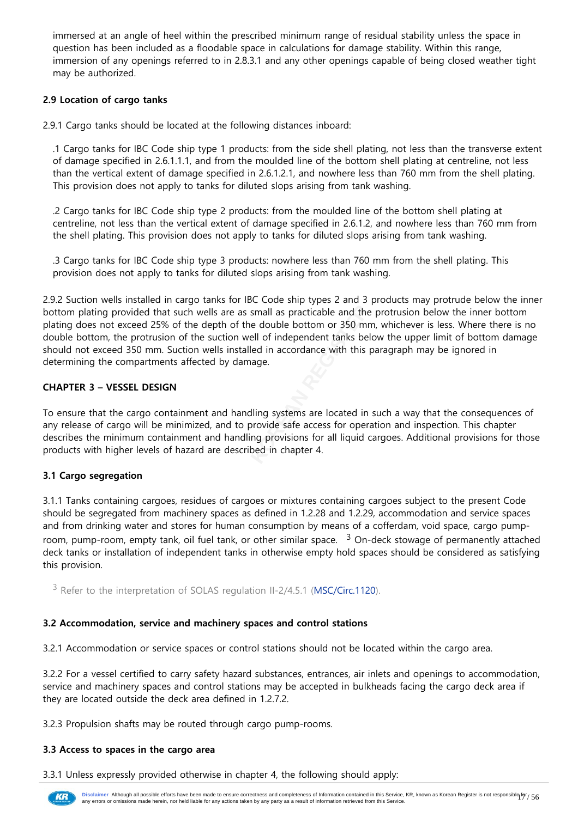immersed at an angle of heel within the prescribed minimum range of residual stability unless the space in question has been included as a floodable space in calculations for damage stability. Within this range, immersion of any openings referred to in 2.8.3.1 and any other openings capable of being closed weather tight may be authorized.

# **2.9 Location of cargo tanks**

2.9.1 Cargo tanks should be located at the following distances inboard:

.1 Cargo tanks for IBC Code ship type 1 products: from the side shell plating, not less than the transverse extent of damage specified in 2.6.1.1.1, and from the moulded line of the bottom shell plating at centreline, not less than the vertical extent of damage specified in 2.6.1.2.1, and nowhere less than 760 mm from the shell plating. This provision does not apply to tanks for diluted slops arising from tank washing.

.2 Cargo tanks for IBC Code ship type 2 products: from the moulded line of the bottom shell plating at centreline, not less than the vertical extent of damage specified in 2.6.1.2, and nowhere less than 760 mm from the shell plating. This provision does not apply to tanks for diluted slops arising from tank washing.

.3 Cargo tanks for IBC Code ship type 3 products: nowhere less than 760 mm from the shell plating. This provision does not apply to tanks for diluted slops arising from tank washing.

2.9.2 Suction wells installed in cargo tanks for IBC Code ship types 2 and 3 products may protrude below the inner bottom plating provided that such wells are as small as practicable and the protrusion below the inner bottom plating does not exceed 25% of the depth of the double bottom or 350 mm, whichever is less. Where there is no double bottom, the protrusion of the suction well of independent tanks below the upper limit of bottom damage should not exceed 350 mm. Suction wells installed in accordance with this paragraph may be ignored in determining the compartments affected by damage.

### **CHAPTER 3 – VESSEL DESIGN**

To ensure that the cargo containment and handling systems are located in such a way that the consequences of any release of cargo will be minimized, and to provide safe access for operation and inspection. This chapter describes the minimum containment and handling provisions for all liquid cargoes. Additional provisions for those products with higher levels of hazard are described in chapter 4.

# **3.1 Cargo segregation**

3.1.1 Tanks containing cargoes, residues of cargoes or mixtures containing cargoes subject to the present Code should be segregated from machinery spaces as defined in 1.2.28 and 1.2.29, accommodation and service spaces and from drinking water and stores for human consumption by means of a cofferdam, void space, cargo pumproom, pump-room, empty tank, oil fuel tank, or other similar space. <sup>3</sup> On-deck stowage of permanently attached deck tanks or installation of independent tanks in otherwise empty hold spaces should be considered as satisfying this provision. **Solution** plating provided that such wells are as small as practicable and the plating does not exceed 25% of the depth of the double bottom, the protusion of the suction well of independent tanks belowed to double bottom

<sup>3</sup> Refer to the interpretation of SOLAS regulation II-2/4.5.1 [\(MSC/Circ.1120\)](http://103.12.248.9usercommontreeredirect.aspx?category_id=33378&node_type=normal&is_leaf=true&is_viewchild=true).

# **3.2 Accommodation, service and machinery spaces and control stations**

3.2.1 Accommodation or service spaces or control stations should not be located within the cargo area.

3.2.2 For a vessel certified to carry safety hazard substances, entrances, air inlets and openings to accommodation, service and machinery spaces and control stations may be accepted in bulkheads facing the cargo deck area if they are located outside the deck area defined in 1.2.7.2.

3.2.3 Propulsion shafts may be routed through cargo pump-rooms.

# **3.3 Access to spaces in the cargo area**

3.3.1 Unless expressly provided otherwise in chapter 4, the following should apply:

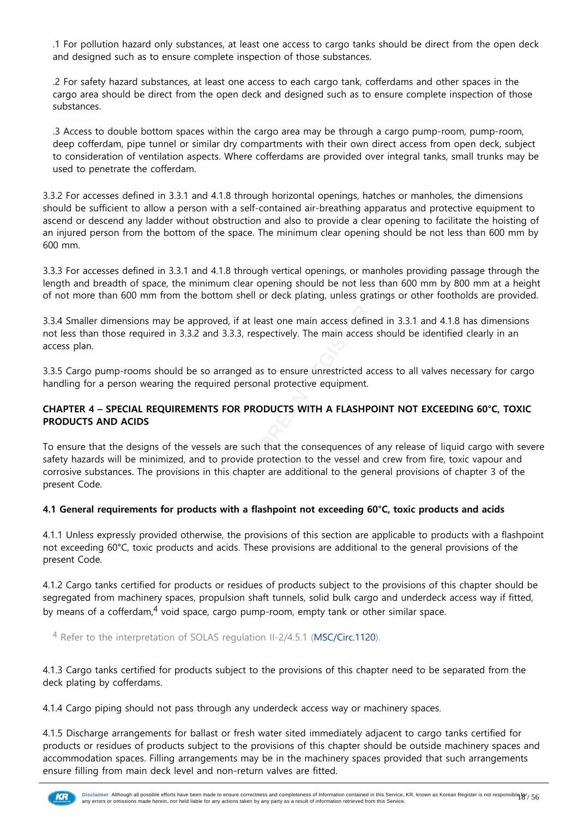.1 For pollution hazard only substances, at least one access to cargo tanks should be direct from the open deck and designed such as to ensure complete inspection of those substances.

.2 For safety hazard substances, at least one access to each cargo tank, cofferdams and other spaces in the cargo area should be direct from the open deck and designed such as to ensure complete inspection of those substances.

.3 Access to double bottom spaces within the cargo area may be through a cargo pump-room, pump-room, deep cofferdam, pipe tunnel or similar dry compartments with their own direct access from open deck, subject to consideration of ventilation aspects. Where cofferdams are provided over integral tanks, small trunks may be used to penetrate the cofferdam.

3.3.2 For accesses defined in 3.3.1 and 4.1.8 through horizontal openings, hatches or manholes, the dimensions should be sufficient to allow a person with a self-contained air-breathing apparatus and protective equipment to ascend or descend any ladder without obstruction and also to provide a clear opening to facilitate the hoisting of an injured person from the bottom of the space. The minimum clear opening should be not less than 600 mm by 600 mm.

3.3.3 For accesses defined in 3.3.1 and 4.1.8 through vertical openings, or manholes providing passage through the length and breadth of space, the minimum clear opening should be not less than 600 mm by 800 mm at a height of not more than 600 mm from the bottom shell or deck plating, unless gratings or other footholds are provided.

3.3.4 Smaller dimensions may be approved, if at least one main access defined in 3.3.1 and 4.1.8 has dimensions not less than those required in 3.3.2 and 3.3.3, respectively. The main access should be identified clearly in an access plan.

3.3.5 Cargo pump-rooms should be so arranged as to ensure unrestricted access to all valves necessary for cargo handling for a person wearing the required personal protective equipment.

# **CHAPTER 4 – SPECIAL REQUIREMENTS FOR PRODUCTS WITH A FLASHPOINT NOT EXCEEDING 60°C, TOXIC PRODUCTS AND ACIDS**

To ensure that the designs of the vessels are such that the consequences of any release of liquid cargo with severe safety hazards will be minimized, and to provide protection to the vessel and crew from fire, toxic vapour and corrosive substances. The provisions in this chapter are additional to the general provisions of chapter 3 of the present Code. **6.2 Smaller dimensions may be approved, if at least one main access defined**<br>throut less than those required in 3.3.2 and 3.3.3, respectively. The main access<br>cs plan.<br>**6.4.2 SGRIC main access** the sample and 3.3.3, respe

# **4.1 General requirements for products with a flashpoint not exceeding 60°C, toxic products and acids**

4.1.1 Unless expressly provided otherwise, the provisions of this section are applicable to products with a flashpoint not exceeding 60°C, toxic products and acids. These provisions are additional to the general provisions of the present Code.

4.1.2 Cargo tanks certified for products or residues of products subject to the provisions of this chapter should be segregated from machinery spaces, propulsion shaft tunnels, solid bulk cargo and underdeck access way if fitted, by means of a cofferdam,<sup>4</sup> void space, cargo pump-room, empty tank or other similar space.

<sup>4</sup> Refer to the interpretation of SOLAS regulation II-2/4.5.1 [\(MSC/Circ.1120\)](http://103.12.248.9usercommontreeredirect.aspx?category_id=33378&node_type=normal&is_leaf=true&is_viewchild=true).

4.1.3 Cargo tanks certified for products subject to the provisions of this chapter need to be separated from the deck plating by cofferdams.

4.1.4 Cargo piping should not pass through any underdeck access way or machinery spaces.

4.1.5 Discharge arrangements for ballast or fresh water sited immediately adjacent to cargo tanks certified for products or residues of products subject to the provisions of this chapter should be outside machinery spaces and accommodation spaces. Filling arrangements may be in the machinery spaces provided that such arrangements ensure filling from main deck level and non-return valves are fitted.

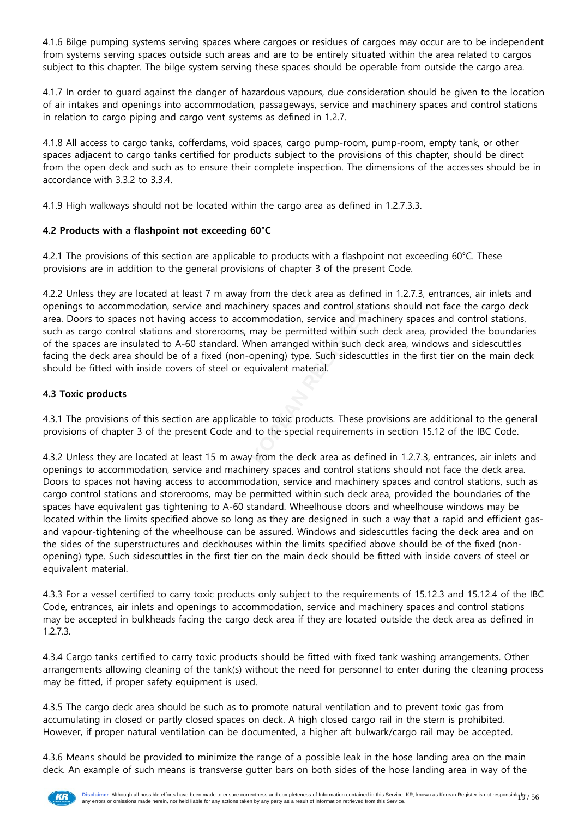4.1.6 Bilge pumping systems serving spaces where cargoes or residues of cargoes may occur are to be independent from systems serving spaces outside such areas and are to be entirely situated within the area related to cargos subject to this chapter. The bilge system serving these spaces should be operable from outside the cargo area.

4.1.7 In order to guard against the danger of hazardous vapours, due consideration should be given to the location of air intakes and openings into accommodation, passageways, service and machinery spaces and control stations in relation to cargo piping and cargo vent systems as defined in 1.2.7.

4.1.8 All access to cargo tanks, cofferdams, void spaces, cargo pump-room, pump-room, empty tank, or other spaces adjacent to cargo tanks certified for products subject to the provisions of this chapter, should be direct from the open deck and such as to ensure their complete inspection. The dimensions of the accesses should be in accordance with 3.3.2 to 3.3.4.

4.1.9 High walkways should not be located within the cargo area as defined in 1.2.7.3.3.

# **4.2 Products with a flashpoint not exceeding 60°C**

4.2.1 The provisions of this section are applicable to products with a flashpoint not exceeding 60°C. These provisions are in addition to the general provisions of chapter 3 of the present Code.

4.2.2 Unless they are located at least 7 m away from the deck area as defined in 1.2.7.3, entrances, air inlets and openings to accommodation, service and machinery spaces and control stations should not face the cargo deck area. Doors to spaces not having access to accommodation, service and machinery spaces and control stations, such as cargo control stations and storerooms, may be permitted within such deck area, provided the boundaries of the spaces are insulated to A-60 standard. When arranged within such deck area, windows and sidescuttles facing the deck area should be of a fixed (non-opening) type. Such sidescuttles in the first tier on the main deck should be fitted with inside covers of steel or equivalent material.

# **4.3 Toxic products**

4.3.1 The provisions of this section are applicable to toxic products. These provisions are additional to the general provisions of chapter 3 of the present Code and to the special requirements in section 15.12 of the IBC Code.

4.3.2 Unless they are located at least 15 m away from the deck area as defined in 1.2.7.3, entrances, air inlets and openings to accommodation, service and machinery spaces and control stations should not face the deck area. Doors to spaces not having access to accommodation, service and machinery spaces and control stations, such as cargo control stations and storerooms, may be permitted within such deck area, provided the boundaries of the spaces have equivalent gas tightening to A-60 standard. Wheelhouse doors and wheelhouse windows may be located within the limits specified above so long as they are designed in such a way that a rapid and efficient gasand vapour-tightening of the wheelhouse can be assured. Windows and sidescuttles facing the deck area and on the sides of the superstructures and deckhouses within the limits specified above should be of the fixed (nonopening) type. Such sidescuttles in the first tier on the main deck should be fitted with inside covers of steel or equivalent material. opening to accommodation, service and machinery spaces and control states and control states of the spaces are insulated to A-60 standard. When arranged within such of the spaces are insulated to A-60 standard. When arrang

4.3.3 For a vessel certified to carry toxic products only subject to the requirements of 15.12.3 and 15.12.4 of the IBC Code, entrances, air inlets and openings to accommodation, service and machinery spaces and control stations may be accepted in bulkheads facing the cargo deck area if they are located outside the deck area as defined in 1.2.7.3.

4.3.4 Cargo tanks certified to carry toxic products should be fitted with fixed tank washing arrangements. Other arrangements allowing cleaning of the tank(s) without the need for personnel to enter during the cleaning process may be fitted, if proper safety equipment is used.

4.3.5 The cargo deck area should be such as to promote natural ventilation and to prevent toxic gas from accumulating in closed or partly closed spaces on deck. A high closed cargo rail in the stern is prohibited. However, if proper natural ventilation can be documented, a higher aft bulwark/cargo rail may be accepted.

4.3.6 Means should be provided to minimize the range of a possible leak in the hose landing area on the main deck. An example of such means is transverse gutter bars on both sides of the hose landing area in way of the

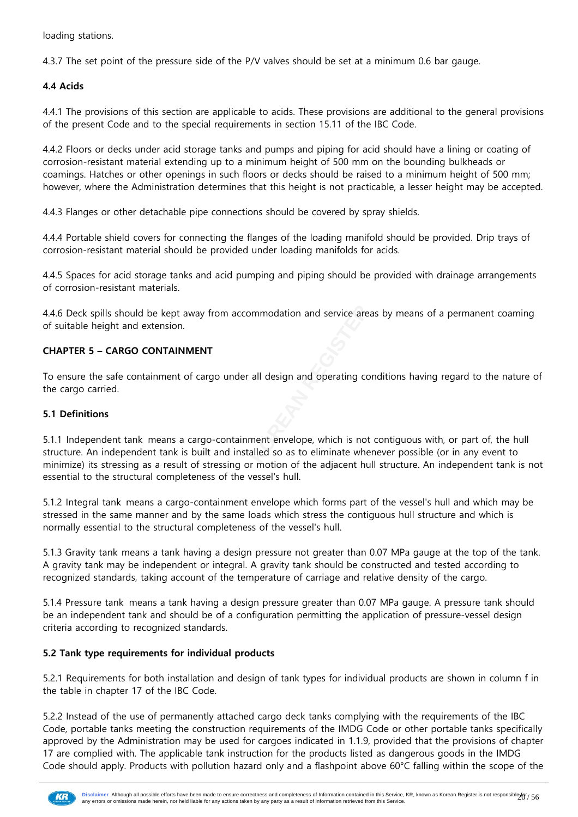loading stations.

4.3.7 The set point of the pressure side of the P/V valves should be set at a minimum 0.6 bar gauge.

# **4.4 Acids**

4.4.1 The provisions of this section are applicable to acids. These provisions are additional to the general provisions of the present Code and to the special requirements in section 15.11 of the IBC Code.

4.4.2 Floors or decks under acid storage tanks and pumps and piping for acid should have a lining or coating of corrosion-resistant material extending up to a minimum height of 500 mm on the bounding bulkheads or coamings. Hatches or other openings in such floors or decks should be raised to a minimum height of 500 mm; however, where the Administration determines that this height is not practicable, a lesser height may be accepted.

4.4.3 Flanges or other detachable pipe connections should be covered by spray shields.

4.4.4 Portable shield covers for connecting the flanges of the loading manifold should be provided. Drip trays of corrosion-resistant material should be provided under loading manifolds for acids.

4.4.5 Spaces for acid storage tanks and acid pumping and piping should be provided with drainage arrangements of corrosion-resistant materials.

4.4.6 Deck spills should be kept away from accommodation and service areas by means of a permanent coaming of suitable height and extension.

# **CHAPTER 5 – CARGO CONTAINMENT**

To ensure the safe containment of cargo under all design and operating conditions having regard to the nature of the cargo carried.

# **5.1 Definitions**

5.1.1 Independent tank means a cargo-containment envelope, which is not contiguous with, or part of, the hull structure. An independent tank is built and installed so as to eliminate whenever possible (or in any event to minimize) its stressing as a result of stressing or motion of the adjacent hull structure. An independent tank is not essential to the structural completeness of the vessel's hull.

5.1.2 Integral tank means a cargo-containment envelope which forms part of the vessel's hull and which may be stressed in the same manner and by the same loads which stress the contiguous hull structure and which is normally essential to the structural completeness of the vessel's hull.

5.1.3 Gravity tank means a tank having a design pressure not greater than 0.07 MPa gauge at the top of the tank. A gravity tank may be independent or integral. A gravity tank should be constructed and tested according to recognized standards, taking account of the temperature of carriage and relative density of the cargo.

5.1.4 Pressure tank means a tank having a design pressure greater than 0.07 MPa gauge. A pressure tank should be an independent tank and should be of a configuration permitting the application of pressure-vessel design criteria according to recognized standards.

# **5.2 Tank type requirements for individual products**

5.2.1 Requirements for both installation and design of tank types for individual products are shown in column f in the table in chapter 17 of the IBC Code.

5.2.2 Instead of the use of permanently attached cargo deck tanks complying with the requirements of the IBC Code, portable tanks meeting the construction requirements of the IMDG Code or other portable tanks specifically approved by the Administration may be used for cargoes indicated in 1.1.9, provided that the provisions of chapter 17 are complied with. The applicable tank instruction for the products listed as dangerous goods in the IMDG Code should apply. Products with pollution hazard only and a flashpoint above 60°C falling within the scope of the **4.4.6 Deck spills should be kept away from accommodation and service area** of suitable height and extension.<br> **CHAPTER 5 – CARGO CONTAINMENT**<br> **To ensure the safe containment of cargo under all design and operating correl** 

present Code, but for which the IMDG Code is not applicable, when carried in packaged form, should be shipped

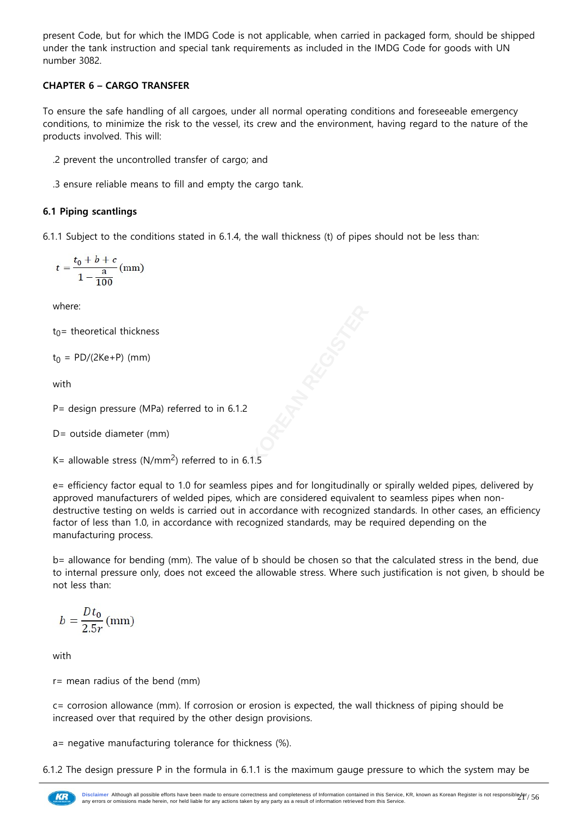present Code, but for which the IMDG Code is not applicable, when carried in packaged form, should be shipped under the tank instruction and special tank requirements as included in the IMDG Code for goods with UN number 3082.

# **CHAPTER 6 – CARGO TRANSFER**

To ensure the safe handling of all cargoes, under all normal operating conditions and foreseeable emergency conditions, to minimize the risk to the vessel, its crew and the environment, having regard to the nature of the products involved. This will:

- .2 prevent the uncontrolled transfer of cargo; and
- .3 ensure reliable means to fill and empty the cargo tank.

# **6.1 Piping scantlings**

6.1.1 Subject to the conditions stated in 6.1.4, the wall thickness (t) of pipes should not be less than:

$$
t = \frac{t_0 + b + c}{1 - \frac{a}{100}} \text{(mm)}
$$

where:

 $t_0$ = theoretical thickness

$$
t_0 = PD/(2Ke+P) \ (mm)
$$

with

P= design pressure (MPa) referred to in 6.1.2

$$
D = outside diameter (mm)
$$

K= allowable stress ( $N/mm^2$ ) referred to in 6.1.5

e= efficiency factor equal to 1.0 for seamless pipes and for longitudinally or spirally welded pipes, delivered by approved manufacturers of welded pipes, which are considered equivalent to seamless pipes when nondestructive testing on welds is carried out in accordance with recognized standards. In other cases, an efficiency factor of less than 1.0, in accordance with recognized standards, may be required depending on the manufacturing process. there:<br>
t<sub>0</sub> = Ptp/(2Ke+P) (mm)<br>
with<br>  $P =$  design pressure (MPa) referred to in 6.1.2<br>
D = outside diameter (mm)<br>  $K =$  allowable stress (N/mm<sup>2</sup>) referred to in 6.1.5<br>
experise proved manufacturers of welded pipes, which

b= allowance for bending (mm). The value of b should be chosen so that the calculated stress in the bend, due to internal pressure only, does not exceed the allowable stress. Where such justification is not given, b should be not less than:

$$
b = \frac{Dt_0}{2.5r} \, \text{(mm)}
$$

with

 $r=$  mean radius of the bend (mm)

c= corrosion allowance (mm). If corrosion or erosion is expected, the wall thickness of piping should be increased over that required by the other design provisions.

a= negative manufacturing tolerance for thickness (%).

6.1.2 The design pressure P in the formula in 6.1.1 is the maximum gauge pressure to which the system may be

subjected in service, taking into account the highest set pressure on the relief valve on the system.

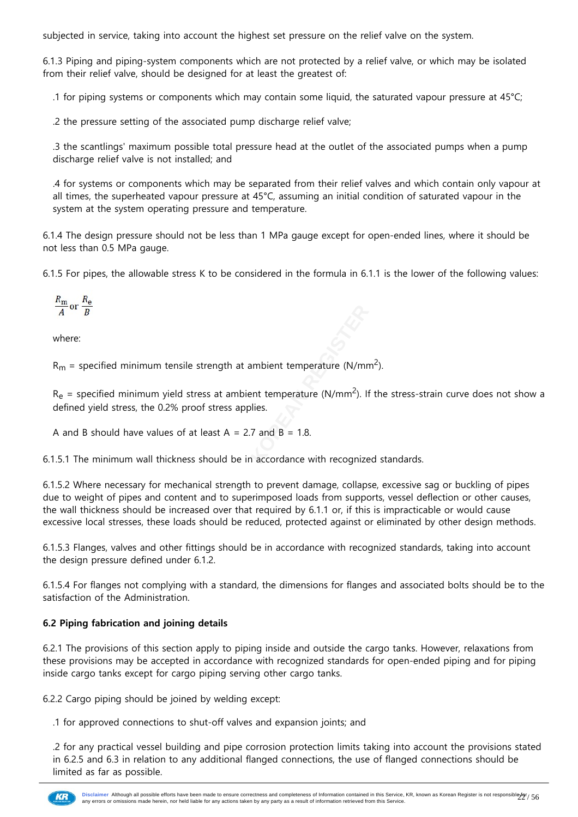subjected in service, taking into account the highest set pressure on the relief valve on the system.

6.1.3 Piping and piping-system components which are not protected by a relief valve, or which may be isolated from their relief valve, should be designed for at least the greatest of:

.1 for piping systems or components which may contain some liquid, the saturated vapour pressure at 45°C;

.2 the pressure setting of the associated pump discharge relief valve;

.3 the scantlings' maximum possible total pressure head at the outlet of the associated pumps when a pump discharge relief valve is not installed; and

.4 for systems or components which may be separated from their relief valves and which contain only vapour at all times, the superheated vapour pressure at 45°C, assuming an initial condition of saturated vapour in the system at the system operating pressure and temperature.

6.1.4 The design pressure should not be less than 1 MPa gauge except for open-ended lines, where it should be not less than 0.5 MPa gauge.

6.1.5 For pipes, the allowable stress K to be considered in the formula in 6.1.1 is the lower of the following values:

$$
\frac{R_{\rm m}}{A} \text{ or } \frac{R_{\rm e}}{B}
$$

where:

 $R_m$  = specified minimum tensile strength at ambient temperature (N/mm<sup>2</sup>).

 $R_e$  = specified minimum yield stress at ambient temperature (N/mm<sup>2</sup>). If the stress-strain curve does not show a defined yield stress, the 0.2% proof stress applies. Example in temperature (N/mm<sup>2</sup>). If the temperature (N/mm<sup>2</sup>). If the Millies.<br>T and B = 1.8.<br>accordance with recognized

A and B should have values of at least  $A = 2.7$  and  $B = 1.8$ .

6.1.5.1 The minimum wall thickness should be in accordance with recognized standards.

6.1.5.2 Where necessary for mechanical strength to prevent damage, collapse, excessive sag or buckling of pipes due to weight of pipes and content and to superimposed loads from supports, vessel deflection or other causes, the wall thickness should be increased over that required by 6.1.1 or, if this is impracticable or would cause excessive local stresses, these loads should be reduced, protected against or eliminated by other design methods.

6.1.5.3 Flanges, valves and other fittings should be in accordance with recognized standards, taking into account the design pressure defined under 6.1.2.

6.1.5.4 For flanges not complying with a standard, the dimensions for flanges and associated bolts should be to the satisfaction of the Administration.

# **6.2 Piping fabrication and joining details**

6.2.1 The provisions of this section apply to piping inside and outside the cargo tanks. However, relaxations from these provisions may be accepted in accordance with recognized standards for open-ended piping and for piping inside cargo tanks except for cargo piping serving other cargo tanks.

6.2.2 Cargo piping should be joined by welding except:

.1 for approved connections to shut-off valves and expansion joints; and

.2 for any practical vessel building and pipe corrosion protection limits taking into account the provisions stated in 6.2.5 and 6.3 in relation to any additional flanged connections, the use of flanged connections should be limited as far as possible.

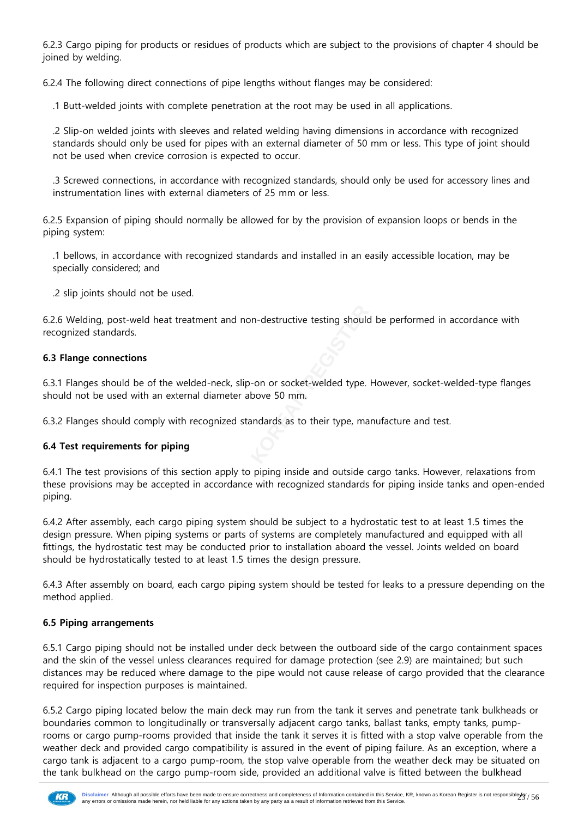6.2.3 Cargo piping for products or residues of products which are subject to the provisions of chapter 4 should be joined by welding.

6.2.4 The following direct connections of pipe lengths without flanges may be considered:

.1 Butt-welded joints with complete penetration at the root may be used in all applications.

.2 Slip-on welded joints with sleeves and related welding having dimensions in accordance with recognized standards should only be used for pipes with an external diameter of 50 mm or less. This type of joint should not be used when crevice corrosion is expected to occur.

.3 Screwed connections, in accordance with recognized standards, should only be used for accessory lines and instrumentation lines with external diameters of 25 mm or less.

6.2.5 Expansion of piping should normally be allowed for by the provision of expansion loops or bends in the piping system:

.1 bellows, in accordance with recognized standards and installed in an easily accessible location, may be specially considered; and

.2 slip joints should not be used.

6.2.6 Welding, post-weld heat treatment and non-destructive testing should be performed in accordance with recognized standards. n-destructive testing should<br>**KOREAN REGISTER**<br>From the SO mm.<br>Andards as to their type, mandards as to their type, mandards as to their type.

### **6.3 Flange connections**

6.3.1 Flanges should be of the welded-neck, slip-on or socket-welded type. However, socket-welded-type flanges should not be used with an external diameter above 50 mm.

6.3.2 Flanges should comply with recognized standards as to their type, manufacture and test.

#### **6.4 Test requirements for piping**

6.4.1 The test provisions of this section apply to piping inside and outside cargo tanks. However, relaxations from these provisions may be accepted in accordance with recognized standards for piping inside tanks and open-ended piping.

6.4.2 After assembly, each cargo piping system should be subject to a hydrostatic test to at least 1.5 times the design pressure. When piping systems or parts of systems are completely manufactured and equipped with all fittings, the hydrostatic test may be conducted prior to installation aboard the vessel. Joints welded on board should be hydrostatically tested to at least 1.5 times the design pressure.

6.4.3 After assembly on board, each cargo piping system should be tested for leaks to a pressure depending on the method applied.

#### **6.5 Piping arrangements**

6.5.1 Cargo piping should not be installed under deck between the outboard side of the cargo containment spaces and the skin of the vessel unless clearances required for damage protection (see 2.9) are maintained; but such distances may be reduced where damage to the pipe would not cause release of cargo provided that the clearance required for inspection purposes is maintained.

6.5.2 Cargo piping located below the main deck may run from the tank it serves and penetrate tank bulkheads or boundaries common to longitudinally or transversally adjacent cargo tanks, ballast tanks, empty tanks, pumprooms or cargo pump-rooms provided that inside the tank it serves it is fitted with a stop valve operable from the weather deck and provided cargo compatibility is assured in the event of piping failure. As an exception, where a cargo tank is adjacent to a cargo pump-room, the stop valve operable from the weather deck may be situated on the tank bulkhead on the cargo pump-room side, provided an additional valve is fitted between the bulkhead

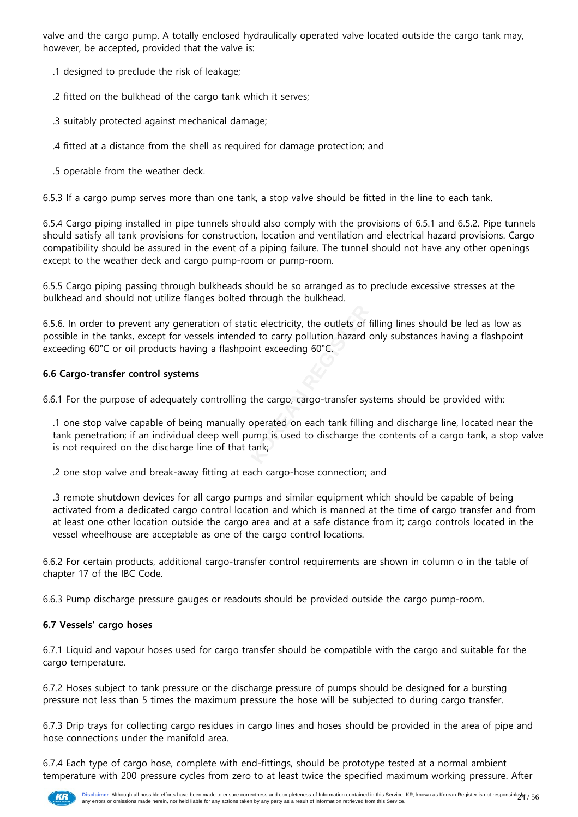valve and the cargo pump. A totally enclosed hydraulically operated valve located outside the cargo tank may, however, be accepted, provided that the valve is:

- .1 designed to preclude the risk of leakage;
- .2 fitted on the bulkhead of the cargo tank which it serves;
- .3 suitably protected against mechanical damage;
- .4 fitted at a distance from the shell as required for damage protection; and
- .5 operable from the weather deck.

6.5.3 If a cargo pump serves more than one tank, a stop valve should be fitted in the line to each tank.

6.5.4 Cargo piping installed in pipe tunnels should also comply with the provisions of 6.5.1 and 6.5.2. Pipe tunnels should satisfy all tank provisions for construction, location and ventilation and electrical hazard provisions. Cargo compatibility should be assured in the event of a piping failure. The tunnel should not have any other openings except to the weather deck and cargo pump-room or pump-room.

6.5.5 Cargo piping passing through bulkheads should be so arranged as to preclude excessive stresses at the bulkhead and should not utilize flanges bolted through the bulkhead.

6.5.6. In order to prevent any generation of static electricity, the outlets of filling lines should be led as low as possible in the tanks, except for vessels intended to carry pollution hazard only substances having a flashpoint exceeding 60°C or oil products having a flashpoint exceeding 60°C.

# **6.6 Cargo-transfer control systems**

6.6.1 For the purpose of adequately controlling the cargo, cargo-transfer systems should be provided with:

.1 one stop valve capable of being manually operated on each tank filling and discharge line, located near the tank penetration; if an individual deep well pump is used to discharge the contents of a cargo tank, a stop valve is not required on the discharge line of that tank; ic electricity, the outlets of filed to carry pollution hazard of<br>int exceeding 60°C.<br>the cargo, cargo-transfer syst<br>operated on each tank filling<br>ump is used to discharge the<br>tank;

.2 one stop valve and break-away fitting at each cargo-hose connection; and

.3 remote shutdown devices for all cargo pumps and similar equipment which should be capable of being activated from a dedicated cargo control location and which is manned at the time of cargo transfer and from at least one other location outside the cargo area and at a safe distance from it; cargo controls located in the vessel wheelhouse are acceptable as one of the cargo control locations.

6.6.2 For certain products, additional cargo-transfer control requirements are shown in column o in the table of chapter 17 of the IBC Code.

6.6.3 Pump discharge pressure gauges or readouts should be provided outside the cargo pump-room.

# **6.7 Vessels' cargo hoses**

6.7.1 Liquid and vapour hoses used for cargo transfer should be compatible with the cargo and suitable for the cargo temperature.

6.7.2 Hoses subject to tank pressure or the discharge pressure of pumps should be designed for a bursting pressure not less than 5 times the maximum pressure the hose will be subjected to during cargo transfer.

6.7.3 Drip trays for collecting cargo residues in cargo lines and hoses should be provided in the area of pipe and hose connections under the manifold area.

6.7.4 Each type of cargo hose, complete with end-fittings, should be prototype tested at a normal ambient temperature with 200 pressure cycles from zero to at least twice the specified maximum working pressure. After

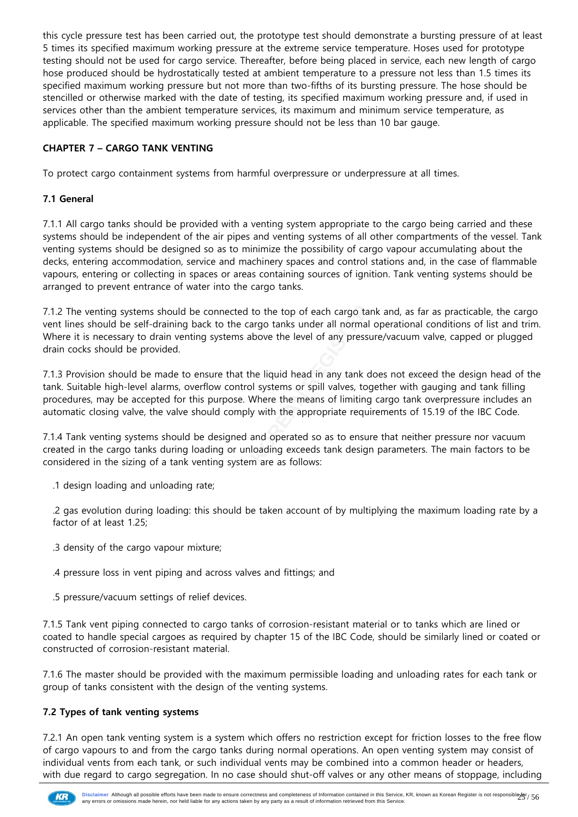this cycle pressure test has been carried out, the prototype test should demonstrate a bursting pressure of at least 5 times its specified maximum working pressure at the extreme service temperature. Hoses used for prototype testing should not be used for cargo service. Thereafter, before being placed in service, each new length of cargo hose produced should be hydrostatically tested at ambient temperature to a pressure not less than 1.5 times its specified maximum working pressure but not more than two-fifths of its bursting pressure. The hose should be stencilled or otherwise marked with the date of testing, its specified maximum working pressure and, if used in services other than the ambient temperature services, its maximum and minimum service temperature, as applicable. The specified maximum working pressure should not be less than 10 bar gauge.

# **CHAPTER 7 – CARGO TANK VENTING**

To protect cargo containment systems from harmful overpressure or underpressure at all times.

#### **7.1 General**

7.1.1 All cargo tanks should be provided with a venting system appropriate to the cargo being carried and these systems should be independent of the air pipes and venting systems of all other compartments of the vessel. Tank venting systems should be designed so as to minimize the possibility of cargo vapour accumulating about the decks, entering accommodation, service and machinery spaces and control stations and, in the case of flammable vapours, entering or collecting in spaces or areas containing sources of ignition. Tank venting systems should be arranged to prevent entrance of water into the cargo tanks.

7.1.2 The venting systems should be connected to the top of each cargo tank and, as far as practicable, the cargo vent lines should be self-draining back to the cargo tanks under all normal operational conditions of list and trim. Where it is necessary to drain venting systems above the level of any pressure/vacuum valve, capped or plugged drain cocks should be provided.

7.1.3 Provision should be made to ensure that the liquid head in any tank does not exceed the design head of the tank. Suitable high-level alarms, overflow control systems or spill valves, together with gauging and tank filling procedures, may be accepted for this purpose. Where the means of limiting cargo tank overpressure includes an automatic closing valve, the valve should comply with the appropriate requirements of 15.19 of the IBC Code. to the top of each cargo tan<br>argo tanks under all normal of<br>above the level of any pressure<br>the liquid head in any tank do<br>all systems or spill valves, togo<br>where the means of limiting<br>y with the appropriate requir<br>and ope

7.1.4 Tank venting systems should be designed and operated so as to ensure that neither pressure nor vacuum created in the cargo tanks during loading or unloading exceeds tank design parameters. The main factors to be considered in the sizing of a tank venting system are as follows:

.1 design loading and unloading rate;

.2 gas evolution during loading: this should be taken account of by multiplying the maximum loading rate by a factor of at least 1.25;

- .3 density of the cargo vapour mixture;
- .4 pressure loss in vent piping and across valves and fittings; and
- .5 pressure/vacuum settings of relief devices.

7.1.5 Tank vent piping connected to cargo tanks of corrosion-resistant material or to tanks which are lined or coated to handle special cargoes as required by chapter 15 of the IBC Code, should be similarly lined or coated or constructed of corrosion-resistant material.

7.1.6 The master should be provided with the maximum permissible loading and unloading rates for each tank or group of tanks consistent with the design of the venting systems.

# **7.2 Types of tank venting systems**

7.2.1 An open tank venting system is a system which offers no restriction except for friction losses to the free flow of cargo vapours to and from the cargo tanks during normal operations. An open venting system may consist of individual vents from each tank, or such individual vents may be combined into a common header or headers, with due regard to cargo segregation. In no case should shut-off valves or any other means of stoppage, including

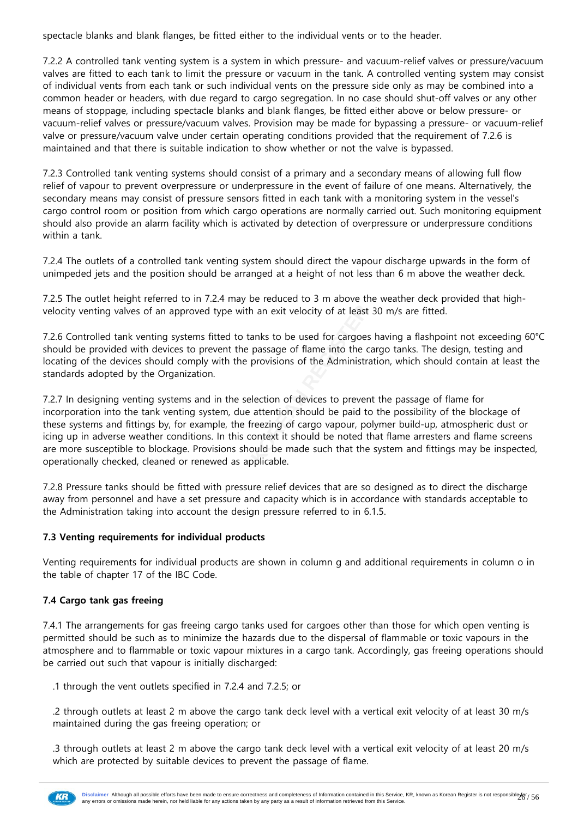spectacle blanks and blank flanges, be fitted either to the individual vents or to the header.

7.2.2 A controlled tank venting system is a system in which pressure- and vacuum-relief valves or pressure/vacuum valves are fitted to each tank to limit the pressure or vacuum in the tank. A controlled venting system may consist of individual vents from each tank or such individual vents on the pressure side only as may be combined into a common header or headers, with due regard to cargo segregation. In no case should shut-off valves or any other means of stoppage, including spectacle blanks and blank flanges, be fitted either above or below pressure- or vacuum-relief valves or pressure/vacuum valves. Provision may be made for bypassing a pressure- or vacuum-relief valve or pressure/vacuum valve under certain operating conditions provided that the requirement of 7.2.6 is maintained and that there is suitable indication to show whether or not the valve is bypassed.

7.2.3 Controlled tank venting systems should consist of a primary and a secondary means of allowing full flow relief of vapour to prevent overpressure or underpressure in the event of failure of one means. Alternatively, the secondary means may consist of pressure sensors fitted in each tank with a monitoring system in the vessel's cargo control room or position from which cargo operations are normally carried out. Such monitoring equipment should also provide an alarm facility which is activated by detection of overpressure or underpressure conditions within a tank.

7.2.4 The outlets of a controlled tank venting system should direct the vapour discharge upwards in the form of unimpeded jets and the position should be arranged at a height of not less than 6 m above the weather deck.

7.2.5 The outlet height referred to in 7.2.4 may be reduced to 3 m above the weather deck provided that highvelocity venting valves of an approved type with an exit velocity of at least 30 m/s are fitted.

7.2.6 Controlled tank venting systems fitted to tanks to be used for cargoes having a flashpoint not exceeding 60°C should be provided with devices to prevent the passage of flame into the cargo tanks. The design, testing and locating of the devices should comply with the provisions of the Administration, which should contain at least the standards adopted by the Organization.

7.2.7 In designing venting systems and in the selection of devices to prevent the passage of flame for incorporation into the tank venting system, due attention should be paid to the possibility of the blockage of these systems and fittings by, for example, the freezing of cargo vapour, polymer build-up, atmospheric dust or icing up in adverse weather conditions. In this context it should be noted that flame arresters and flame screens are more susceptible to blockage. Provisions should be made such that the system and fittings may be inspected, operationally checked, cleaned or renewed as applicable. I an exit velocity of at least 3<br>
anks to be used for cargoes |<br>
passage of flame into the ca<br>
provisions of the Administrat<br>
election of devices to prevent<br>
attention should be paid to<br>
ireezing of cargo vapour, poly<br>
con

7.2.8 Pressure tanks should be fitted with pressure relief devices that are so designed as to direct the discharge away from personnel and have a set pressure and capacity which is in accordance with standards acceptable to the Administration taking into account the design pressure referred to in 6.1.5.

# **7.3 Venting requirements for individual products**

Venting requirements for individual products are shown in column g and additional requirements in column o in the table of chapter 17 of the IBC Code.

# **7.4 Cargo tank gas freeing**

7.4.1 The arrangements for gas freeing cargo tanks used for cargoes other than those for which open venting is permitted should be such as to minimize the hazards due to the dispersal of flammable or toxic vapours in the atmosphere and to flammable or toxic vapour mixtures in a cargo tank. Accordingly, gas freeing operations should be carried out such that vapour is initially discharged:

.1 through the vent outlets specified in 7.2.4 and 7.2.5; or

.2 through outlets at least 2 m above the cargo tank deck level with a vertical exit velocity of at least 30 m/s maintained during the gas freeing operation; or

.3 through outlets at least 2 m above the cargo tank deck level with a vertical exit velocity of at least 20 m/s which are protected by suitable devices to prevent the passage of flame.

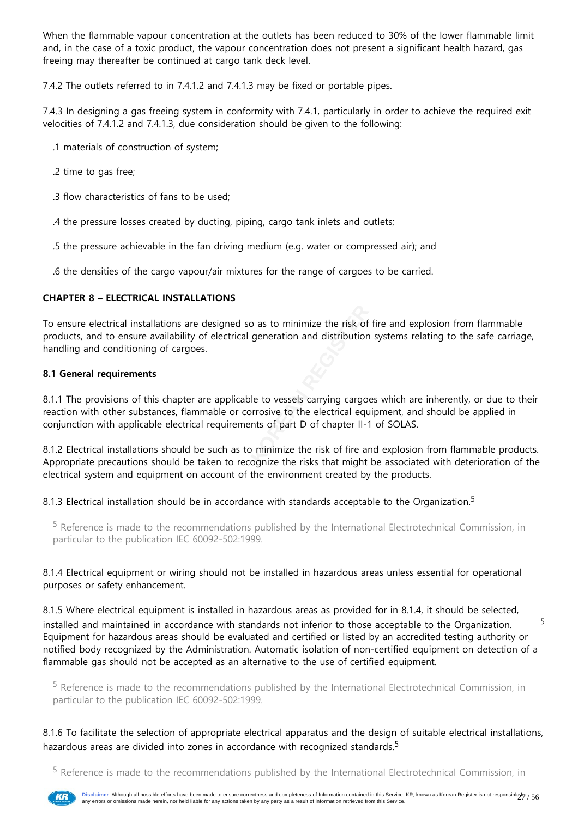When the flammable vapour concentration at the outlets has been reduced to 30% of the lower flammable limit and, in the case of a toxic product, the vapour concentration does not present a significant health hazard, gas freeing may thereafter be continued at cargo tank deck level.

7.4.2 The outlets referred to in 7.4.1.2 and 7.4.1.3 may be fixed or portable pipes.

7.4.3 In designing a gas freeing system in conformity with 7.4.1, particularly in order to achieve the required exit velocities of 7.4.1.2 and 7.4.1.3, due consideration should be given to the following:

.1 materials of construction of system;

.2 time to gas free;

.3 flow characteristics of fans to be used;

.4 the pressure losses created by ducting, piping, cargo tank inlets and outlets;

.5 the pressure achievable in the fan driving medium (e.g. water or compressed air); and

.6 the densities of the cargo vapour/air mixtures for the range of cargoes to be carried.

# **CHAPTER 8 – ELECTRICAL INSTALLATIONS**

To ensure electrical installations are designed so as to minimize the risk of fire and explosion from flammable products, and to ensure availability of electrical generation and distribution systems relating to the safe carriage, handling and conditioning of cargoes. **Solution** and distribution is<br> **KOREGISTERRY**<br> **KOREGISTERRY**<br> **KOREGISTERRY**<br> **KOREGISTERRY**<br> **KOREGISTERRY**<br> **KOREGISTERY**<br> **KOREGISTERY**<br> **KOREGISTERY**<br> **KOREGISTERY**<br> **KOREGISTERY**<br> **KOREGISTERY**<br> **KOREGISTERY**<br> **KORE** 

### **8.1 General requirements**

8.1.1 The provisions of this chapter are applicable to vessels carrying cargoes which are inherently, or due to their reaction with other substances, flammable or corrosive to the electrical equipment, and should be applied in conjunction with applicable electrical requirements of part D of chapter II-1 of SOLAS.

8.1.2 Electrical installations should be such as to minimize the risk of fire and explosion from flammable products. Appropriate precautions should be taken to recognize the risks that might be associated with deterioration of the electrical system and equipment on account of the environment created by the products.

8.1.3 Electrical installation should be in accordance with standards acceptable to the Organization.<sup>5</sup>

<sup>5</sup> Reference is made to the recommendations published by the International Electrotechnical Commission, in particular to the publication IEC 60092-502:1999.

8.1.4 Electrical equipment or wiring should not be installed in hazardous areas unless essential for operational purposes or safety enhancement.

8.1.5 Where electrical equipment is installed in hazardous areas as provided for in 8.1.4, it should be selected, installed and maintained in accordance with standards not inferior to those acceptable to the Organization. 5 Equipment for hazardous areas should be evaluated and certified or listed by an accredited testing authority or notified body recognized by the Administration. Automatic isolation of non-certified equipment on detection of a flammable gas should not be accepted as an alternative to the use of certified equipment.

<sup>5</sup> Reference is made to the recommendations published by the International Electrotechnical Commission, in particular to the publication IEC 60092-502:1999.

# 8.1.6 To facilitate the selection of appropriate electrical apparatus and the design of suitable electrical installations, hazardous areas are divided into zones in accordance with recognized standards.<sup>5</sup>

<sup>5</sup> Reference is made to the recommendations published by the International Electrotechnical Commission, in



particular to the publication IEC 60092-502:1999.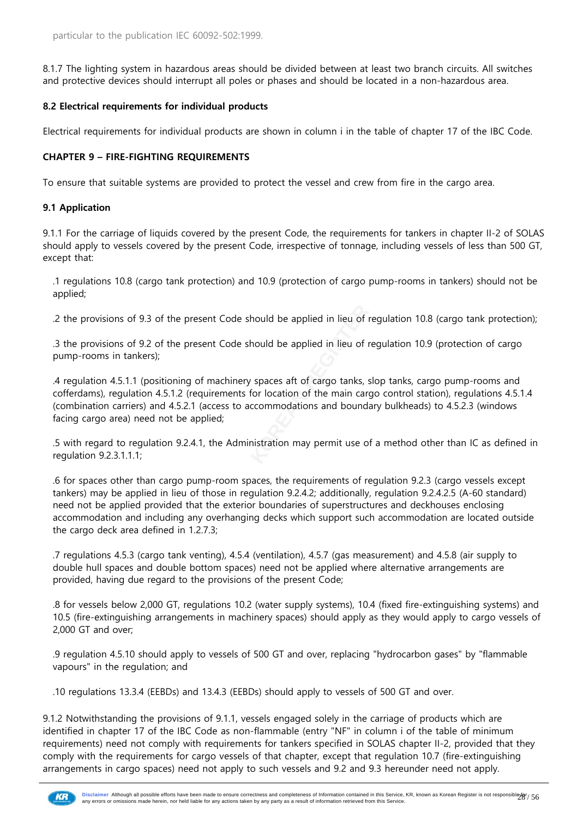8.1.7 The lighting system in hazardous areas should be divided between at least two branch circuits. All switches and protective devices should interrupt all poles or phases and should be located in a non-hazardous area.

# **8.2 Electrical requirements for individual products**

Electrical requirements for individual products are shown in column i in the table of chapter 17 of the IBC Code.

#### **CHAPTER 9 – FIRE-FIGHTING REQUIREMENTS**

To ensure that suitable systems are provided to protect the vessel and crew from fire in the cargo area.

#### **9.1 Application**

9.1.1 For the carriage of liquids covered by the present Code, the requirements for tankers in chapter II-2 of SOLAS should apply to vessels covered by the present Code, irrespective of tonnage, including vessels of less than 500 GT, except that:

.1 regulations 10.8 (cargo tank protection) and 10.9 (protection of cargo pump-rooms in tankers) should not be applied;

.2 the provisions of 9.3 of the present Code should be applied in lieu of regulation 10.8 (cargo tank protection);

.3 the provisions of 9.2 of the present Code should be applied in lieu of regulation 10.9 (protection of cargo pump-rooms in tankers);

.4 regulation 4.5.1.1 (positioning of machinery spaces aft of cargo tanks, slop tanks, cargo pump-rooms and cofferdams), regulation 4.5.1.2 (requirements for location of the main cargo control station), regulations 4.5.1.4 (combination carriers) and 4.5.2.1 (access to accommodations and boundary bulkheads) to 4.5.2.3 (windows facing cargo area) need not be applied; A hould be applied in lieu of re<br>
hould be applied in lieu of re<br> **K** spaces aft of cargo tanks, sk<br>
for location of the main carge<br>
ccommodations and boundar<br>
nistration may permit use of

.5 with regard to regulation 9.2.4.1, the Administration may permit use of a method other than IC as defined in regulation 9.2.3.1.1.1;

.6 for spaces other than cargo pump-room spaces, the requirements of regulation 9.2.3 (cargo vessels except tankers) may be applied in lieu of those in regulation 9.2.4.2; additionally, regulation 9.2.4.2.5 (A-60 standard) need not be applied provided that the exterior boundaries of superstructures and deckhouses enclosing accommodation and including any overhanging decks which support such accommodation are located outside the cargo deck area defined in 1.2.7.3;

.7 regulations 4.5.3 (cargo tank venting), 4.5.4 (ventilation), 4.5.7 (gas measurement) and 4.5.8 (air supply to double hull spaces and double bottom spaces) need not be applied where alternative arrangements are provided, having due regard to the provisions of the present Code;

.8 for vessels below 2,000 GT, regulations 10.2 (water supply systems), 10.4 (fixed fire-extinguishing systems) and 10.5 (fire-extinguishing arrangements in machinery spaces) should apply as they would apply to cargo vessels of 2,000 GT and over;

.9 regulation 4.5.10 should apply to vessels of 500 GT and over, replacing "hydrocarbon gases" by "flammable vapours" in the regulation; and

.10 regulations 13.3.4 (EEBDs) and 13.4.3 (EEBDs) should apply to vessels of 500 GT and over.

9.1.2 Notwithstanding the provisions of 9.1.1, vessels engaged solely in the carriage of products which are identified in chapter 17 of the IBC Code as non-flammable (entry "NF" in column i of the table of minimum requirements) need not comply with requirements for tankers specified in SOLAS chapter II-2, provided that they comply with the requirements for cargo vessels of that chapter, except that regulation 10.7 (fire-extinguishing arrangements in cargo spaces) need not apply to such vessels and 9.2 and 9.3 hereunder need not apply.

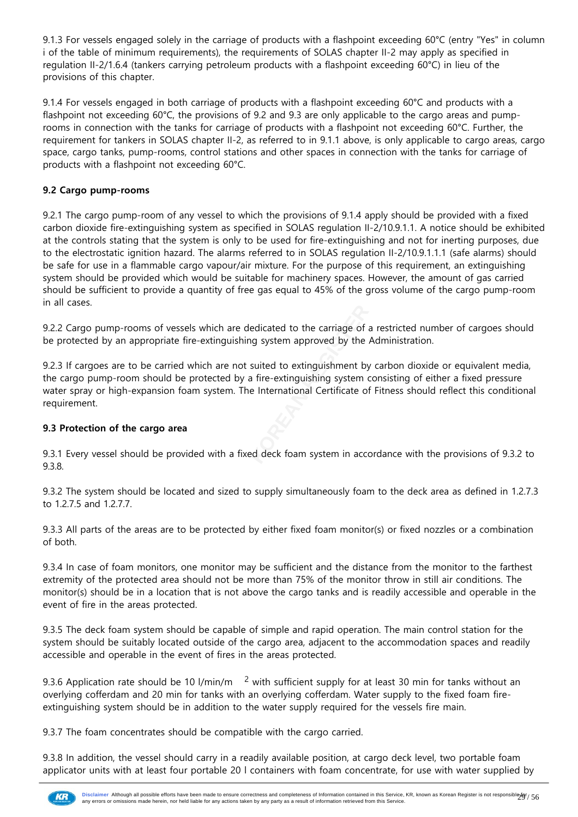9.1.3 For vessels engaged solely in the carriage of products with a flashpoint exceeding 60°C (entry "Yes" in column i of the table of minimum requirements), the requirements of SOLAS chapter II-2 may apply as specified in regulation II-2/1.6.4 (tankers carrying petroleum products with a flashpoint exceeding 60°C) in lieu of the provisions of this chapter.

9.1.4 For vessels engaged in both carriage of products with a flashpoint exceeding 60°C and products with a flashpoint not exceeding 60°C, the provisions of 9.2 and 9.3 are only applicable to the cargo areas and pumprooms in connection with the tanks for carriage of products with a flashpoint not exceeding 60°C. Further, the requirement for tankers in SOLAS chapter II-2, as referred to in 9.1.1 above, is only applicable to cargo areas, cargo space, cargo tanks, pump-rooms, control stations and other spaces in connection with the tanks for carriage of products with a flashpoint not exceeding 60°C.

# **9.2 Cargo pump-rooms**

9.2.1 The cargo pump-room of any vessel to which the provisions of 9.1.4 apply should be provided with a fixed carbon dioxide fire-extinguishing system as specified in SOLAS regulation II-2/10.9.1.1. A notice should be exhibited at the controls stating that the system is only to be used for fire-extinguishing and not for inerting purposes, due to the electrostatic ignition hazard. The alarms referred to in SOLAS regulation II-2/10.9.1.1.1 (safe alarms) should be safe for use in a flammable cargo vapour/air mixture. For the purpose of this requirement, an extinguishing system should be provided which would be suitable for machinery spaces. However, the amount of gas carried should be sufficient to provide a quantity of free gas equal to 45% of the gross volume of the cargo pump-room in all cases.

9.2.2 Cargo pump-rooms of vessels which are dedicated to the carriage of a restricted number of cargoes should be protected by an appropriate fire-extinguishing system approved by the Administration.

9.2.3 If cargoes are to be carried which are not suited to extinguishment by carbon dioxide or equivalent media, the cargo pump-room should be protected by a fire-extinguishing system consisting of either a fixed pressure water spray or high-expansion foam system. The International Certificate of Fitness should reflect this conditional requirement. **Example 18 A**<br>Angle system approved by the A<br>Suited to extinguishment by<br>A fire-extinguishing system conditional Certificate of l<br>A let a lot and the international Certificate of l<br>A let deck foam system in accord

# **9.3 Protection of the cargo area**

9.3.1 Every vessel should be provided with a fixed deck foam system in accordance with the provisions of 9.3.2 to 9.3.8.

9.3.2 The system should be located and sized to supply simultaneously foam to the deck area as defined in 1.2.7.3 to 1.2.7.5 and 1.2.7.7.

9.3.3 All parts of the areas are to be protected by either fixed foam monitor(s) or fixed nozzles or a combination of both.

9.3.4 In case of foam monitors, one monitor may be sufficient and the distance from the monitor to the farthest extremity of the protected area should not be more than 75% of the monitor throw in still air conditions. The monitor(s) should be in a location that is not above the cargo tanks and is readily accessible and operable in the event of fire in the areas protected.

9.3.5 The deck foam system should be capable of simple and rapid operation. The main control station for the system should be suitably located outside of the cargo area, adjacent to the accommodation spaces and readily accessible and operable in the event of fires in the areas protected.

9.3.6 Application rate should be 10 l/min/m  $^{-2}$  with sufficient supply for at least 30 min for tanks without an overlying cofferdam and 20 min for tanks with an overlying cofferdam. Water supply to the fixed foam fireextinguishing system should be in addition to the water supply required for the vessels fire main.

9.3.7 The foam concentrates should be compatible with the cargo carried.

9.3.8 In addition, the vessel should carry in a readily available position, at cargo deck level, two portable foam applicator units with at least four portable 20 l containers with foam concentrate, for use with water supplied by

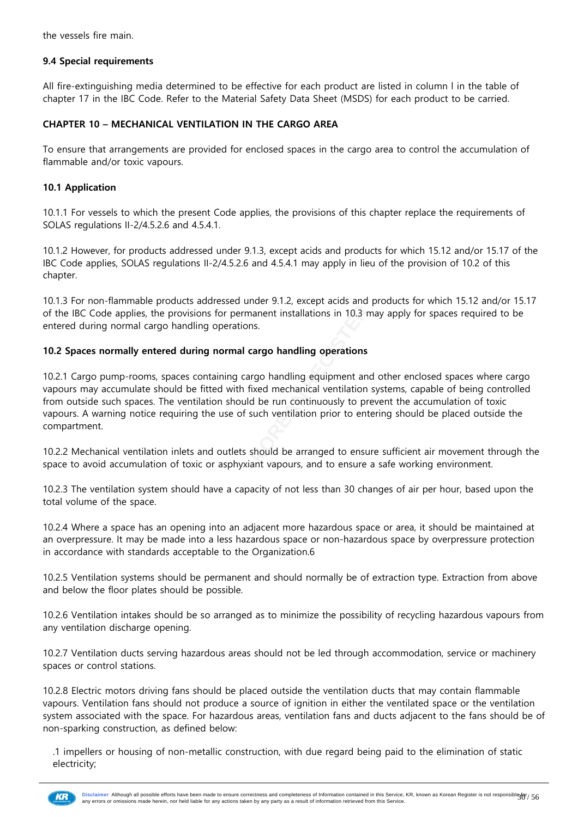the vessels fire main.

#### **9.4 Special requirements**

All fire-extinguishing media determined to be effective for each product are listed in column l in the table of chapter 17 in the IBC Code. Refer to the Material Safety Data Sheet (MSDS) for each product to be carried.

#### **CHAPTER 10 – MECHANICAL VENTILATION IN THE CARGO AREA**

To ensure that arrangements are provided for enclosed spaces in the cargo area to control the accumulation of flammable and/or toxic vapours.

### **10.1 Application**

10.1.1 For vessels to which the present Code applies, the provisions of this chapter replace the requirements of SOLAS regulations II-2/4.5.2.6 and 4.5.4.1.

10.1.2 However, for products addressed under 9.1.3, except acids and products for which 15.12 and/or 15.17 of the IBC Code applies, SOLAS regulations II-2/4.5.2.6 and 4.5.4.1 may apply in lieu of the provision of 10.2 of this chapter.

10.1.3 For non-flammable products addressed under 9.1.2, except acids and products for which 15.12 and/or 15.17 of the IBC Code applies, the provisions for permanent installations in 10.3 may apply for spaces required to be entered during normal cargo handling operations.

### **10.2 Spaces normally entered during normal cargo handling operations**

10.2.1 Cargo pump-rooms, spaces containing cargo handling equipment and other enclosed spaces where cargo vapours may accumulate should be fitted with fixed mechanical ventilation systems, capable of being controlled from outside such spaces. The ventilation should be run continuously to prevent the accumulation of toxic vapours. A warning notice requiring the use of such ventilation prior to entering should be placed outside the compartment. Finanent installations in 10.3 manual<br> **KOREAN REGISTER**<br> **KOREAN REGISTER**<br> **KOREAN REGISTERAN REGISTERR**<br> **KOREAN REGISTERAN REGISTER**<br> **KOREAN REGISTERAN REGISTER**<br> **COREAN REGISTER**<br> **COREAN REGISTER**<br> **COREAN REGISTER** 

10.2.2 Mechanical ventilation inlets and outlets should be arranged to ensure sufficient air movement through the space to avoid accumulation of toxic or asphyxiant vapours, and to ensure a safe working environment.

10.2.3 The ventilation system should have a capacity of not less than 30 changes of air per hour, based upon the total volume of the space.

10.2.4 Where a space has an opening into an adjacent more hazardous space or area, it should be maintained at an overpressure. It may be made into a less hazardous space or non-hazardous space by overpressure protection in accordance with standards acceptable to the Organization.6

10.2.5 Ventilation systems should be permanent and should normally be of extraction type. Extraction from above and below the floor plates should be possible.

10.2.6 Ventilation intakes should be so arranged as to minimize the possibility of recycling hazardous vapours from any ventilation discharge opening.

10.2.7 Ventilation ducts serving hazardous areas should not be led through accommodation, service or machinery spaces or control stations.

10.2.8 Electric motors driving fans should be placed outside the ventilation ducts that may contain flammable vapours. Ventilation fans should not produce a source of ignition in either the ventilated space or the ventilation system associated with the space. For hazardous areas, ventilation fans and ducts adjacent to the fans should be of non-sparking construction, as defined below:

.1 impellers or housing of non-metallic construction, with due regard being paid to the elimination of static electricity;

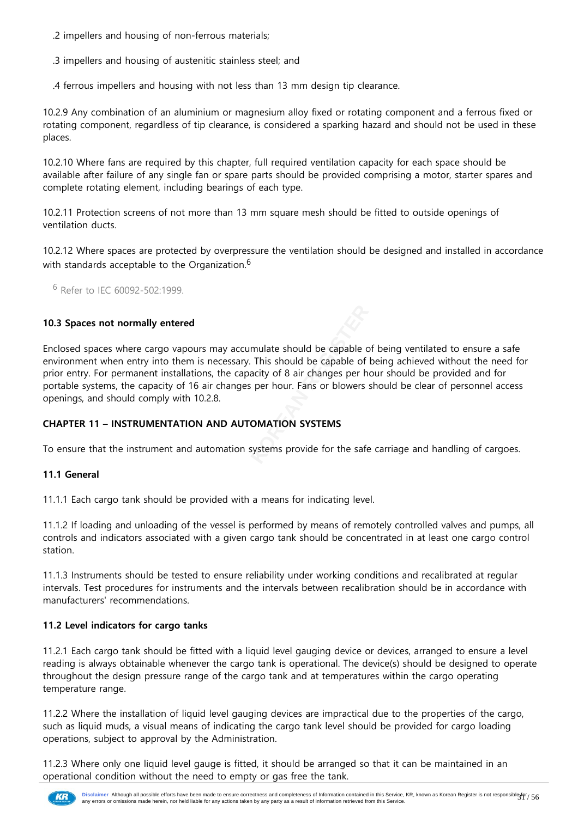- .2 impellers and housing of non-ferrous materials;
- .3 impellers and housing of austenitic stainless steel; and
- .4 ferrous impellers and housing with not less than 13 mm design tip clearance.

10.2.9 Any combination of an aluminium or magnesium alloy fixed or rotating component and a ferrous fixed or rotating component, regardless of tip clearance, is considered a sparking hazard and should not be used in these places.

10.2.10 Where fans are required by this chapter, full required ventilation capacity for each space should be available after failure of any single fan or spare parts should be provided comprising a motor, starter spares and complete rotating element, including bearings of each type.

10.2.11 Protection screens of not more than 13 mm square mesh should be fitted to outside openings of ventilation ducts.

10.2.12 Where spaces are protected by overpressure the ventilation should be designed and installed in accordance with standards acceptable to the Organization. $^6$ 

6 Refer to IEC 60092-502:1999.

# **10.3 Spaces not normally entered**

Enclosed spaces where cargo vapours may accumulate should be capable of being ventilated to ensure a safe environment when entry into them is necessary. This should be capable of being achieved without the need for prior entry. For permanent installations, the capacity of 8 air changes per hour should be provided and for portable systems, the capacity of 16 air changes per hour. Fans or blowers should be clear of personnel access openings, and should comply with 10.2.8. mulate should be capable of<br>This should be capable of b<br>acity of 8 air changes per house<br>per hour. Fans or blowers sk<br>**OMATION SYSTEMS**<br>systems provide for the safe

# **CHAPTER 11 – INSTRUMENTATION AND AUTOMATION SYSTEMS**

To ensure that the instrument and automation systems provide for the safe carriage and handling of cargoes.

# **11.1 General**

11.1.1 Each cargo tank should be provided with a means for indicating level.

11.1.2 If loading and unloading of the vessel is performed by means of remotely controlled valves and pumps, all controls and indicators associated with a given cargo tank should be concentrated in at least one cargo control station.

11.1.3 Instruments should be tested to ensure reliability under working conditions and recalibrated at regular intervals. Test procedures for instruments and the intervals between recalibration should be in accordance with manufacturers' recommendations.

# **11.2 Level indicators for cargo tanks**

11.2.1 Each cargo tank should be fitted with a liquid level gauging device or devices, arranged to ensure a level reading is always obtainable whenever the cargo tank is operational. The device(s) should be designed to operate throughout the design pressure range of the cargo tank and at temperatures within the cargo operating temperature range.

11.2.2 Where the installation of liquid level gauging devices are impractical due to the properties of the cargo, such as liquid muds, a visual means of indicating the cargo tank level should be provided for cargo loading operations, subject to approval by the Administration.

11.2.3 Where only one liquid level gauge is fitted, it should be arranged so that it can be maintained in an operational condition without the need to empty or gas free the tank.

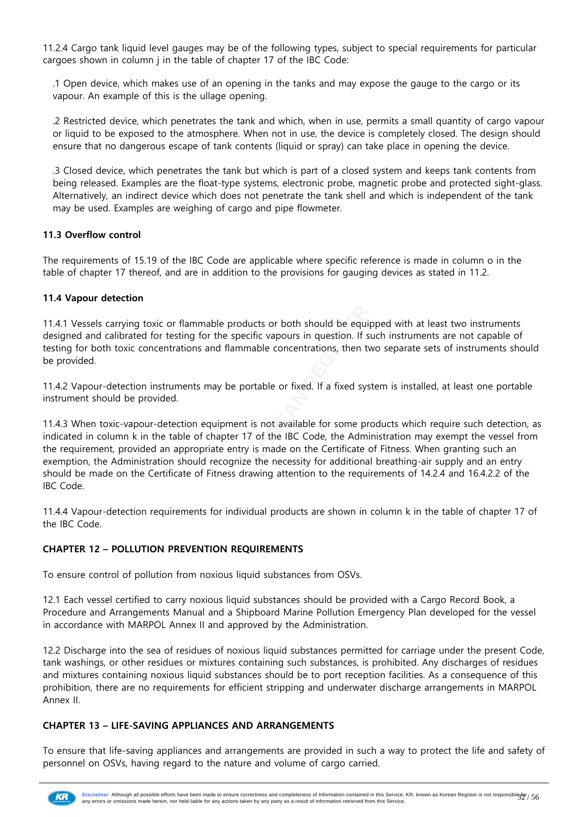11.2.4 Cargo tank liquid level gauges may be of the following types, subject to special requirements for particular cargoes shown in column j in the table of chapter 17 of the IBC Code:

.1 Open device, which makes use of an opening in the tanks and may expose the gauge to the cargo or its vapour. An example of this is the ullage opening.

.2 Restricted device, which penetrates the tank and which, when in use, permits a small quantity of cargo vapour or liquid to be exposed to the atmosphere. When not in use, the device is completely closed. The design should ensure that no dangerous escape of tank contents (liquid or spray) can take place in opening the device.

.3 Closed device, which penetrates the tank but which is part of a closed system and keeps tank contents from being released. Examples are the float-type systems, electronic probe, magnetic probe and protected sight-glass. Alternatively, an indirect device which does not penetrate the tank shell and which is independent of the tank may be used. Examples are weighing of cargo and pipe flowmeter.

### **11.3 Overflow control**

The requirements of 15.19 of the IBC Code are applicable where specific reference is made in column o in the table of chapter 17 thereof, and are in addition to the provisions for gauging devices as stated in 11.2.

### **11.4 Vapour detection**

11.4.1 Vessels carrying toxic or flammable products or both should be equipped with at least two instruments designed and calibrated for testing for the specific vapours in question. If such instruments are not capable of testing for both toxic concentrations and flammable concentrations, then two separate sets of instruments should be provided. The set of the should be equip<br>
Fic vapours in question. If sue<br>
should concentrations, then two<br>
should be or fixed. If a fixed system<br>
is not available for some pro<br>
The IBC Code, the Admin<br>
is made on the Certificate of

11.4.2 Vapour-detection instruments may be portable or fixed. If a fixed system is installed, at least one portable instrument should be provided.

11.4.3 When toxic-vapour-detection equipment is not available for some products which require such detection, as indicated in column k in the table of chapter 17 of the IBC Code, the Administration may exempt the vessel from the requirement, provided an appropriate entry is made on the Certificate of Fitness. When granting such an exemption, the Administration should recognize the necessity for additional breathing-air supply and an entry should be made on the Certificate of Fitness drawing attention to the requirements of 14.2.4 and 16.4.2.2 of the IBC Code.

11.4.4 Vapour-detection requirements for individual products are shown in column k in the table of chapter 17 of the IBC Code.

# **CHAPTER 12 – POLLUTION PREVENTION REQUIREMENTS**

To ensure control of pollution from noxious liquid substances from OSVs.

12.1 Each vessel certified to carry noxious liquid substances should be provided with a Cargo Record Book, a Procedure and Arrangements Manual and a Shipboard Marine Pollution Emergency Plan developed for the vessel in accordance with MARPOL Annex II and approved by the Administration.

12.2 Discharge into the sea of residues of noxious liquid substances permitted for carriage under the present Code, tank washings, or other residues or mixtures containing such substances, is prohibited. Any discharges of residues and mixtures containing noxious liquid substances should be to port reception facilities. As a consequence of this prohibition, there are no requirements for efficient stripping and underwater discharge arrangements in MARPOL Annex II.

# **CHAPTER 13 – LIFE-SAVING APPLIANCES AND ARRANGEMENTS**

To ensure that life-saving appliances and arrangements are provided in such a way to protect the life and safety of personnel on OSVs, having regard to the nature and volume of cargo carried.

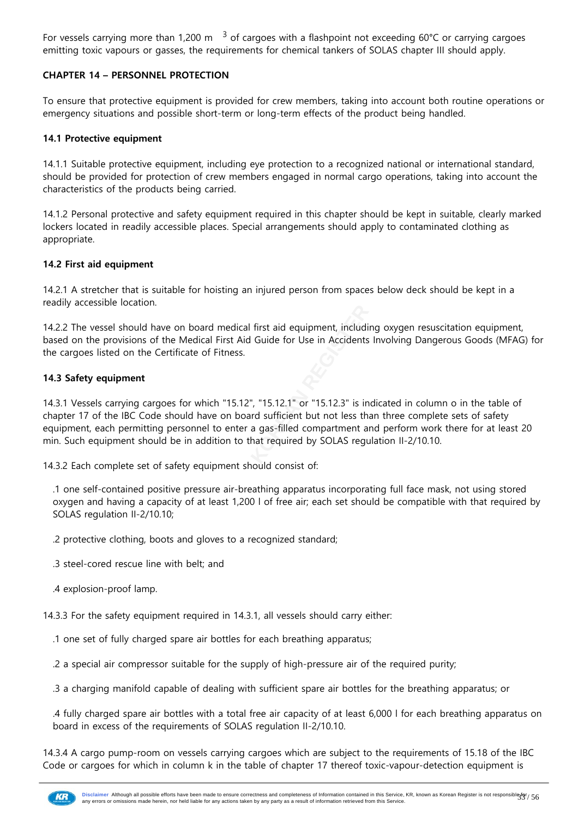For vessels carrying more than 1,200 m  $^{-3}$  of cargoes with a flashpoint not exceeding 60°C or carrying cargoes emitting toxic vapours or gasses, the requirements for chemical tankers of SOLAS chapter III should apply.

### **CHAPTER 14 – PERSONNEL PROTECTION**

To ensure that protective equipment is provided for crew members, taking into account both routine operations or emergency situations and possible short-term or long-term effects of the product being handled.

#### **14.1 Protective equipment**

14.1.1 Suitable protective equipment, including eye protection to a recognized national or international standard, should be provided for protection of crew members engaged in normal cargo operations, taking into account the characteristics of the products being carried.

14.1.2 Personal protective and safety equipment required in this chapter should be kept in suitable, clearly marked lockers located in readily accessible places. Special arrangements should apply to contaminated clothing as appropriate.

### **14.2 First aid equipment**

14.2.1 A stretcher that is suitable for hoisting an injured person from spaces below deck should be kept in a readily accessible location.

14.2.2 The vessel should have on board medical first aid equipment, including oxygen resuscitation equipment, based on the provisions of the Medical First Aid Guide for Use in Accidents Involving Dangerous Goods (MFAG) for the cargoes listed on the Certificate of Fitness.

### **14.3 Safety equipment**

14.3.1 Vessels carrying cargoes for which "15.12", "15.12.1" or "15.12.3" is indicated in column o in the table of chapter 17 of the IBC Code should have on board sufficient but not less than three complete sets of safety equipment, each permitting personnel to enter a gas-filled compartment and perform work there for at least 20 min. Such equipment should be in addition to that required by SOLAS regulation II-2/10.10. first aid equipment, includine<br>
Guide for Use in Accidents<br>
Fig. 1994<br>
Fig. 1995<br>
Fig. 1995<br>
Filled compartment and<br>
hat required by SOLAS regula

14.3.2 Each complete set of safety equipment should consist of:

.1 one self-contained positive pressure air-breathing apparatus incorporating full face mask, not using stored oxygen and having a capacity of at least 1,200 l of free air; each set should be compatible with that required by SOLAS regulation II-2/10.10;

.2 protective clothing, boots and gloves to a recognized standard;

.3 steel-cored rescue line with belt; and

.4 explosion-proof lamp.

14.3.3 For the safety equipment required in 14.3.1, all vessels should carry either:

.1 one set of fully charged spare air bottles for each breathing apparatus;

required but is not available should have either of the following:

.2 a special air compressor suitable for the supply of high-pressure air of the required purity;

.3 a charging manifold capable of dealing with sufficient spare air bottles for the breathing apparatus; or

.4 fully charged spare air bottles with a total free air capacity of at least 6,000 l for each breathing apparatus on board in excess of the requirements of SOLAS regulation II-2/10.10.

14.3.4 A cargo pump-room on vessels carrying cargoes which are subject to the requirements of 15.18 of the IBC Code or cargoes for which in column k in the table of chapter 17 thereof toxic-vapour-detection equipment is

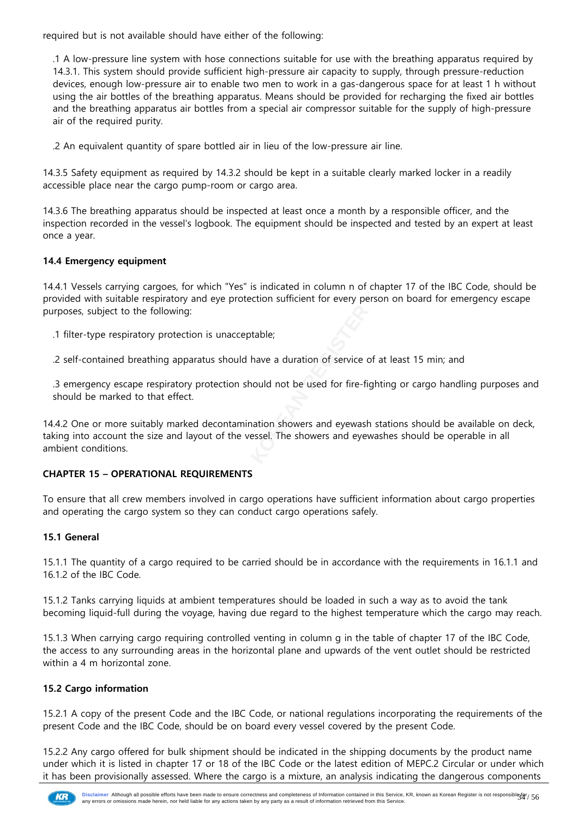required but is not available should have either of the following:

.1 A low-pressure line system with hose connections suitable for use with the breathing apparatus required by 14.3.1. This system should provide sufficient high-pressure air capacity to supply, through pressure-reduction devices, enough low-pressure air to enable two men to work in a gas-dangerous space for at least 1 h without using the air bottles of the breathing apparatus. Means should be provided for recharging the fixed air bottles and the breathing apparatus air bottles from a special air compressor suitable for the supply of high-pressure air of the required purity.

.2 An equivalent quantity of spare bottled air in lieu of the low-pressure air line.

14.3.5 Safety equipment as required by 14.3.2 should be kept in a suitable clearly marked locker in a readily accessible place near the cargo pump-room or cargo area.

14.3.6 The breathing apparatus should be inspected at least once a month by a responsible officer, and the inspection recorded in the vessel's logbook. The equipment should be inspected and tested by an expert at least once a year.

### **14.4 Emergency equipment**

14.4.1 Vessels carrying cargoes, for which "Yes" is indicated in column n of chapter 17 of the IBC Code, should be provided with suitable respiratory and eye protection sufficient for every person on board for emergency escape purposes, subject to the following:

.1 filter-type respiratory protection is unacceptable;

.2 self-contained breathing apparatus should have a duration of service of at least 15 min; and

.3 emergency escape respiratory protection should not be used for fire-fighting or cargo handling purposes and should be marked to that effect.

14.4.2 One or more suitably marked decontamination showers and eyewash stations should be available on deck, taking into account the size and layout of the vessel. The showers and eyewashes should be operable in all ambient conditions. **Kable;**<br>have a duration of service of<br>nould not be used for fire-figl<br>aation showers and eyewash<br>essel. The showers and eyewa

# **CHAPTER 15 – OPERATIONAL REQUIREMENTS**

To ensure that all crew members involved in cargo operations have sufficient information about cargo properties and operating the cargo system so they can conduct cargo operations safely.

#### **15.1 General**

15.1.1 The quantity of a cargo required to be carried should be in accordance with the requirements in 16.1.1 and 16.1.2 of the IBC Code.

15.1.2 Tanks carrying liquids at ambient temperatures should be loaded in such a way as to avoid the tank becoming liquid-full during the voyage, having due regard to the highest temperature which the cargo may reach.

15.1.3 When carrying cargo requiring controlled venting in column g in the table of chapter 17 of the IBC Code, the access to any surrounding areas in the horizontal plane and upwards of the vent outlet should be restricted within a 4 m horizontal zone.

# **15.2 Cargo information**

15.2.1 A copy of the present Code and the IBC Code, or national regulations incorporating the requirements of the present Code and the IBC Code, should be on board every vessel covered by the present Code.

15.2.2 Any cargo offered for bulk shipment should be indicated in the shipping documents by the product name under which it is listed in chapter 17 or 18 of the IBC Code or the latest edition of MEPC.2 Circular or under which it has been provisionally assessed. Where the cargo is a mixture, an analysis indicating the dangerous components

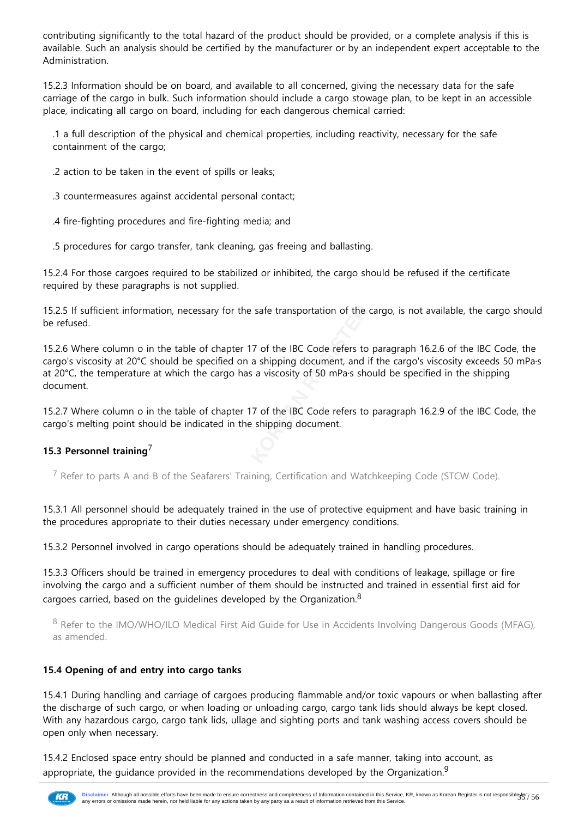contributing significantly to the total hazard of the product should be provided, or a complete analysis if this is available. Such an analysis should be certified by the manufacturer or by an independent expert acceptable to the Administration.

15.2.3 Information should be on board, and available to all concerned, giving the necessary data for the safe carriage of the cargo in bulk. Such information should include a cargo stowage plan, to be kept in an accessible place, indicating all cargo on board, including for each dangerous chemical carried:

.1 a full description of the physical and chemical properties, including reactivity, necessary for the safe containment of the cargo;

.2 action to be taken in the event of spills or leaks;

.3 countermeasures against accidental personal contact;

.4 fire-fighting procedures and fire-fighting media; and

.5 procedures for cargo transfer, tank cleaning, gas freeing and ballasting.

15.2.4 For those cargoes required to be stabilized or inhibited, the cargo should be refused if the certificate required by these paragraphs is not supplied.

15.2.5 If sufficient information, necessary for the safe transportation of the cargo, is not available, the cargo should be refused.

15.2.6 Where column o in the table of chapter 17 of the IBC Code refers to paragraph 16.2.6 of the IBC Code, the cargo's viscosity at 20°C should be specified on a shipping document, and if the cargo's viscosity exceeds 50 mPa·s at 20°C, the temperature at which the cargo has a viscosity of 50 mPa·s should be specified in the shipping document. Example 1 and the case of the state transportation of the case 7 of the IBC Code refers to p<br>a shipping document, and if<br>a a viscosity of 50 mPa·s shou<br>7 of the IBC Code refers to p<br>the shipping document.

15.2.7 Where column o in the table of chapter 17 of the IBC Code refers to paragraph 16.2.9 of the IBC Code, the cargo's melting point should be indicated in the shipping document.

# **15.3 Personnel training** 7

<sup>7</sup> Refer to parts A and B of the Seafarers' Training, Certification and Watchkeeping Code (STCW Code).

15.3.1 All personnel should be adequately trained in the use of protective equipment and have basic training in the procedures appropriate to their duties necessary under emergency conditions.

15.3.2 Personnel involved in cargo operations should be adequately trained in handling procedures.

15.3.3 Officers should be trained in emergency procedures to deal with conditions of leakage, spillage or fire involving the cargo and a sufficient number of them should be instructed and trained in essential first aid for cargoes carried, based on the guidelines developed by the Organization. $^8$ 

<sup>8</sup> Refer to the IMO/WHO/ILO Medical First Aid Guide for Use in Accidents Involving Dangerous Goods (MFAG), as amended.

# **15.4 Opening of and entry into cargo tanks**

15.4.1 During handling and carriage of cargoes producing flammable and/or toxic vapours or when ballasting after the discharge of such cargo, or when loading or unloading cargo, cargo tank lids should always be kept closed. With any hazardous cargo, cargo tank lids, ullage and sighting ports and tank washing access covers should be open only when necessary.

15.4.2 Enclosed space entry should be planned and conducted in a safe manner, taking into account, as appropriate, the guidance provided in the recommendations developed by the Organization.<sup>9</sup>

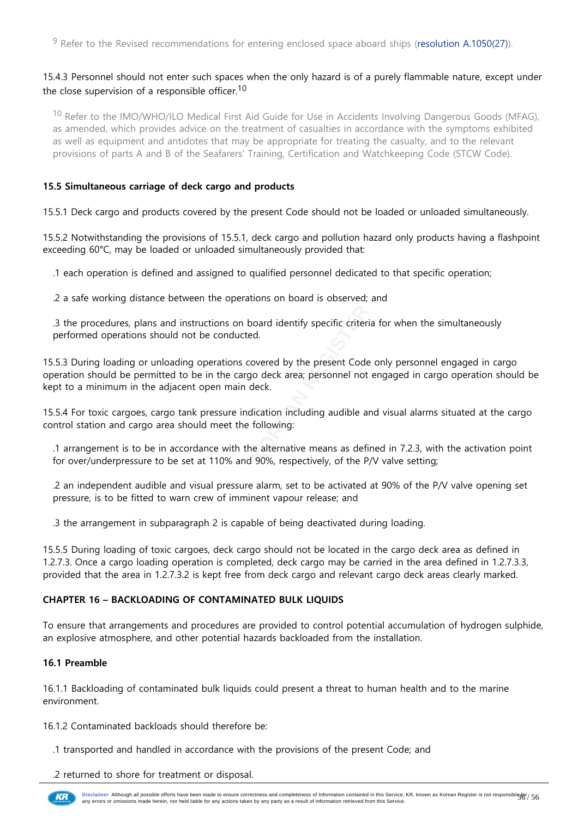$9$  Refer to the Revised recommendations for entering enclosed space aboard ships ([resolution A.1050\(27\)\)](http://103.12.248.9usercommontreeredirect.aspx?category_id=55311&node_type=normal&is_leaf=true&is_viewchild=true).

# 15.4.3 Personnel should not enter such spaces when the only hazard is of a purely flammable nature, except under the close supervision of a responsible officer.<sup>10</sup>

<sup>10</sup> Refer to the IMO/WHO/ILO Medical First Aid Guide for Use in Accidents Involving Dangerous Goods (MFAG), as amended, which provides advice on the treatment of casualties in accordance with the symptoms exhibited as well as equipment and antidotes that may be appropriate for treating the casualty, and to the relevant provisions of parts A and B of the Seafarers' Training, Certification and Watchkeeping Code (STCW Code).

# **15.5 Simultaneous carriage of deck cargo and products**

15.5.1 Deck cargo and products covered by the present Code should not be loaded or unloaded simultaneously.

15.5.2 Notwithstanding the provisions of 15.5.1, deck cargo and pollution hazard only products having a flashpoint exceeding 60°C, may be loaded or unloaded simultaneously provided that:

.1 each operation is defined and assigned to qualified personnel dedicated to that specific operation;

.2 a safe working distance between the operations on board is observed; and

.3 the procedures, plans and instructions on board identify specific criteria for when the simultaneously performed operations should not be conducted.

15.5.3 During loading or unloading operations covered by the present Code only personnel engaged in cargo operation should be permitted to be in the cargo deck area; personnel not engaged in cargo operation should be kept to a minimum in the adjacent open main deck. Formal dentify specific criterianned.<br>
Solution overed by the present Code<br>
Solution deck area; personnel not edeck.<br>
Hication including audible and<br>
following:<br>
The alternative means as definition of the PA<br>
Solution of t

15.5.4 For toxic cargoes, cargo tank pressure indication including audible and visual alarms situated at the cargo control station and cargo area should meet the following:

.1 arrangement is to be in accordance with the alternative means as defined in 7.2.3, with the activation point for over/underpressure to be set at 110% and 90%, respectively, of the P/V valve setting;

.2 an independent audible and visual pressure alarm, set to be activated at 90% of the P/V valve opening set pressure, is to be fitted to warn crew of imminent vapour release; and

.3 the arrangement in subparagraph 2 is capable of being deactivated during loading.

15.5.5 During loading of toxic cargoes, deck cargo should not be located in the cargo deck area as defined in 1.2.7.3. Once a cargo loading operation is completed, deck cargo may be carried in the area defined in 1.2.7.3.3, provided that the area in 1.2.7.3.2 is kept free from deck cargo and relevant cargo deck areas clearly marked.

#### **CHAPTER 16 – BACKLOADING OF CONTAMINATED BULK LIQUIDS**

To ensure that arrangements and procedures are provided to control potential accumulation of hydrogen sulphide, an explosive atmosphere, and other potential hazards backloaded from the installation.

#### **16.1 Preamble**

16.1.1 Backloading of contaminated bulk liquids could present a threat to human health and to the marine environment.

16.1.2 Contaminated backloads should therefore be:

.1 transported and handled in accordance with the provisions of the present Code; and

.2 returned to shore for treatment or disposal.

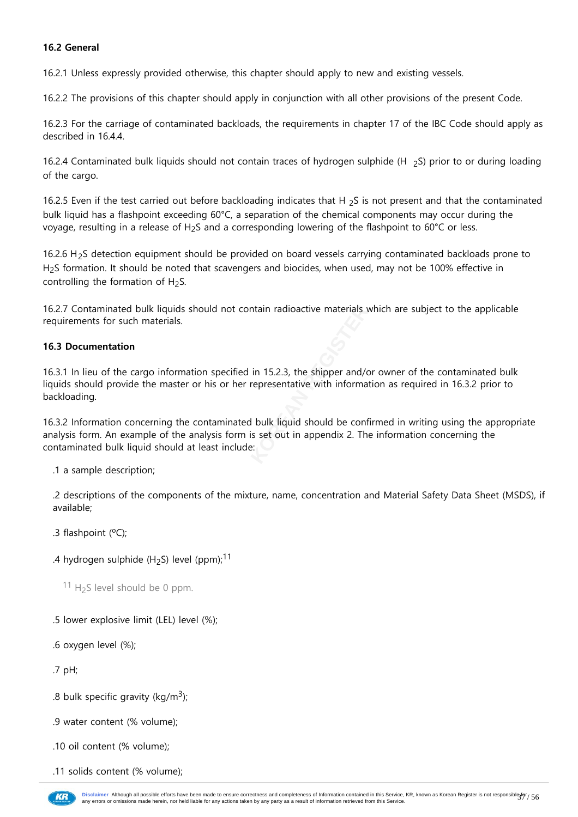# **16.2 General**

16.2.1 Unless expressly provided otherwise, this chapter should apply to new and existing vessels.

16.2.2 The provisions of this chapter should apply in conjunction with all other provisions of the present Code.

16.2.3 For the carriage of contaminated backloads, the requirements in chapter 17 of the IBC Code should apply as described in 16.4.4.

16.2.4 Contaminated bulk liquids should not contain traces of hydrogen sulphide (H 2S) prior to or during loading of the cargo.

16.2.5 Even if the test carried out before backloading indicates that H <sub>2</sub>S is not present and that the contaminated bulk liquid has a flashpoint exceeding 60°C, a separation of the chemical components may occur during the voyage, resulting in a release of H<sub>2</sub>S and a corresponding lowering of the flashpoint to 60°C or less.

16.2.6 H 2S detection equipment should be provided on board vessels carrying contaminated backloads prone to H 2S formation. It should be noted that scavengers and biocides, when used, may not be 100% effective in controlling the formation of H 2S.

16.2.7 Contaminated bulk liquids should not contain radioactive materials which are subject to the applicable requirements for such materials.

# **16.3 Documentation**

16.3.1 In lieu of the cargo information specified in 15.2.3, the shipper and/or owner of the contaminated bulk liquids should provide the master or his or her representative with information as required in 16.3.2 prior to backloading.

16.3.2 Information concerning the contaminated bulk liquid should be confirmed in writing using the appropriate analysis form. An example of the analysis form is set out in appendix 2. The information concerning the contaminated bulk liquid should at least include: In adioactive materials where the sum of the shipper and/or the shipper and/or the set out in information<br>**K**<br>**KOREAN REGISTER**<br>**K**<br>**KOREAN REGISTER**<br>**K**<br>**KOREAN REGISTER**<br>**EXECUTE:**<br>**KOREAN REGISTER**<br>**EXECUTE:** 

.1 a sample description;

.2 descriptions of the components of the mixture, name, concentration and Material Safety Data Sheet (MSDS), if available;

.3 flashpoint (ºC);

.4 hydrogen sulphide  $(H_2S)$  level (ppm);<sup>11</sup>

 $11 H<sub>2</sub>S$  level should be 0 ppm.

.5 lower explosive limit (LEL) level (%);

.6 oxygen level (%);

.7 pH;

.8 bulk specific gravity (kg/m<sup>3</sup>);

.9 water content (% volume);

.10 oil content (% volume);

.11 solids content (% volume);

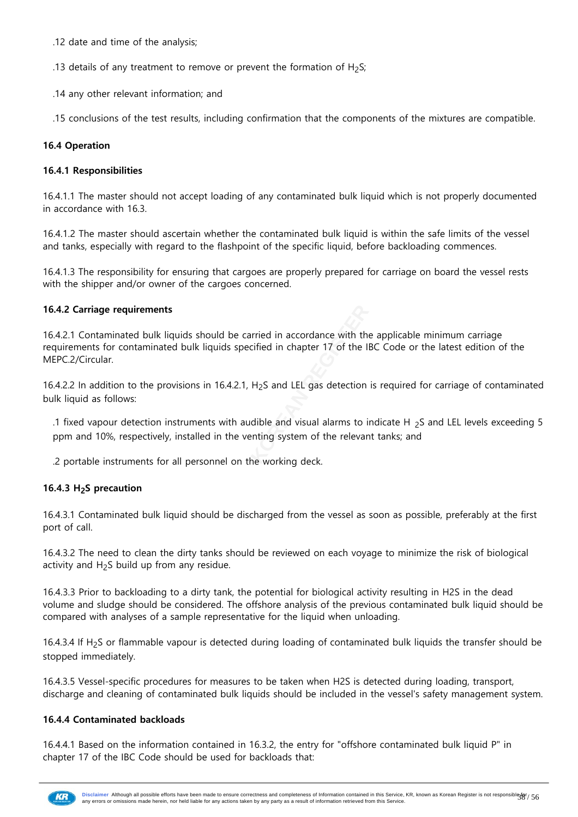.12 date and time of the analysis;

.13 details of any treatment to remove or prevent the formation of  $H_2S$ ;

.14 any other relevant information; and

.15 conclusions of the test results, including confirmation that the components of the mixtures are compatible.

# **16.4 Operation**

#### **16.4.1 Responsibilities**

16.4.1.1 The master should not accept loading of any contaminated bulk liquid which is not properly documented in accordance with 16.3.

16.4.1.2 The master should ascertain whether the contaminated bulk liquid is within the safe limits of the vessel and tanks, especially with regard to the flashpoint of the specific liquid, before backloading commences.

16.4.1.3 The responsibility for ensuring that cargoes are properly prepared for carriage on board the vessel rests with the shipper and/or owner of the cargoes concerned.

# **16.4.2 Carriage requirements**

16.4.2.1 Contaminated bulk liquids should be carried in accordance with the applicable minimum carriage requirements for contaminated bulk liquids specified in chapter 17 of the IBC Code or the latest edition of the MEPC.2/Circular. First in accordance with the cified in chapter 17 of the IBC<br> $H_2S$  and LEL gas detection is<br>dible and visual alarms to ine<br>enting system of the relevant<br>ne working deck

16.4.2.2 In addition to the provisions in 16.4.2.1, H 2S and LEL gas detection is required for carriage of contaminated bulk liquid as follows:

.1 fixed vapour detection instruments with audible and visual alarms to indicate H <sub>2</sub>S and LEL levels exceeding 5 ppm and 10%, respectively, installed in the venting system of the relevant tanks; and

.2 portable instruments for all personnel on the working deck.

# **16.4.3 H 2S precaution**

16.4.3.1 Contaminated bulk liquid should be discharged from the vessel as soon as possible, preferably at the first port of call.

16.4.3.2 The need to clean the dirty tanks should be reviewed on each voyage to minimize the risk of biological activity and H 2S build up from any residue.

16.4.3.3 Prior to backloading to a dirty tank, the potential for biological activity resulting in H2S in the dead volume and sludge should be considered. The offshore analysis of the previous contaminated bulk liquid should be compared with analyses of a sample representative for the liquid when unloading.

16.4.3.4 If H 2S or flammable vapour is detected during loading of contaminated bulk liquids the transfer should be stopped immediately.

16.4.3.5 Vessel-specific procedures for measures to be taken when H2S is detected during loading, transport, discharge and cleaning of contaminated bulk liquids should be included in the vessel's safety management system.

# **16.4.4 Contaminated backloads**

16.4.4.1 Based on the information contained in 16.3.2, the entry for "offshore contaminated bulk liquid P" in chapter 17 of the IBC Code should be used for backloads that:

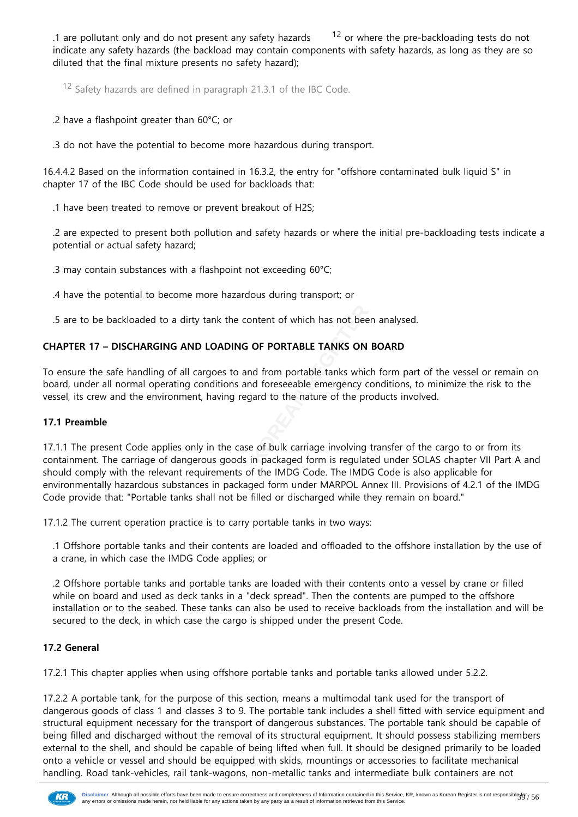.1 are pollutant only and do not present any safety hazards  $12$  or where the pre-backloading tests do not indicate any safety hazards (the backload may contain components with safety hazards, as long as they are so diluted that the final mixture presents no safety hazard);

<sup>12</sup> Safety hazards are defined in paragraph 21.3.1 of the IBC Code.

.2 have a flashpoint greater than 60°C; or

.3 do not have the potential to become more hazardous during transport.

16.4.4.2 Based on the information contained in 16.3.2, the entry for "offshore contaminated bulk liquid S" in chapter 17 of the IBC Code should be used for backloads that:

.1 have been treated to remove or prevent breakout of H2S;

.2 are expected to present both pollution and safety hazards or where the initial pre-backloading tests indicate a potential or actual safety hazard;

.3 may contain substances with a flashpoint not exceeding 60°C;

.4 have the potential to become more hazardous during transport; or

.5 are to be backloaded to a dirty tank the content of which has not been analysed.

# **CHAPTER 17 – DISCHARGING AND LOADING OF PORTABLE TANKS ON BOARD**

To ensure the safe handling of all cargoes to and from portable tanks which form part of the vessel or remain on board, under all normal operating conditions and foreseeable emergency conditions, to minimize the risk to the vessel, its crew and the environment, having regard to the nature of the products involved. Intent of which has not been<br> **OF PORTABLE TANKS ON B**<br>
Ind from portable tanks which<br>
Ind foreseeable emergency co<br>
Jard to the nature of the proport<br>
Portal proportion<br>
Portal proportion<br>
Portal proportion<br>
Portal propor

#### **17.1 Preamble**

17.1.1 The present Code applies only in the case of bulk carriage involving transfer of the cargo to or from its containment. The carriage of dangerous goods in packaged form is regulated under SOLAS chapter VII Part A and should comply with the relevant requirements of the IMDG Code. The IMDG Code is also applicable for environmentally hazardous substances in packaged form under MARPOL Annex III. Provisions of 4.2.1 of the IMDG Code provide that: "Portable tanks shall not be filled or discharged while they remain on board."

17.1.2 The current operation practice is to carry portable tanks in two ways:

.1 Offshore portable tanks and their contents are loaded and offloaded to the offshore installation by the use of a crane, in which case the IMDG Code applies; or

.2 Offshore portable tanks and portable tanks are loaded with their contents onto a vessel by crane or filled while on board and used as deck tanks in a "deck spread". Then the contents are pumped to the offshore installation or to the seabed. These tanks can also be used to receive backloads from the installation and will be secured to the deck, in which case the cargo is shipped under the present Code.

#### **17.2 General**

17.2.1 This chapter applies when using offshore portable tanks and portable tanks allowed under 5.2.2.

17.2.2 A portable tank, for the purpose of this section, means a multimodal tank used for the transport of dangerous goods of class 1 and classes 3 to 9. The portable tank includes a shell fitted with service equipment and structural equipment necessary for the transport of dangerous substances. The portable tank should be capable of being filled and discharged without the removal of its structural equipment. It should possess stabilizing members external to the shell, and should be capable of being lifted when full. It should be designed primarily to be loaded onto a vehicle or vessel and should be equipped with skids, mountings or accessories to facilitate mechanical handling. Road tank-vehicles, rail tank-wagons, non-metallic tanks and intermediate bulk containers are not

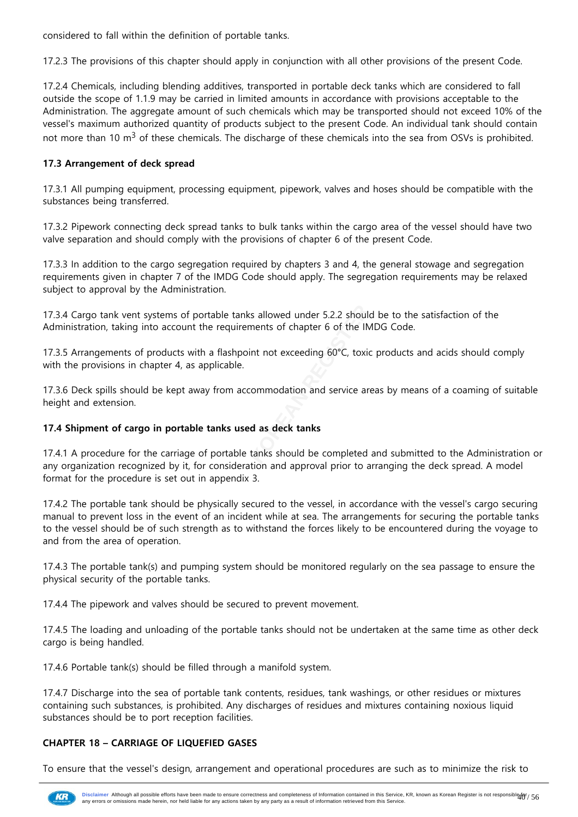considered to fall within the definition of portable tanks.

17.2.3 The provisions of this chapter should apply in conjunction with all other provisions of the present Code.

17.2.4 Chemicals, including blending additives, transported in portable deck tanks which are considered to fall outside the scope of 1.1.9 may be carried in limited amounts in accordance with provisions acceptable to the Administration. The aggregate amount of such chemicals which may be transported should not exceed 10% of the vessel's maximum authorized quantity of products subject to the present Code. An individual tank should contain not more than 10  $\text{m}^3$  of these chemicals. The discharge of these chemicals into the sea from OSVs is prohibited.

# **17.3 Arrangement of deck spread**

17.3.1 All pumping equipment, processing equipment, pipework, valves and hoses should be compatible with the substances being transferred.

17.3.2 Pipework connecting deck spread tanks to bulk tanks within the cargo area of the vessel should have two valve separation and should comply with the provisions of chapter 6 of the present Code.

17.3.3 In addition to the cargo segregation required by chapters 3 and 4, the general stowage and segregation requirements given in chapter 7 of the IMDG Code should apply. The segregation requirements may be relaxed subject to approval by the Administration.

17.3.4 Cargo tank vent systems of portable tanks allowed under 5.2.2 should be to the satisfaction of the Administration, taking into account the requirements of chapter 6 of the IMDG Code.

17.3.5 Arrangements of products with a flashpoint not exceeding 60°C, toxic products and acids should comply with the provisions in chapter 4, as applicable. Sallowed under 5.2.2 should<br>
ments of chapter 6 of the IMI<br>
nt not exceeding 60°C, toxic<br>
commodation and service are<br> **d as deck tanks**<br>
tanks should be completed a

17.3.6 Deck spills should be kept away from accommodation and service areas by means of a coaming of suitable height and extension.

# **17.4 Shipment of cargo in portable tanks used as deck tanks**

17.4.1 A procedure for the carriage of portable tanks should be completed and submitted to the Administration or any organization recognized by it, for consideration and approval prior to arranging the deck spread. A model format for the procedure is set out in appendix 3.

17.4.2 The portable tank should be physically secured to the vessel, in accordance with the vessel's cargo securing manual to prevent loss in the event of an incident while at sea. The arrangements for securing the portable tanks to the vessel should be of such strength as to withstand the forces likely to be encountered during the voyage to and from the area of operation.

17.4.3 The portable tank(s) and pumping system should be monitored regularly on the sea passage to ensure the physical security of the portable tanks.

17.4.4 The pipework and valves should be secured to prevent movement.

the vessel, its crew and the environment, when carrying liquefied gases in bulk.

17.4.5 The loading and unloading of the portable tanks should not be undertaken at the same time as other deck cargo is being handled.

17.4.6 Portable tank(s) should be filled through a manifold system.

17.4.7 Discharge into the sea of portable tank contents, residues, tank washings, or other residues or mixtures containing such substances, is prohibited. Any discharges of residues and mixtures containing noxious liquid substances should be to port reception facilities.

# **CHAPTER 18 – CARRIAGE OF LIQUEFIED GASES**

To ensure that the vessel's design, arrangement and operational procedures are such as to minimize the risk to

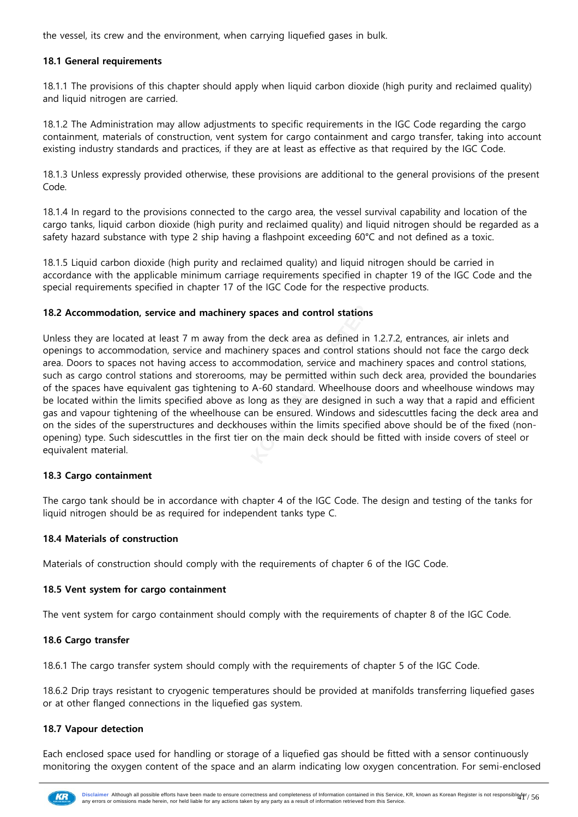the vessel, its crew and the environment, when carrying liquefied gases in bulk.

# **18.1 General requirements**

18.1.1 The provisions of this chapter should apply when liquid carbon dioxide (high purity and reclaimed quality) and liquid nitrogen are carried.

18.1.2 The Administration may allow adjustments to specific requirements in the IGC Code regarding the cargo containment, materials of construction, vent system for cargo containment and cargo transfer, taking into account existing industry standards and practices, if they are at least as effective as that required by the IGC Code.

18.1.3 Unless expressly provided otherwise, these provisions are additional to the general provisions of the present Code.

18.1.4 In regard to the provisions connected to the cargo area, the vessel survival capability and location of the cargo tanks, liquid carbon dioxide (high purity and reclaimed quality) and liquid nitrogen should be regarded as a safety hazard substance with type 2 ship having a flashpoint exceeding 60°C and not defined as a toxic.

18.1.5 Liquid carbon dioxide (high purity and reclaimed quality) and liquid nitrogen should be carried in accordance with the applicable minimum carriage requirements specified in chapter 19 of the IGC Code and the special requirements specified in chapter 17 of the IGC Code for the respective products.

#### **18.2 Accommodation, service and machinery spaces and control stations**

Unless they are located at least 7 m away from the deck area as defined in 1.2.7.2, entrances, air inlets and openings to accommodation, service and machinery spaces and control stations should not face the cargo deck area. Doors to spaces not having access to accommodation, service and machinery spaces and control stations, such as cargo control stations and storerooms, may be permitted within such deck area, provided the boundaries of the spaces have equivalent gas tightening to A-60 standard. Wheelhouse doors and wheelhouse windows may be located within the limits specified above as long as they are designed in such a way that a rapid and efficient gas and vapour tightening of the wheelhouse can be ensured. Windows and sidescuttles facing the deck area and on the sides of the superstructures and deckhouses within the limits specified above should be of the fixed (nonopening) type. Such sidescuttles in the first tier on the main deck should be fitted with inside covers of steel or equivalent material. **Spaces and control stations**<br>the deck area as defined in '<br>nery spaces and control station<br>mmodation, service and mac<br>may be permitted within suck<br>A-60 standard. Wheelhouse<br>ong as they are designed in<br>an be ensured. Windo

#### **18.3 Cargo containment**

The cargo tank should be in accordance with chapter 4 of the IGC Code. The design and testing of the tanks for liquid nitrogen should be as required for independent tanks type C.

#### **18.4 Materials of construction**

Materials of construction should comply with the requirements of chapter 6 of the IGC Code.

#### **18.5 Vent system for cargo containment**

spaces portable equipment may also be acceptable.

The vent system for cargo containment should comply with the requirements of chapter 8 of the IGC Code.

#### **18.6 Cargo transfer**

18.6.1 The cargo transfer system should comply with the requirements of chapter 5 of the IGC Code.

18.6.2 Drip trays resistant to cryogenic temperatures should be provided at manifolds transferring liquefied gases or at other flanged connections in the liquefied gas system.

#### **18.7 Vapour detection**

Each enclosed space used for handling or storage of a liquefied gas should be fitted with a sensor continuously monitoring the oxygen content of the space and an alarm indicating low oxygen concentration. For semi-enclosed

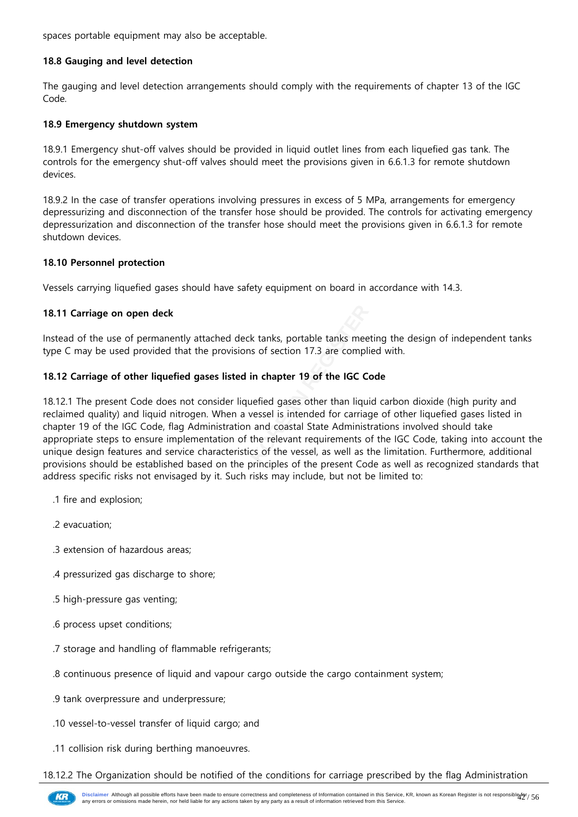spaces portable equipment may also be acceptable.

# **18.8 Gauging and level detection**

The gauging and level detection arrangements should comply with the requirements of chapter 13 of the IGC Code.

# **18.9 Emergency shutdown system**

18.9.1 Emergency shut-off valves should be provided in liquid outlet lines from each liquefied gas tank. The controls for the emergency shut-off valves should meet the provisions given in 6.6.1.3 for remote shutdown devices.

18.9.2 In the case of transfer operations involving pressures in excess of 5 MPa, arrangements for emergency depressurizing and disconnection of the transfer hose should be provided. The controls for activating emergency depressurization and disconnection of the transfer hose should meet the provisions given in 6.6.1.3 for remote shutdown devices.

# **18.10 Personnel protection**

Vessels carrying liquefied gases should have safety equipment on board in accordance with 14.3.

# **18.11 Carriage on open deck**

Instead of the use of permanently attached deck tanks, portable tanks meeting the design of independent tanks type C may be used provided that the provisions of section 17.3 are complied with.

# **18.12 Carriage of other liquefied gases listed in chapter 19 of the IGC Code**

18.12.1 The present Code does not consider liquefied gases other than liquid carbon dioxide (high purity and reclaimed quality) and liquid nitrogen. When a vessel is intended for carriage of other liquefied gases listed in chapter 19 of the IGC Code, flag Administration and coastal State Administrations involved should take appropriate steps to ensure implementation of the relevant requirements of the IGC Code, taking into account the unique design features and service characteristics of the vessel, as well as the limitation. Furthermore, additional provisions should be established based on the principles of the present Code as well as recognized standards that address specific risks not envisaged by it. Such risks may include, but not be limited to: k tanks, portable tanks meeti<br>s of section 17.3 are complie<br>in chapter 19 of the IGC Cor<br>uefied gases other than liquid<br>vessel is intended for carriage<br>and coastal State Administra<br>the relevant requirements of<br>cs of the ve

- .1 fire and explosion;
- .2 evacuation;
- .3 extension of hazardous areas;
- .4 pressurized gas discharge to shore;
- .5 high-pressure gas venting;
- .6 process upset conditions;
- .7 storage and handling of flammable refrigerants;
- .8 continuous presence of liquid and vapour cargo outside the cargo containment system;
- .9 tank overpressure and underpressure;
- .10 vessel-to-vessel transfer of liquid cargo; and
- .11 collision risk during berthing manoeuvres.
- 18.12.2 The Organization should be notified of the conditions for carriage prescribed by the flag Administration

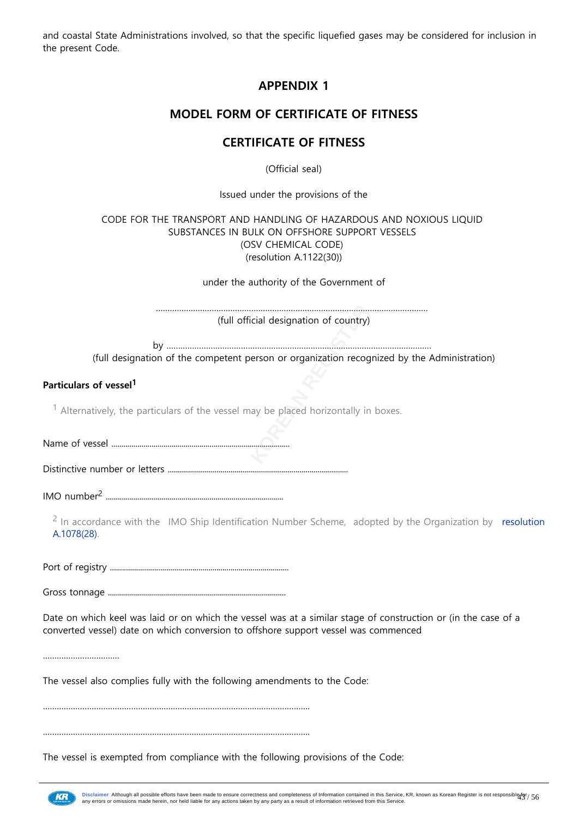and coastal State Administrations involved, so that the specific liquefied gases may be considered for inclusion in the present Code.

# **APPENDIX 1**

# **MODEL FORM OF CERTIFICATE OF FITNESS**

# **CERTIFICATE OF FITNESS**

(Official seal)

Issued under the provisions of the

CODE FOR THE TRANSPORT AND HANDLING OF HAZARDOUS AND NOXIOUS LIQUID SUBSTANCES IN BULK ON OFFSHORE SUPPORT VESSELS (OSV CHEMICAL CODE) (resolution A.1122(30))

under the authority of the Government of

(full official designation of country)

………………………………………………………………………………………………………

by ……………………………………………………………………………………………………

(full designation of the competent person or organization recognized by the Administration) Final designation of country)<br>
Final designation of country)<br>
Final designation recogn<br>
The placed horizontally in

# **Particulars of vessel 1**

<sup>1</sup> Alternatively, the particulars of the vessel may be placed horizontally in boxes.

Name of vessel .........................................................................................

Distinctive number or letters .........................................................................................

IMO number 2 .........................................................................................

<sup>2</sup> [In accordance with the IMO Ship Identification Number Scheme, adopted by the Organization by resolution](http://103.12.248.9usercommontreeredirect.aspx?category_id=59971&node_type=normal&is_leaf=true&is_viewchild=true) A.1078(28) .

Port of registry .........................................................................................

Gross tonnage .........................................................................................

Date on which keel was laid or on which the vessel was at a similar stage of construction or (in the case of a converted vessel) date on which conversion to offshore support vessel was commenced

……………………………………

The vessel also complies fully with the following amendments to the Code:

…………………………………………………………………………………………………….

…………………………………………………………………………………………………….

. The contract of the contract of the contract of the contract of the contract of the contract of the contract of the contract of the contract of the contract of the contract of the contract of the contract of the contrac

The vessel is exempted from compliance with the following provisions of the Code:

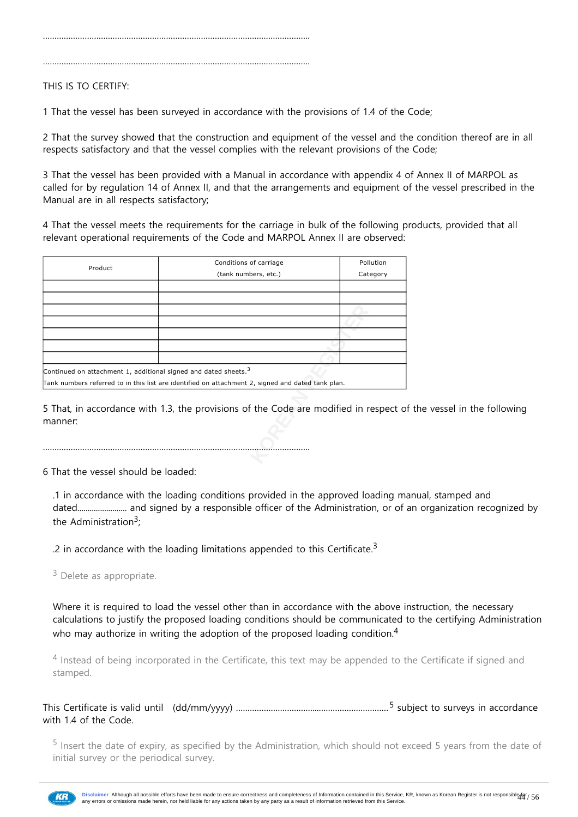| THIS IS TO CERTIFY: |  |
|---------------------|--|

1 That the vessel has been surveyed in accordance with the provisions of 1.4 of the Code;

2 That the survey showed that the construction and equipment of the vessel and the condition thereof are in all respects satisfactory and that the vessel complies with the relevant provisions of the Code;

3 That the vessel has been provided with a Manual in accordance with appendix 4 of Annex II of MARPOL as called for by regulation 14 of Annex II, and that the arrangements and equipment of the vessel prescribed in the Manual are in all respects satisfactory;

4 That the vessel meets the requirements for the carriage in bulk of the following products, provided that all relevant operational requirements of the Code and MARPOL Annex II are observed:

| Product                                                                                         | Conditions of carriage                                                                            | Pollution |  |  |
|-------------------------------------------------------------------------------------------------|---------------------------------------------------------------------------------------------------|-----------|--|--|
|                                                                                                 | (tank numbers, etc.)                                                                              | Category  |  |  |
|                                                                                                 |                                                                                                   |           |  |  |
|                                                                                                 |                                                                                                   |           |  |  |
|                                                                                                 |                                                                                                   |           |  |  |
|                                                                                                 |                                                                                                   |           |  |  |
|                                                                                                 |                                                                                                   |           |  |  |
|                                                                                                 |                                                                                                   |           |  |  |
|                                                                                                 |                                                                                                   |           |  |  |
| Continued on attachment 1, additional signed and dated sheets. <sup>3</sup>                     |                                                                                                   |           |  |  |
|                                                                                                 | Tank numbers referred to in this list are identified on attachment 2, signed and dated tank plan. |           |  |  |
|                                                                                                 |                                                                                                   |           |  |  |
| 5 That, in accordance with 1.3, the provisions of the Code are modified in respect o<br>manner: |                                                                                                   |           |  |  |
|                                                                                                 |                                                                                                   |           |  |  |
|                                                                                                 |                                                                                                   |           |  |  |
|                                                                                                 |                                                                                                   |           |  |  |

5 That, in accordance with 1.3, the provisions of the Code are modified in respect of the vessel in the following manner:

6 That the vessel should be loaded:

.1 in accordance with the loading conditions provided in the approved loading manual, stamped and dated........................ and signed by a responsible officer of the Administration, or of an organization recognized by the Administration<sup>3</sup>;

.2 in accordance with the loading limitations appended to this Certificate.<sup>3</sup>

 $3$  Delete as appropriate.

Where it is required to load the vessel other than in accordance with the above instruction, the necessary calculations to justify the proposed loading conditions should be communicated to the certifying Administration who may authorize in writing the adoption of the proposed loading condition.<sup>4</sup>

<sup>4</sup> Instead of being incorporated in the Certificate, this text may be appended to the Certificate if signed and stamped.

This Certificate is valid until (dd/mm/yyyy) ……………………………………………………………………5<sup>5</sup> subject to surveys in accordance with 1.4 of the Code.

<sup>5</sup> Insert the date of expiry, as specified by the Administration, which should not exceed 5 years from the date of initial survey or the periodical survey.

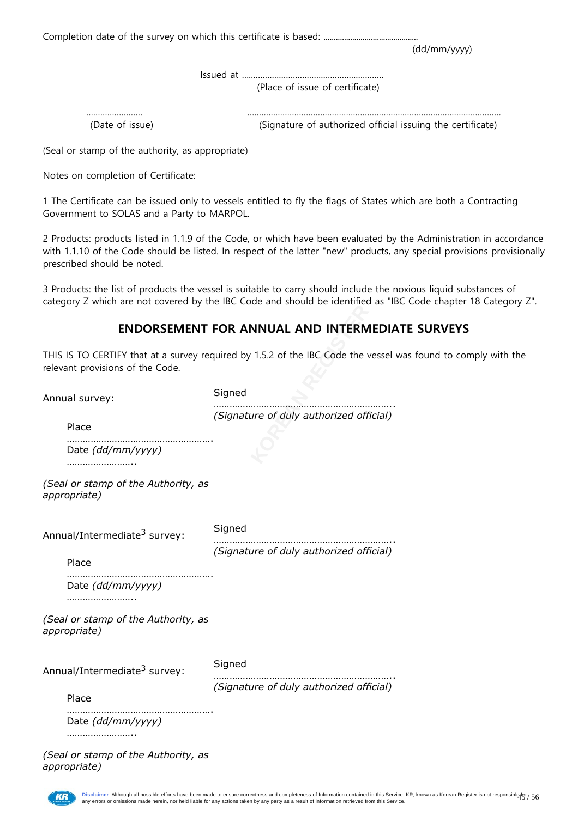Completion date of the survey on which this certificate is based: ..............................................

(dd/mm/yyyy)

Issued at ….…………………………………………………

(Place of issue of certificate)

…………………… ………………………………………………………………………………………………

(Date of issue) (Signature of authorized official issuing the certificate)

(Seal or stamp of the authority, as appropriate)

Notes on completion of Certificate:

1 The Certificate can be issued only to vessels entitled to fly the flags of States which are both a Contracting Government to SOLAS and a Party to MARPOL.

2 Products: products listed in 1.1.9 of the Code, or which have been evaluated by the Administration in accordance with 1.1.10 of the Code should be listed. In respect of the latter "new" products, any special provisions provisionally prescribed should be noted.

3 Products: the list of products the vessel is suitable to carry should include the noxious liquid substances of category Z which are not covered by the IBC Code and should be identified as "IBC Code chapter 18 Category Z".

# **ENDORSEMENT FOR ANNUAL AND INTERMEDIATE SURVEYS**

THIS IS TO CERTIFY that at a survey required by 1.5.2 of the IBC Code the vessel was found to comply with the relevant provisions of the Code.

Annual survey: Signed

………………………………………………………….. *(Signature of duly authorized official)* **KNUAL AND INTERME**<br> **KNUAL AND INTERME**<br> **KNUAL AND INTERME**<br> **CORECTERMENT AND INTERME** 

Place

……………………………………………………… Date *(dd/mm/yyyy)* ……………………..

*(Seal or stamp of the Authority, as appropriate)*

Annual/Intermediate<sup>3</sup> survey:

Signed ………………………………………………………….. *(Signature of duly authorized official)*

Place

………………………………………………. Date *(dd/mm/yyyy)* ……………………

*(Seal or stamp of the Authority, as appropriate)*

Annual/Intermediate<sup>3</sup> survey:

**Signed** …………………………………………………………..

*(Signature of duly authorized official)*

Place

………………………………………………. Date *(dd/mm/yyyy)* …………………………

*(Seal or stamp of the Authority, as appropriate)*

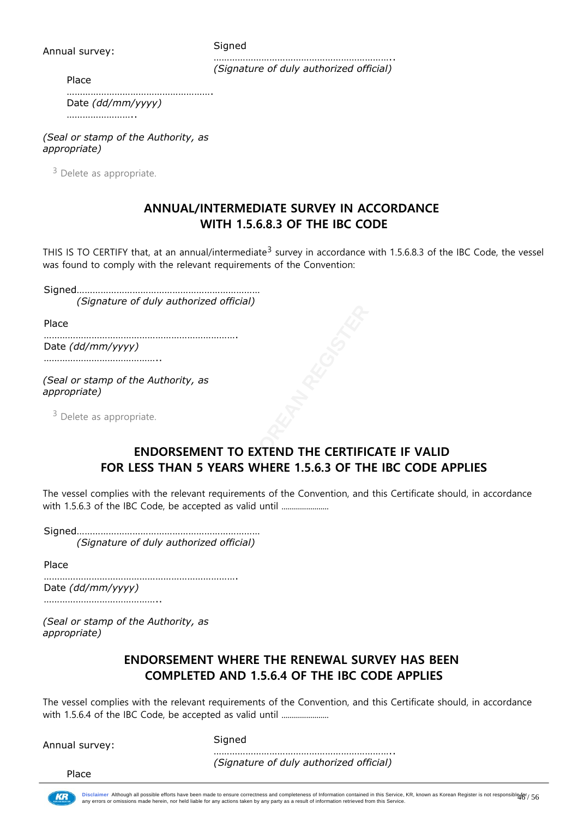# Annual survey: Signed

………………………………………………………….. *(Signature of duly authorized official)*

Place

………………………………………………. Date *(dd/mm/yyyy)* …………………………

*(Seal or stamp of the Authority, as appropriate)*

<sup>3</sup> Delete as appropriate.

# **ANNUAL/INTERMEDIATE SURVEY IN ACCORDANCE WITH 1.5.6.8.3 OF THE IBC CODE**

THIS IS TO CERTIFY that, at an annual/intermediate<sup>3</sup> survey in accordance with 1.5.6.8.3 of the IBC Code, the vessel was found to comply with the relevant requirements of the Convention:

Signed…………………………………………………………… *(Signature of duly authorized official)*

Place

………………………………………………………………. Date *(dd/mm/yyyy)*

………………………………………

*(Seal or stamp of the Authority, as appropriate)*

<sup>3</sup> Delete as appropriate.

# **ENDORSEMENT TO EXTEND THE CERTIFICATE IF VALID FOR LESS THAN 5 YEARS WHERE 1.5.6.3 OF THE IBC CODE APPLIES** EXTEND THE CERTIFIC

The vessel complies with the relevant requirements of the Convention, and this Certificate should, in accordance with 1.5.6.3 of the IBC Code, be accepted as valid until ........................

Signed…………………………………………………………… *(Signature of duly authorized official)*

Place

………………………………………………………………. Date *(dd/mm/yyyy)* ……………………………………..

*(Seal or stamp of the Authority, as appropriate)*

# **ENDORSEMENT WHERE THE RENEWAL SURVEY HAS BEEN COMPLETED AND 1.5.6.4 OF THE IBC CODE APPLIES**

The vessel complies with the relevant requirements of the Convention, and this Certificate should, in accordance with 1.5.6.4 of the IBC Code, be accepted as valid until ........................

Annual survey: Signed

………………………………………………………….. *(Signature of duly authorized official)*

Place

……………………..

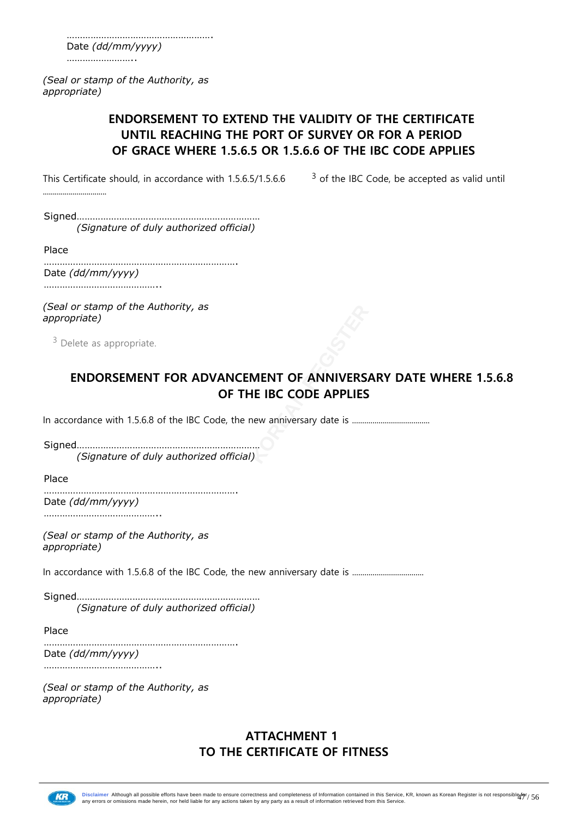…………………………………………………… Date *(dd/mm/yyyy)* …………………………

*(Seal or stamp of the Authority, as appropriate)*

# **ENDORSEMENT TO EXTEND THE VALIDITY OF THE CERTIFICATE UNTIL REACHING THE PORT OF SURVEY OR FOR A PERIOD OF GRACE WHERE 1.5.6.5 OR 1.5.6.6 OF THE IBC CODE APPLIES**

This Certificate should, in accordance with 1.5.6.5/1.5.6.6

 $3$  of the IBC Code, be accepted as valid until

Signed…………………………………………………………… *(Signature of duly authorized official)*

Place

................................

………………………………………………………………. Date *(dd/mm/yyyy)* ……………………………………

*(Seal or stamp of the Authority, as appropriate)*

 $3$  Delete as appropriate.

# **ENDORSEMENT FOR ADVANCEMENT OF ANNIVERSARY DATE WHERE 1.5.6.8 OF THE IBC CODE APPLIES KOREAN REGISTER**

In accordance with 1.5.6.8 of the IBC Code, the new anniversary date is ......................................

Signed…………………………………………………………… *(Signature of duly authorized official)* Place

………………………………………………………………. Date *(dd/mm/yyyy)* ……………………………………..

*(Seal or stamp of the Authority, as appropriate)*

In accordance with 1.5.6.8 of the IBC Code, the new anniversary date is ...................................

Continued list of products to those specified in section 4, and their conditions of carriage.

Signed…………………………………………………………… *(Signature of duly authorized official)*

Place

………………………………………………………………. Date *(dd/mm/yyyy)*

………………………………………

*(Seal or stamp of the Authority, as appropriate)*

# **ATTACHMENT 1 TO THE CERTIFICATE OF FITNESS**

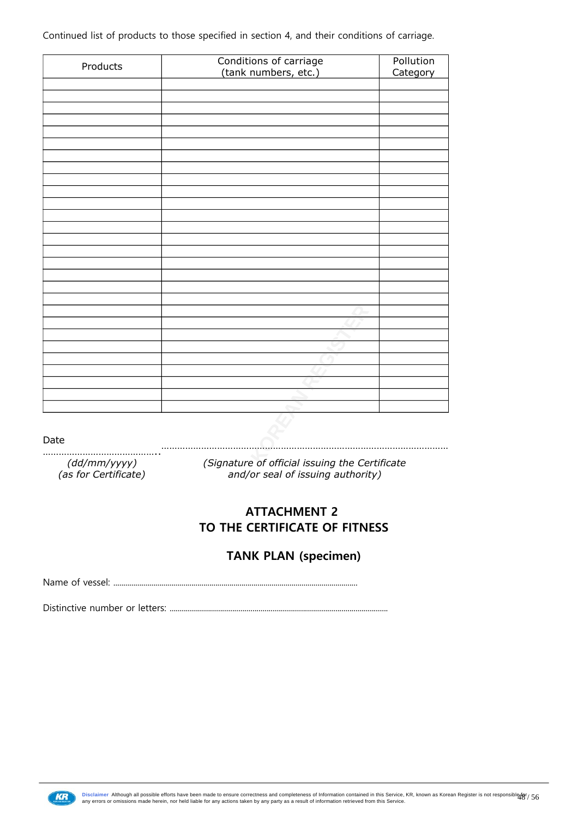Continued list of products to those specified in section 4, and their conditions of carriage.

| Products                              | Conditions of carriage                         | Pollution |
|---------------------------------------|------------------------------------------------|-----------|
|                                       | (tank numbers, etc.)                           | Category  |
|                                       |                                                |           |
|                                       |                                                |           |
|                                       |                                                |           |
|                                       |                                                |           |
|                                       |                                                |           |
|                                       |                                                |           |
|                                       |                                                |           |
|                                       |                                                |           |
|                                       |                                                |           |
|                                       |                                                |           |
|                                       |                                                |           |
|                                       |                                                |           |
|                                       |                                                |           |
|                                       |                                                |           |
|                                       |                                                |           |
|                                       |                                                |           |
|                                       |                                                |           |
|                                       |                                                |           |
|                                       |                                                |           |
|                                       |                                                |           |
|                                       |                                                |           |
|                                       |                                                |           |
|                                       |                                                |           |
|                                       |                                                |           |
|                                       |                                                |           |
|                                       |                                                |           |
|                                       |                                                |           |
| Date                                  |                                                |           |
| $\left(\frac{d\frac{d}{m}}{m}\right)$ | (Signature of official issuing the Certificate |           |

*(dd/mm/yyyy) (Signature of official issuing the Certificate (as for Certificate) and/or seal of issuing authority)*

# **ATTACHMENT 2 TO THE CERTIFICATE OF FITNESS**

# **TANK PLAN (specimen)**

Name of vessel: ..........................................................................................................................

Distinctive number or letters: ............................................................................................................

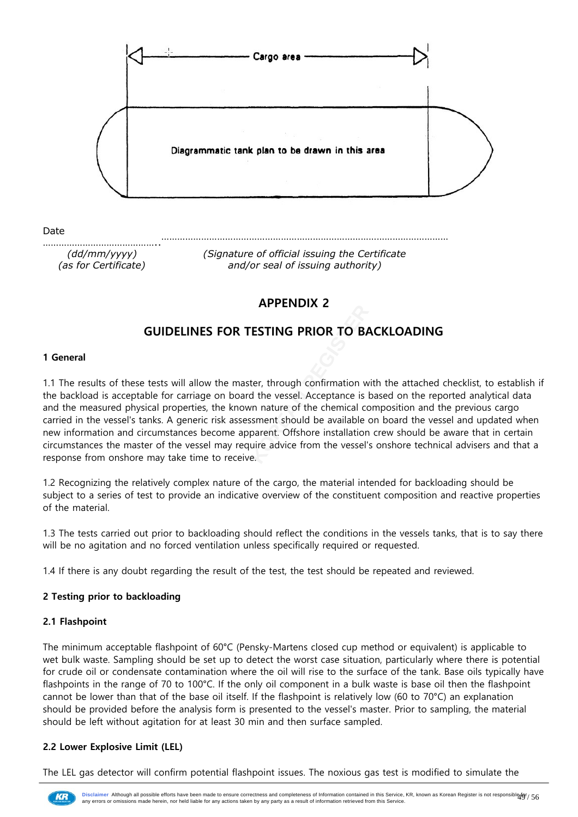

# **APPENDIX 2**

# **GUIDELINES FOR TESTING PRIOR TO BACKLOADING**

# **1 General**

1.1 The results of these tests will allow the master, through confirmation with the attached checklist, to establish if the backload is acceptable for carriage on board the vessel. Acceptance is based on the reported analytical data and the measured physical properties, the known nature of the chemical composition and the previous cargo carried in the vessel's tanks. A generic risk assessment should be available on board the vessel and updated when new information and circumstances become apparent. Offshore installation crew should be aware that in certain circumstances the master of the vessel may require advice from the vessel's onshore technical advisers and that a response from onshore may take time to receive. **KETTING PRIOR TO BACK ESTING PRIOR TO BACK**<br>ter, through confirmation with<br>the vessel. Acceptance is ban nature of the chemical cor<br>sment should be available or<br>parent. Offshore installation cuire advice from the vessel's

1.2 Recognizing the relatively complex nature of the cargo, the material intended for backloading should be subject to a series of test to provide an indicative overview of the constituent composition and reactive properties of the material.

1.3 The tests carried out prior to backloading should reflect the conditions in the vessels tanks, that is to say there will be no agitation and no forced ventilation unless specifically required or requested.

1.4 If there is any doubt regarding the result of the test, the test should be repeated and reviewed.

# **2 Testing prior to backloading**

# **2.1 Flashpoint**

The minimum acceptable flashpoint of 60°C (Pensky-Martens closed cup method or equivalent) is applicable to wet bulk waste. Sampling should be set up to detect the worst case situation, particularly where there is potential for crude oil or condensate contamination where the oil will rise to the surface of the tank. Base oils typically have flashpoints in the range of 70 to 100°C. If the only oil component in a bulk waste is base oil then the flashpoint cannot be lower than that of the base oil itself. If the flashpoint is relatively low (60 to 70°C) an explanation should be provided before the analysis form is presented to the vessel's master. Prior to sampling, the material should be left without agitation for at least 30 min and then surface sampled.

# **2.2 Lower Explosive Limit (LEL)**

The LEL gas detector will confirm potential flashpoint issues. The noxious gas test is modified to simulate the

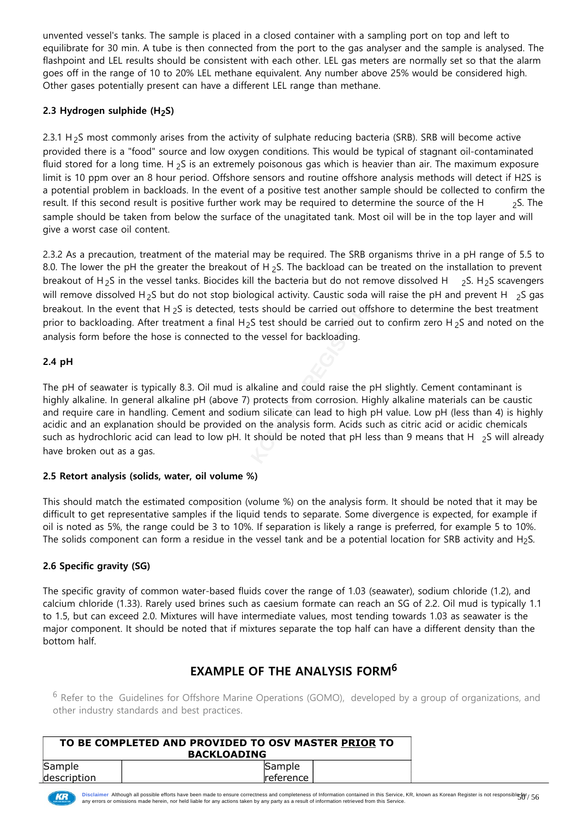unvented vessel's tanks. The sample is placed in a closed container with a sampling port on top and left to equilibrate for 30 min. A tube is then connected from the port to the gas analyser and the sample is analysed. The flashpoint and LEL results should be consistent with each other. LEL gas meters are normally set so that the alarm goes off in the range of 10 to 20% LEL methane equivalent. Any number above 25% would be considered high. Other gases potentially present can have a different LEL range than methane.

# **2.3 Hydrogen sulphide (H 2S)**

2.3.1 H 2S most commonly arises from the activity of sulphate reducing bacteria (SRB). SRB will become active provided there is a "food" source and low oxygen conditions. This would be typical of stagnant oil-contaminated fluid stored for a long time. H <sub>2</sub>S is an extremely poisonous gas which is heavier than air. The maximum exposure limit is 10 ppm over an 8 hour period. Offshore sensors and routine offshore analysis methods will detect if H2S is a potential problem in backloads. In the event of a positive test another sample should be collected to confirm the result. If this second result is positive further work may be required to determine the source of the H 2S. The sample should be taken from below the surface of the unagitated tank. Most oil will be in the top layer and will give a worst case oil content.

2.3.2 As a precaution, treatment of the material may be required. The SRB organisms thrive in a pH range of 5.5 to 8.0. The lower the pH the greater the breakout of H <sub>2</sub>S. The backload can be treated on the installation to prevent breakout of H 2S in the vessel tanks. Biocides kill the bacteria but do not remove dissolved H 2S. H 2S scavengers will remove dissolved H<sub>2</sub>S but do not stop biological activity. Caustic soda will raise the pH and prevent H  $_{2}$ S gas breakout. In the event that H<sub>2</sub>S is detected, tests should be carried out offshore to determine the best treatment prior to backloading. After treatment a final H<sub>2</sub>S test should be carried out to confirm zero H<sub>2</sub>S and noted on the analysis form before the hose is connected to the vessel for backloading.

# **2.4 pH**

The pH of seawater is typically 8.3. Oil mud is alkaline and could raise the pH slightly. Cement contaminant is highly alkaline. In general alkaline pH (above 7) protects from corrosion. Highly alkaline materials can be caustic and require care in handling. Cement and sodium silicate can lead to high pH value. Low pH (less than 4) is highly acidic and an explanation should be provided on the analysis form. Acids such as citric acid or acidic chemicals such as hydrochloric acid can lead to low pH. It should be noted that pH less than 9 means that H  $_{2}$ S will already have broken out as a gas. Its should be carried out offs<br>
S test should be carried out<br>
ne vessel for backloading.<br>
Ikaline and could raise the p<br>
protects from corrosion. High<br>
im silicate can lead to high p<br>
in the analysis form. Acids su<br>
should

# **2.5 Retort analysis (solids, water, oil volume %)**

This should match the estimated composition (volume %) on the analysis form. It should be noted that it may be difficult to get representative samples if the liquid tends to separate. Some divergence is expected, for example if oil is noted as 5%, the range could be 3 to 10%. If separation is likely a range is preferred, for example 5 to 10%. The solids component can form a residue in the vessel tank and be a potential location for SRB activity and H<sub>2</sub>S.

# **2.6 Specific gravity (SG)**

The specific gravity of common water-based fluids cover the range of 1.03 (seawater), sodium chloride (1.2), and calcium chloride (1.33). Rarely used brines such as caesium formate can reach an SG of 2.2. Oil mud is typically 1.1 to 1.5, but can exceed 2.0. Mixtures will have intermediate values, most tending towards 1.03 as seawater is the major component. It should be noted that if mixtures separate the top half can have a different density than the bottom half.

# **EXAMPLE OF THE ANALYSIS FORM 6**

<sup>6</sup> Refer to the Guidelines for Offshore Marine Operations (GOMO), developed by a group of organizations, and other industry standards and best practices.

| TO BE COMPLETED AND PROVIDED TO OSV MASTER PRIOR TO<br><b>BACKLOADING</b> |  |             |  |
|---------------------------------------------------------------------------|--|-------------|--|
| Sample                                                                    |  | Sample      |  |
| description                                                               |  | reference l |  |



any errors or omissions made herein, nor held liable for any actions taken by any party as a result of information contained in this Service, KR, known as Korean Register is not responsible for / 56 Of Sisclaimer Although all possible efforts have been made to ensure correctness and completeness of Information contained in this Service,<br>any errors or omissions made herein, nor held liable for any actions taken by any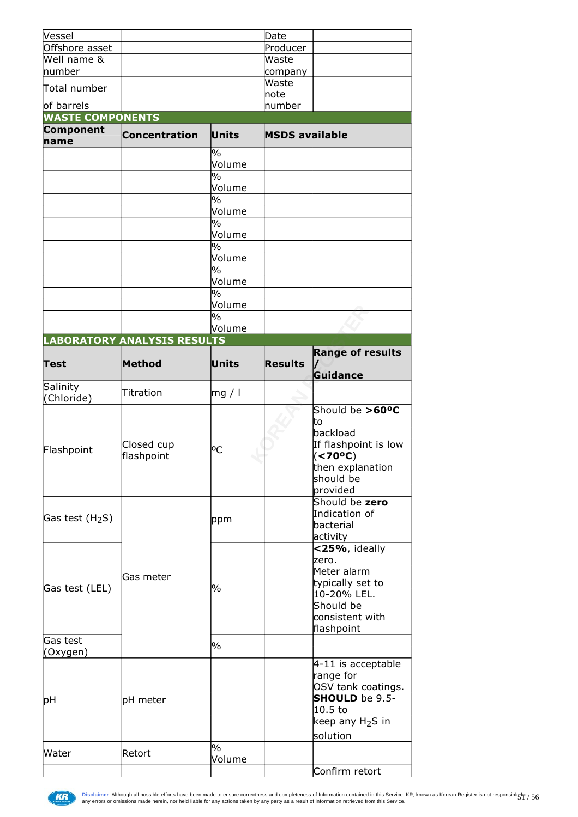| Vessel                   |                                    |                         | Date                  |                                                                                                                                       |
|--------------------------|------------------------------------|-------------------------|-----------------------|---------------------------------------------------------------------------------------------------------------------------------------|
| Offshore asset           |                                    |                         | Producer              |                                                                                                                                       |
| Well name &              |                                    |                         | Waste                 |                                                                                                                                       |
| number                   |                                    |                         | company               |                                                                                                                                       |
| Total number             |                                    |                         | Waste                 |                                                                                                                                       |
|                          |                                    |                         | note                  |                                                                                                                                       |
| of barrels               |                                    |                         | number                |                                                                                                                                       |
| <b>WASTE COMPONENTS</b>  |                                    |                         |                       |                                                                                                                                       |
| <b>Component</b><br>name | <b>Concentration</b>               | <b>Units</b>            | <b>MSDS available</b> |                                                                                                                                       |
|                          |                                    | $\frac{0}{0}$<br>Volume |                       |                                                                                                                                       |
|                          |                                    | $\%$                    |                       |                                                                                                                                       |
|                          |                                    | Volume<br>⊗             |                       |                                                                                                                                       |
|                          |                                    | Volume                  |                       |                                                                                                                                       |
|                          |                                    | $\%$                    |                       |                                                                                                                                       |
|                          |                                    | Volume                  |                       |                                                                                                                                       |
|                          |                                    | $\%$                    |                       |                                                                                                                                       |
|                          |                                    | Volume                  |                       |                                                                                                                                       |
|                          |                                    | ℅                       |                       |                                                                                                                                       |
|                          |                                    | Volume<br>℅             |                       |                                                                                                                                       |
|                          |                                    | Volume                  |                       |                                                                                                                                       |
|                          |                                    | $\frac{0}{0}$           |                       |                                                                                                                                       |
|                          |                                    | Volume                  |                       |                                                                                                                                       |
|                          | <b>LABORATORY ANALYSIS RESULTS</b> |                         |                       |                                                                                                                                       |
|                          |                                    |                         |                       | <b>Range of results</b>                                                                                                               |
| <b>Test</b>              | Method                             | <b>Units</b>            | <b>Results</b>        | <b>Guidance</b>                                                                                                                       |
| Salinity<br>(Chloride)   | <b>Titration</b>                   | mg / l                  |                       |                                                                                                                                       |
| Flashpoint               | Closed cup<br>flashpoint           | οC                      |                       | Should be >60°C<br>to<br>backload<br>If flashpoint is low<br>(<70°C)<br>then explanation<br>should be<br>provided                     |
| Gas test $(H2S)$         |                                    | ppm                     |                       | Should be zero<br>Indication of<br>bacterial<br>activity                                                                              |
| Gas test (LEL)           | Gas meter                          | $\frac{0}{0}$           |                       | $<$ 25%, ideally<br>zero.<br>Meter alarm<br>typically set to<br>10-20% LEL.<br>Should be<br>consistent with<br>flashpoint             |
| Gas test                 |                                    | $\frac{0}{0}$           |                       |                                                                                                                                       |
| (Oxygen)                 |                                    |                         |                       |                                                                                                                                       |
| pH                       | pH meter                           |                         |                       | 4-11 is acceptable<br>range for<br>OSV tank coatings.<br><b>SHOULD</b> be 9.5-<br>10.5 to<br>keep any H <sub>2</sub> S in<br>solution |
|                          |                                    | $\%$                    |                       |                                                                                                                                       |
| Water                    | Retort                             | Volume                  |                       |                                                                                                                                       |
|                          |                                    |                         |                       | Confirm retort                                                                                                                        |



any aun of Information contained in this Service, K  $\overline{\phantom{a}}$ Disclaimer Although all possible efforts have been made to ensure correctness and completeness of Information contained in this Service, KR, known as Korean Register is not responsible fpr / 56<br>any errors or omissions made

representative and the control of the control of the control of the control of the control of the control of the control of the control of the control of the control of the control of the control of the control of the cont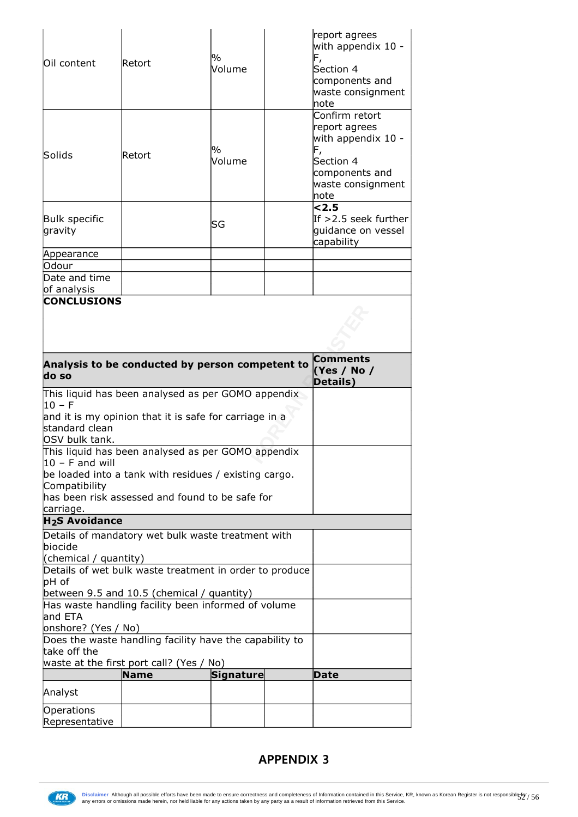| Oil content                                                                                                               | lRetort                                            | %<br>Volume    |  | report agrees<br>with appendix 10 -<br>F,<br>Section 4<br>components and<br>waste consignment<br>note                   |  |
|---------------------------------------------------------------------------------------------------------------------------|----------------------------------------------------|----------------|--|-------------------------------------------------------------------------------------------------------------------------|--|
| Solids                                                                                                                    | Retort                                             | $\%$<br>Volume |  | Confirm retort<br>report agrees<br>with appendix 10 -<br>F,<br>Section 4<br>components and<br>waste consignment<br>note |  |
| Bulk specific<br>gravity                                                                                                  |                                                    | SG             |  | 2.5<br>If >2.5 seek further<br>guidance on vessel<br>capability                                                         |  |
| Appearance                                                                                                                |                                                    |                |  |                                                                                                                         |  |
| Odour                                                                                                                     |                                                    |                |  |                                                                                                                         |  |
| Date and time                                                                                                             |                                                    |                |  |                                                                                                                         |  |
| of analysis                                                                                                               |                                                    |                |  |                                                                                                                         |  |
| do so                                                                                                                     | Analysis to be conducted by person competent to    |                |  | Comments<br>(Yes / No /<br>Details)                                                                                     |  |
|                                                                                                                           | This liquid has been analysed as per GOMO appendix |                |  |                                                                                                                         |  |
| l10 – F<br>and it is my opinion that it is safe for carriage in a<br>standard clean<br>OSV bulk tank.                     |                                                    |                |  |                                                                                                                         |  |
|                                                                                                                           | This liquid has been analysed as per GOMO appendix |                |  |                                                                                                                         |  |
| $ 10 - F$ and will                                                                                                        |                                                    |                |  |                                                                                                                         |  |
| be loaded into a tank with residues / existing cargo.<br>Compatibility<br>has been risk assessed and found to be safe for |                                                    |                |  |                                                                                                                         |  |
| carriage.<br><b>H<sub>2</sub>S Avoidance</b>                                                                              |                                                    |                |  |                                                                                                                         |  |
|                                                                                                                           |                                                    |                |  |                                                                                                                         |  |
| Details of mandatory wet bulk waste treatment with<br>biocide                                                             |                                                    |                |  |                                                                                                                         |  |
| (chemical / quantity)                                                                                                     |                                                    |                |  |                                                                                                                         |  |
| Details of wet bulk waste treatment in order to produce<br>pH of                                                          |                                                    |                |  |                                                                                                                         |  |
| between 9.5 and 10.5 (chemical / quantity)<br>Has waste handling facility been informed of volume                         |                                                    |                |  |                                                                                                                         |  |
| and ETA                                                                                                                   |                                                    |                |  |                                                                                                                         |  |
| onshore? (Yes / No)                                                                                                       |                                                    |                |  |                                                                                                                         |  |
| Does the waste handling facility have the capability to<br>take off the                                                   |                                                    |                |  |                                                                                                                         |  |
|                                                                                                                           | waste at the first port call? (Yes / No)           |                |  |                                                                                                                         |  |
|                                                                                                                           | <b>Name</b>                                        | Signature      |  | <b>Date</b>                                                                                                             |  |
| Analyst                                                                                                                   |                                                    |                |  |                                                                                                                         |  |
| Operations<br>Representative                                                                                              |                                                    |                |  |                                                                                                                         |  |

# **APPENDIX 3**

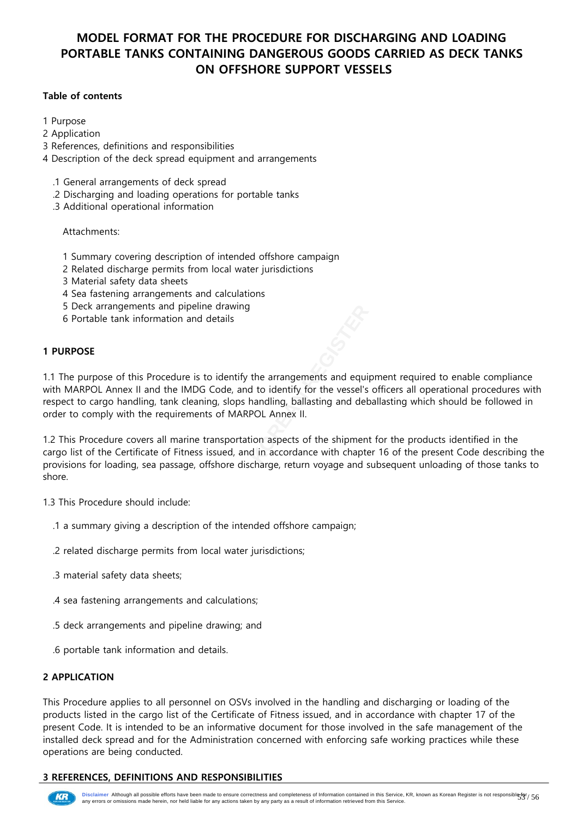# **MODEL FORMAT FOR THE PROCEDURE FOR DISCHARGING AND LOADING PORTABLE TANKS CONTAINING DANGEROUS GOODS CARRIED AS DECK TANKS ON OFFSHORE SUPPORT VESSELS**

# **Table of contents**

1 Purpose

2 Application

3 References, definitions and responsibilities

4 Description of the deck spread equipment and arrangements

.1 General arrangements of deck spread

.2 Discharging and loading operations for portable tanks

.3 Additional operational information

Attachments:

- 1 Summary covering description of intended offshore campaign
- 2 Related discharge permits from local water jurisdictions
- 3 Material safety data sheets
- 4 Sea fastening arrangements and calculations
- 5 Deck arrangements and pipeline drawing
- 6 Portable tank information and details

# **1 PURPOSE**

1.1 The purpose of this Procedure is to identify the arrangements and equipment required to enable compliance with MARPOL Annex II and the IMDG Code, and to identify for the vessel's officers all operational procedures with respect to cargo handling, tank cleaning, slops handling, ballasting and deballasting which should be followed in order to comply with the requirements of MARPOL Annex II. the arrangements and equipt<br>
I to identify for the vessel's contained to identify for the vessel's contained and debanged the summary of the shipment<br>
I ion aspects of the shipment<br>
I in accordance with chapter

1.2 This Procedure covers all marine transportation aspects of the shipment for the products identified in the cargo list of the Certificate of Fitness issued, and in accordance with chapter 16 of the present Code describing the provisions for loading, sea passage, offshore discharge, return voyage and subsequent unloading of those tanks to shore.

1.3 This Procedure should include:

- .1 a summary giving a description of the intended offshore campaign;
- .2 related discharge permits from local water jurisdictions;
- .3 material safety data sheets;
- .4 sea fastening arrangements and calculations;
- .5 deck arrangements and pipeline drawing; and
- .6 portable tank information and details.

#### **2 APPLICATION**

This Procedure applies to all personnel on OSVs involved in the handling and discharging or loading of the products listed in the cargo list of the Certificate of Fitness issued, and in accordance with chapter 17 of the present Code. It is intended to be an informative document for those involved in the safe management of the installed deck spread and for the Administration concerned with enforcing safe working practices while these operations are being conducted.

# **3 REFERENCES, DEFINITIONS AND RESPONSIBILITIES**

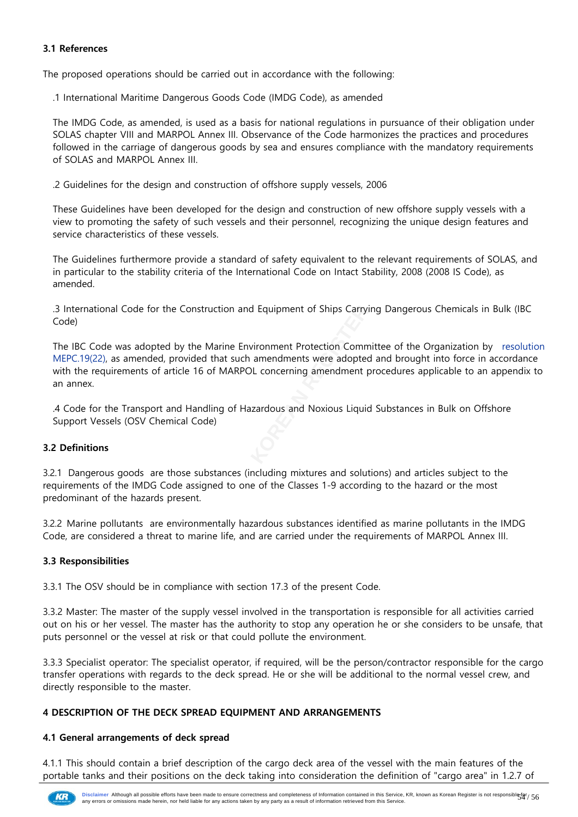# **3.1 References**

The proposed operations should be carried out in accordance with the following:

.1 International Maritime Dangerous Goods Code (IMDG Code), as amended

The IMDG Code, as amended, is used as a basis for national regulations in pursuance of their obligation under SOLAS chapter VIII and MARPOL Annex III. Observance of the Code harmonizes the practices and procedures followed in the carriage of dangerous goods by sea and ensures compliance with the mandatory requirements of SOLAS and MARPOL Annex III.

.2 Guidelines for the design and construction of offshore supply vessels, 2006

These Guidelines have been developed for the design and construction of new offshore supply vessels with a view to promoting the safety of such vessels and their personnel, recognizing the unique design features and service characteristics of these vessels.

The Guidelines furthermore provide a standard of safety equivalent to the relevant requirements of SOLAS, and in particular to the stability criteria of the International Code on Intact Stability, 2008 (2008 IS Code), as amended.

.3 International Code for the Construction and Equipment of Ships Carrying Dangerous Chemicals in Bulk (IBC Code)

[The IBC Code was adopted by the Marine Environment Protection Committee of the Organization by resolution](http://103.12.248.9usercommontreeredirect.aspx?category_id=43070&node_type=normal&is_leaf=true&is_viewchild=true) MEPC.19(22), as amended, provided that such amendments were adopted and brought into force in accordance with the requirements of article 16 of MARPOL concerning amendment procedures applicable to an appendix to an annex. Equipment of Ships Carryin<br>
Stromment Protection Commit<br>
Internal amendments were adopted<br>
DL concerning amendment pr<br>
Stroman Regional Stroman<br>
Stroman Regional Stroman<br>
Regional Stroman Regional<br>
Regional Stroman Regiona

.4 Code for the Transport and Handling of Hazardous and Noxious Liquid Substances in Bulk on Offshore Support Vessels (OSV Chemical Code)

# **3.2 Definitions**

3.2.1 Dangerous goods are those substances (including mixtures and solutions) and articles subject to the requirements of the IMDG Code assigned to one of the Classes 1-9 according to the hazard or the most predominant of the hazards present.

3.2.2 Marine pollutants are environmentally hazardous substances identified as marine pollutants in the IMDG Code, are considered a threat to marine life, and are carried under the requirements of MARPOL Annex III.

# **3.3 Responsibilities**

3.3.1 The OSV should be in compliance with section 17.3 of the present Code.

3.3.2 Master: The master of the supply vessel involved in the transportation is responsible for all activities carried out on his or her vessel. The master has the authority to stop any operation he or she considers to be unsafe, that puts personnel or the vessel at risk or that could pollute the environment.

3.3.3 Specialist operator: The specialist operator, if required, will be the person/contractor responsible for the cargo transfer operations with regards to the deck spread. He or she will be additional to the normal vessel crew, and directly responsible to the master.

# **4 DESCRIPTION OF THE DECK SPREAD EQUIPMENT AND ARRANGEMENTS**

# **4.1 General arrangements of deck spread**

4.1.1 This should contain a brief description of the cargo deck area of the vessel with the main features of the portable tanks and their positions on the deck taking into consideration the definition of "cargo area" in 1.2.7 of

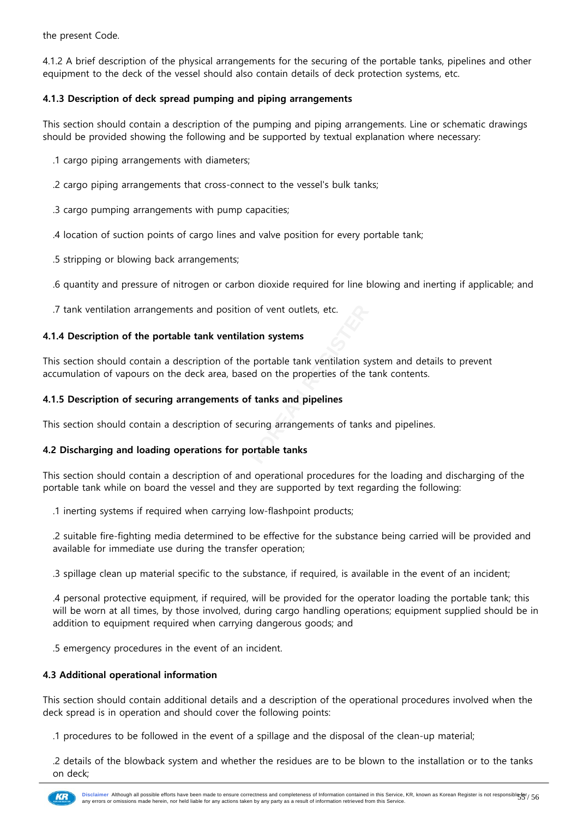the present Code.

4.1.2 A brief description of the physical arrangements for the securing of the portable tanks, pipelines and other equipment to the deck of the vessel should also contain details of deck protection systems, etc.

# **4.1.3 Description of deck spread pumping and piping arrangements**

This section should contain a description of the pumping and piping arrangements. Line or schematic drawings should be provided showing the following and be supported by textual explanation where necessary:

.1 cargo piping arrangements with diameters;

- .2 cargo piping arrangements that cross-connect to the vessel's bulk tanks;
- .3 cargo pumping arrangements with pump capacities;
- .4 location of suction points of cargo lines and valve position for every portable tank;
- .5 stripping or blowing back arrangements;

.6 quantity and pressure of nitrogen or carbon dioxide required for line blowing and inerting if applicable; and

.7 tank ventilation arrangements and position of vent outlets, etc.

# **4.1.4 Description of the portable tank ventilation systems**

This section should contain a description of the portable tank ventilation system and details to prevent accumulation of vapours on the deck area, based on the properties of the tank contents. of vent outlets, etc.<br> **KOREAN REGISTERS**<br> **KOREAN REGISTERS**<br> **KOREAN REGISTERS**<br> **KOREAN REGISTERS**<br> **KOREAN REGISTERS**<br> **KOREAN REGISTERS**<br> **KOREAN REGISTERS**<br> **KOREAN REGISTERS**<br> **KOREAN REGISTERS**<br> **KOREAN REGISTERS** 

# **4.1.5 Description of securing arrangements of tanks and pipelines**

This section should contain a description of securing arrangements of tanks and pipelines.

# **4.2 Discharging and loading operations for portable tanks**

This section should contain a description of and operational procedures for the loading and discharging of the portable tank while on board the vessel and they are supported by text regarding the following:

.1 inerting systems if required when carrying low-flashpoint products;

.2 suitable fire-fighting media determined to be effective for the substance being carried will be provided and available for immediate use during the transfer operation;

.3 spillage clean up material specific to the substance, if required, is available in the event of an incident;

.4 personal protective equipment, if required, will be provided for the operator loading the portable tank; this will be worn at all times, by those involved, during cargo handling operations; equipment supplied should be in addition to equipment required when carrying dangerous goods; and

.5 emergency procedures in the event of an incident.

#### **4.3 Additional operational information**

This section should contain additional details and a description of the operational procedures involved when the deck spread is in operation and should cover the following points:

.1 procedures to be followed in the event of a spillage and the disposal of the clean-up material;

.2 details of the blowback system and whether the residues are to be blown to the installation or to the tanks on deck;